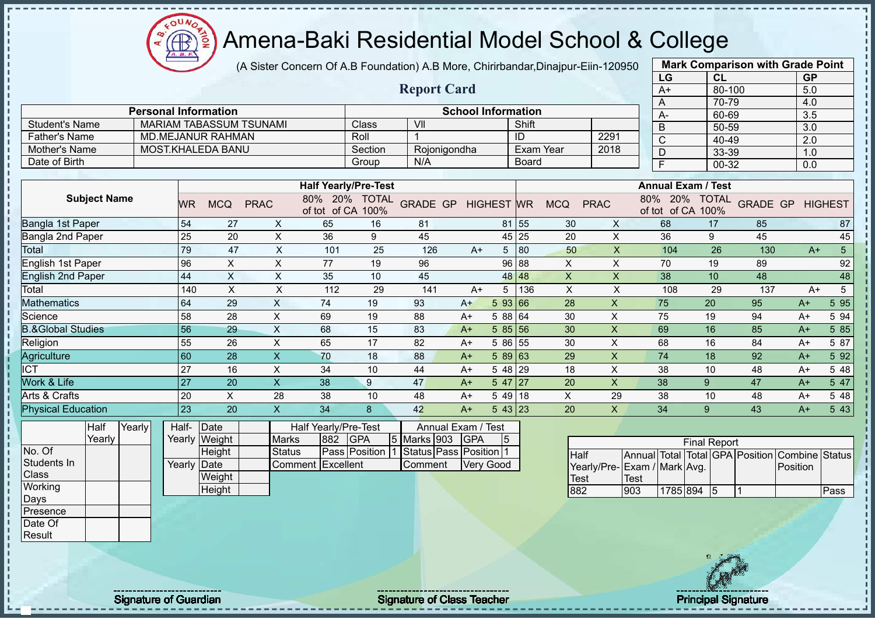(A Sister Concern Of A.B Foundation) A.B More, Chirirbandar,Dinajpur-Eiin-120950

|                              |        |                 |                                |                           |                              |                             |                        |                           |                |                  |              |                           | LG                              | <b>CL</b>           |                          | <b>GP</b>               |                 |
|------------------------------|--------|-----------------|--------------------------------|---------------------------|------------------------------|-----------------------------|------------------------|---------------------------|----------------|------------------|--------------|---------------------------|---------------------------------|---------------------|--------------------------|-------------------------|-----------------|
|                              |        |                 |                                |                           |                              |                             | <b>Report Card</b>     |                           |                |                  |              |                           | $A+$                            | $80 - 100$          |                          | 5.0                     |                 |
|                              |        |                 |                                |                           |                              |                             |                        |                           |                |                  |              |                           | A                               | 70-79               |                          | 4.0                     |                 |
|                              |        |                 | <b>Personal Information</b>    |                           |                              |                             |                        | <b>School Information</b> |                |                  |              |                           | $A -$                           | 60-69               |                          | $\overline{3.5}$        |                 |
| <b>Student's Name</b>        |        |                 | <b>MARIAM TABASSUM TSUNAMI</b> |                           |                              | Class                       | VII                    |                           |                | Shift            |              |                           | $\overline{B}$                  | $50 - 59$           |                          | $\overline{3.0}$        |                 |
| <b>Father's Name</b>         |        |                 | MD.MEJANUR RAHMAN              |                           |                              | Roll                        | -1                     |                           |                | ID               |              | 2291                      | $\overline{C}$                  | 40-49               |                          | 2.0                     |                 |
| Mother's Name                |        |                 | MOST.KHALEDA BANU              |                           |                              | Section                     | Rojonigondha           |                           |                | <b>Exam Year</b> |              | 2018                      | $\overline{D}$                  | 33-39               |                          | 1.0                     |                 |
| Date of Birth                |        |                 |                                |                           |                              | Group                       | N/A                    |                           |                | <b>Board</b>     |              |                           | $\overline{F}$                  | 00-32               |                          | 0.0                     |                 |
|                              |        |                 |                                |                           |                              |                             |                        |                           |                |                  |              |                           |                                 |                     |                          |                         |                 |
|                              |        |                 |                                |                           |                              | <b>Half Yearly/Pre-Test</b> |                        |                           |                |                  |              |                           | <b>Annual Exam / Test</b>       |                     |                          |                         |                 |
| <b>Subject Name</b>          |        | <b>WR</b>       | <b>MCQ</b>                     | <b>PRAC</b>               | 80% 20%<br>of tot of CA 100% | <b>TOTAL</b>                | GRADE GP HIGHEST WR    |                           |                |                  | <b>MCQ</b>   | <b>PRAC</b>               | 20%<br>80%<br>of tot of CA 100% | <b>TOTAL</b>        |                          | <b>GRADE GP HIGHEST</b> |                 |
| <b>Bangla 1st Paper</b>      |        | 54              | 27                             | X                         | 65                           | 16                          | 81                     |                           | 81             | 55               | 30           | X                         | 68                              | 17                  | 85                       |                         | 87              |
| Bangla 2nd Paper             |        | 25              | 20                             | $\pmb{\times}$            | 36                           | 9                           | 45                     |                           | 45             | 25               | 20           | $\pmb{\times}$            | 36                              | 9                   | 45                       |                         | 45              |
| <b>Total</b>                 |        | 79              | 47                             | $\mathsf{x}$              | 101                          | 25                          | 126                    | $A+$                      | 5 <sup>5</sup> | 80               | 50           | X                         | 104                             | 26                  | 130                      | $A+$                    | $\overline{5}$  |
| <b>English 1st Paper</b>     |        | 96              | $\boldsymbol{\mathsf{X}}$      | X                         | 77                           | 19                          | 96                     |                           | 96             | 88               | $\times$     | X                         | 70                              | 19                  | 89                       |                         | 92              |
| <b>English 2nd Paper</b>     |        | 44              | $\boldsymbol{\mathsf{X}}$      | X                         | 35                           | 10                          | 45                     |                           | 48             | 48               | X            | X                         | 38                              | 10                  | 48                       |                         | 48              |
| Total                        |        | 140             | $\times$                       | $\boldsymbol{\mathsf{X}}$ | 112                          | 29                          | 141                    | $A+$                      | 5              | 136              | $\mathsf{X}$ | X                         | 108                             | 29                  | 137                      | $A+$                    | $5\overline{)}$ |
| <b>Mathematics</b>           |        | 64              | 29                             | $\mathsf X$               | 74                           | 19                          | 93                     | $A+$                      | 593 66         |                  | 28           | $\boldsymbol{\mathsf{X}}$ | 75                              | 20                  | 95                       | $A+$                    | 5 9 5           |
| Science                      |        | 58              | 28                             | $\pmb{\times}$            | 69                           | 19                          | 88                     | $A+$                      | 5 88 64        |                  | 30           | X                         | 75                              | 19                  | 94                       | $A+$                    | 5 94            |
| <b>B.&amp;Global Studies</b> |        | 56              | 29                             | $\boldsymbol{\mathsf{X}}$ | 68                           | 15                          | 83                     | $A+$                      | $585$ 56       |                  | 30           | $\pmb{\times}$            | 69                              | 16                  | 85                       | $A+$                    | 5 85            |
| Religion                     |        | 55              | 26                             | $\times$                  | 65                           | 17                          | 82                     | $A+$                      | 5 86 55        |                  | 30           | X                         | 68                              | 16                  | 84                       | $A+$                    | 5 87            |
| Agriculture                  |        | 60              | 28                             | $\pmb{\times}$            | 70                           | 18                          | 88                     | $A+$                      | $589$ 63       |                  | 29           | X                         | 74                              | 18                  | 92                       | $A+$                    | 5 9 2           |
| <b>ICT</b>                   |        | 27              | 16                             | X                         | 34                           | 10                          | 44                     | $A+$                      | 5 48 29        |                  | 18           | $\mathsf{X}$              | 38                              | 10                  | 48                       | $A+$                    | 5 48            |
| Work & Life                  |        | $\overline{27}$ | 20                             | $\mathsf X$               | 38                           | 9                           | 47                     | $A+$                      | $547$   27     |                  | 20           | $\pmb{\times}$            | 38                              | 9                   | 47                       | $A+$                    | 5 47            |
| Arts & Crafts                |        | 20              | $\times$                       | 28                        | 38                           | 10                          | 48                     | $A+$                      | $549$ 18       |                  | $\mathsf{X}$ | 29                        | 38                              | 10                  | 48                       | $A+$                    | 5 48            |
| <b>Physical Education</b>    |        | 23              | 20                             | $\boldsymbol{\mathsf{X}}$ | 34                           | 8                           | 42                     | $A+$                      | 543 23         |                  | 20           | $\mathsf{X}$              | 34                              | 9                   | 43                       | $A+$                    | 5 4 3           |
| Half                         | Yearly | Half-           | Date                           |                           | Half Yearly/Pre-Test         |                             |                        | Annual Exam / Test        |                |                  |              |                           |                                 |                     |                          |                         |                 |
| Yearly                       |        |                 | Yearly Weight                  | <b>Marks</b>              | 882                          | <b>GPA</b>                  | 5 Marks 903            | GPA                       | 5              |                  |              |                           |                                 | <b>Final Report</b> |                          |                         |                 |
| No. Of                       |        |                 | Height                         | <b>Status</b>             |                              | Pass Position               | Status Pass Position 1 |                           |                |                  | <b>Half</b>  |                           | Annual Total Total GPA Position |                     |                          | <b>Combine Status</b>   |                 |
| Students In                  |        | Yearly Date     |                                |                           | Comment Excellent            |                             | Comment                |                           | Very Good      |                  |              | Yearly/Pre-               | Exam / Mark Avg.                |                     |                          | Position                |                 |
| Class                        |        |                 | Weight                         |                           |                              |                             |                        |                           |                |                  | <b>Test</b>  |                           | Test                            |                     |                          |                         |                 |
| Working                      |        |                 | Height                         |                           |                              |                             |                        |                           |                |                  | 882          |                           | 903<br>1785 894 5               |                     | $\overline{\phantom{a}}$ |                         | Pass            |
| Days                         |        |                 |                                |                           |                              |                             |                        |                           |                |                  |              |                           |                                 |                     |                          |                         |                 |
| Presence                     |        |                 |                                |                           |                              |                             |                        |                           |                |                  |              |                           |                                 |                     |                          |                         |                 |
| Date Of                      |        |                 |                                |                           |                              |                             |                        |                           |                |                  |              |                           |                                 |                     |                          |                         |                 |



**Mark Comparison with Grade Point**

oυ **AB** 

Result

J.

Signature of Guardian Signature Signature of Class Teacher New York Network Principal Signature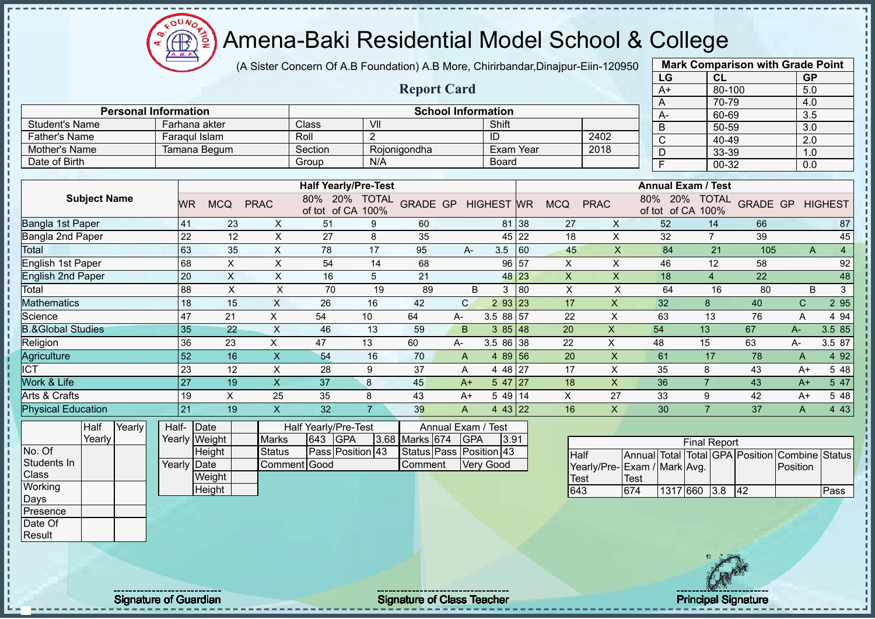σU ⋲⋕∙

# Amena-Baki Residential Model School & College

(A Sister Concern Of A.B Foundation) A.B More, Chirirbandar,Dinajpur-Eiin-120950

|                              |                 |               |                           |                                    |                |                         |                           |                   |       |                           |                           | LG                           |                                    | CL                  |                           | <b>GP</b>    |                |
|------------------------------|-----------------|---------------|---------------------------|------------------------------------|----------------|-------------------------|---------------------------|-------------------|-------|---------------------------|---------------------------|------------------------------|------------------------------------|---------------------|---------------------------|--------------|----------------|
|                              |                 |               |                           |                                    |                | <b>Report Card</b>      |                           |                   |       |                           |                           | $A+$                         |                                    | 80-100              |                           | 5.0          |                |
|                              |                 |               |                           |                                    |                |                         |                           |                   |       |                           |                           | A                            |                                    | 70-79               |                           | 4.0          |                |
| <b>Personal Information</b>  |                 |               |                           |                                    |                |                         | <b>School Information</b> |                   |       |                           |                           | A-                           |                                    | 60-69               |                           | 3.5          |                |
| <b>Student's Name</b>        |                 | Farhana akter |                           | Class                              | VII            |                         |                           | Shift             |       |                           |                           | B                            |                                    | 50-59               |                           | 3.0          |                |
| <b>Father's Name</b>         | Faraqul Islam   |               |                           | Roll                               | 2              |                         |                           | ID                |       |                           | 2402                      | $\mathsf C$                  |                                    | 40-49               |                           | 2.0          |                |
| Mother's Name                |                 | Tamana Begum  |                           | Section                            |                | Rojonigondha            |                           | Exam Year         |       |                           | 2018                      | D                            |                                    | 33-39               |                           | 1.0          |                |
| Date of Birth                |                 |               |                           | Group                              | N/A            |                         |                           | <b>Board</b>      |       |                           |                           | $\overline{F}$               |                                    | 00-32               |                           | 0.0          |                |
|                              |                 |               |                           |                                    |                |                         |                           |                   |       |                           |                           |                              |                                    |                     |                           |              |                |
|                              |                 |               |                           | <b>Half Yearly/Pre-Test</b>        |                |                         |                           |                   |       |                           |                           |                              | <b>Annual Exam / Test</b>          |                     |                           |              |                |
| <b>Subject Name</b>          | <b>WR</b>       | <b>MCQ</b>    | <b>PRAC</b>               | 80% 20% TOTAL<br>of tot of CA 100% |                | <b>GRADE GP</b>         |                           | <b>HIGHEST WR</b> |       | <b>MCQ</b>                | <b>PRAC</b>               |                              | 80% 20% TOTAL<br>of tot of CA 100% |                     | <b>GRADE GP HIGHEST</b>   |              |                |
| Bangla 1st Paper             | 41              | 23            | X                         | 51                                 | 9              | 60                      |                           |                   | 81 38 | 27                        | X                         | 52                           |                                    | 14                  | 66                        |              | 87             |
| Bangla 2nd Paper             | 22              | 12            | X                         | 27                                 | 8              | 35                      |                           |                   | 45 22 | 18                        | X                         | 32                           |                                    | $\overline{7}$      | 39                        |              | 45             |
| Total                        | 63              | 35            | $\pmb{\times}$            | 78                                 | 17             | 95                      | A-                        | 3.5               | 60    | 45                        | X                         | 84                           |                                    | 21                  | 105                       | A            | $\overline{4}$ |
| English 1st Paper            | 68              | $\sf X$       | $\times$                  | 54                                 | 14             | 68                      |                           | 96 57             |       | $\boldsymbol{\mathsf{X}}$ | $\times$                  | 46                           |                                    | 12                  | 58                        |              | 92             |
| <b>English 2nd Paper</b>     | 20              | $\mathsf X$   | $\times$                  | 16                                 | 5              | 21                      |                           |                   | 48 23 | $\boldsymbol{\mathsf{X}}$ | $\boldsymbol{\mathsf{X}}$ | 18                           |                                    | $\overline{4}$      | 22                        |              | 48             |
| Total                        | $\overline{88}$ | $\sf X$       | $\pmb{\times}$            | 70                                 | 19             | 89                      | B                         | 3                 | 80    | $\times$                  | X                         | 64                           |                                    | 16                  | 80                        | B            | $\overline{3}$ |
| <b>Mathematics</b>           | 18              | 15            | $\mathsf{x}$              | 26                                 | 16             | 42                      | $\mathsf{C}$              | 2 93 23           |       | 17                        | X                         | 32                           | $\delta$                           |                     | 40                        | $\mathsf{C}$ | 2 9 5          |
| Science                      | 47              | 21            | $\mathsf X$               | 54                                 | 10             | 64                      | A-                        | 3.5 88 57         |       | 22                        | X                         | 63                           |                                    | 13                  | 76                        | A            | 4 94           |
| <b>B.&amp;Global Studies</b> | 35              | 22            | $\boldsymbol{\mathsf{X}}$ | 46                                 | 13             | 59                      | B                         | 385148            |       | 20                        | $\pmb{\mathsf{X}}$        | 54                           | 13                                 |                     | 67                        | $A-$         | 3.5 85         |
| Religion                     | 36              | 23            | $\pmb{\times}$            | 47                                 | 13             | 60                      | A-                        | 3.5 86 38         |       | 22                        | Χ                         | 48                           | 15                                 |                     | 63                        | A-           | 3.5 87         |
| Agriculture                  | 52              | 16            | $\overline{\mathsf{X}}$   | 54                                 | 16             | 70                      | A                         | 4 89 56           |       | 20                        | $\times$                  | 61                           |                                    | 17                  | 78                        | A            | 4 9 2          |
| <b>ICT</b>                   | 23              | 12            | $\pmb{\times}$            | 28                                 | 9              | 37                      | A                         | 4 48 27           |       | 17                        | X                         | 35                           | 8                                  |                     | 43                        | $A+$         | 5 48           |
| Work & Life                  | 27              | 19            | $\boldsymbol{\mathsf{X}}$ | 37                                 | 8              | 45                      | $A+$                      | $547$   27        |       | 18                        | X                         | 36                           | $\overline{7}$                     |                     | 43                        | $A+$         | 5 47           |
| Arts & Crafts                | 19              | X             | 25                        | 35                                 | 8              | 43                      | $A+$                      | 5 49 14           |       | X                         | 27                        | 33                           | 9                                  |                     | 42                        | $A+$         | 5 48           |
| <b>Physical Education</b>    | 21              | 19            | $\overline{\mathsf{X}}$   | 32                                 | $\overline{7}$ | 39                      | A                         | 4 43 22           |       | 16                        | X                         | 30                           | $\overline{7}$                     |                     | 37                        | A            | 4 4 3          |
| Yearly<br>Half               | Half-           | Date          |                           | Half Yearly/Pre-Test               |                |                         | Annual Exam / Test        |                   |       |                           |                           |                              |                                    |                     |                           |              |                |
| Yearly                       |                 | Yearly Weight | <b>Marks</b>              | 643<br><b>GPA</b>                  | 3.68           | Marks 674               | <b>GPA</b>                | 3.91              |       |                           |                           |                              |                                    | <b>Final Report</b> |                           |              |                |
| No. Of                       |                 | Height        | <b>Status</b>             | Pass Position 43                   |                | Status Pass Position 43 |                           |                   |       | <b>Half</b>               |                           | Annual Total                 |                                    |                     | <b>Total GPA Position</b> | Combine      | <b>Status</b>  |
| Students In                  | Yearly Date     |               |                           | Comment Good                       |                | Comment                 |                           | <b>Very Good</b>  |       |                           |                           | Yearly/Pre- Exam / Mark Avg. |                                    |                     |                           | Position     |                |
| Class                        |                 | Weight        |                           |                                    |                |                         |                           |                   |       | <b>Test</b>               |                           | Test                         |                                    |                     |                           |              |                |
| Working                      |                 | Height        |                           |                                    |                |                         |                           |                   |       | 643                       |                           | 674                          | 1317 660 3.8                       |                     | 42                        |              | Pass           |
| Days                         |                 |               |                           |                                    |                |                         |                           |                   |       |                           |                           |                              |                                    |                     |                           |              |                |
| Presence                     |                 |               |                           |                                    |                |                         |                           |                   |       |                           |                           |                              |                                    |                     |                           |              |                |



**Mark Comparison with Grade Point**

Date Of Result

- II  $\mathbf{I}$ 

 $\blacksquare$ 

J. л

Signature of Guardian Signature of Class Teacher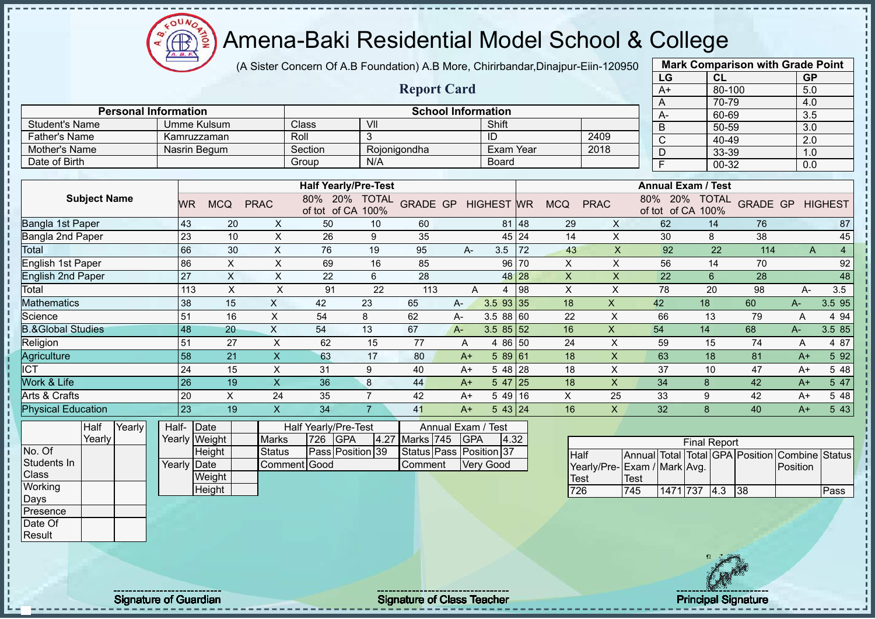$QUN$ Æ ğ

# Amena-Baki Residential Model School & College

(A Sister Concern Of A.B Foundation) A.B More, Chirirbandar,Dinajpur-Eiin-120950

|                              |                     |        |                             |                         |                |                |                             |                         |                    |                           |                        |       |                 |                              |             | LG                        |                     | CL             |                                 | <b>GP</b> |                |
|------------------------------|---------------------|--------|-----------------------------|-------------------------|----------------|----------------|-----------------------------|-------------------------|--------------------|---------------------------|------------------------|-------|-----------------|------------------------------|-------------|---------------------------|---------------------|----------------|---------------------------------|-----------|----------------|
|                              |                     |        |                             |                         |                |                |                             |                         | <b>Report Card</b> |                           |                        |       |                 |                              |             | $A+$                      |                     | 80-100         |                                 | 5.0       |                |
|                              |                     |        | <b>Personal Information</b> |                         |                |                |                             |                         |                    | <b>School Information</b> |                        |       |                 |                              |             | A                         |                     | 70-79          |                                 | 4.0       |                |
|                              |                     |        |                             |                         |                |                |                             | $\overline{\mathsf{v}}$ |                    |                           | Shift                  |       |                 |                              |             | A-                        |                     | 60-69          |                                 | 3.5       |                |
| <b>Student's Name</b>        |                     |        |                             | <b>Umme Kulsum</b>      |                |                | Class                       |                         |                    |                           |                        |       |                 |                              |             | B                         |                     | 50-59          |                                 | 3.0       |                |
| <b>Father's Name</b>         |                     |        |                             | Kamruzzaman             |                |                | Roll                        | 3                       |                    |                           | ID<br><b>Exam Year</b> |       |                 | 2409                         |             | $\overline{\text{c}}$     |                     | $40 - 49$      |                                 | 2.0       |                |
| Mother's Name                |                     |        |                             | Nasrin Begum            |                |                | Section                     |                         | Rojonigondha       |                           |                        |       |                 | 2018                         |             | $\overline{D}$            |                     | 33-39          |                                 | 1.0       |                |
| Date of Birth                |                     |        |                             |                         |                |                | Group                       | N/A                     |                    |                           | <b>Board</b>           |       |                 |                              |             | $\overline{\mathsf{F}}$   |                     | 00-32          |                                 | 0.0       |                |
|                              |                     |        |                             |                         |                |                | <b>Half Yearly/Pre-Test</b> |                         |                    |                           |                        |       |                 |                              |             | <b>Annual Exam / Test</b> |                     |                |                                 |           |                |
|                              | <b>Subject Name</b> |        |                             | <b>WR</b><br><b>MCQ</b> | <b>PRAC</b>    |                | 80%<br>20%<br>of tot of CA  | <b>TOTAL</b><br>100%    | <b>GRADE GP</b>    |                           | <b>HIGHEST</b> WR      |       | <b>MCQ</b>      | <b>PRAC</b>                  | 80%         | 20%<br>of tot of CA 100%  |                     | <b>TOTAL</b>   | <b>GRADE GP</b>                 |           | <b>HIGHEST</b> |
| Bangla 1st Paper             |                     |        |                             | 43                      | 20             | $\pmb{\times}$ | 50                          | 10                      | 60                 |                           |                        | 81 48 | 29              | X                            |             | 62                        |                     | 14             | 76                              |           | 87             |
| Bangla 2nd Paper             |                     |        |                             | 23                      | 10             | X              | 26                          | 9                       | 35                 |                           |                        | 45 24 | 14              | X                            |             | 30                        |                     | 8              | 38                              |           | 45             |
| Total                        |                     |        |                             | 66                      | 30             | X              | 76                          | 19                      | 95                 | $A -$                     | 3.5                    | 72    | 43              | $\mathsf{X}$                 |             | 92                        |                     | 22             | 114                             | A         | $\overline{4}$ |
| English 1st Paper            |                     |        |                             | 86                      | $\mathsf X$    | $\mathsf{X}$   | 69                          | 16                      | 85                 |                           | 96                     | 70    | X               | $\pmb{\times}$               |             | 56                        |                     | 14             | 70                              |           | 92             |
| <b>English 2nd Paper</b>     |                     |        |                             | 27                      | $\pmb{\times}$ | $\times$       | 22                          | 6                       | 28                 |                           |                        | 48 28 | X               | $\mathsf{x}$                 |             | 22                        |                     | $6\phantom{a}$ | 28                              |           | 48             |
| Total                        |                     |        |                             | 113                     | $\pmb{\times}$ | X              | 91                          | 22                      | 113                | A                         | 4                      | 98    | $\pmb{\times}$  | X                            |             | 78                        |                     | 20             | 98                              | A-        | 3.5            |
| Mathematics                  |                     |        |                             | 38                      | 15             | X              | 42                          | 23                      | 65                 | A-                        | 3.5 93 35              |       | $\overline{18}$ | $\overline{\mathsf{x}}$      |             | 42                        | $\overline{18}$     |                | 60                              | $A-$      | 3.5 95         |
| Science                      |                     |        |                             | 51                      | 16             | $\pmb{\times}$ | 54                          | 8                       | 62                 | А-                        | 3.5 88 60              |       | 22              | X                            |             | 66                        | 13                  |                | 79                              | A         | 4 9 4          |
| <b>B.&amp;Global Studies</b> |                     |        |                             | 48                      | 20             | $\mathsf{X}$   | 54                          | 13                      | 67                 | A-                        | $3.585$ 35 52          |       | 16              | X                            |             | 54                        | 14                  |                | 68                              | A-        | 3.5 85         |
| Religion                     |                     |        |                             | 51                      | 27             | $\pmb{\times}$ | 62                          | 15                      | 77                 | A                         | 4 86 50                |       | 24              | $\boldsymbol{\mathsf{X}}$    |             | 59                        | 15                  |                | 74                              | Α         | 4 87           |
| Agriculture                  |                     |        |                             | 58                      | 21             | $\mathsf{X}$   | 63                          | 17                      | 80                 | $A+$                      | 5 89 61                |       | 18              | $\mathsf X$                  |             | 63                        | 18                  |                | 81                              | $A+$      | 5 92           |
| $\overline{\text{ICT}}$      |                     |        |                             | 24                      | 15             | X              | 31                          | 9                       | 40                 | $A+$                      | $548$ 28               |       | 18              | $\times$                     |             | 37                        |                     | 10             | 47                              | $A+$      | 5 48           |
| <b>Nork &amp; Life</b>       |                     |        |                             | 26                      | 19             | X              | 36                          | $\boldsymbol{8}$        | 44                 | $A+$                      | $547$ 25               |       | 18              | $\mathsf{x}$                 |             | 34                        | 8                   |                | 42                              | $A+$      | 5 47           |
| Arts & Crafts                |                     |        |                             | 20                      | X              | 24             | 35                          | $\overline{7}$          | 42                 | $A+$                      | 54916                  |       | $\pmb{\times}$  | 25                           |             | 33                        | 9                   |                | 42                              | $A+$      | 5 48           |
| <b>Physical Education</b>    |                     |        |                             | $\overline{23}$         | 19             | X              | 34                          | $\overline{7}$          | 41                 | $A+$                      | 5 43 24                |       | 16              | $\overline{X}$               |             | 32                        | 8                   |                | 40                              | $A+$      | 5 4 3          |
|                              | Half                | Yearly | Half-                       | Date                    |                |                | Half Yearly/Pre-Test        |                         |                    | Annual Exam /             | Test                   |       |                 |                              |             |                           |                     |                |                                 |           |                |
|                              | Yearly              |        |                             | Yearly Weight           |                | <b>Marks</b>   | 726<br><b>GPA</b>           | 4.27                    | Marks 745          | GPA                       | 4.32                   |       |                 |                              |             |                           | <b>Final Report</b> |                |                                 |           |                |
| No. Of                       |                     |        |                             | Height                  |                | <b>Status</b>  | Pass Position 39            |                         |                    | Status Pass Position 37   |                        |       | <b>Half</b>     |                              |             |                           |                     |                | Annual Total Total GPA Position |           | Combine Status |
| Students In                  |                     |        | Yearly                      | Date                    |                | Comment        | Good                        |                         | Comment            |                           | Very Good              |       |                 | Yearly/Pre- Exam / Mark Avg. |             |                           |                     |                |                                 | Position  |                |
| Class                        |                     |        |                             | Weight                  |                |                |                             |                         |                    |                           |                        |       | Test            |                              | <b>Test</b> |                           |                     |                |                                 |           |                |
| Working                      |                     |        |                             | Height                  |                |                |                             |                         |                    |                           |                        |       | 726             |                              | 745         | 1471 737 4.3 38           |                     |                |                                 |           | Pass           |

1471 737 4.3 38 Pass

**Mark Comparison with Grade Point**

**Working** Days Presence Date Of Result

J.  $\mathbf{I}$  $\mathbf{I}$ 

Ť

Signature of Guardian Signature Signature of Class Teacher New York Network Principal Signature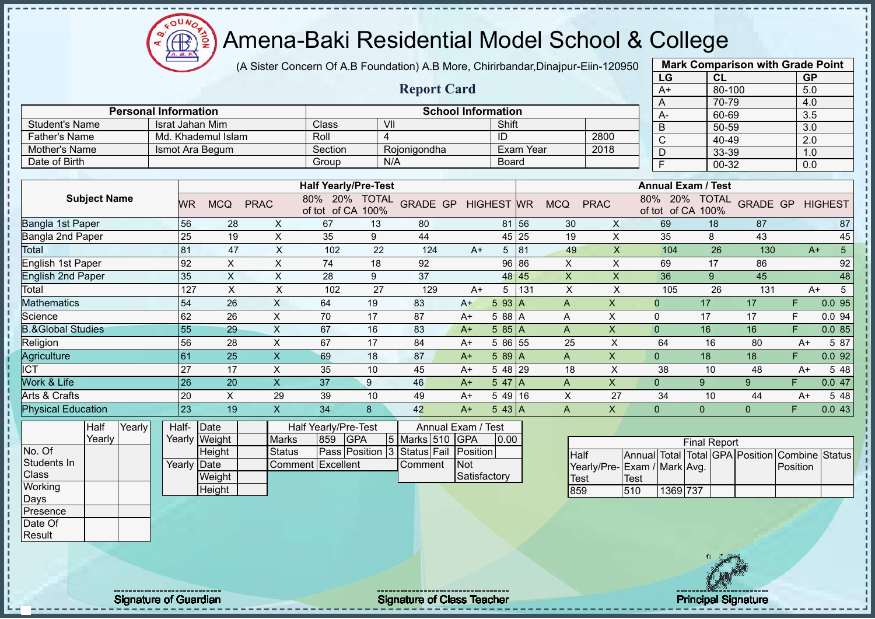(A Sister Concern Of A.B Foundation) A.B More, Chirirbandar,Dinajpur-Eiin-120950

|                              |                 |                    |                           |                             |                |                    |                           |                 |                  |                |                           |                | LG                              | <b>CL</b>           |                 | <b>GP</b>             |                 |
|------------------------------|-----------------|--------------------|---------------------------|-----------------------------|----------------|--------------------|---------------------------|-----------------|------------------|----------------|---------------------------|----------------|---------------------------------|---------------------|-----------------|-----------------------|-----------------|
|                              |                 |                    |                           |                             |                | <b>Report Card</b> |                           |                 |                  |                |                           |                | $A+$                            | 80-100              |                 | 5.0                   |                 |
|                              |                 |                    |                           |                             |                |                    |                           |                 |                  |                |                           | A              |                                 | 70-79               |                 | 4.0                   |                 |
| <b>Personal Information</b>  |                 |                    |                           |                             |                |                    | <b>School Information</b> |                 |                  |                |                           | A-             |                                 | 60-69               |                 | 3.5                   |                 |
| <b>Student's Name</b>        |                 | Israt Jahan Mim    |                           | Class                       | VII            |                    |                           | Shift           |                  |                |                           | B              |                                 | 50-59               |                 | 3.0                   |                 |
| <b>Father's Name</b>         |                 | Md. Khademul Islam |                           | Roll                        | $\overline{4}$ |                    |                           | ID              |                  |                | 2800                      | $\overline{C}$ |                                 | 40-49               |                 | 2.0                   |                 |
| Mother's Name                |                 | Ismot Ara Begum    |                           | Section                     |                | Rojonigondha       |                           |                 | <b>Exam Year</b> |                | 2018                      | D              |                                 | 33-39               |                 | 1.0                   |                 |
| Date of Birth                |                 |                    |                           | Group                       | N/A            |                    |                           | Board           |                  |                |                           | F              |                                 | 00-32               |                 | 0.0                   |                 |
|                              |                 |                    |                           | <b>Half Yearly/Pre-Test</b> |                |                    |                           |                 |                  |                |                           |                | <b>Annual Exam / Test</b>       |                     |                 |                       |                 |
| <b>Subject Name</b>          |                 |                    |                           | 80% 20% TOTAL               |                |                    |                           |                 |                  |                |                           |                | 80% 20% TOTAL                   |                     |                 |                       |                 |
|                              | <b>WR</b>       | <b>MCQ</b>         | <b>PRAC</b>               | of tot of CA 100%           |                | <b>GRADE GP</b>    | <b>HIGHEST</b> WR         |                 |                  | <b>MCQ</b>     | <b>PRAC</b>               |                | of tot of CA 100%               |                     | <b>GRADE GP</b> |                       | <b>HIGHEST</b>  |
| <b>Bangla 1st Paper</b>      | 56              | 28                 | X                         | 67                          | 13             | 80                 |                           | 81 56           |                  | 30             | X                         |                | 69                              | 18                  | 87              |                       | 87              |
| Bangla 2nd Paper             | 25              | 19                 | $\pmb{\times}$            | 35                          | 9              | 44                 |                           | 45              | 25               | 19             | $\mathsf X$               |                | 35                              | 8                   | 43              |                       | 45              |
| Total                        | 81              | 47                 | $\boldsymbol{\mathsf{X}}$ | 102                         | 22             | 124                | $A+$                      | $5\overline{)}$ | 81               | 49             | $\mathsf X$               |                | 104                             | 26                  | 130             | $A+$                  | $\overline{5}$  |
| <b>English 1st Paper</b>     | 92              | X                  | X                         | 74                          | 18             | 92                 |                           | 96              | 86               | X              | X                         |                | 69                              | 17                  | 86              |                       | 92              |
| <b>English 2nd Paper</b>     | 35              | $\mathsf{X}$       | $\boldsymbol{\mathsf{X}}$ | 28                          | 9              | 37                 |                           | 48 45           |                  | $\pmb{\times}$ | X                         |                | 36                              | 9                   | 45              |                       | 48              |
| Total                        | 127             | $\sf X$            | X                         | 102                         | 27             | 129                | $A+$                      | 5               | 131              | X              | X                         |                | 105                             | 26                  | 131             | $A+$                  | $5\overline{)}$ |
| <b>Mathematics</b>           | 54              | 26                 | $\sf X$                   | 64                          | 19             | 83                 | $A+$                      | 5 93 A          |                  | $\mathsf{A}$   | $\boldsymbol{\mathsf{X}}$ | $\Omega$       | $\overline{17}$                 |                     | 17              | F.                    | 0.095           |
| Science                      | 62              | 26                 | $\mathsf X$               | 70                          | 17             | 87                 | $A+$                      | 5 88 A          |                  | Α              | X                         | $\mathbf 0$    | 17                              |                     | 17              | F                     | 0.0 94          |
| <b>B.&amp;Global Studies</b> | 55              | 29                 | $\sf X$                   | 67                          | 16             | 83                 | $A+$                      | 585A            |                  | $\mathsf{A}$   | $\boldsymbol{\mathsf{X}}$ | $\overline{0}$ | 16                              |                     | 16              | F                     | 0.085           |
| Religion                     | 56              | 28                 | $\boldsymbol{\mathsf{X}}$ | 67                          | 17             | 84                 | $A+$                      | 5 86 55         |                  | 25             | $\pmb{\times}$            | 64             |                                 | 16                  | 80              | $A+$                  | 5 87            |
| Agriculture                  | 61              | 25                 | $\mathsf X$               | 69                          | 18             | 87                 | $A+$                      | 589A            |                  | $\mathsf{A}$   | $\boldsymbol{\mathsf{X}}$ | $\mathbf{0}$   | 18                              |                     | 18              | F.                    | 0.092           |
| <b>ICT</b>                   | 27              | 17                 | X                         | 35                          | 10             | 45                 | $A+$                      | 5 48            | 29               | 18             | X                         | 38             |                                 | 10                  | 48              | $A+$                  | 5 48            |
| Work & Life                  | $\overline{26}$ | 20                 | $\mathsf X$               | 37                          | 9              | 46                 | $A+$                      | 5 47            | $\overline{A}$   | $\mathsf{A}$   | $\pmb{\times}$            | $\mathbf{0}$   | 9                               |                     | 9               | F.                    | 0.047           |
| Arts & Crafts                | 20              | X                  | 29                        | 39                          | 10             | 49                 | $A+$                      | 54916           |                  | X              | 27                        | 34             |                                 | 10                  | 44              | $A+$                  | 5 48            |
| <b>Physical Education</b>    | $\overline{23}$ | 19                 | $\overline{\mathsf{X}}$   | 34                          | 8              | 42                 | $A+$                      | $543$ A         |                  | $\overline{A}$ | $\boldsymbol{\mathsf{X}}$ | $\overline{0}$ | $\overline{0}$                  |                     | $\overline{0}$  | F.                    | 0.043           |
| Yearly<br>Half               | Half-           | Date               |                           | Half Yearly/Pre-Test        |                | Annual Exam /      |                           | <b>Test</b>     |                  |                |                           |                |                                 |                     |                 |                       |                 |
| Yearly                       |                 | Yearly Weight      | <b>Marks</b>              | 859                         | <b>GPA</b>     | 5 Marks 510        | <b>GPA</b>                | 0.00            |                  |                |                           |                |                                 | <b>Final Report</b> |                 |                       |                 |
| No. Of                       |                 | Height             | <b>Status</b>             | Pass Position 3             |                | Status Fail        | Position                  |                 |                  | Half           |                           |                | Annual Total Total GPA Position |                     |                 | <b>Combine Status</b> |                 |
| Students In                  | Yearly Date     |                    |                           | <b>Comment Excellent</b>    |                | Comment            | Not                       |                 |                  |                | Yearly/Pre-               |                | Exam / Mark Avg.                |                     |                 | Position              |                 |
| Class                        |                 | Weight             |                           |                             |                |                    | Satisfactory              |                 |                  | <b>Test</b>    |                           | <b>Test</b>    |                                 |                     |                 |                       |                 |
| Working                      |                 | Height             |                           |                             |                |                    |                           |                 |                  | 859            |                           | 510            | 1369 737                        |                     |                 |                       |                 |
| Days                         |                 |                    |                           |                             |                |                    |                           |                 |                  |                |                           |                |                                 |                     |                 |                       |                 |
| Presence                     |                 |                    |                           |                             |                |                    |                           |                 |                  |                |                           |                |                                 |                     |                 |                       |                 |
| Date Of                      |                 |                    |                           |                             |                |                    |                           |                 |                  |                |                           |                |                                 |                     |                 |                       |                 |
| Result                       |                 |                    |                           |                             |                |                    |                           |                 |                  |                |                           |                |                                 |                     |                 |                       |                 |

Signature of Guardian Signature Signature of Class Teacher New York Network Principal Signature

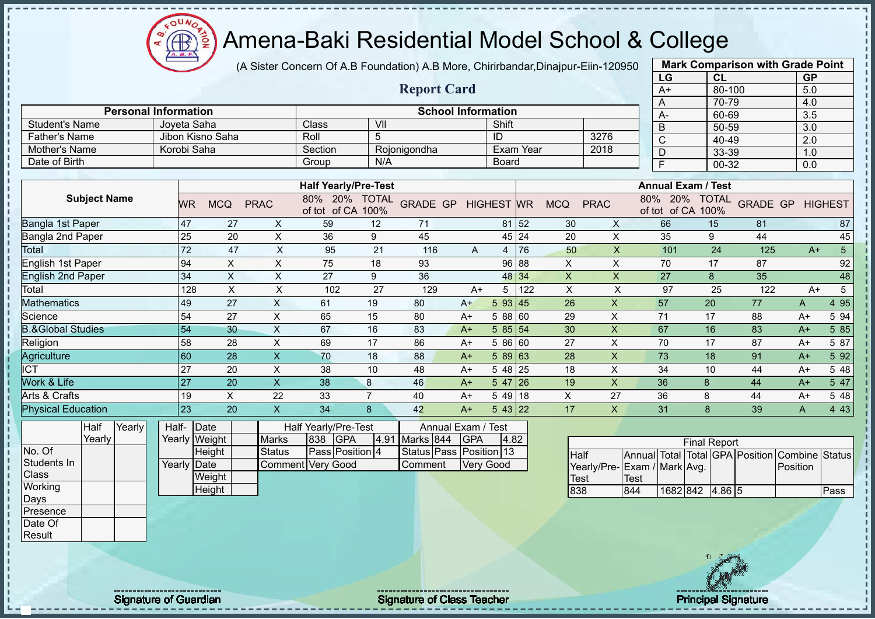$\Omega$ **AB** 

# Amena-Baki Residential Model School & College

(A Sister Concern Of A.B Foundation) A.B More, Chirirbandar,Dinajpur-Eiin-120950

|                              |       |                 |                           |                           |                                    |                |                           |                  |                   |           |             |                |             | LG                                 | <b>CL</b>           |                 | <b>GP</b>        |                |
|------------------------------|-------|-----------------|---------------------------|---------------------------|------------------------------------|----------------|---------------------------|------------------|-------------------|-----------|-------------|----------------|-------------|------------------------------------|---------------------|-----------------|------------------|----------------|
|                              |       |                 |                           |                           |                                    |                | <b>Report Card</b>        |                  |                   |           |             |                |             | $A+$                               | 80-100              |                 | 5.0              |                |
|                              |       |                 |                           |                           |                                    |                |                           |                  |                   |           |             |                |             | A                                  | 70-79               |                 | 4.0              |                |
| <b>Personal Information</b>  |       |                 |                           |                           |                                    |                | <b>School Information</b> |                  |                   |           |             |                |             | A-                                 | 60-69               |                 | 3.5              |                |
| <b>Student's Name</b>        |       | Joyeta Saha     |                           |                           | Class                              | VII            |                           |                  | Shift             |           |             |                |             | B                                  | 50-59               |                 | $\overline{3.0}$ |                |
| <b>Father's Name</b>         |       |                 | Jibon Kisno Saha          |                           | Roll                               | 5              |                           |                  | ID                |           |             | 3276           |             | $\overline{C}$                     | 40-49               |                 | $\overline{2.0}$ |                |
| Mother's Name                |       | Korobi Saha     |                           |                           | Section                            |                | Rojonigondha              |                  |                   | Exam Year |             | 2018           |             | D                                  | 33-39               |                 | 1.0              |                |
| Date of Birth                |       |                 |                           |                           | Group                              | N/A            |                           |                  | <b>Board</b>      |           |             |                |             | F                                  | $00 - 32$           |                 | 0.0              |                |
|                              |       |                 |                           |                           |                                    |                |                           |                  |                   |           |             |                |             |                                    |                     |                 |                  |                |
|                              |       |                 |                           |                           | <b>Half Yearly/Pre-Test</b>        |                |                           |                  |                   |           |             |                |             | <b>Annual Exam / Test</b>          |                     |                 |                  |                |
| <b>Subject Name</b>          |       | WR              | <b>MCQ</b>                | <b>PRAC</b>               | 80% 20% TOTAL<br>of tot of CA 100% |                | <b>GRADE GP</b>           |                  | <b>HIGHEST WR</b> |           | <b>MCQ</b>  | <b>PRAC</b>    |             | 80% 20% TOTAL<br>of tot of CA 100% |                     | <b>GRADE GP</b> |                  | <b>HIGHEST</b> |
| Bangla 1st Paper             |       | 47              | 27                        | X                         | 59                                 | 12             | 71                        |                  | 81 52             |           | 30          | X              |             | 66                                 | 15                  | 81              |                  | 87             |
| Bangla 2nd Paper             |       | 25              | 20                        | $\boldsymbol{\mathsf{X}}$ | 36                                 | 9              | 45                        |                  | 45 24             |           | 20          | $\pmb{\times}$ |             | 35                                 | 9                   | 44              |                  | 45             |
| Total                        |       | 72              | 47                        | $\times$                  | 95                                 | 21             | 116                       | A                | $\overline{4}$    | 76        | 50          | X              |             | 101                                | 24                  | 125             | $A+$             | 5 <sup>5</sup> |
| English 1st Paper            |       | 94              | $\times$                  | X                         | 75                                 | 18             | 93                        |                  | 96 88             |           | X           | X              |             | 70                                 | 17                  | 87              |                  | 92             |
| <b>English 2nd Paper</b>     |       | 34              | $\mathsf{X}$              | X                         | 27                                 | 9              | 36                        |                  | 48 34             |           | $\sf X$     | X              |             | 27                                 | 8                   | 35              |                  | 48             |
| Total                        |       | 128             | $\sf X$                   | X                         | 102                                | 27             | 129                       | $A+$             | 5                 | 122       | X           | $\pmb{\times}$ |             | 97                                 | 25                  | 122             | $A+$             | 5              |
| <b>Mathematics</b>           |       | 49              | 27                        | $\mathsf X$               | 61                                 | 19             | 80                        | $A+$             | 5 93 45           |           | 26          | $\mathsf{x}$   |             | 57                                 | 20                  | 77              | A                | 4 9 5          |
| Science                      |       | 54              | 27                        | $\pmb{\times}$            | 65                                 | 15             | 80                        | $A+$             | 5 88 60           |           | 29          | X              |             | 71                                 | 17                  | 88              | $A+$             | 5 94           |
| <b>B.&amp;Global Studies</b> |       | 54              | 30                        | $\pmb{\mathsf{X}}$        | 67                                 | 16             | 83                        | $A+$             | 585 54            |           | 30          | $\pmb{\times}$ |             | 67                                 | 16                  | 83              | $A+$             | 5 8 5          |
| Religion                     |       | 58              | 28                        | $\sf X$                   | 69                                 | 17             | 86                        | $A+$             | 5 86 60           |           | 27          | $\mathsf X$    |             | 70                                 | 17                  | 87              | $A+$             | 5 87           |
| Agriculture                  |       | 60              | 28                        | $\pmb{\mathsf{X}}$        | 70                                 | 18             | 88                        | $A+$             | $589$ 63          |           | 28          | X              |             | 73                                 | 18                  | 91              | $A+$             | 5 92           |
| <b>ICT</b>                   |       | $\overline{27}$ | 20                        | $\mathsf X$               | 38                                 | 10             | 48                        | $A+$             | $548$ 25          |           | 18          | $\mathsf X$    |             | 34                                 | 10                  | 44              | $A+$             | 5 48           |
| Work & Life                  |       | $\overline{27}$ | 20                        | $\mathsf X$               | 38                                 | 8              | 46                        | $A+$             | $547$ 26          |           | 19          | $\pmb{\times}$ |             | 36                                 | 8                   | 44              | $A+$             | 5 47           |
| Arts & Crafts                |       | 19              | $\boldsymbol{\mathsf{X}}$ | 22                        | 33                                 | $\overline{7}$ | 40                        | $A+$             | $549$ 18          |           | X           | 27             |             | 36                                 | 8                   | 44              | $A+$             | 5 48           |
| <b>Physical Education</b>    |       | 23              | 20                        | $\mathsf{x}$              | 34                                 | 8              | 42                        | $A+$             | 543 22            |           | 17          | $\mathsf{X}$   |             | 31                                 | 8                   | 39              | A                | 4 4 3          |
| Half<br>Yearly               | Half- |                 | Date                      |                           | Half Yearly/Pre-Test               |                | Annual Exam / Test        |                  |                   |           |             |                |             |                                    |                     |                 |                  |                |
| Yearly                       |       |                 | Yearly Weight             | <b>Marks</b>              | 838<br><b>GPA</b>                  | 4.91           | Marks 844                 | GPA              | 4.82              |           |             |                |             |                                    | <b>Final Report</b> |                 |                  |                |
| No. Of                       |       |                 | Height                    | <b>Status</b>             | Pass Position 4                    |                | Status Pass Position 13   |                  |                   |           | <b>Half</b> |                |             | Annual Total Total GPA Position    |                     |                 | Combine          | <b>Status</b>  |
| Students In                  |       | Yearly Date     |                           | <b>Comment</b>            | <b>Very Good</b>                   |                | Comment                   | <b>Very Good</b> |                   |           |             |                |             | Yearly/Pre-Exam / Mark Avg.        |                     |                 | Position         |                |
| Class                        |       |                 | Weight                    |                           |                                    |                |                           |                  |                   |           | <b>Test</b> |                | <b>Test</b> |                                    |                     |                 |                  |                |
| Working                      |       |                 | Height                    |                           |                                    |                |                           |                  |                   |           | 838         |                | 844         | 1682 842 4.86 5                    |                     |                 |                  | Pass           |
| Days                         |       |                 |                           |                           |                                    |                |                           |                  |                   |           |             |                |             |                                    |                     |                 |                  |                |
| Presence                     |       |                 |                           |                           |                                    |                |                           |                  |                   |           |             |                |             |                                    |                     |                 |                  |                |



**Mark Comparison with Grade Point**

Date Of Result

Signature of Guardian Signature Signature of Class Teacher New York Constitution of Class Teacher Principal Signature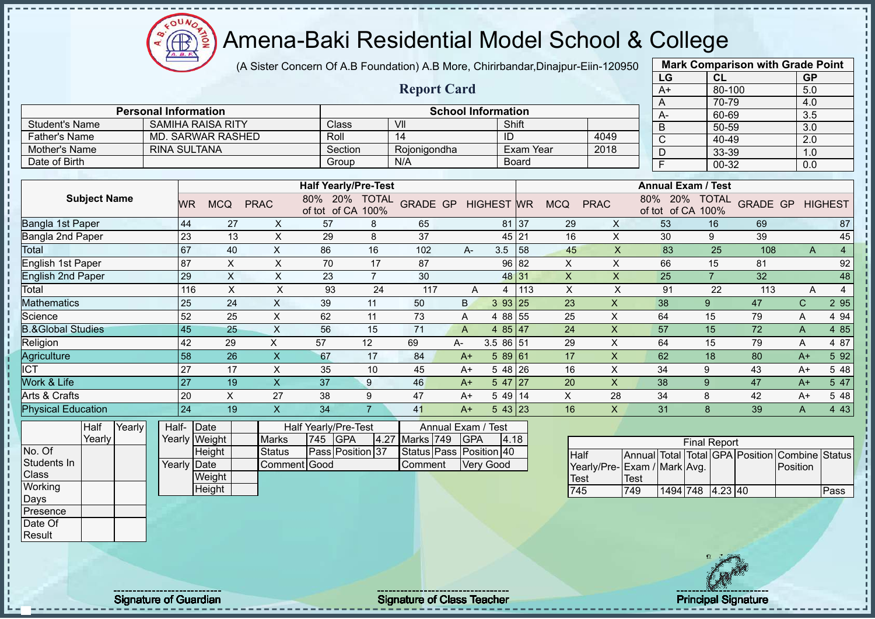Æ ğ

# Amena-Baki Residential Model School & College

(A Sister Concern Of A.B Foundation) A.B More, Chirirbandar,Dinajpur-Eiin-120950

|                              |                             |                 |                           |                           |                             |                |                         |                |                           |                  |                |                           | LG                                      | CL                  |                 | <b>GP</b>        |                |
|------------------------------|-----------------------------|-----------------|---------------------------|---------------------------|-----------------------------|----------------|-------------------------|----------------|---------------------------|------------------|----------------|---------------------------|-----------------------------------------|---------------------|-----------------|------------------|----------------|
|                              |                             |                 |                           |                           |                             |                | <b>Report Card</b>      |                |                           |                  |                |                           | $A+$                                    | 80-100              |                 | 5.0              |                |
|                              |                             |                 |                           |                           |                             |                |                         |                |                           |                  |                |                           | A                                       | 70-79               |                 | 4.0              |                |
|                              | <b>Personal Information</b> |                 |                           |                           |                             |                |                         |                | <b>School Information</b> |                  |                |                           | А-                                      | 60-69               |                 | $\overline{3.5}$ |                |
| <b>Student's Name</b>        |                             |                 | <b>SAMIHA RAISA RITY</b>  |                           | Class                       |                | VII                     |                |                           | Shift            |                |                           | B                                       | 50-59               |                 | $\overline{3.0}$ |                |
| <b>Father's Name</b>         |                             |                 | <b>MD. SARWAR RASHED</b>  |                           | Roll                        |                | 14                      |                | ID                        |                  |                | 4049                      | $\overline{C}$                          | 40-49               |                 | $\overline{2.0}$ |                |
| Mother's Name                | <b>RINA SULTANA</b>         |                 |                           |                           | Section                     |                | Rojonigondha            |                |                           | <b>Exam Year</b> |                | 2018                      | $\overline{D}$                          | 33-39               |                 | 1.0              |                |
| Date of Birth                |                             |                 |                           |                           | Group                       |                | N/A                     |                |                           | Board            |                |                           | F                                       | $00 - 32$           |                 | 0.0              |                |
|                              |                             |                 |                           |                           | <b>Half Yearly/Pre-Test</b> |                |                         |                |                           |                  |                |                           | <b>Annual Exam / Test</b>               |                     |                 |                  |                |
| <b>Subject Name</b>          |                             |                 |                           |                           | 80% 20% TOTAL               |                |                         |                |                           |                  |                |                           | 80% 20% TOTAL                           |                     |                 |                  |                |
|                              |                             | <b>WR</b>       | <b>MCQ</b>                | <b>PRAC</b>               | of tot of CA 100%           |                | <b>GRADE GP</b>         |                | <b>HIGHEST</b> WR         |                  | <b>MCQ</b>     | <b>PRAC</b>               | of tot of CA 100%                       |                     | <b>GRADE GP</b> |                  | <b>HIGHEST</b> |
| Bangla 1st Paper             |                             | 44              | $\overline{27}$           | $\sf X$                   | 57                          | 8              | 65                      |                |                           | 81 37            | 29             | X                         | 53                                      | 16                  | 69              |                  | 87             |
| Bangla 2nd Paper             |                             | 23              | 13                        | $\boldsymbol{\mathsf{X}}$ | 29                          | 8              | 37                      |                |                           | 45 21            | 16             | X                         | 30                                      | 9                   | 39              |                  | 45             |
| Total                        |                             | 67              | 40                        | $\mathsf X$               | 86                          | 16             | 102                     | A-             | 3.5                       | 58               | 45             | $\boldsymbol{\mathsf{X}}$ | 83                                      | 25                  | 108             | A                | $\overline{4}$ |
| <b>English 1st Paper</b>     |                             | 87              | X                         | X                         | 70                          | 17             | 87                      |                |                           | 96 82            | X              | X                         | 66                                      | 15                  | 81              |                  | 92             |
| <b>English 2nd Paper</b>     |                             | 29              | $\boldsymbol{\mathsf{X}}$ | $\boldsymbol{\mathsf{X}}$ | 23                          | $\overline{7}$ | 30                      |                |                           | 48 31            | $\pmb{\times}$ | $\pmb{\times}$            | 25                                      | $\overline{7}$      | 32              |                  | 48             |
| Total                        |                             | 116             | $\times$                  | X                         | 93                          | 24             | 117                     | A              | 4                         | 113              | $\times$       | $\mathsf X$               | 91                                      | 22                  | 113             | A                | $\overline{4}$ |
| <b>Mathematics</b>           |                             | 25              | 24                        | $\sf X$                   | 39                          | 11             | 50                      | B.             | 393 25                    |                  | 23             | $\mathsf{x}$              | 38                                      | $\overline{9}$      | 47              | $\mathsf{C}$     | 2 9 5          |
| Science                      |                             | 52              | 25                        | $\sf X$                   | 62                          | 11             | 73                      | A              | 4 88 55                   |                  | 25             | $\boldsymbol{\mathsf{X}}$ | 64                                      | 15                  | 79              | Α                | 4 9 4          |
| <b>B.&amp;Global Studies</b> |                             | 45              | 25                        | $\mathsf{X}$              | 56                          | 15             | 71                      | $\overline{A}$ | 4 85 47                   |                  | 24             | $\boldsymbol{\mathsf{X}}$ | 57                                      | 15                  | 72              | A                | 4 8 5          |
| Religion                     |                             | 42              | 29                        | X                         | 57                          | 12             | 69                      | A-             | 3.5 86 51                 |                  | 29             | X                         | 64                                      | 15                  | 79              | A                | 4 87           |
| Agriculture                  |                             | $\overline{58}$ | 26                        | $\overline{\mathsf{x}}$   | 67                          | 17             | 84                      | $A+$           | 589 61                    |                  | 17             | $\mathsf{X}$              | 62                                      | 18                  | 80              | $A+$             | 5 9 2          |
| <b>ICT</b>                   |                             | 27              | 17                        | X                         | 35                          | 10             | 45                      | $A+$           | $548$ 26                  |                  | 16             | X                         | 34                                      | 9                   | 43              | $A+$             | 5 48           |
| Work & Life                  |                             | 27              | 19                        | $\mathsf{X}$              | 37                          | 9              | 46                      | $A+$           | $547$ 27                  |                  | 20             | $\boldsymbol{\mathsf{X}}$ | 38                                      | 9                   | 47              | $A+$             | 5 47           |
| Arts & Crafts                |                             | 20              | X                         | 27                        | 38                          | 9              | 47                      | $A+$           | $549$ 14                  |                  | $\pmb{\times}$ | 28                        | 34                                      | 8                   | 42              | $A+$             | 5 48           |
| <b>Physical Education</b>    |                             | 24              | 19                        | $\boldsymbol{\mathsf{X}}$ | 34                          | $\overline{7}$ | 41                      | $A+$           | $543$ 23                  |                  | 16             | $\mathsf{X}$              | 31                                      | 8                   | 39              | A                | 4 4 3          |
| Yearly<br>Half               |                             | Half-Date       |                           |                           | Half Yearly/Pre-Test        |                | Annual Exam / Test      |                |                           |                  |                |                           |                                         |                     |                 |                  |                |
| Yearly                       |                             |                 | Yearly Weight             | <b>Marks</b>              | 745<br><b>GPA</b>           | 4.27           | Marks 749               | <b>GPA</b>     | 4.18                      |                  |                |                           |                                         | <b>Final Report</b> |                 |                  |                |
| No. Of                       |                             |                 | Height                    | <b>Status</b>             | Pass Position 37            |                | Status Pass Position 40 |                |                           |                  | <b>Half</b>    |                           | Annual Total Total GPA Position Combine |                     |                 |                  | <b>Status</b>  |
| Students In                  |                             | Yearly Date     |                           | Comment Good              |                             |                | Comment                 |                | <b>Very Good</b>          |                  |                |                           | Yearly/Pre-Exam / Mark Avg.             |                     |                 | Position         |                |
| Class                        |                             |                 | Weight                    |                           |                             |                |                         |                |                           |                  | Test           |                           | Test                                    |                     |                 |                  |                |
| Working                      |                             |                 | Height                    |                           |                             |                |                         |                |                           |                  | 745            |                           | 749                                     | 1494 748 4.23 40    |                 |                  | Pass           |
| Days                         |                             |                 |                           |                           |                             |                |                         |                |                           |                  |                |                           |                                         |                     |                 |                  |                |
| Presence                     |                             |                 |                           |                           |                             |                |                         |                |                           |                  |                |                           |                                         |                     |                 |                  |                |
| Date Of                      |                             |                 |                           |                           |                             |                |                         |                |                           |                  |                |                           |                                         |                     |                 |                  |                |
| Result                       |                             |                 |                           |                           |                             |                |                         |                |                           |                  |                |                           |                                         |                     |                 |                  |                |

Signature of Guardian Signature Signature of Class Teacher National Signature Principal Signature

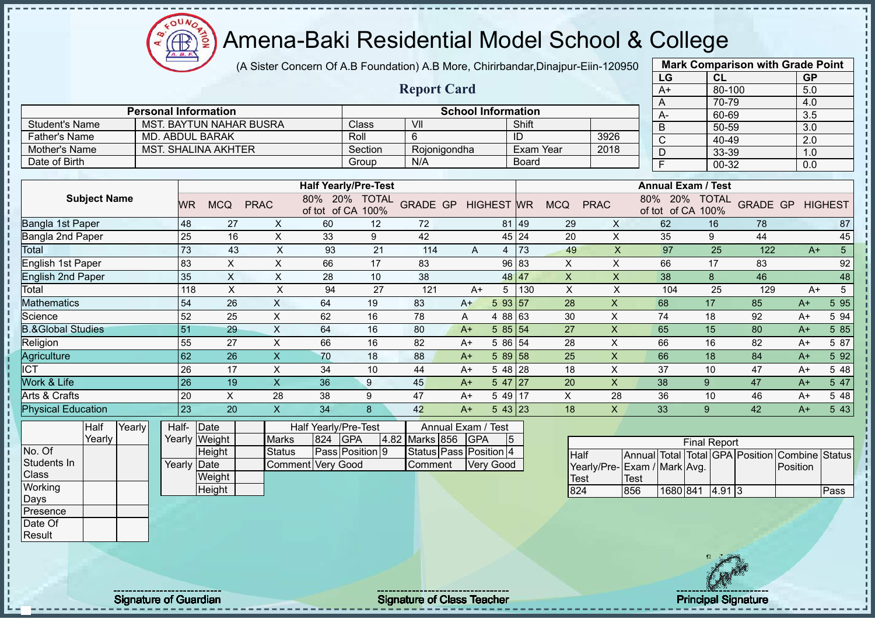$\Omega$ ğ **CB** 

J.

# Amena-Baki Residential Model School & College

(A Sister Concern Of A.B Foundation) A.B More, Chirirbandar,Dinajpur-Eiin-120950

|                              |        |           |                                |                           |     |                             |                        |            |                           |       |                           |                           | LG                                             | CL                  |     | <b>GP</b>               |                 |
|------------------------------|--------|-----------|--------------------------------|---------------------------|-----|-----------------------------|------------------------|------------|---------------------------|-------|---------------------------|---------------------------|------------------------------------------------|---------------------|-----|-------------------------|-----------------|
|                              |        |           |                                |                           |     |                             | <b>Report Card</b>     |            |                           |       |                           |                           | A+                                             | 80-100              |     | 5.0                     |                 |
|                              |        |           |                                |                           |     |                             |                        |            |                           |       |                           |                           | A                                              | 70-79               |     | 4.0                     |                 |
|                              |        |           | <b>Personal Information</b>    |                           |     |                             |                        |            | <b>School Information</b> |       |                           |                           | А-                                             | 60-69               |     | 3.5                     |                 |
| <b>Student's Name</b>        |        |           | <b>MST. BAYTUN NAHAR BUSRA</b> |                           |     | Class                       | VII                    |            |                           | Shift |                           |                           | B                                              | 50-59               |     | 3.0                     |                 |
| <b>Father's Name</b>         |        |           | <b>MD. ABDUL BARAK</b>         |                           |     | Roll                        | 6                      |            |                           | ID    |                           | 3926                      | C                                              | 40-49               |     | 2.0                     |                 |
| Mother's Name                |        |           | <b>MST. SHALINA AKHTER</b>     |                           |     | Section                     | Rojonigondha           |            |                           |       | <b>Exam Year</b>          | 2018                      | D                                              | 33-39               |     | 1.0                     |                 |
| Date of Birth                |        |           |                                |                           |     | Group                       | N/A                    |            |                           | Board |                           |                           | F                                              | 00-32               |     | 0.0                     |                 |
|                              |        |           |                                |                           |     | <b>Half Yearly/Pre-Test</b> |                        |            |                           |       |                           |                           | <b>Annual Exam / Test</b>                      |                     |     |                         |                 |
| <b>Subject Name</b>          |        |           |                                |                           |     | 80% 20% TOTAL               |                        |            |                           |       |                           |                           |                                                | 80% 20% TOTAL       |     |                         |                 |
|                              |        | <b>WR</b> | <b>MCQ</b>                     | <b>PRAC</b>               |     | of tot of CA 100%           | <b>GRADE GP</b>        |            | <b>HIGHEST WR</b>         |       | <b>MCQ</b>                | <b>PRAC</b>               | of tot of CA 100%                              |                     |     | <b>GRADE GP HIGHEST</b> |                 |
| Bangla 1st Paper             |        | 48        | 27                             | X                         | 60  | 12                          | 72                     |            |                           | 81 49 | 29                        | X                         | 62                                             | 16                  | 78  |                         | 87              |
| Bangla 2nd Paper             |        | 25        | 16                             | $\pmb{\times}$            | 33  | 9                           | 42                     |            |                           | 45 24 | 20                        | X                         | 35                                             | 9                   | 44  |                         | 45              |
| Total                        |        | 73        | 43                             | $\boldsymbol{\mathsf{X}}$ | 93  | 21                          | 114                    | A          | 4                         | 73    | 49                        | $\boldsymbol{\mathsf{X}}$ | 97                                             | 25                  | 122 | $A+$                    | 5 <sup>5</sup>  |
| <b>English 1st Paper</b>     |        | 83        | $\boldsymbol{\mathsf{X}}$      | X                         | 66  | 17                          | 83                     |            |                           | 96 83 | X                         | X                         | 66                                             | 17                  | 83  |                         | 92              |
| <b>English 2nd Paper</b>     |        | 35        | $\boldsymbol{\mathsf{X}}$      | $\boldsymbol{\mathsf{X}}$ | 28  | 10                          | 38                     |            |                           | 48 47 | $\boldsymbol{\mathsf{X}}$ | $\boldsymbol{\mathsf{X}}$ | 38                                             | $\bf 8$             | 46  |                         | 48              |
| Total                        |        | 118       | $\boldsymbol{\mathsf{X}}$      | $\mathsf X$               | 94  | 27                          | 121                    | $A+$       |                           | 5 130 | X                         | $\boldsymbol{\mathsf{X}}$ | 104                                            | 25                  | 129 | $A+$                    | $5\phantom{.0}$ |
| <b>Mathematics</b>           |        | 54        | 26                             | $\boldsymbol{\mathsf{X}}$ | 64  | 19                          | 83                     | $A+$       | 5 93 57                   |       | 28                        | $\boldsymbol{\mathsf{X}}$ | 68                                             | 17                  | 85  | $A+$                    | 5 9 5           |
| Science                      |        | 52        | 25                             | X                         | 62  | 16                          | 78                     | A          | 4 88 63                   |       | 30                        | $\pmb{\times}$            | 74                                             | 18                  | 92  | $A+$                    | 5 94            |
| <b>B.&amp;Global Studies</b> |        | 51        | 29                             | $\boldsymbol{\mathsf{X}}$ | 64  | 16                          | 80                     | $A+$       | 58551                     |       | 27                        | $\boldsymbol{\mathsf{X}}$ | 65                                             | 15                  | 80  | $A+$                    | 5 85            |
| Religion                     |        | 55        | 27                             | $\pmb{\times}$            | 66  | 16                          | 82                     | $A+$       | 5 86 54                   |       | 28                        | X                         | 66                                             | 16                  | 82  | $A+$                    | 5 87            |
| Agriculture                  |        | 62        | 26                             | $\boldsymbol{\mathsf{X}}$ | 70  | 18                          | 88                     | $A+$       | $589$ 58                  |       | 25                        | $\boldsymbol{\mathsf{X}}$ | 66                                             | 18                  | 84  | $A+$                    | 5 92            |
| <b>ICT</b>                   |        | 26        | 17                             | X                         | 34  | 10                          | 44                     | $A+$       | $548$ 28                  |       | 18                        | $\times$                  | 37                                             | 10                  | 47  | $A+$                    | 5 48            |
| Work & Life                  |        | 26        | 19                             | $\boldsymbol{\mathsf{X}}$ | 36  | 9                           | 45                     | $A+$       | 547 27                    |       | 20                        | $\boldsymbol{\mathsf{X}}$ | 38                                             | 9                   | 47  | $A+$                    | 5 47            |
| Arts & Crafts                |        | 20        | X                              | 28                        | 38  | 9                           | 47                     | $A+$       | $549$ 17                  |       | $\pmb{\times}$            | 28                        | 36                                             | 10                  | 46  | $A+$                    | 5 48            |
| <b>Physical Education</b>    |        | 23        | 20                             | $\overline{\mathsf{x}}$   | 34  | 8                           | 42                     | $A+$       | $543$ 23                  |       | 18                        | $\boldsymbol{\mathsf{X}}$ | 33                                             | 9                   | 42  | $A+$                    | 5 43            |
| Half                         | Yearly | Half-     | Date                           |                           |     | Half Yearly/Pre-Test        | Annual Exam / Test     |            |                           |       |                           |                           |                                                |                     |     |                         |                 |
| Yearly                       |        | Yearly    | Weight                         | <b>Marks</b>              | 824 | <b>GPA</b>                  | 4.82 Marks 856         | <b>GPA</b> | 5                         |       |                           |                           |                                                | <b>Final Report</b> |     |                         |                 |
| No. Of                       |        |           | Height                         | <b>Status</b>             |     | Pass Position 9             | Status Pass Position 4 |            |                           |       | Half                      |                           | Annual Total Total GPA Position Combine Status |                     |     |                         |                 |
| Students In                  |        | Yearly    | Date                           | Comment Very Good         |     |                             | Comment                |            | <b>Very Good</b>          |       |                           |                           | Yearly/Pre-Exam / Mark Avg.                    |                     |     | Position                |                 |
| Class                        |        |           | Weight                         |                           |     |                             |                        |            |                           |       | Test                      |                           | <b>Test</b>                                    |                     |     |                         |                 |
| Working                      |        |           | Height                         |                           |     |                             |                        |            |                           |       | 824                       |                           | 856                                            | 1680 841 4.91 3     |     |                         | Pass            |
| Days                         |        |           |                                |                           |     |                             |                        |            |                           |       |                           |                           |                                                |                     |     |                         |                 |
| Presence                     |        |           |                                |                           |     |                             |                        |            |                           |       |                           |                           |                                                |                     |     |                         |                 |
| Date Of                      |        |           |                                |                           |     |                             |                        |            |                           |       |                           |                           |                                                |                     |     |                         |                 |
| Result                       |        |           |                                |                           |     |                             |                        |            |                           |       |                           |                           |                                                |                     |     |                         |                 |



**Mark Comparison with Grade Point**

Signature of Guardian Signature Signature of Class Teacher New York Network Principal Signature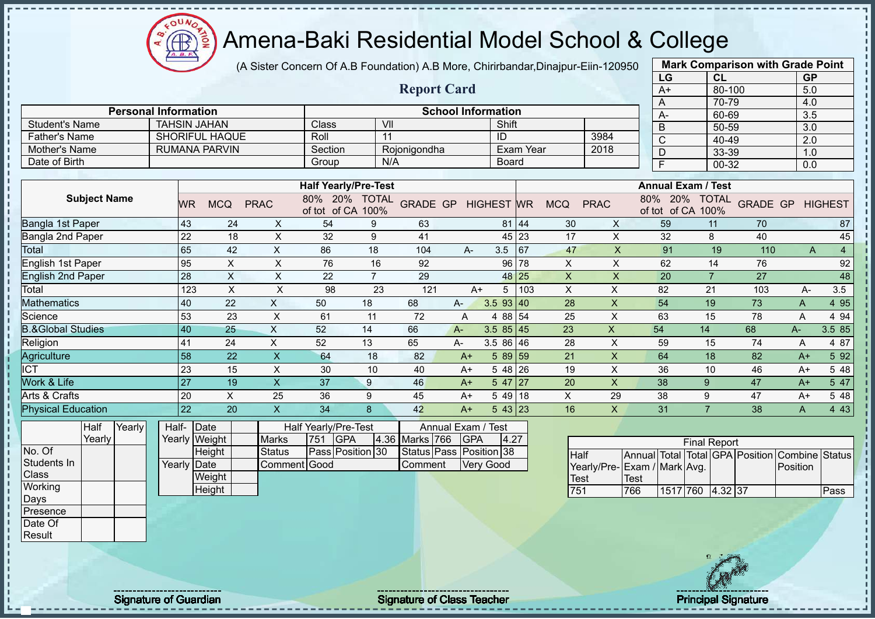$\Omega$ **AB** 

# Amena-Baki Residential Model School & College

(A Sister Concern Of A.B Foundation) A.B More, Chirirbandar,Dinajpur-Eiin-120950

|                              |                             |                           |                           |                             |                |                    |                           |                   |                  |                           |                           | LG                              | CL                  |     | <b>GP</b>               |                |
|------------------------------|-----------------------------|---------------------------|---------------------------|-----------------------------|----------------|--------------------|---------------------------|-------------------|------------------|---------------------------|---------------------------|---------------------------------|---------------------|-----|-------------------------|----------------|
|                              |                             |                           |                           |                             |                | <b>Report Card</b> |                           |                   |                  |                           |                           | $A+$                            | $80 - 100$          |     | 5.0                     |                |
|                              |                             |                           |                           |                             |                |                    |                           |                   |                  |                           |                           | A                               | 70-79               |     | 4.0                     |                |
|                              | <b>Personal Information</b> |                           |                           |                             |                |                    | <b>School Information</b> |                   |                  |                           |                           | A-                              | 60-69               |     | 3.5                     |                |
| <b>Student's Name</b>        | <b>TAHSIN JAHAN</b>         |                           |                           | Class                       |                | VII                |                           | Shift             |                  |                           |                           | $\overline{B}$                  | 50-59               |     | $\overline{3.0}$        |                |
| <b>Father's Name</b>         |                             | <b>SHORIFUL HAQUE</b>     |                           | Roll                        |                | 11                 |                           | ID                |                  |                           | 3984                      | $\overline{C}$                  | $40 - 49$           |     | $\overline{2.0}$        |                |
| <b>Mother's Name</b>         |                             | <b>RUMANA PARVIN</b>      |                           | Section                     |                | Rojonigondha       |                           |                   | <b>Exam Year</b> |                           | 2018                      | $\overline{D}$                  | 33-39               |     | 1.0                     |                |
| Date of Birth                |                             |                           |                           | Group                       |                | N/A                |                           | <b>Board</b>      |                  |                           |                           | F                               | $00 - 32$           |     | 0.0                     |                |
|                              |                             |                           |                           | <b>Half Yearly/Pre-Test</b> |                |                    |                           |                   |                  |                           |                           | <b>Annual Exam / Test</b>       |                     |     |                         |                |
| <b>Subject Name</b>          |                             |                           |                           | 80% 20% TOTAL               |                |                    |                           |                   |                  |                           |                           | 80% 20%                         |                     |     |                         |                |
|                              | WR.                         | <b>MCQ</b>                | <b>PRAC</b>               | of tot of CA 100%           |                | <b>GRADE GP</b>    |                           | <b>HIGHEST</b> WR |                  | <b>MCQ</b>                | <b>PRAC</b>               | of tot of CA 100%               | <b>TOTAL</b>        |     | <b>GRADE GP HIGHEST</b> |                |
| Bangla 1st Paper             | 43                          | 24                        | $\mathsf{X}$              | 54                          | 9              | 63                 |                           |                   | 81 44            | 30                        | $\mathsf{X}$              | 59                              | 11                  | 70  |                         | 87             |
| <b>Bangla 2nd Paper</b>      | 22                          | 18                        | $\mathsf X$               | 32                          | 9              | 41                 |                           |                   | 45 23            | 17                        | $\mathsf{X}$              | 32                              | 8                   | 40  |                         | 45             |
| <b>Total</b>                 | 65                          | 42                        | $\boldsymbol{\mathsf{X}}$ | 86                          | 18             | 104                | A-                        | $3.5$ 67          |                  | 47                        | $\mathsf X$               | 91                              | 19                  | 110 | A                       | $\overline{4}$ |
| <b>English 1st Paper</b>     | 95                          | $\boldsymbol{\mathsf{X}}$ | $\boldsymbol{\mathsf{X}}$ | 76                          | 16             | 92                 |                           | 96 78             |                  | $\mathsf{X}$              | $\mathsf{x}$              | 62                              | 14                  | 76  |                         | 92             |
| <b>English 2nd Paper</b>     | 28                          | $\boldsymbol{\mathsf{X}}$ | $\pmb{\times}$            | 22                          | $\overline{7}$ | 29                 |                           |                   | 48 25            | $\boldsymbol{\mathsf{X}}$ | $\boldsymbol{\mathsf{X}}$ | 20                              | $\overline{7}$      | 27  |                         | 48             |
| Total                        | 123                         | $\boldsymbol{\mathsf{X}}$ | $\mathsf X$               | 98                          | 23             | 121                | $A+$                      | 5 <sup>5</sup>    | 103              | X                         | X                         | 82                              | 21                  | 103 | A-                      | 3.5            |
| <b>Mathematics</b>           | 40                          | 22                        | $\boldsymbol{\mathsf{X}}$ | 50                          | 18             | 68                 | A-                        | $3.5$ 93 40       |                  | 28                        | X                         | 54                              | 19                  | 73  | A                       | 4 9 5          |
| Science                      | 53                          | 23                        | $\times$                  | 61                          | 11             | 72                 | A                         | 4 88 54           |                  | 25                        | X                         | 63                              | 15                  | 78  | A                       | 4 94           |
| <b>B.&amp;Global Studies</b> | 40                          | 25                        | $\boldsymbol{\mathsf{X}}$ | 52                          | 14             | 66                 | $A -$                     | $3.585$ 45        |                  | 23                        | $\boldsymbol{X}$          | 54                              | 14                  | 68  | A-                      | 3.5 85         |
| Religion                     | 41                          | 24                        | X                         | 52                          | 13             | 65                 | A-                        | $3.586$ 46        |                  | 28                        | X                         | 59                              | 15                  | 74  | A                       | 4 87           |
| Agriculture                  | 58                          | 22                        | $\mathsf{X}$              | 64                          | 18             | 82                 | $A+$                      | $589$ 59          |                  | 21                        | $\mathsf{x}$              | 64                              | 18                  | 82  | $A+$                    | 5 9 2          |
| <b>ICT</b>                   | 23                          | 15                        | $\times$                  | 30                          | 10             | 40                 | $A+$                      | 5 48 26           |                  | 19                        | $\times$                  | 36                              | 10                  | 46  | $A+$                    | 5 48           |
| Work & Life                  | 27                          | 19                        | $\boldsymbol{\mathsf{X}}$ | 37                          | 9              | 46                 | $A+$                      | $547$   27        |                  | 20                        | $\mathsf{X}$              | 38                              | 9                   | 47  | $A+$                    | 5 47           |
| Arts & Crafts                | 20                          | $\pmb{\times}$            | 25                        | 36                          | 9              | 45                 | $A+$                      | $549$ 18          |                  | X                         | 29                        | 38                              | 9                   | 47  | $A+$                    | 5 48           |
| <b>Physical Education</b>    | $\overline{22}$             | 20                        | $\boldsymbol{\mathsf{X}}$ | 34                          | 8              | 42                 | $A+$                      | 543 23            |                  | 16                        | $\mathsf{X}$              | 31                              | $\overline{7}$      | 38  | A                       | 4 4 3          |
| Yearly<br>Half               | Half- Date                  |                           |                           | Half Yearly/Pre-Test        |                |                    | Annual Exam /             | <b>Test</b>       |                  |                           |                           |                                 |                     |     |                         |                |
| Yearly                       |                             | Yearly Weight             | <b>Marks</b>              | <b>GPA</b><br>751           | 4.36           | Marks 766          | <b>GPA</b>                | 4.27              |                  |                           |                           |                                 | <b>Final Report</b> |     |                         |                |
| No. Of                       |                             | Height                    | <b>Status</b>             | Pass Position 30            |                | <b>Status Pass</b> |                           | Position 38       |                  | <b>Half</b>               |                           | Annual Total Total GPA Position |                     |     | Combine                 | <b>Status</b>  |
| Students In                  | Yearly Date                 |                           | Comment Good              |                             |                | Comment            |                           | Very Good         |                  |                           |                           | Yearly/Pre- Exam / Mark Avg.    |                     |     | Position                |                |
| Class                        |                             | Weight                    |                           |                             |                |                    |                           |                   |                  | <b>Test</b>               |                           | <b>Test</b>                     |                     |     |                         |                |
| Working                      |                             | Height                    |                           |                             |                |                    |                           |                   |                  | 751                       |                           | 766                             | 1517 760 4.32 37    |     |                         | Pass           |
| Days<br>Presence             |                             |                           |                           |                             |                |                    |                           |                   |                  |                           |                           |                                 |                     |     |                         |                |
| Date Of                      |                             |                           |                           |                             |                |                    |                           |                   |                  |                           |                           |                                 |                     |     |                         |                |
|                              |                             |                           |                           |                             |                |                    |                           |                   |                  |                           |                           |                                 |                     |     |                         |                |



**Mark Comparison with Grade Point**

Result

Signature of Guardian Signature of Class Teacher Principal Signature Principal Signature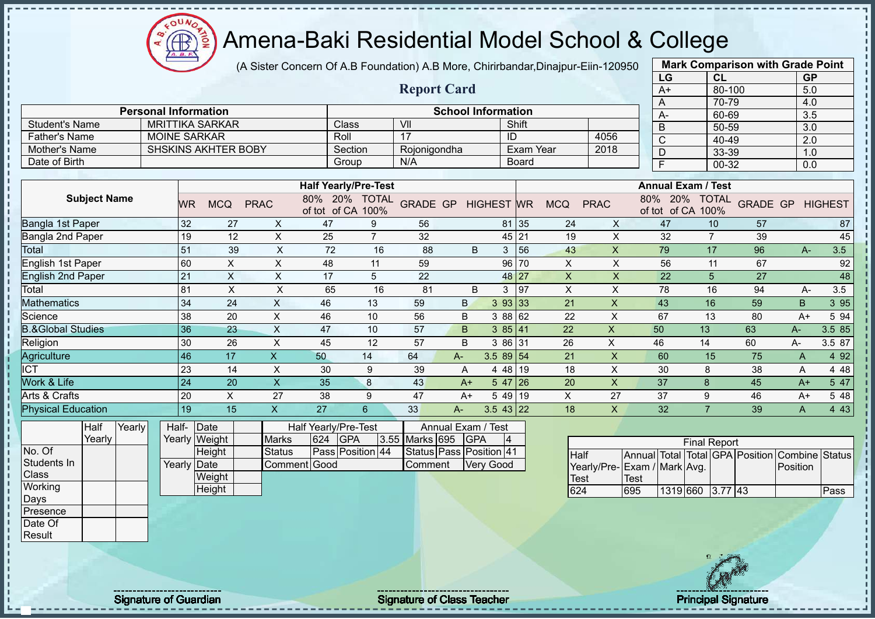(A Sister Concern Of A.B Foundation) A.B More, Chirirbandar,Dinajpur-Eiin-120950

|                              |                             |                         |                            |                                 |                                    |                |                         |                           |                |              |             |                           | LG                              |                     | <b>CL</b>      |                 | <b>GP</b>      |                |
|------------------------------|-----------------------------|-------------------------|----------------------------|---------------------------------|------------------------------------|----------------|-------------------------|---------------------------|----------------|--------------|-------------|---------------------------|---------------------------------|---------------------|----------------|-----------------|----------------|----------------|
|                              |                             |                         |                            |                                 |                                    |                | <b>Report Card</b>      |                           |                |              |             |                           | $A+$                            |                     | 80-100         |                 | 5.0            |                |
|                              |                             |                         |                            |                                 |                                    |                |                         |                           |                |              |             |                           | A                               |                     | 70-79          |                 | 4.0            |                |
|                              | <b>Personal Information</b> |                         |                            |                                 |                                    |                |                         | <b>School Information</b> |                |              |             |                           | А-                              |                     | 60-69          |                 | 3.5            |                |
| <b>Student's Name</b>        |                             | <b>MRITTIKA SARKAR</b>  |                            |                                 | Class                              |                | VII                     |                           |                | Shift        |             |                           | $\overline{B}$                  |                     | 50-59          |                 | 3.0            |                |
| <b>Father's Name</b>         |                             | <b>MOINE SARKAR</b>     |                            |                                 | Roll                               |                | 17                      |                           |                | ID           |             | 4056                      | $\overline{C}$                  |                     | 40-49          |                 | 2.0            |                |
| Mother's Name                |                             |                         | <b>SHSKINS AKHTER BOBY</b> |                                 | Section                            |                | Rojonigondha            |                           |                |              | Exam Year   | 2018                      | $\overline{D}$                  |                     | 33-39          |                 | 1.0            |                |
| Date of Birth                |                             |                         |                            |                                 | Group                              |                | N/A                     |                           |                | <b>Board</b> |             |                           | F                               |                     | 00-32          |                 | 0.0            |                |
|                              |                             |                         |                            |                                 |                                    |                |                         |                           |                |              |             |                           |                                 |                     |                |                 |                |                |
|                              |                             |                         |                            |                                 | <b>Half Yearly/Pre-Test</b>        |                |                         |                           |                |              |             |                           | <b>Annual Exam / Test</b>       |                     |                |                 |                |                |
| <b>Subject Name</b>          |                             | <b>MCQ</b><br><b>WR</b> | <b>PRAC</b>                |                                 | 80% 20% TOTAL<br>of tot of CA 100% |                | GRADE GP HIGHEST WR     |                           |                |              | <b>MCQ</b>  | <b>PRAC</b>               | 80% 20%<br>of tot of CA 100%    |                     | <b>TOTAL</b>   | <b>GRADE GP</b> |                | <b>HIGHEST</b> |
| Bangla 1st Paper             |                             | 32                      | 27                         | X                               | 47                                 | 9              | 56                      |                           |                | 81 35        | 24          | $\mathsf{X}$              | 47                              |                     | 10             | 57              |                | 87             |
| Bangla 2nd Paper             |                             | 19                      | 12                         | $\mathsf X$                     | 25                                 | $\overline{7}$ | 32                      |                           |                | 45 21        | 19          | $\boldsymbol{\mathsf{X}}$ | 32                              |                     | $\overline{7}$ | 39              |                | 45             |
| <b>Total</b>                 |                             | 51                      | 39                         | $\mathsf X$                     | 72                                 | 16             | 88                      | B                         |                | 3 56         | 43          | $\mathsf{X}$              | 79                              |                     | 17             | 96              | $A -$          | 3.5            |
| English 1st Paper            |                             | 60                      | $\times$                   | $\times$                        | 48                                 | 11             | 59                      |                           |                | 96 70        | X           | X                         | 56                              |                     | 11             | 67              |                | 92             |
| <b>English 2nd Paper</b>     |                             | 21                      | $\boldsymbol{\mathsf{X}}$  | X                               | 17                                 | 5              | 22                      |                           |                | 48 27        | $\sf X$     | X                         | 22                              |                     | 5              | 27              |                | 48             |
| Total                        |                             | 81                      | $\times$                   | X                               | 65                                 | 16             | 81                      | B                         |                | $3$ 97       | $\times$    | $\times$                  | 78                              |                     | 16             | 94              | $A-$           | 3.5            |
| <b>Mathematics</b>           |                             | 34                      | 24                         | $\mathsf{X}$                    | 46                                 | 13             | 59                      | B.                        |                | 3 93 33      | 21          | $\pmb{\mathsf{X}}$        | 43                              |                     | 16             | 59              | B              | 3 9 5          |
| Science                      |                             | 38                      | 20                         | $\mathsf X$                     | 46                                 | 10             | 56                      | $\sf B$                   |                | 3 88 62      | 22          | $\boldsymbol{\mathsf{X}}$ | 67                              | 13                  |                | 80              | $A+$           | 5 94           |
| <b>B.&amp;Global Studies</b> |                             | 36                      | 23                         | $\mathsf X$                     | 47                                 | 10             | 57                      | B                         |                | 385 41       | 22          | $\boldsymbol{\mathsf{X}}$ | 50                              | 13                  |                | 63              | $A -$          | 3.5 85         |
| Religion                     |                             | 30                      | 26                         | $\times$                        | 45                                 | 12             | 57                      | B                         |                | 3 86 31      | 26          | $\sf X$                   | 46                              | 14                  |                | 60              | A-             | 3.5 87         |
| Agriculture                  |                             | 46                      | 17                         | $\mathsf{X}$<br>50              |                                    | 14             | 64                      | A-                        | $3.589$ 54     |              | 21          | $\mathsf{X}$              | 60                              | 15                  |                | 75              | A              | 4 9 2          |
| $\overline{\text{ICT}}$      |                             | 23                      | 14                         | X                               | 30                                 | 9              | 39                      | A                         |                | 4 48 19      | 18          | X                         | 30                              | 8                   |                | 38              | A              | 4 4 8          |
| Work & Life                  |                             | 24                      | 20                         | $\mathsf X$                     | 35                                 | 8              | 43                      | $A+$                      |                | $547$ 26     | 20          | $\pmb{\times}$            | 37                              | 8                   |                | 45              | $A+$           | 5 47           |
| Arts & Crafts                |                             | 20                      | $\pmb{\times}$             | 27                              | 38                                 | 9              | 47                      | $A+$                      |                | $549$ 19     | $\mathsf X$ | 27                        | 37                              | 9                   |                | 46              | $A+$           | 5 48           |
| <b>Physical Education</b>    |                             | 19                      | 15                         | $\boldsymbol{\mathsf{X}}$<br>27 |                                    | $6\phantom{1}$ | 33                      | A-                        | $3.543$ 22     |              | 18          | X                         | 32                              | $\overline{7}$      |                | 39              | A              | 4 4 3          |
| Yearly<br>Half               |                             | Half- Date              |                            |                                 | Half Yearly/Pre-Test               |                |                         | Annual Exam / Test        |                |              |             |                           |                                 |                     |                |                 |                |                |
| Yearly                       |                             | Yearly Weight           |                            | Marks                           | 624 GPA                            |                | 3.55 Marks 695          | <b>GPA</b>                | $\overline{4}$ |              |             |                           |                                 | <b>Final Report</b> |                |                 |                |                |
| No. Of                       |                             | Height                  |                            | <b>Status</b>                   | Pass Position 44                   |                | Status Pass Position 41 |                           |                |              | Half        |                           | Annual Total Total GPA Position |                     |                |                 | Combine Status |                |
| Students In                  |                             | Yearly Date             |                            | Comment Good                    |                                    |                | Comment                 |                           | Very Good      |              |             |                           | Yearly/Pre-Exam / Mark Avg.     |                     |                |                 | Position       |                |
| Class                        |                             | Weight                  |                            |                                 |                                    |                |                         |                           |                |              | <b>Test</b> |                           | <b>Test</b>                     |                     |                |                 |                |                |
| Working                      |                             | Height                  |                            |                                 |                                    |                |                         |                           |                |              | 624         |                           | 695                             | 1319 660            | $3.77$ 43      |                 |                | Pass           |
| Days                         |                             |                         |                            |                                 |                                    |                |                         |                           |                |              |             |                           |                                 |                     |                |                 |                |                |
| Presence                     |                             |                         |                            |                                 |                                    |                |                         |                           |                |              |             |                           |                                 |                     |                |                 |                |                |
| Date Of                      |                             |                         |                            |                                 |                                    |                |                         |                           |                |              |             |                           |                                 |                     |                |                 |                |                |



**Mark Comparison with Grade Point**

 $\Omega$ 

Result

Signature of Guardian Signature Signature of Class Teacher New York Constitution of Class Teacher Principal Signature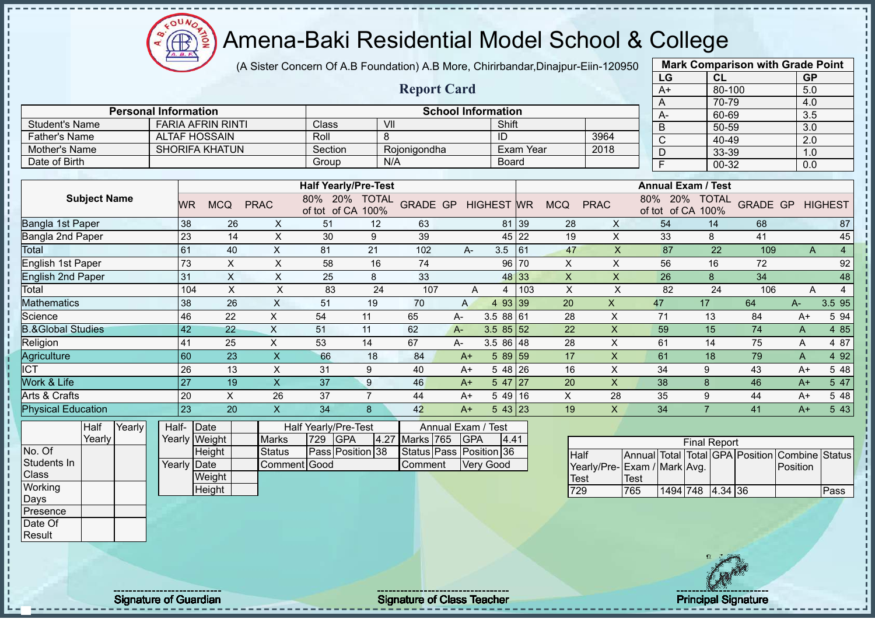$\Omega$ **AB** 

# Amena-Baki Residential Model School & College

(A Sister Concern Of A.B Foundation) A.B More, Chirirbandar,Dinajpur-Eiin-120950

|                              |                             |                          |                           |                                    |                |                         |                           |                   |                  |                           |                | LG                           |                                    | CL     |                           | <b>GP</b> |                |
|------------------------------|-----------------------------|--------------------------|---------------------------|------------------------------------|----------------|-------------------------|---------------------------|-------------------|------------------|---------------------------|----------------|------------------------------|------------------------------------|--------|---------------------------|-----------|----------------|
|                              |                             |                          |                           |                                    |                | <b>Report Card</b>      |                           |                   |                  |                           |                | $A+$                         |                                    | 80-100 |                           | 5.0       |                |
|                              |                             |                          |                           |                                    |                |                         |                           |                   |                  |                           |                | A                            |                                    | 70-79  |                           | 4.0       |                |
|                              | <b>Personal Information</b> |                          |                           |                                    |                |                         | <b>School Information</b> |                   |                  |                           |                | A-                           |                                    | 60-69  |                           | 3.5       |                |
| <b>Student's Name</b>        |                             | <b>FARIA AFRIN RINTI</b> |                           | Class                              | VII            |                         |                           | Shift             |                  |                           |                | B                            |                                    | 50-59  |                           | 3.0       |                |
| <b>Father's Name</b>         |                             | <b>ALTAF HOSSAIN</b>     |                           | Roll                               | 8              |                         |                           | $\overline{1}$    |                  |                           | 3964           | $\mathsf C$                  |                                    | 40-49  |                           | 2.0       |                |
| Mother's Name                |                             | <b>SHORIFA KHATUN</b>    |                           | Section                            |                | Rojonigondha            |                           |                   | <b>Exam Year</b> |                           | 2018           | D                            |                                    | 33-39  |                           | 1.0       |                |
| Date of Birth                |                             |                          |                           | Group                              |                | N/A                     |                           | <b>Board</b>      |                  |                           |                | $\overline{F}$               |                                    | 00-32  |                           | 0.0       |                |
|                              |                             |                          |                           |                                    |                |                         |                           |                   |                  |                           |                |                              |                                    |        |                           |           |                |
|                              |                             |                          |                           | <b>Half Yearly/Pre-Test</b>        |                |                         |                           |                   |                  |                           |                |                              | <b>Annual Exam / Test</b>          |        |                           |           |                |
| <b>Subject Name</b>          | <b>WR</b>                   | <b>MCQ</b>               | <b>PRAC</b>               | 80% 20% TOTAL<br>of tot of CA 100% |                | <b>GRADE GP</b>         |                           | <b>HIGHEST WR</b> |                  | <b>MCQ</b>                | <b>PRAC</b>    |                              | 80% 20% TOTAL<br>of tot of CA 100% |        | <b>GRADE GP</b>           |           | <b>HIGHEST</b> |
| Bangla 1st Paper             | 38                          | 26                       | X                         | 51                                 | 12             | 63                      |                           |                   | 81 39            | 28                        | X              | 54                           |                                    | 14     | 68                        |           | 87             |
| Bangla 2nd Paper             | 23                          | 14                       | X                         | 30                                 | 9              | 39                      |                           |                   | 45 22            | 19                        | X              | 33                           |                                    | 8      | 41                        |           | 45             |
| Total                        | 61                          | 40                       | $\mathsf X$               | 81                                 | 21             | 102                     | A-                        | 3.5               | 61               | 47                        | X              | 87                           |                                    | 22     | 109                       | A         | $\overline{4}$ |
| English 1st Paper            | 73                          | $\sf X$                  | $\times$                  | 58                                 | 16             | 74                      |                           |                   | 96 70            | $\boldsymbol{\mathsf{X}}$ | $\mathsf X$    | 56                           |                                    | 16     | 72                        |           | 92             |
| <b>English 2nd Paper</b>     | 31                          | $\mathsf X$              | $\times$                  | 25                                 | 8              | 33                      |                           |                   | 48 33            | $\boldsymbol{\mathsf{X}}$ | $\mathsf X$    | 26                           |                                    | 8      | 34                        |           | 48             |
| Total                        | 104                         | $\sf X$                  | $\pmb{\times}$            | 83                                 | 24             | 107                     | A                         | $\overline{4}$    | 103              | $\times$                  | X              | 82                           |                                    | 24     | 106                       | A         | $\overline{4}$ |
| <b>Mathematics</b>           | 38                          | 26                       | $\mathsf{x}$              | 51                                 | 19             | 70                      | A                         | 4 93 39           |                  | 20                        | $\mathsf{x}$   | 47                           | 17                                 |        | 64                        | A-        | 3.5 95         |
| Science                      | 46                          | 22                       | $\pmb{\times}$            | 54                                 | 11             | 65                      | A-                        | 3.5 88 61         |                  | 28                        | X              | 71                           | 13                                 |        | 84                        | $A+$      | 5 94           |
| <b>B.&amp;Global Studies</b> | 42                          | 22                       | $\sf X$                   | 51                                 | 11             | 62                      | $A-$                      | $3.585$ 3.5       |                  | 22                        | $\pmb{\times}$ | 59                           | 15                                 |        | 74                        | A         | 4 8 5          |
| Religion                     | 41                          | 25                       | $\pmb{\times}$            | 53                                 | 14             | 67                      | А-                        | 3.5 86 48         |                  | 28                        | X              | 61                           | 14                                 |        | 75                        | A         | 4 87           |
| Agriculture                  | 60                          | 23                       | $\overline{\mathsf{X}}$   | 66                                 | 18             | 84                      | $A+$                      | $589$ 59          |                  | 17                        | $\times$       | 61                           | 18                                 |        | 79                        | A         | 4 9 2          |
| <b>ICT</b>                   | 26                          | 13                       | $\pmb{\times}$            | 31                                 | 9              | 40                      | $A+$                      | 5 48 26           |                  | 16                        | X              | 34                           | 9                                  |        | 43                        | $A+$      | 5 48           |
| Work & Life                  | 27                          | 19                       | $\boldsymbol{\mathsf{X}}$ | 37                                 | 9              | 46                      | $A+$                      | $547$  27         |                  | 20                        | X              | 38                           | 8                                  |        | 46                        | $A+$      | 5 47           |
| Arts & Crafts                | 20                          | X                        | 26                        | 37                                 | $\overline{7}$ | 44                      | $A+$                      | 5 49 16           |                  | X                         | 28             | 35                           | 9                                  |        | 44                        | $A+$      | 5 48           |
| <b>Physical Education</b>    | 23                          | 20                       | $\overline{\mathsf{X}}$   | 34                                 | 8              | 42                      | $A+$                      | 543 23            |                  | 19                        | X              | 34                           | $\overline{7}$                     |        | 41                        | $A+$      | 5 4 3          |
| Yearly<br>Half               | Half-                       | Date                     |                           | Half Yearly/Pre-Test               |                |                         | Annual Exam /             | <b>Test</b>       |                  |                           |                |                              |                                    |        |                           |           |                |
| Yearly                       |                             | Yearly Weight            | <b>Marks</b>              | GPA<br>729                         | 4.27           | Marks 765               | <b>GPA</b>                | 4.41              |                  |                           |                |                              | <b>Final Report</b>                |        |                           |           |                |
| No. Of                       |                             | Height                   | <b>Status</b>             | Pass Position 38                   |                | Status Pass Position 36 |                           |                   |                  | <b>Half</b>               |                | Annual Total                 |                                    |        | <b>Total GPA Position</b> | Combine   | <b>Status</b>  |
| Students In                  | Yearly Date                 |                          | Comment Good              |                                    |                | Comment                 |                           | <b>Very Good</b>  |                  |                           |                | Yearly/Pre- Exam / Mark Avg. |                                    |        |                           | Position  |                |
| Class                        |                             | Weight                   |                           |                                    |                |                         |                           |                   |                  | <b>Test</b>               |                | Test                         |                                    |        |                           |           |                |
| Working                      |                             | Height                   |                           |                                    |                |                         |                           |                   |                  | 729                       |                | 765                          | 1494 748 4.34 36                   |        |                           |           | Pass           |
| Days                         |                             |                          |                           |                                    |                |                         |                           |                   |                  |                           |                |                              |                                    |        |                           |           |                |
| Presence                     |                             |                          |                           |                                    |                |                         |                           |                   |                  |                           |                |                              |                                    |        |                           |           |                |



**Mark Comparison with Grade Point**

Date Of Result

Signature of Guardian Signature of Class Teacher Principal Signature Principal Signature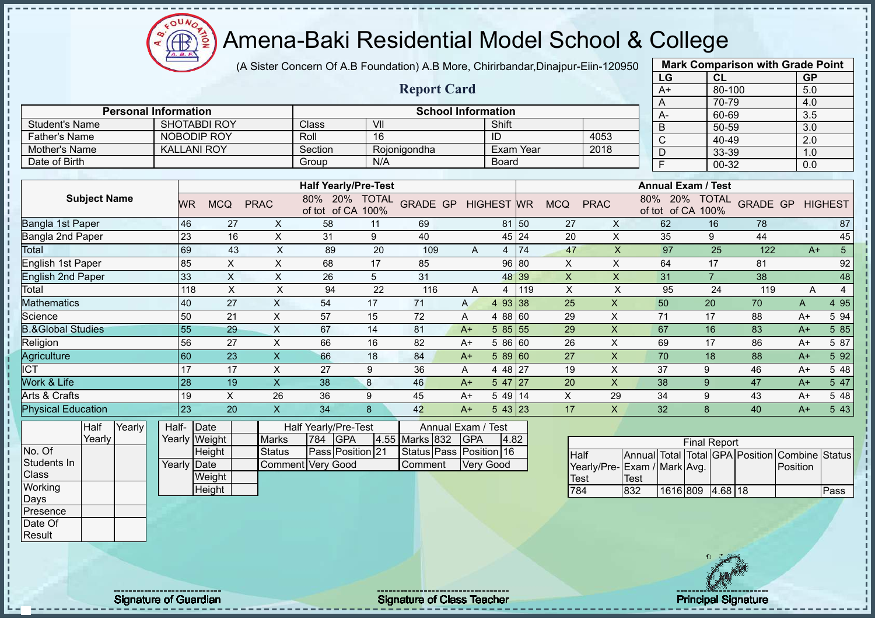$\mathbf{a}$ **AB** 

# Amena-Baki Residential Model School & College

(A Sister Concern Of A.B Foundation) A.B More, Chirirbandar,Dinajpur-Eiin-120950

|                              |                     |                             |       |                 |                           |             |                           |                         |                             |                         |                           |                   |           |                 |                             |             | LG                        |                     | CL           |                                 | <b>GP</b>        |                        |
|------------------------------|---------------------|-----------------------------|-------|-----------------|---------------------------|-------------|---------------------------|-------------------------|-----------------------------|-------------------------|---------------------------|-------------------|-----------|-----------------|-----------------------------|-------------|---------------------------|---------------------|--------------|---------------------------------|------------------|------------------------|
|                              |                     |                             |       |                 |                           |             |                           |                         |                             | <b>Report Card</b>      |                           |                   |           |                 |                             |             | $A+$                      |                     | 80-100       |                                 | 5.0              |                        |
|                              |                     |                             |       |                 |                           |             |                           |                         |                             |                         |                           |                   |           |                 |                             |             | A                         |                     | 70-79        |                                 | 4.0              |                        |
| <b>Student's Name</b>        |                     | <b>Personal Information</b> |       |                 | <b>SHOTABDI ROY</b>       |             |                           | Class                   | VII                         |                         | <b>School Information</b> | Shift             |           |                 |                             |             | А-                        |                     | 60-69        |                                 | 3.5              |                        |
| <b>Father's Name</b>         |                     |                             |       |                 | <b>NOBODIP ROY</b>        |             |                           | Roll                    | 16                          |                         |                           | ID                |           |                 | 4053                        |             | B                         |                     | 50-59        |                                 | $\overline{3.0}$ |                        |
| Mother's Name                |                     |                             |       |                 | <b>KALLANI ROY</b>        |             |                           | Section                 |                             | Rojonigondha            |                           | <b>Exam Year</b>  |           |                 | 2018                        |             | C                         |                     | 40-49        |                                 | 2.0              |                        |
| Date of Birth                |                     |                             |       |                 |                           |             |                           | Group                   | N/A                         |                         |                           | Board             |           |                 |                             |             | D                         |                     | 33-39        |                                 | 1.0              |                        |
|                              |                     |                             |       |                 |                           |             |                           |                         |                             |                         |                           |                   |           |                 |                             |             | F                         |                     | $00 - 32$    |                                 | 0.0              |                        |
|                              |                     |                             |       |                 |                           |             |                           |                         | <b>Half Yearly/Pre-Test</b> |                         |                           |                   |           |                 |                             |             | <b>Annual Exam / Test</b> |                     |              |                                 |                  |                        |
|                              | <b>Subject Name</b> |                             |       | <b>WR</b>       | <b>MCQ</b>                | <b>PRAC</b> |                           | 80% 20%<br>of tot of CA | <b>TOTAL</b><br>100%        | <b>GRADE GP</b>         |                           | <b>HIGHEST WR</b> |           | <b>MCQ</b>      | <b>PRAC</b>                 | 80%         | 20%<br>of tot of CA 100%  |                     | <b>TOTAL</b> | <b>GRADE GP</b>                 |                  | <b>HIGHEST</b>         |
| Bangla 1st Paper             |                     |                             |       | 46              |                           | 27          | $\mathsf{X}$              | 58                      | 11                          | 69                      |                           |                   | 81 50     | 27              | X                           |             | 62                        |                     | 16           | 78                              |                  | 87                     |
| Bangla 2nd Paper             |                     |                             |       | 23              |                           | 16          | $\boldsymbol{\mathsf{X}}$ | 31                      | $\boldsymbol{9}$            | 40                      |                           | 45                | 24        | 20              | $\pmb{\times}$              |             | 35                        | 9                   |              | 44                              |                  | 45                     |
| Total                        |                     |                             |       | 69              |                           | 43          | $\pmb{\times}$            | 89                      | 20                          | 109                     | A                         | 4                 | 74        | 47              | $\mathsf{X}$                |             | 97                        |                     | 25           | 122                             |                  | $\overline{5}$<br>$A+$ |
| English 1st Paper            |                     |                             |       | 85              | Χ                         |             | X                         | 68                      | 17                          | 85                      |                           | 96                | 80        | $\mathsf X$     | $\mathsf X$                 |             | 64                        |                     | 17           | 81                              |                  | 92                     |
| <b>English 2nd Paper</b>     |                     |                             |       | 33              | $\boldsymbol{\mathsf{X}}$ |             | X                         | 26                      | $\overline{5}$              | 31                      |                           | 48                | 39        | X               | $\mathsf{x}$                |             | 31                        | $\overline{7}$      |              | 38                              |                  | 48                     |
| Total                        |                     |                             |       | 118             | X                         |             | X                         | 94                      | 22                          | 116                     | Α                         | 4                 | 119       | X               | X                           |             | 95                        |                     | 24           | 119                             | Α                | 4                      |
| <b>Mathematics</b>           |                     |                             |       | 40              | 27                        |             | $\mathsf{X}$              | 54                      | 17                          | 71                      | $\mathsf{A}$              | 4 9 3             | 38        | $\overline{25}$ | X                           |             | 50                        | 20                  |              | 70                              | A                | 4 9 5                  |
| Science                      |                     |                             |       | 50              | 21                        |             | X                         | 57                      | 15                          | 72                      | Α                         | 4 88              | 60        | 29              | X                           |             | 71                        | 17                  |              | 88                              | $A+$             | 5 94                   |
| <b>B.&amp;Global Studies</b> |                     |                             |       | 55              |                           | 29          | $\pmb{\times}$            | 67                      | 14                          | 81                      | $A+$                      | 585               | 55        | 29              | $\boldsymbol{\mathsf{X}}$   |             | 67                        | 16                  |              | 83                              | $A+$             | 5 8 5                  |
| Religion                     |                     |                             |       | 56              | 27                        |             | X                         | 66                      | 16                          | 82                      | $A+$                      | 5 86              | 60        | 26              | X                           |             | 69                        | 17                  |              | 86                              | $A+$             | 5 87                   |
| Agriculture                  |                     |                             |       | 60              | 23                        |             | X                         | 66                      | 18                          | 84                      | $A+$                      | 5 89              | 60        | 27              | X                           |             | 70                        | 18                  |              | 88                              | $A+$             | 5 9 2                  |
| <b>ICT</b>                   |                     |                             |       | 17              | 17                        |             | X                         | 27                      | 9                           | 36                      | Α                         | 4 4 8             | <b>27</b> | 19              | X                           |             | 37                        | 9                   |              | 46                              | $A+$             | 5 48                   |
| Work & Life                  |                     |                             |       | $\overline{28}$ |                           | 19          | $\mathsf{X}$              | 38                      | 8                           | 46                      | $A+$                      | $547$   27        |           | 20              | $\overline{\mathsf{x}}$     |             | 38                        | 9                   |              | 47                              | $A+$             | 5 47                   |
| Arts & Crafts                |                     |                             |       | 19              | $\times$                  |             | 26                        | 36                      | 9                           | 45                      | $A+$                      | $549$ 14          |           | X               | 29                          |             | 34                        | 9                   |              | 43                              | $A+$             | 5 48                   |
| <b>Physical Education</b>    |                     |                             |       | $\overline{23}$ |                           | 20          | X                         | 34                      | 8                           | 42                      | $A+$                      | 543 23            |           | 17              | $\mathsf{X}$                |             | 32                        | 8                   |              | 40                              | $A+$             | 5 4 3                  |
|                              | Half                | Yearly                      | Half- |                 | Date                      |             |                           | Half Yearly/Pre-Test    |                             |                         | Annual Exam / Test        |                   |           |                 |                             |             |                           |                     |              |                                 |                  |                        |
|                              | Yearly              |                             |       |                 | Yearly Weight             |             | <b>Marks</b>              | <b>GPA</b><br>784       |                             | 4.55 Marks 832          | <b>GPA</b>                | 4.82              |           |                 |                             |             |                           | <b>Final Report</b> |              |                                 |                  |                        |
| No. Of                       |                     |                             |       |                 | Height                    |             | <b>Status</b>             |                         | Pass Position 21            | Status Pass Position 16 |                           |                   |           | Half            |                             |             |                           |                     |              | Annual Total Total GPA Position |                  | Combine Status         |
| Students In                  |                     |                             |       |                 | Yearly Date               |             | Comment Very Good         |                         |                             | Comment                 |                           | <b>Very Good</b>  |           |                 | Yearly/Pre-Exam / Mark Avg. |             |                           |                     |              |                                 | Position         |                        |
| <b>Class</b>                 |                     |                             |       |                 | Weight                    |             |                           |                         |                             |                         |                           |                   |           | Test            |                             | <b>Test</b> |                           |                     |              |                                 |                  |                        |
| Working                      |                     |                             |       |                 | Height                    |             |                           |                         |                             |                         |                           |                   |           | 784             |                             | 832         | 1616 809 4.68 18          |                     |              |                                 |                  | Pass                   |



**Mark Comparison with Grade Point**

Days Presence Date Of Result

Signature of Guardian Signature of Class Teacher Number of Class Teacher Principal Signature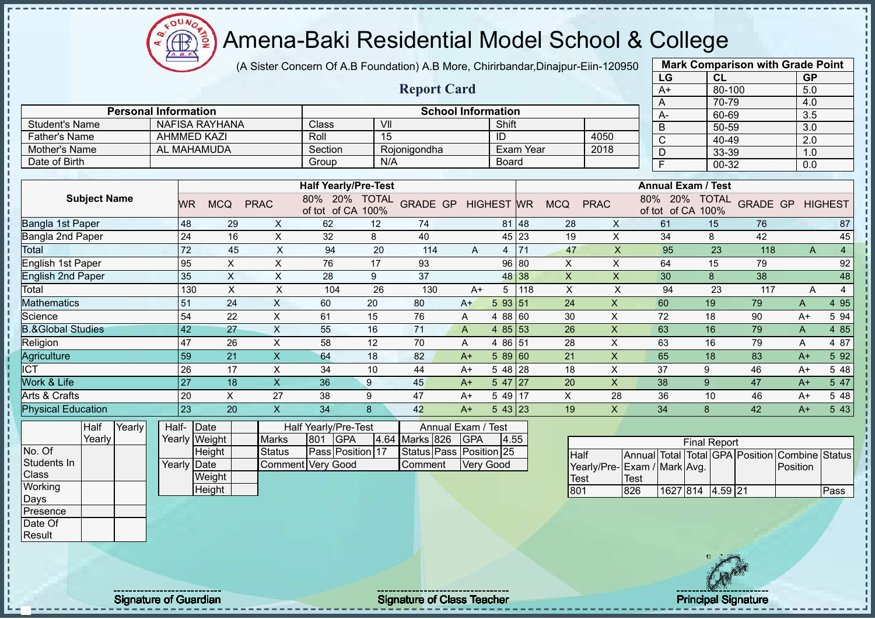$\Omega$ **CB** ₫

# Amena-Baki Residential Model School & College

(A Sister Concern Of A.B Foundation) A.B More, Chirirbandar,Dinajpur-Eiin-120950

| <b>Report Card</b><br>80-100<br>5.0<br>$A+$<br>70-79<br>4.0<br>A<br><b>Personal Information</b><br><b>School Information</b><br>$\overline{3.5}$<br>60-69<br>A-<br>$\overline{\mathsf{v}}$<br><b>NAFISA RAYHANA</b><br><b>Class</b><br>Shift<br><b>Student's Name</b><br>B<br>$50 - 59$<br>3.0<br><b>AHMMED KAZI</b><br>$\overline{15}$<br><b>Father's Name</b><br>Roll<br>ID<br>4050<br>$\mathsf{C}$<br>40-49<br>2.0<br><b>AL MAHAMUDA</b><br>2018<br>Mother's Name<br>Exam Year<br>Section<br>Rojonigondha<br>D<br>33-39<br>1.0<br>Date of Birth<br>N/A<br>Group<br><b>Board</b><br>F<br>$00 - 32$<br>0.0<br><b>Half Yearly/Pre-Test</b><br><b>Annual Exam / Test</b><br><b>Subject Name</b><br>80% 20% TOTAL<br>80% 20% TOTAL<br><b>GRADE GP</b><br><b>GRADE GP HIGHEST</b><br><b>HIGHEST</b> WR<br><b>MCQ</b><br><b>PRAC</b><br><b>MCQ</b><br><b>PRAC</b><br><b>WR</b><br>of tot of CA 100%<br>of tot of CA 100%<br>48<br>62<br>61<br>29<br>12<br>81 48<br>15<br>76<br>X<br>74<br>28<br>87<br>X<br>24<br>$\boldsymbol{\mathsf{X}}$<br>$\pmb{\times}$<br>8<br>45<br>Bangla 2nd Paper<br>16<br>32<br>8<br>40<br>45 23<br>19<br>34<br>42<br>72<br>71<br>45<br>X<br>94<br>20<br>47<br>95<br>23<br>$\overline{4}$<br>114<br>X<br>118<br>A<br>4<br>A<br>92<br>95<br>$\mathsf X$<br>76<br>$\pmb{\times}$<br><b>English 1st Paper</b><br>$\pmb{\times}$<br>17<br>93<br>96 80<br>$\mathsf X$<br>64<br>15<br>79<br>35<br>$\pmb{\mathsf{X}}$<br>48<br><b>English 2nd Paper</b><br>$\boldsymbol{\mathsf{X}}$<br>$\boldsymbol{\mathsf{X}}$<br>28<br>9<br>37<br>$\boldsymbol{\mathsf{X}}$<br>8<br>38<br>48 38<br>30<br>$\sf X$<br>$\boldsymbol{\mathsf{X}}$<br>26<br>$\boldsymbol{\mathsf{X}}$<br>$\sf X$<br>94<br>23<br>$\overline{4}$<br>130<br>104<br>130<br>$A+$<br>$5 \mid 118$<br>117<br>A<br>51<br>X<br>20<br>80<br>$\boldsymbol{X}$<br>4 9 5<br>24<br>60<br>5 93 51<br>24<br>60<br>19<br>79<br>$A+$<br>A<br>54<br>22<br>$\boldsymbol{\mathsf{X}}$<br>15<br>76<br>30<br>$\times$<br>72<br>18<br>5 94<br>61<br>4 88 60<br>90<br>$A+$<br>A<br>42<br>$\times$<br>71<br>4 85 53<br>$\boldsymbol{\mathsf{X}}$<br>4 8 5<br><b>B.&amp;Global Studies</b><br>27<br>55<br>16<br>26<br>63<br>16<br>79<br>A<br>A<br>47<br>$\times$<br>12<br>4 86 51<br>28<br>$\times$<br>4 87<br>26<br>58<br>70<br>63<br>16<br>79<br>Α<br>A<br>59<br>21<br>$\boldsymbol{\mathsf{X}}$<br>18<br>82<br>$589$ 60<br>$\times$<br>5 92<br>64<br>21<br>65<br>18<br>83<br>$A+$<br>$A+$<br>26<br>17<br>$\mathsf X$<br>$\times$<br>37<br>34<br>10<br>44<br>$548$ 28<br>18<br>9<br>5 48<br>$A+$<br>46<br>$A+$<br>$\overline{\mathsf{X}}$<br>$\boldsymbol{\mathsf{X}}$<br>27<br>18<br>36<br>547 27<br>20<br>38<br>9<br>47<br>5 47<br>9<br>45<br>$A+$<br>$A+$<br>$\mathsf X$<br>$\pmb{\mathsf{X}}$<br>20<br>27<br>38<br>9<br>47<br>$549$ 17<br>36<br>28<br>10<br>46<br>5 48<br>$A+$<br>$A+$<br>23<br><b>Physical Education</b><br>$\mathsf X$<br>42<br>$543$ 23<br>5 4 3<br>20<br>34<br>8<br>19<br>$\mathsf{X}$<br>34<br>8<br>42<br>$A+$<br>$A+$<br>Yearly<br>Half<br>Half-Date<br>Half Yearly/Pre-Test<br>Annual Exam / Test<br>Yearly<br><b>GPA</b><br>4.64 Marks 826<br>Yearly Weight<br>801<br><b>GPA</b><br><b>Marks</b><br>4.55<br><b>Final Report</b><br>Pass Position 17<br>Status Pass Position 25<br><b>Status</b><br>Height<br>Half<br>Annual Total Total GPA Position Combine Status<br>Comment Very Good<br>Yearly Date<br><b>Very Good</b><br>Comment<br>Yearly/Pre-Exam / Mark Avg.<br>Position<br>Class<br>Weight<br><b>Test</b><br><b>Test</b><br>Working<br>Height<br>801<br>826<br>1627 814 4.59 21<br>Pass<br>Days<br>Presence<br>Date Of |                    |  |  |  |  |  |  |  | LG | CL | <b>GP</b> |  |
|--------------------------------------------------------------------------------------------------------------------------------------------------------------------------------------------------------------------------------------------------------------------------------------------------------------------------------------------------------------------------------------------------------------------------------------------------------------------------------------------------------------------------------------------------------------------------------------------------------------------------------------------------------------------------------------------------------------------------------------------------------------------------------------------------------------------------------------------------------------------------------------------------------------------------------------------------------------------------------------------------------------------------------------------------------------------------------------------------------------------------------------------------------------------------------------------------------------------------------------------------------------------------------------------------------------------------------------------------------------------------------------------------------------------------------------------------------------------------------------------------------------------------------------------------------------------------------------------------------------------------------------------------------------------------------------------------------------------------------------------------------------------------------------------------------------------------------------------------------------------------------------------------------------------------------------------------------------------------------------------------------------------------------------------------------------------------------------------------------------------------------------------------------------------------------------------------------------------------------------------------------------------------------------------------------------------------------------------------------------------------------------------------------------------------------------------------------------------------------------------------------------------------------------------------------------------------------------------------------------------------------------------------------------------------------------------------------------------------------------------------------------------------------------------------------------------------------------------------------------------------------------------------------------------------------------------------------------------------------------------------------------------------------------------------------------------------------------------------------------------------------------------------------------------------------------------------------------------------------------------------------------------------------------------------------------------------------------------------------------------------------------------------------------------------------------------------------------------------------------------------------------------------------------------------------------------------------------------------------------------|--------------------|--|--|--|--|--|--|--|----|----|-----------|--|
|                                                                                                                                                                                                                                                                                                                                                                                                                                                                                                                                                                                                                                                                                                                                                                                                                                                                                                                                                                                                                                                                                                                                                                                                                                                                                                                                                                                                                                                                                                                                                                                                                                                                                                                                                                                                                                                                                                                                                                                                                                                                                                                                                                                                                                                                                                                                                                                                                                                                                                                                                                                                                                                                                                                                                                                                                                                                                                                                                                                                                                                                                                                                                                                                                                                                                                                                                                                                                                                                                                                                                                                                                    |                    |  |  |  |  |  |  |  |    |    |           |  |
|                                                                                                                                                                                                                                                                                                                                                                                                                                                                                                                                                                                                                                                                                                                                                                                                                                                                                                                                                                                                                                                                                                                                                                                                                                                                                                                                                                                                                                                                                                                                                                                                                                                                                                                                                                                                                                                                                                                                                                                                                                                                                                                                                                                                                                                                                                                                                                                                                                                                                                                                                                                                                                                                                                                                                                                                                                                                                                                                                                                                                                                                                                                                                                                                                                                                                                                                                                                                                                                                                                                                                                                                                    |                    |  |  |  |  |  |  |  |    |    |           |  |
|                                                                                                                                                                                                                                                                                                                                                                                                                                                                                                                                                                                                                                                                                                                                                                                                                                                                                                                                                                                                                                                                                                                                                                                                                                                                                                                                                                                                                                                                                                                                                                                                                                                                                                                                                                                                                                                                                                                                                                                                                                                                                                                                                                                                                                                                                                                                                                                                                                                                                                                                                                                                                                                                                                                                                                                                                                                                                                                                                                                                                                                                                                                                                                                                                                                                                                                                                                                                                                                                                                                                                                                                                    |                    |  |  |  |  |  |  |  |    |    |           |  |
|                                                                                                                                                                                                                                                                                                                                                                                                                                                                                                                                                                                                                                                                                                                                                                                                                                                                                                                                                                                                                                                                                                                                                                                                                                                                                                                                                                                                                                                                                                                                                                                                                                                                                                                                                                                                                                                                                                                                                                                                                                                                                                                                                                                                                                                                                                                                                                                                                                                                                                                                                                                                                                                                                                                                                                                                                                                                                                                                                                                                                                                                                                                                                                                                                                                                                                                                                                                                                                                                                                                                                                                                                    |                    |  |  |  |  |  |  |  |    |    |           |  |
|                                                                                                                                                                                                                                                                                                                                                                                                                                                                                                                                                                                                                                                                                                                                                                                                                                                                                                                                                                                                                                                                                                                                                                                                                                                                                                                                                                                                                                                                                                                                                                                                                                                                                                                                                                                                                                                                                                                                                                                                                                                                                                                                                                                                                                                                                                                                                                                                                                                                                                                                                                                                                                                                                                                                                                                                                                                                                                                                                                                                                                                                                                                                                                                                                                                                                                                                                                                                                                                                                                                                                                                                                    |                    |  |  |  |  |  |  |  |    |    |           |  |
|                                                                                                                                                                                                                                                                                                                                                                                                                                                                                                                                                                                                                                                                                                                                                                                                                                                                                                                                                                                                                                                                                                                                                                                                                                                                                                                                                                                                                                                                                                                                                                                                                                                                                                                                                                                                                                                                                                                                                                                                                                                                                                                                                                                                                                                                                                                                                                                                                                                                                                                                                                                                                                                                                                                                                                                                                                                                                                                                                                                                                                                                                                                                                                                                                                                                                                                                                                                                                                                                                                                                                                                                                    |                    |  |  |  |  |  |  |  |    |    |           |  |
|                                                                                                                                                                                                                                                                                                                                                                                                                                                                                                                                                                                                                                                                                                                                                                                                                                                                                                                                                                                                                                                                                                                                                                                                                                                                                                                                                                                                                                                                                                                                                                                                                                                                                                                                                                                                                                                                                                                                                                                                                                                                                                                                                                                                                                                                                                                                                                                                                                                                                                                                                                                                                                                                                                                                                                                                                                                                                                                                                                                                                                                                                                                                                                                                                                                                                                                                                                                                                                                                                                                                                                                                                    |                    |  |  |  |  |  |  |  |    |    |           |  |
|                                                                                                                                                                                                                                                                                                                                                                                                                                                                                                                                                                                                                                                                                                                                                                                                                                                                                                                                                                                                                                                                                                                                                                                                                                                                                                                                                                                                                                                                                                                                                                                                                                                                                                                                                                                                                                                                                                                                                                                                                                                                                                                                                                                                                                                                                                                                                                                                                                                                                                                                                                                                                                                                                                                                                                                                                                                                                                                                                                                                                                                                                                                                                                                                                                                                                                                                                                                                                                                                                                                                                                                                                    |                    |  |  |  |  |  |  |  |    |    |           |  |
|                                                                                                                                                                                                                                                                                                                                                                                                                                                                                                                                                                                                                                                                                                                                                                                                                                                                                                                                                                                                                                                                                                                                                                                                                                                                                                                                                                                                                                                                                                                                                                                                                                                                                                                                                                                                                                                                                                                                                                                                                                                                                                                                                                                                                                                                                                                                                                                                                                                                                                                                                                                                                                                                                                                                                                                                                                                                                                                                                                                                                                                                                                                                                                                                                                                                                                                                                                                                                                                                                                                                                                                                                    |                    |  |  |  |  |  |  |  |    |    |           |  |
|                                                                                                                                                                                                                                                                                                                                                                                                                                                                                                                                                                                                                                                                                                                                                                                                                                                                                                                                                                                                                                                                                                                                                                                                                                                                                                                                                                                                                                                                                                                                                                                                                                                                                                                                                                                                                                                                                                                                                                                                                                                                                                                                                                                                                                                                                                                                                                                                                                                                                                                                                                                                                                                                                                                                                                                                                                                                                                                                                                                                                                                                                                                                                                                                                                                                                                                                                                                                                                                                                                                                                                                                                    |                    |  |  |  |  |  |  |  |    |    |           |  |
|                                                                                                                                                                                                                                                                                                                                                                                                                                                                                                                                                                                                                                                                                                                                                                                                                                                                                                                                                                                                                                                                                                                                                                                                                                                                                                                                                                                                                                                                                                                                                                                                                                                                                                                                                                                                                                                                                                                                                                                                                                                                                                                                                                                                                                                                                                                                                                                                                                                                                                                                                                                                                                                                                                                                                                                                                                                                                                                                                                                                                                                                                                                                                                                                                                                                                                                                                                                                                                                                                                                                                                                                                    | Bangla 1st Paper   |  |  |  |  |  |  |  |    |    |           |  |
|                                                                                                                                                                                                                                                                                                                                                                                                                                                                                                                                                                                                                                                                                                                                                                                                                                                                                                                                                                                                                                                                                                                                                                                                                                                                                                                                                                                                                                                                                                                                                                                                                                                                                                                                                                                                                                                                                                                                                                                                                                                                                                                                                                                                                                                                                                                                                                                                                                                                                                                                                                                                                                                                                                                                                                                                                                                                                                                                                                                                                                                                                                                                                                                                                                                                                                                                                                                                                                                                                                                                                                                                                    |                    |  |  |  |  |  |  |  |    |    |           |  |
|                                                                                                                                                                                                                                                                                                                                                                                                                                                                                                                                                                                                                                                                                                                                                                                                                                                                                                                                                                                                                                                                                                                                                                                                                                                                                                                                                                                                                                                                                                                                                                                                                                                                                                                                                                                                                                                                                                                                                                                                                                                                                                                                                                                                                                                                                                                                                                                                                                                                                                                                                                                                                                                                                                                                                                                                                                                                                                                                                                                                                                                                                                                                                                                                                                                                                                                                                                                                                                                                                                                                                                                                                    | Total              |  |  |  |  |  |  |  |    |    |           |  |
|                                                                                                                                                                                                                                                                                                                                                                                                                                                                                                                                                                                                                                                                                                                                                                                                                                                                                                                                                                                                                                                                                                                                                                                                                                                                                                                                                                                                                                                                                                                                                                                                                                                                                                                                                                                                                                                                                                                                                                                                                                                                                                                                                                                                                                                                                                                                                                                                                                                                                                                                                                                                                                                                                                                                                                                                                                                                                                                                                                                                                                                                                                                                                                                                                                                                                                                                                                                                                                                                                                                                                                                                                    |                    |  |  |  |  |  |  |  |    |    |           |  |
|                                                                                                                                                                                                                                                                                                                                                                                                                                                                                                                                                                                                                                                                                                                                                                                                                                                                                                                                                                                                                                                                                                                                                                                                                                                                                                                                                                                                                                                                                                                                                                                                                                                                                                                                                                                                                                                                                                                                                                                                                                                                                                                                                                                                                                                                                                                                                                                                                                                                                                                                                                                                                                                                                                                                                                                                                                                                                                                                                                                                                                                                                                                                                                                                                                                                                                                                                                                                                                                                                                                                                                                                                    |                    |  |  |  |  |  |  |  |    |    |           |  |
|                                                                                                                                                                                                                                                                                                                                                                                                                                                                                                                                                                                                                                                                                                                                                                                                                                                                                                                                                                                                                                                                                                                                                                                                                                                                                                                                                                                                                                                                                                                                                                                                                                                                                                                                                                                                                                                                                                                                                                                                                                                                                                                                                                                                                                                                                                                                                                                                                                                                                                                                                                                                                                                                                                                                                                                                                                                                                                                                                                                                                                                                                                                                                                                                                                                                                                                                                                                                                                                                                                                                                                                                                    | Total              |  |  |  |  |  |  |  |    |    |           |  |
|                                                                                                                                                                                                                                                                                                                                                                                                                                                                                                                                                                                                                                                                                                                                                                                                                                                                                                                                                                                                                                                                                                                                                                                                                                                                                                                                                                                                                                                                                                                                                                                                                                                                                                                                                                                                                                                                                                                                                                                                                                                                                                                                                                                                                                                                                                                                                                                                                                                                                                                                                                                                                                                                                                                                                                                                                                                                                                                                                                                                                                                                                                                                                                                                                                                                                                                                                                                                                                                                                                                                                                                                                    | <b>Mathematics</b> |  |  |  |  |  |  |  |    |    |           |  |
|                                                                                                                                                                                                                                                                                                                                                                                                                                                                                                                                                                                                                                                                                                                                                                                                                                                                                                                                                                                                                                                                                                                                                                                                                                                                                                                                                                                                                                                                                                                                                                                                                                                                                                                                                                                                                                                                                                                                                                                                                                                                                                                                                                                                                                                                                                                                                                                                                                                                                                                                                                                                                                                                                                                                                                                                                                                                                                                                                                                                                                                                                                                                                                                                                                                                                                                                                                                                                                                                                                                                                                                                                    | Science            |  |  |  |  |  |  |  |    |    |           |  |
|                                                                                                                                                                                                                                                                                                                                                                                                                                                                                                                                                                                                                                                                                                                                                                                                                                                                                                                                                                                                                                                                                                                                                                                                                                                                                                                                                                                                                                                                                                                                                                                                                                                                                                                                                                                                                                                                                                                                                                                                                                                                                                                                                                                                                                                                                                                                                                                                                                                                                                                                                                                                                                                                                                                                                                                                                                                                                                                                                                                                                                                                                                                                                                                                                                                                                                                                                                                                                                                                                                                                                                                                                    |                    |  |  |  |  |  |  |  |    |    |           |  |
|                                                                                                                                                                                                                                                                                                                                                                                                                                                                                                                                                                                                                                                                                                                                                                                                                                                                                                                                                                                                                                                                                                                                                                                                                                                                                                                                                                                                                                                                                                                                                                                                                                                                                                                                                                                                                                                                                                                                                                                                                                                                                                                                                                                                                                                                                                                                                                                                                                                                                                                                                                                                                                                                                                                                                                                                                                                                                                                                                                                                                                                                                                                                                                                                                                                                                                                                                                                                                                                                                                                                                                                                                    | Religion           |  |  |  |  |  |  |  |    |    |           |  |
|                                                                                                                                                                                                                                                                                                                                                                                                                                                                                                                                                                                                                                                                                                                                                                                                                                                                                                                                                                                                                                                                                                                                                                                                                                                                                                                                                                                                                                                                                                                                                                                                                                                                                                                                                                                                                                                                                                                                                                                                                                                                                                                                                                                                                                                                                                                                                                                                                                                                                                                                                                                                                                                                                                                                                                                                                                                                                                                                                                                                                                                                                                                                                                                                                                                                                                                                                                                                                                                                                                                                                                                                                    | Agriculture        |  |  |  |  |  |  |  |    |    |           |  |
|                                                                                                                                                                                                                                                                                                                                                                                                                                                                                                                                                                                                                                                                                                                                                                                                                                                                                                                                                                                                                                                                                                                                                                                                                                                                                                                                                                                                                                                                                                                                                                                                                                                                                                                                                                                                                                                                                                                                                                                                                                                                                                                                                                                                                                                                                                                                                                                                                                                                                                                                                                                                                                                                                                                                                                                                                                                                                                                                                                                                                                                                                                                                                                                                                                                                                                                                                                                                                                                                                                                                                                                                                    | <b>ICT</b>         |  |  |  |  |  |  |  |    |    |           |  |
|                                                                                                                                                                                                                                                                                                                                                                                                                                                                                                                                                                                                                                                                                                                                                                                                                                                                                                                                                                                                                                                                                                                                                                                                                                                                                                                                                                                                                                                                                                                                                                                                                                                                                                                                                                                                                                                                                                                                                                                                                                                                                                                                                                                                                                                                                                                                                                                                                                                                                                                                                                                                                                                                                                                                                                                                                                                                                                                                                                                                                                                                                                                                                                                                                                                                                                                                                                                                                                                                                                                                                                                                                    | Work & Life        |  |  |  |  |  |  |  |    |    |           |  |
|                                                                                                                                                                                                                                                                                                                                                                                                                                                                                                                                                                                                                                                                                                                                                                                                                                                                                                                                                                                                                                                                                                                                                                                                                                                                                                                                                                                                                                                                                                                                                                                                                                                                                                                                                                                                                                                                                                                                                                                                                                                                                                                                                                                                                                                                                                                                                                                                                                                                                                                                                                                                                                                                                                                                                                                                                                                                                                                                                                                                                                                                                                                                                                                                                                                                                                                                                                                                                                                                                                                                                                                                                    | Arts & Crafts      |  |  |  |  |  |  |  |    |    |           |  |
|                                                                                                                                                                                                                                                                                                                                                                                                                                                                                                                                                                                                                                                                                                                                                                                                                                                                                                                                                                                                                                                                                                                                                                                                                                                                                                                                                                                                                                                                                                                                                                                                                                                                                                                                                                                                                                                                                                                                                                                                                                                                                                                                                                                                                                                                                                                                                                                                                                                                                                                                                                                                                                                                                                                                                                                                                                                                                                                                                                                                                                                                                                                                                                                                                                                                                                                                                                                                                                                                                                                                                                                                                    |                    |  |  |  |  |  |  |  |    |    |           |  |
|                                                                                                                                                                                                                                                                                                                                                                                                                                                                                                                                                                                                                                                                                                                                                                                                                                                                                                                                                                                                                                                                                                                                                                                                                                                                                                                                                                                                                                                                                                                                                                                                                                                                                                                                                                                                                                                                                                                                                                                                                                                                                                                                                                                                                                                                                                                                                                                                                                                                                                                                                                                                                                                                                                                                                                                                                                                                                                                                                                                                                                                                                                                                                                                                                                                                                                                                                                                                                                                                                                                                                                                                                    |                    |  |  |  |  |  |  |  |    |    |           |  |
|                                                                                                                                                                                                                                                                                                                                                                                                                                                                                                                                                                                                                                                                                                                                                                                                                                                                                                                                                                                                                                                                                                                                                                                                                                                                                                                                                                                                                                                                                                                                                                                                                                                                                                                                                                                                                                                                                                                                                                                                                                                                                                                                                                                                                                                                                                                                                                                                                                                                                                                                                                                                                                                                                                                                                                                                                                                                                                                                                                                                                                                                                                                                                                                                                                                                                                                                                                                                                                                                                                                                                                                                                    |                    |  |  |  |  |  |  |  |    |    |           |  |
|                                                                                                                                                                                                                                                                                                                                                                                                                                                                                                                                                                                                                                                                                                                                                                                                                                                                                                                                                                                                                                                                                                                                                                                                                                                                                                                                                                                                                                                                                                                                                                                                                                                                                                                                                                                                                                                                                                                                                                                                                                                                                                                                                                                                                                                                                                                                                                                                                                                                                                                                                                                                                                                                                                                                                                                                                                                                                                                                                                                                                                                                                                                                                                                                                                                                                                                                                                                                                                                                                                                                                                                                                    | No. Of             |  |  |  |  |  |  |  |    |    |           |  |
|                                                                                                                                                                                                                                                                                                                                                                                                                                                                                                                                                                                                                                                                                                                                                                                                                                                                                                                                                                                                                                                                                                                                                                                                                                                                                                                                                                                                                                                                                                                                                                                                                                                                                                                                                                                                                                                                                                                                                                                                                                                                                                                                                                                                                                                                                                                                                                                                                                                                                                                                                                                                                                                                                                                                                                                                                                                                                                                                                                                                                                                                                                                                                                                                                                                                                                                                                                                                                                                                                                                                                                                                                    | Students In        |  |  |  |  |  |  |  |    |    |           |  |
|                                                                                                                                                                                                                                                                                                                                                                                                                                                                                                                                                                                                                                                                                                                                                                                                                                                                                                                                                                                                                                                                                                                                                                                                                                                                                                                                                                                                                                                                                                                                                                                                                                                                                                                                                                                                                                                                                                                                                                                                                                                                                                                                                                                                                                                                                                                                                                                                                                                                                                                                                                                                                                                                                                                                                                                                                                                                                                                                                                                                                                                                                                                                                                                                                                                                                                                                                                                                                                                                                                                                                                                                                    |                    |  |  |  |  |  |  |  |    |    |           |  |
|                                                                                                                                                                                                                                                                                                                                                                                                                                                                                                                                                                                                                                                                                                                                                                                                                                                                                                                                                                                                                                                                                                                                                                                                                                                                                                                                                                                                                                                                                                                                                                                                                                                                                                                                                                                                                                                                                                                                                                                                                                                                                                                                                                                                                                                                                                                                                                                                                                                                                                                                                                                                                                                                                                                                                                                                                                                                                                                                                                                                                                                                                                                                                                                                                                                                                                                                                                                                                                                                                                                                                                                                                    |                    |  |  |  |  |  |  |  |    |    |           |  |
|                                                                                                                                                                                                                                                                                                                                                                                                                                                                                                                                                                                                                                                                                                                                                                                                                                                                                                                                                                                                                                                                                                                                                                                                                                                                                                                                                                                                                                                                                                                                                                                                                                                                                                                                                                                                                                                                                                                                                                                                                                                                                                                                                                                                                                                                                                                                                                                                                                                                                                                                                                                                                                                                                                                                                                                                                                                                                                                                                                                                                                                                                                                                                                                                                                                                                                                                                                                                                                                                                                                                                                                                                    |                    |  |  |  |  |  |  |  |    |    |           |  |
|                                                                                                                                                                                                                                                                                                                                                                                                                                                                                                                                                                                                                                                                                                                                                                                                                                                                                                                                                                                                                                                                                                                                                                                                                                                                                                                                                                                                                                                                                                                                                                                                                                                                                                                                                                                                                                                                                                                                                                                                                                                                                                                                                                                                                                                                                                                                                                                                                                                                                                                                                                                                                                                                                                                                                                                                                                                                                                                                                                                                                                                                                                                                                                                                                                                                                                                                                                                                                                                                                                                                                                                                                    |                    |  |  |  |  |  |  |  |    |    |           |  |
|                                                                                                                                                                                                                                                                                                                                                                                                                                                                                                                                                                                                                                                                                                                                                                                                                                                                                                                                                                                                                                                                                                                                                                                                                                                                                                                                                                                                                                                                                                                                                                                                                                                                                                                                                                                                                                                                                                                                                                                                                                                                                                                                                                                                                                                                                                                                                                                                                                                                                                                                                                                                                                                                                                                                                                                                                                                                                                                                                                                                                                                                                                                                                                                                                                                                                                                                                                                                                                                                                                                                                                                                                    | Result             |  |  |  |  |  |  |  |    |    |           |  |



**Mark Comparison with Grade Point**

Signature of Guardian Signature of Class Teacher Principal Signature Principal Signature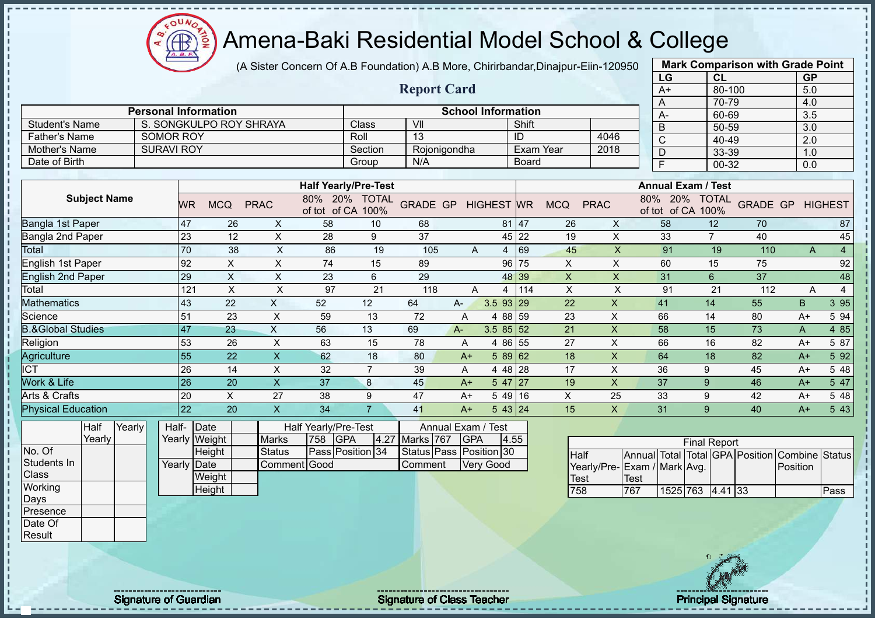(A Sister Concern Of A.B Foundation) A.B More, Chirirbandar,Dinajpur-Eiin-120950

|                                |                             |                 |                           |                               |                                           |                             |                    |                                  |                   |              |                            |                         |                      | LG                                 | <b>CL</b>           |                            | <b>GP</b>        |                  |
|--------------------------------|-----------------------------|-----------------|---------------------------|-------------------------------|-------------------------------------------|-----------------------------|--------------------|----------------------------------|-------------------|--------------|----------------------------|-------------------------|----------------------|------------------------------------|---------------------|----------------------------|------------------|------------------|
|                                |                             |                 |                           |                               |                                           |                             | <b>Report Card</b> |                                  |                   |              |                            |                         |                      | $A+$                               | 80-100              |                            | 5.0              |                  |
|                                |                             |                 |                           |                               |                                           |                             |                    |                                  |                   |              |                            |                         |                      | A                                  | 70-79               |                            | 4.0              |                  |
|                                | <b>Personal Information</b> |                 |                           |                               |                                           |                             |                    | <b>School Information</b>        |                   |              |                            |                         |                      | A-                                 | 60-69               |                            | 3.5              |                  |
| <b>Student's Name</b>          |                             |                 | S. SONGKULPO ROY SHRAYA   |                               |                                           | Class                       | VII                |                                  |                   | Shift        |                            |                         |                      | $\overline{B}$                     | $50 - 59$           |                            | $\overline{3.0}$ |                  |
| <b>Father's Name</b>           | <b>SOMOR ROY</b>            |                 |                           |                               |                                           | Roll                        | 13                 |                                  |                   | ID           |                            | 4046                    |                      | $\overline{C}$                     | 40-49               |                            | 2.0              |                  |
| Mother's Name                  | <b>SURAVI ROY</b>           |                 |                           |                               |                                           | Section                     |                    | Rojonigondha                     |                   |              | Exam Year                  | 2018                    |                      | $\overline{D}$                     | 33-39               |                            | 1.0              |                  |
| Date of Birth                  |                             |                 |                           |                               |                                           | Group                       | N/A                |                                  |                   | <b>Board</b> |                            |                         |                      | $\overline{\mathsf{F}}$            | 00-32               |                            | 0.0              |                  |
|                                |                             |                 |                           |                               |                                           | <b>Half Yearly/Pre-Test</b> |                    |                                  |                   |              |                            |                         |                      | <b>Annual Exam / Test</b>          |                     |                            |                  |                  |
| <b>Subject Name</b>            |                             | <b>WR</b>       | <b>MCQ</b>                | <b>PRAC</b>                   | of tot of CA 100%                         | 80% 20% TOTAL               | <b>GRADE GP</b>    |                                  | <b>HIGHEST WR</b> |              | <b>MCQ</b>                 | <b>PRAC</b>             |                      | 80% 20% TOTAL<br>of tot of CA 100% |                     | <b>GRADE GP HIGHEST</b>    |                  |                  |
| Bangla 1st Paper               |                             | $47\,$          | 26                        | X                             | 58                                        | 10                          | 68                 |                                  |                   | 81 47        | 26                         | X                       |                      | 58                                 | 12                  | 70                         |                  | 87               |
| <b>Bangla 2nd Paper</b>        |                             | 23              | 12                        | $\pmb{\times}$                | 28                                        | 9                           | 37                 |                                  |                   | 45 22        | 19                         | X                       |                      | 33                                 | $\overline{7}$      | 40                         |                  | 45               |
| <b>Total</b>                   |                             | 70              | 38                        | $\pmb{\times}$                | 86                                        | 19                          | 105                | A                                | $\overline{4}$    | 69           | 45                         | $\overline{\mathsf{x}}$ |                      | 91                                 | 19                  | 110                        | $\overline{A}$   | $\overline{4}$   |
| <b>English 1st Paper</b>       |                             | 92              | $\boldsymbol{\mathsf{X}}$ | $\boldsymbol{\mathsf{X}}$     | 74                                        | 15                          | 89                 |                                  |                   | 96 75        | X                          | X                       |                      | 60                                 | 15                  | 75                         |                  | 92               |
| <b>English 2nd Paper</b>       |                             | $\overline{29}$ | $\boldsymbol{\mathsf{X}}$ | $\boldsymbol{\mathsf{X}}$     | 23                                        | $6\phantom{1}$              | 29                 |                                  |                   | 48 39        | $\mathsf{X}$               | $\mathsf X$             |                      | 31                                 | $6\phantom{1}$      | 37                         |                  | 48               |
| Total                          |                             | 121             | $\sf X$                   | $\pmb{\times}$                | 97                                        | 21                          | 118                | A                                | $\overline{4}$    | 114          | $\boldsymbol{\mathsf{X}}$  | $\sf X$                 |                      | 91                                 | 21                  | 112                        | $\overline{A}$   | $\overline{4}$   |
| <b>Mathematics</b>             |                             | 43              | 22                        | X                             | 52                                        | 12                          | 64                 | $A-$                             | 3.5 93            | 29           | 22                         | $\pmb{\times}$          |                      | 41                                 | 14                  | 55                         | B                | 3 9 5            |
| Science                        |                             | 51              | 23                        | $\boldsymbol{\mathsf{X}}$     | 59                                        | 13                          | 72                 | Α                                | $\overline{4}$    | 88 59        | 23                         | $\mathsf{x}$            |                      | 66                                 | 14                  | 80                         | $A+$             | 5 94             |
| <b>B.&amp;Global Studies</b>   |                             | 47              | 23                        | $\boldsymbol{\mathsf{X}}$     | 56                                        | 13                          | 69                 | $A -$                            | $3.585$ 32        |              | 21                         | $\mathsf{X}$            |                      | 58                                 | 15                  | 73                         | A                | 4 8 5            |
| Religion                       |                             | 53              | 26                        | $\pmb{\times}$                | 63                                        | 15                          | 78                 | A                                | 4 8 6             | 55           | 27                         | X                       |                      | 66                                 | 16                  | 82                         | $A+$             | 5 87             |
| Agriculture                    |                             | $\overline{55}$ | $\overline{22}$           | $\boldsymbol{\mathsf{X}}$     | 62                                        | 18                          | 80                 | $A+$                             | 58962             |              | 18                         | $\pmb{\times}$          |                      | 64                                 | 18                  | 82                         | $A+$             | 5 9 2            |
| <b>ICT</b>                     |                             | $\overline{26}$ | 14                        | $\pmb{\times}$                | 32                                        | $\overline{7}$              | 39                 | A                                | $448$ 28          |              | 17                         | $\pmb{\times}$          |                      | 36                                 | 9                   | 45                         | $A+$             | 5 48             |
| Work & Life                    |                             | $\overline{26}$ | 20                        | $\mathsf X$                   | 37                                        | 8                           | 45                 | $A+$                             | 5 47              | 27           | 19                         | $\pmb{\times}$          |                      | 37                                 | $\boldsymbol{9}$    | 46                         | $A+$             | 5 47             |
| Arts & Crafts                  |                             | 20              | $\boldsymbol{\mathsf{X}}$ | 27                            | 38                                        | 9                           | 47                 | $A+$                             | 5 4 9             | 16           | X                          | 25                      |                      | 33                                 | 9                   | 42                         | $A+$             | 5 48             |
| <b>Physical Education</b>      |                             | $\overline{22}$ | 20                        | $\overline{\mathsf{x}}$       | $\overline{34}$                           | $\overline{7}$              | 41                 | $A+$                             | 543 24            |              | 15                         | X                       |                      | 31                                 | 9                   | 40                         | $A+$             | $5\overline{43}$ |
| Half<br>Yearly<br>Yearly       |                             | Half- Date      | Yearly Weight             | <b>Marks</b>                  | Half Yearly/Pre-Test<br><b>GPA</b><br>758 | 4.27                        | Marks 767          | Annual Exam / Test<br><b>GPA</b> |                   | 4.55         |                            |                         |                      |                                    | <b>Final Report</b> |                            |                  |                  |
| No. Of<br>Students In<br>Class |                             | Yearly Date     | Height<br>Weight          | <b>Status</b><br>Comment Good |                                           | Pass Position 34            | Comment            | Status Pass Position 30          | <b>Very Good</b>  |              | <b>Half</b><br><b>Test</b> |                         | Annual Total<br>Test | Yearly/Pre-Exam / Mark Avg.        |                     | Total GPA Position Combine | Position         | <b>Status</b>    |
| Working                        |                             |                 | Height                    |                               |                                           |                             |                    |                                  |                   |              | 758                        |                         | 767                  | 1525 763 4.41 33                   |                     |                            |                  | Pass             |
| Days                           |                             |                 |                           |                               |                                           |                             |                    |                                  |                   |              |                            |                         |                      |                                    |                     |                            |                  |                  |
| Presence<br>Date Of            |                             |                 |                           |                               |                                           |                             |                    |                                  |                   |              |                            |                         |                      |                                    |                     |                            |                  |                  |
| Result                         |                             |                 |                           |                               |                                           |                             |                    |                                  |                   |              |                            |                         |                      |                                    |                     |                            |                  |                  |
|                                |                             |                 |                           |                               |                                           |                             |                    |                                  |                   |              |                            |                         |                      |                                    |                     |                            |                  |                  |

Signature of Guardian Signature of Class Teacher Principal Signature Principal Signature

**CB**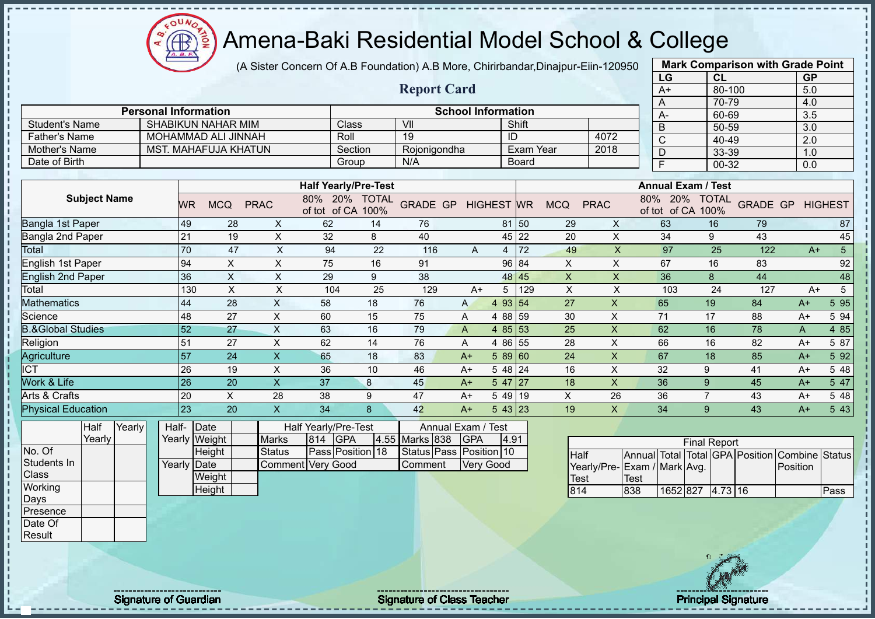(A Sister Concern Of A.B Foundation) A.B More, Chirirbandar,Dinajpur-Eiin-120950

|                              |                             |                             |                                             |                      |                                    |                         |                           |                   |              |                           |                           | LG                              | CL                                 |                 | <b>GP</b>        |                 |
|------------------------------|-----------------------------|-----------------------------|---------------------------------------------|----------------------|------------------------------------|-------------------------|---------------------------|-------------------|--------------|---------------------------|---------------------------|---------------------------------|------------------------------------|-----------------|------------------|-----------------|
|                              |                             |                             |                                             |                      |                                    | <b>Report Card</b>      |                           |                   |              |                           |                           | $A+$                            | 80-100                             |                 | 5.0              |                 |
|                              |                             |                             |                                             |                      |                                    |                         |                           |                   |              |                           |                           | A                               | 70-79                              |                 | 4.0              |                 |
|                              | <b>Personal Information</b> |                             |                                             |                      |                                    |                         | <b>School Information</b> |                   |              |                           |                           | A-                              | 60-69                              |                 | 3.5              |                 |
| <b>Student's Name</b>        |                             | <b>SHABIKUN NAHAR MIM</b>   |                                             |                      | Class                              | VII                     |                           |                   | Shift        |                           |                           | $\overline{B}$                  | 50-59                              |                 | $\overline{3.0}$ |                 |
| <b>Father's Name</b>         |                             | MOHAMMAD ALI JINNAH         |                                             |                      | Roll                               | $\overline{19}$         |                           | ID                |              |                           | 4072                      | $\overline{C}$                  | 40-49                              |                 | $\overline{2.0}$ |                 |
| <b>Mother's Name</b>         |                             | <b>MST. MAHAFUJA KHATUN</b> |                                             |                      | Section                            | Rojonigondha            |                           |                   | Exam Year    |                           | 2018                      | $\overline{D}$                  | 33-39                              |                 | 1.0              |                 |
| Date of Birth                |                             |                             |                                             |                      | Group                              | N/A                     |                           |                   | <b>Board</b> |                           |                           | $\overline{F}$                  | 00-32                              |                 | 0.0              |                 |
|                              |                             |                             |                                             |                      |                                    |                         |                           |                   |              |                           |                           |                                 |                                    |                 |                  |                 |
|                              |                             |                             |                                             |                      | <b>Half Yearly/Pre-Test</b>        |                         |                           |                   |              |                           |                           |                                 | <b>Annual Exam / Test</b>          |                 |                  |                 |
| <b>Subject Name</b>          |                             | <b>MCQ</b><br><b>WR</b>     | <b>PRAC</b>                                 |                      | 80% 20% TOTAL<br>of tot of CA 100% | <b>GRADE GP</b>         |                           | <b>HIGHEST</b> WR |              | <b>MCQ</b>                | <b>PRAC</b>               |                                 | 80% 20% TOTAL<br>of tot of CA 100% | <b>GRADE GP</b> |                  | <b>HIGHEST</b>  |
| Bangla 1st Paper             |                             | 49                          | 28<br>$\boldsymbol{\mathsf{X}}$             | 62                   | 14                                 | 76                      |                           |                   | 81 50        | 29                        | X                         | 63                              | 16                                 | 79              |                  | 87              |
| Bangla 2nd Paper             |                             | 21                          | $\pmb{\times}$<br>19                        | 32                   | 8                                  | 40                      |                           |                   | 45 22        | 20                        | X                         | 34                              | 9                                  | 43              |                  | 45              |
| <b>Total</b>                 |                             | 70                          | $\mathsf X$<br>47                           | 94                   | 22                                 | 116                     | $\overline{A}$            |                   | $4 \mid 72$  | 49                        | $\boldsymbol{\mathsf{X}}$ | 97                              | 25                                 | 122             | $A+$             | $\overline{5}$  |
| <b>English 1st Paper</b>     |                             | 94                          | $\boldsymbol{\mathsf{X}}$<br>$\pmb{\times}$ | 75                   | 16                                 | 91                      |                           |                   | 96 84        | $\boldsymbol{\mathsf{X}}$ | $\mathsf X$               | 67                              | 16                                 | 83              |                  | 92              |
| <b>English 2nd Paper</b>     |                             | 36                          | $\times$<br>$\times$                        | 29                   | 9                                  | 38                      |                           |                   | 48 45        | $\boldsymbol{X}$          | $\times$                  | 36                              | 8                                  | 44              |                  | 48              |
| Total                        |                             | 130                         | $\boldsymbol{\mathsf{X}}$<br>$\mathsf X$    | 104                  | 25                                 | 129                     | $A+$                      | 5                 | 129          | $\mathsf X$               | $\mathsf X$               | 103                             | 24                                 | 127             | $A+$             | $5\overline{)}$ |
| <b>Mathematics</b>           |                             | 44                          | $\mathsf{X}$<br>28                          | 58                   | 18                                 | 76                      | A                         | 4 93 54           |              | 27                        | $\mathsf X$               | 65                              | 19                                 | 84              | $A+$             | 5 9 5           |
| Science                      |                             | 48                          | $\mathsf X$<br>27                           | 60                   | 15                                 | 75                      | A                         | 4 88 59           |              | 30                        | X                         | 71                              | 17                                 | 88              | $A+$             | 5 94            |
| <b>B.&amp;Global Studies</b> |                             | 52                          | $\times$<br>27                              | 63                   | 16                                 | 79                      | $\overline{A}$            | 4 $85 53$         |              | 25                        | $\mathsf X$               | 62                              | 16                                 | 78              | A                | 4 8 5           |
| Religion                     |                             | 51                          | $\sf X$<br>27                               | 62                   | 14                                 | 76                      | A                         | 4 86 55           |              | 28                        | $\mathsf X$               | 66                              | 16                                 | 82              | $A+$             | 5 87            |
| Agriculture                  |                             | 57                          | 24<br>$\pmb{\times}$                        | 65                   | 18                                 | 83                      | $A+$                      | 589 60            |              | 24                        | X                         | 67                              | 18                                 | 85              | $A+$             | 5 9 2           |
| <b>ICT</b>                   |                             | 26                          | $\sf X$<br>19                               | 36                   | 10                                 | 46                      | $A+$                      | $548$ 24          |              | 16                        | X                         | 32                              | 9                                  | 41              | $A+$             | 5 48            |
| Work & Life                  |                             | $\overline{26}$             | $\overline{\mathsf{X}}$<br>20               | 37                   | 8                                  | 45                      | $A+$                      | $547$   27        |              | 18                        | $\sf X$                   | 36                              | 9                                  | 45              | $A+$             | 5 47            |
| Arts & Crafts                |                             | 20                          | X<br>28                                     | 38                   | 9                                  | 47                      | $A+$                      | 5 49 19           |              | $\mathsf X$               | 26                        | 36                              | $\overline{7}$                     | 43              | $A+$             | 5 48            |
| <b>Physical Education</b>    |                             | $\overline{23}$             | $\overline{\mathsf{x}}$<br>20               | 34                   | $\mathbf{8}$                       | 42                      | $A+$                      | 543 23            |              | 19                        | $\overline{\mathsf{X}}$   | 34                              | 9                                  | 43              | $A+$             | 5 4 3           |
| Yearly<br>Half               |                             | Half- Date                  |                                             | Half Yearly/Pre-Test |                                    |                         | Annual Exam /             | Test              |              |                           |                           |                                 |                                    |                 |                  |                 |
| Yearly                       |                             | Yearly Weight               | <b>Marks</b>                                | 814                  | <b>GPA</b><br>4.55                 | Marks 838               | GPA                       | 4.91              |              |                           |                           |                                 | <b>Final Report</b>                |                 |                  |                 |
| No. Of                       |                             | Height                      | <b>Status</b>                               |                      | Pass Position 18                   | Status Pass Position 10 |                           |                   |              | <b>Half</b>               |                           | Annual Total Total GPA Position |                                    |                 | Combine Status   |                 |
| Students In                  |                             | Yearly Date                 |                                             | Comment Very Good    |                                    | Comment                 |                           | <b>Very Good</b>  |              |                           |                           | Yearly/Pre-Exam / Mark Avg.     |                                    |                 | Position         |                 |
| Class                        |                             | Weight                      |                                             |                      |                                    |                         |                           |                   |              | <b>Test</b>               |                           | <b>Test</b>                     |                                    |                 |                  |                 |
| Working                      |                             | Height                      |                                             |                      |                                    |                         |                           |                   |              | 814                       |                           | 1652 827<br>838                 | $4.73$ 16                          |                 |                  | Pass            |
| Days                         |                             |                             |                                             |                      |                                    |                         |                           |                   |              |                           |                           |                                 |                                    |                 |                  |                 |
| Presence                     |                             |                             |                                             |                      |                                    |                         |                           |                   |              |                           |                           |                                 |                                    |                 |                  |                 |
| Date Of                      |                             |                             |                                             |                      |                                    |                         |                           |                   |              |                           |                           |                                 |                                    |                 |                  |                 |
| Result                       |                             |                             |                                             |                      |                                    |                         |                           |                   |              |                           |                           |                                 |                                    |                 |                  |                 |
|                              |                             |                             |                                             |                      |                                    |                         |                           |                   |              |                           |                           |                                 |                                    |                 |                  |                 |

Signature of Guardian Signature Signature of Class Teacher National Signature Principal Signature

 $\Omega$ Æ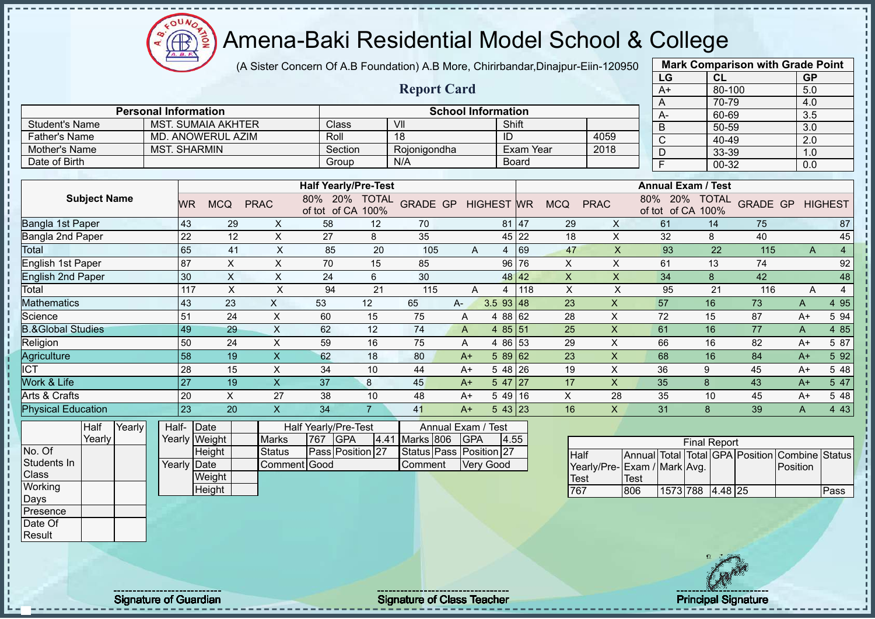$\Omega$ **AB** 

# Amena-Baki Residential Model School & College

(A Sister Concern Of A.B Foundation) A.B More, Chirirbandar,Dinajpur-Eiin-120950

|                              |                             |                           |                           |                                    |                |                            |                           |                |              |                           |                           | LG                              | CL                  |                 | <b>GP</b>        |                |
|------------------------------|-----------------------------|---------------------------|---------------------------|------------------------------------|----------------|----------------------------|---------------------------|----------------|--------------|---------------------------|---------------------------|---------------------------------|---------------------|-----------------|------------------|----------------|
|                              |                             |                           |                           |                                    |                | <b>Report Card</b>         |                           |                |              |                           |                           | $A+$                            | $80 - 100$          |                 | 5.0              |                |
|                              |                             |                           |                           |                                    |                |                            |                           |                |              |                           |                           | A                               | 70-79               |                 | 4.0              |                |
|                              | <b>Personal Information</b> |                           |                           |                                    |                |                            | <b>School Information</b> |                |              |                           |                           | A-                              | 60-69               |                 | 3.5              |                |
| <b>Student's Name</b>        |                             | <b>MST. SUMAIA AKHTER</b> |                           | Class                              |                | VII                        |                           | Shift          |              |                           |                           | $\overline{B}$                  | 50-59               |                 | $\overline{3.0}$ |                |
| <b>Father's Name</b>         |                             | <b>MD. ANOWERUL AZIM</b>  |                           | Roll                               |                | 18                         |                           | ID             |              |                           | 4059                      | $\overline{C}$                  | $40 - 49$           |                 | $\overline{2.0}$ |                |
| <b>Mother's Name</b>         | <b>MST. SHARMIN</b>         |                           |                           | Section                            |                | Rojonigondha               |                           |                | Exam Year    |                           | 2018                      | $\overline{D}$                  | 33-39               |                 | 1.0              |                |
| Date of Birth                |                             |                           |                           | Group                              |                | N/A                        |                           |                | <b>Board</b> |                           |                           | F                               | 00-32               |                 | 0.0              |                |
|                              |                             |                           |                           |                                    |                |                            |                           |                |              |                           |                           | <b>Annual Exam / Test</b>       |                     |                 |                  |                |
|                              |                             |                           |                           | <b>Half Yearly/Pre-Test</b>        |                |                            |                           |                |              |                           |                           |                                 |                     |                 |                  |                |
| <b>Subject Name</b>          | WR.                         | <b>MCQ</b>                | <b>PRAC</b>               | 80% 20% TOTAL<br>of tot of CA 100% |                | <b>GRADE GP HIGHEST WR</b> |                           |                |              | <b>MCQ</b>                | <b>PRAC</b>               | 80% 20%<br>of tot of CA 100%    | <b>TOTAL</b>        | <b>GRADE GP</b> |                  | <b>HIGHEST</b> |
| Bangla 1st Paper             | 43                          | 29                        | $\boldsymbol{\mathsf{X}}$ | 58                                 | 12             | 70                         |                           |                | 81 47        | 29                        | $\mathsf X$               | 61                              | 14                  | 75              |                  | 87             |
| <b>Bangla 2nd Paper</b>      | $\overline{22}$             | 12                        | $\mathsf X$               | 27                                 | 8              | 35                         |                           |                | 45 22        | 18                        | $\mathsf{X}$              | 32                              | 8                   | 40              |                  | 45             |
| <b>Total</b>                 | 65                          | 41                        | $\mathsf X$               | 85                                 | 20             | 105                        | A                         |                | 4 69         | 47                        | $\mathsf{X}$              | 93                              | 22                  | 115             | A                | $\overline{4}$ |
| <b>English 1st Paper</b>     | 87                          | $\boldsymbol{\mathsf{X}}$ | $\mathsf X$               | 70                                 | 15             | 85                         |                           |                | 96 76        | $\mathsf{X}$              | $\mathsf{x}$              | 61                              | 13                  | 74              |                  | 92             |
| <b>English 2nd Paper</b>     | 30                          | $\boldsymbol{\mathsf{X}}$ | $\boldsymbol{\mathsf{X}}$ | 24                                 | 6              | 30                         |                           |                | 48 42        | $\boldsymbol{\mathsf{X}}$ | $\boldsymbol{\mathsf{X}}$ | 34                              | 8                   | 42              |                  | 48             |
| Total                        | 117                         | $\boldsymbol{\mathsf{X}}$ | $\mathsf X$               | 94                                 | 21             | 115                        | A                         | $\overline{4}$ | 118          | $\pmb{\times}$            | X                         | 95                              | 21                  | 116             | A                | $\overline{4}$ |
| <b>Mathematics</b>           | 43                          | 23                        | X                         | 53                                 | 12             | 65                         | A-                        | $3.5$ 93 48    |              | 23                        | X                         | 57                              | 16                  | 73              | A                | 4 9 5          |
| Science                      | 51                          | 24                        | $\mathsf X$               | 60                                 | 15             | 75                         | A                         | 4 88 62        |              | 28                        | $\times$                  | 72                              | 15                  | 87              | $A+$             | 5 94           |
| <b>B.&amp;Global Studies</b> | 49                          | 29                        | $\times$                  | 62                                 | 12             | 74                         | A                         | 4 $85 51$      |              | 25                        | $\boldsymbol{\mathsf{X}}$ | 61                              | 16                  | 77              | A                | 4 8 5          |
| Religion                     | 50                          | 24                        | $\pmb{\times}$            | 59                                 | 16             | 75                         | A                         | 4 86 53        |              | 29                        | X                         | 66                              | 16                  | 82              | $A+$             | 5 87           |
| Agriculture                  | 58                          | 19                        | $\mathsf{X}$              | 62                                 | 18             | 80                         | $A+$                      | $589$ 62       |              | 23                        | $\mathsf{x}$              | 68                              | 16                  | 84              | $A+$             | 5 9 2          |
| <b>ICT</b>                   | 28                          | 15                        | $\times$                  | 34                                 | 10             | 44                         | $A+$                      | $548$ 26       |              | 19                        | $\times$                  | 36                              | 9                   | 45              | $A+$             | 5 48           |
| Work & Life                  | 27                          | 19                        | $\boldsymbol{\mathsf{X}}$ | 37                                 | 8              | 45                         | $A+$                      | $547$   27     |              | 17                        | $\mathsf{X}$              | 35                              | 8                   | 43              | $A+$             | 5 47           |
| Arts & Crafts                | 20                          | $\pmb{\times}$            | 27                        | 38                                 | 10             | 48                         | $A+$                      | 5 49 16        |              | X                         | 28                        | 35                              | 10                  | 45              | $A+$             | 5 48           |
| <b>Physical Education</b>    | 23                          | 20                        | $\boldsymbol{\mathsf{X}}$ | 34                                 | 7 <sup>1</sup> | 41                         | $A+$                      | 543 23         |              | 16                        | $\mathsf{X}$              | 31                              | 8                   | 39              | A                | 4 4 3          |
| Yearly<br>Half               |                             | Half- Date                |                           | Half Yearly/Pre-Test               |                | Annual Exam /              |                           | <b>Test</b>    |              |                           |                           |                                 |                     |                 |                  |                |
| Yearly                       |                             | Yearly Weight             | <b>Marks</b>              | <b>GPA</b><br>767                  | 4.41           | Marks 806                  | <b>GPA</b>                | 4.55           |              |                           |                           |                                 | <b>Final Report</b> |                 |                  |                |
| No. Of                       |                             | Height                    | <b>Status</b>             | Pass Position 27                   |                | <b>Status Pass</b>         |                           | Position 27    |              | <b>Half</b>               |                           | Annual Total Total GPA Position |                     |                 | Combine          | <b>Status</b>  |
| Students In                  |                             | Yearly Date               | Comment Good              |                                    |                | Comment                    |                           | Very Good      |              |                           |                           | Yearly/Pre- Exam / Mark Avg.    |                     |                 | Position         |                |
| Class                        |                             | Weight                    |                           |                                    |                |                            |                           |                |              | <b>Test</b>               |                           | <b>Test</b>                     |                     |                 |                  |                |
| Working                      |                             | Height                    |                           |                                    |                |                            |                           |                |              | 767                       |                           | 806                             | 1573 788 4.48 25    |                 |                  | Pass           |
| Days                         |                             |                           |                           |                                    |                |                            |                           |                |              |                           |                           |                                 |                     |                 |                  |                |
| Presence                     |                             |                           |                           |                                    |                |                            |                           |                |              |                           |                           |                                 |                     |                 |                  |                |
| Date Of                      |                             |                           |                           |                                    |                |                            |                           |                |              |                           |                           |                                 |                     |                 |                  |                |

Result

Signature of Guardian Signature Signature of Class Teacher New York Network Principal Signature

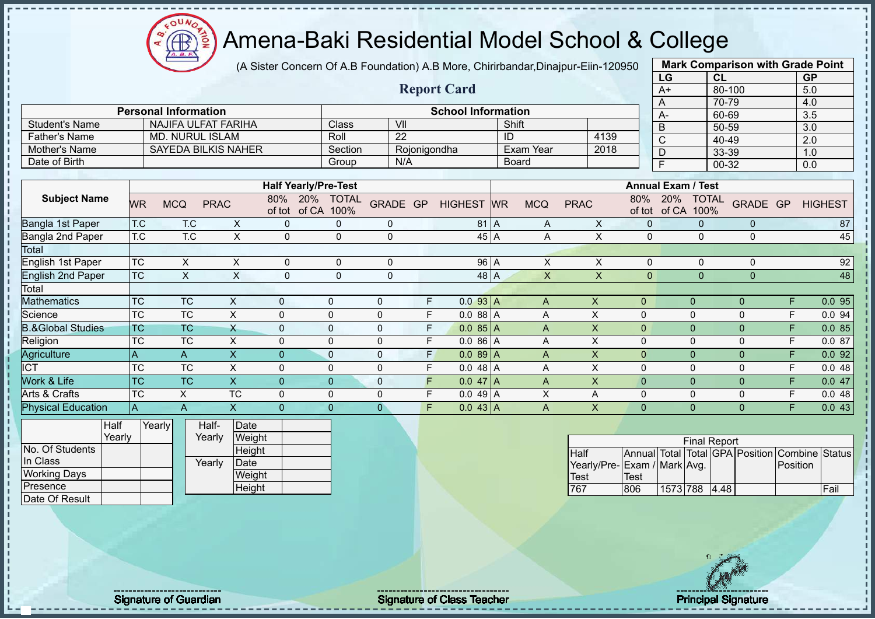oυ **CB** 

# Amena-Baki Residential Model School & College

(A Sister Concern Of A.B Foundation) A.B More, Chirirbandar,Dinajpur-Eiin-120950

|                              |                        |                             |                            |              |                             |                   |                  |                         |    |                           |           |           |                |             |                           |                             | LG                    |                      | CL        |                |          | <b>GP</b>                         |
|------------------------------|------------------------|-----------------------------|----------------------------|--------------|-----------------------------|-------------------|------------------|-------------------------|----|---------------------------|-----------|-----------|----------------|-------------|---------------------------|-----------------------------|-----------------------|----------------------|-----------|----------------|----------|-----------------------------------|
|                              |                        |                             |                            |              |                             |                   |                  |                         |    | <b>Report Card</b>        |           |           |                |             |                           |                             | $A+$                  |                      | 80-100    |                |          | 5.0                               |
|                              |                        |                             |                            |              |                             |                   |                  |                         |    |                           |           |           |                |             |                           |                             | A                     |                      | 70-79     |                |          | 4.0                               |
|                              |                        | <b>Personal Information</b> |                            |              |                             |                   |                  |                         |    | <b>School Information</b> |           |           |                |             |                           |                             | $A -$                 |                      | 60-69     |                |          | 3.5                               |
| <b>Student's Name</b>        |                        |                             | <b>NAJIFA ULFAT FARIHA</b> |              |                             | Class             |                  | $\overline{\mathsf{V}}$ |    |                           |           |           | Shift          |             |                           |                             | $\overline{B}$        |                      | 50-59     |                |          | $\overline{3.0}$                  |
| <b>Father's Name</b>         |                        |                             | <b>MD. NURUL ISLAM</b>     |              |                             | Roll              |                  | $\overline{22}$         |    |                           |           | ID        |                |             | 4139                      |                             | $\overline{\text{c}}$ |                      | $40 - 49$ |                |          | $\overline{2.0}$                  |
| <b>Mother's Name</b>         |                        |                             | <b>SAYEDA BILKIS NAHER</b> |              |                             | Section           |                  | Rojonigondha            |    |                           |           |           | Exam Year      |             | 2018                      |                             | D                     |                      | 33-39     |                |          | 1.0                               |
| Date of Birth                |                        |                             |                            |              |                             | Group             |                  | N/A                     |    |                           |           |           | <b>Board</b>   |             |                           |                             | F                     |                      | $00 - 32$ |                |          | 0.0                               |
|                              |                        |                             |                            |              |                             |                   |                  |                         |    |                           |           |           |                |             |                           |                             |                       |                      |           |                |          |                                   |
|                              |                        |                             |                            |              | <b>Half Yearly/Pre-Test</b> |                   |                  |                         |    |                           |           |           |                |             |                           | <b>Annual Exam / Test</b>   |                       |                      |           |                |          |                                   |
| <b>Subject Name</b>          | <b>WR</b>              | <b>MCQ</b>                  | <b>PRAC</b>                |              | 80%<br>of tot of CA         | 20% TOTAL<br>100% | GRADE GP         |                         |    | <b>HIGHEST</b>            |           | <b>WR</b> | <b>MCQ</b>     | <b>PRAC</b> |                           | 80%<br>of tot               | 20%<br>of CA          | <b>TOTAL</b><br>100% |           | GRADE GP       |          | <b>HIGHEST</b>                    |
| <b>Bangla 1st Paper</b>      | T.C                    |                             | T.C                        | X            | $\mathbf 0$                 | 0                 | $\mathbf 0$      |                         |    |                           | $81$ A    |           | A              |             | X                         | $\pmb{0}$                   |                       | $\mathbf{0}$         |           | $\overline{0}$ |          | 87                                |
| Bangla 2nd Paper             | T.C                    |                             | T.C                        | $\mathsf{X}$ | $\Omega$                    | $\mathbf 0$       | $\mathbf 0$      |                         |    |                           | $45$ A    |           | A              |             | X                         | $\Omega$                    |                       | $\Omega$             |           | $\Omega$       |          | 45                                |
| Total                        |                        |                             |                            |              |                             |                   |                  |                         |    |                           |           |           |                |             |                           |                             |                       |                      |           |                |          |                                   |
| English 1st Paper            | <b>TC</b>              |                             | $\pmb{\times}$             | X            | $\Omega$                    | $\mathbf 0$       | $\boldsymbol{0}$ |                         |    |                           | 96 A      |           | $\mathsf X$    |             | $\times$                  | $\mathbf{0}$                |                       | $\mathbf 0$          |           | $\Omega$       |          | 92                                |
| <b>English 2nd Paper</b>     | <b>TC</b>              |                             | $\mathsf X$                | $\times$     | $\Omega$                    | $\mathbf 0$       | $\mathbf 0$      |                         |    |                           | 48 A      |           | $\mathsf X$    |             | $\mathsf X$               | $\mathbf{0}$                |                       | $\Omega$             |           | $\Omega$       |          | 48                                |
| Total                        |                        |                             |                            |              |                             |                   |                  |                         |    |                           |           |           |                |             |                           |                             |                       |                      |           |                |          |                                   |
| <b>Mathematics</b>           | <b>TC</b>              |                             | <b>TC</b>                  | X            | $\Omega$                    | $\Omega$          | $\mathbf 0$      |                         | F. |                           | $0.093$ A |           | A              |             | $\boldsymbol{\mathsf{X}}$ | $\Omega$                    |                       | $\Omega$             |           | $\Omega$       | F.       | 0.095                             |
| Science                      | $\overline{\text{TC}}$ |                             | <b>TC</b>                  | $\mathsf{X}$ | $\mathbf 0$                 | $\Omega$          | $\mathbf 0$      |                         | F  |                           | $0.088$ A |           | A              |             | $\times$                  | $\mathbf 0$                 |                       | $\mathbf 0$          |           | $\Omega$       | E        | 0.094                             |
| <b>B.&amp;Global Studies</b> | <b>TC</b>              |                             | <b>TC</b>                  | X            | $\mathbf{0}$                | $\mathbf{0}$      | $\pmb{0}$        |                         | F  |                           | $0.085$ A |           | A              |             | $\mathsf X$               | $\mathbf{0}$                |                       | $\mathbf{0}$         |           | $\mathbf{0}$   | F        | 0.085                             |
| Religion                     | <b>TC</b>              |                             | <b>TC</b>                  | $\mathsf{X}$ | $\mathbf 0$                 | $\overline{0}$    | $\mathbf 0$      |                         | F  |                           | $0.086$ A |           | A              |             | $\sf X$                   | $\Omega$                    |                       | $\mathbf 0$          |           | $\Omega$       | E        | 0.087                             |
| Agriculture                  | A                      | $\mathsf{A}$                |                            | $\mathsf{X}$ | $\Omega$                    | $\Omega$          | $\mathbf{0}$     |                         | F. |                           | $0.089$ A |           | $\overline{A}$ |             | $\boldsymbol{\mathsf{X}}$ | $\overline{0}$              |                       | $\overline{0}$       |           | $\Omega$       | F        | 0.092                             |
| $\overline{ICT}$             | <b>TC</b>              |                             | <b>TC</b>                  | X            | $\mathbf 0$                 | $\Omega$          | $\pmb{0}$        |                         | F  |                           | $0.048$ A |           | Α              |             | $\sf X$                   | 0                           |                       | $\mathbf 0$          |           | $\Omega$       | E        | 0.048                             |
| Work & Life                  | <b>TC</b>              |                             | <b>TC</b>                  | $\mathsf{X}$ | $\Omega$                    | $\Omega$          | $\mathbf 0$      |                         | F  |                           | $0.047$ A |           | $\overline{A}$ |             | $\times$                  | $\overline{0}$              |                       | $\Omega$             |           | $\Omega$       | F        | 0.047                             |
| Arts & Crafts                | <b>TC</b>              | $\mathsf X$                 |                            | <b>TC</b>    | $\Omega$                    | $\Omega$          | $\mathbf 0$      |                         | F  |                           | $0.049$ A |           | X              |             | A                         | 0                           |                       | $\mathbf 0$          |           | $\Omega$       | F        | 0.048                             |
| <b>Physical Education</b>    | $\mathsf A$            | $\overline{A}$              |                            | $\mathsf{X}$ | $\overline{0}$              | $\overline{0}$    | $\overline{0}$   |                         | F  |                           | $0.043$ A |           | $\overline{A}$ |             | $\overline{\mathsf{x}}$   | $\mathbf{0}$                |                       | $\overline{0}$       |           | $\Omega$       | F        | 0.043                             |
| Half                         |                        | Yearly                      | Half-                      | Date         |                             |                   |                  |                         |    |                           |           |           |                |             |                           |                             |                       |                      |           |                |          |                                   |
| Yearly                       |                        |                             | Yearly                     | Weight       |                             |                   |                  |                         |    |                           |           |           |                |             |                           |                             |                       |                      |           |                |          |                                   |
| No. Of Students              |                        |                             |                            | Height       |                             |                   |                  |                         |    |                           |           |           |                | Half        |                           | Annual Total                |                       | <b>Final Report</b>  |           |                |          | Total GPA Position Combine Status |
| In Class                     |                        |                             | Yearly                     | Date         |                             |                   |                  |                         |    |                           |           |           |                |             |                           | Yearly/Pre-Exam / Mark Avg. |                       |                      |           |                | Position |                                   |
| <b>Working Days</b>          |                        |                             |                            | Weight       |                             |                   |                  |                         |    |                           |           |           |                | Test        |                           | <b>Test</b>                 |                       |                      |           |                |          |                                   |
| Presence                     |                        |                             |                            | Height       |                             |                   |                  |                         |    |                           |           |           |                | 767         |                           | 806                         |                       | 1573 788 4.48        |           |                |          | Fail                              |
| Date Of Result               |                        |                             |                            |              |                             |                   |                  |                         |    |                           |           |           |                |             |                           |                             |                       |                      |           |                |          |                                   |



**Mark Comparison with Grade Point**

Signature of Guardian Signature of Class Teacher Principal Signature of Class Teacher Principal Signature of Class Teacher Principal Signature of Class Teacher Principal Signature of Class Teacher Principal Signature of Cl

J.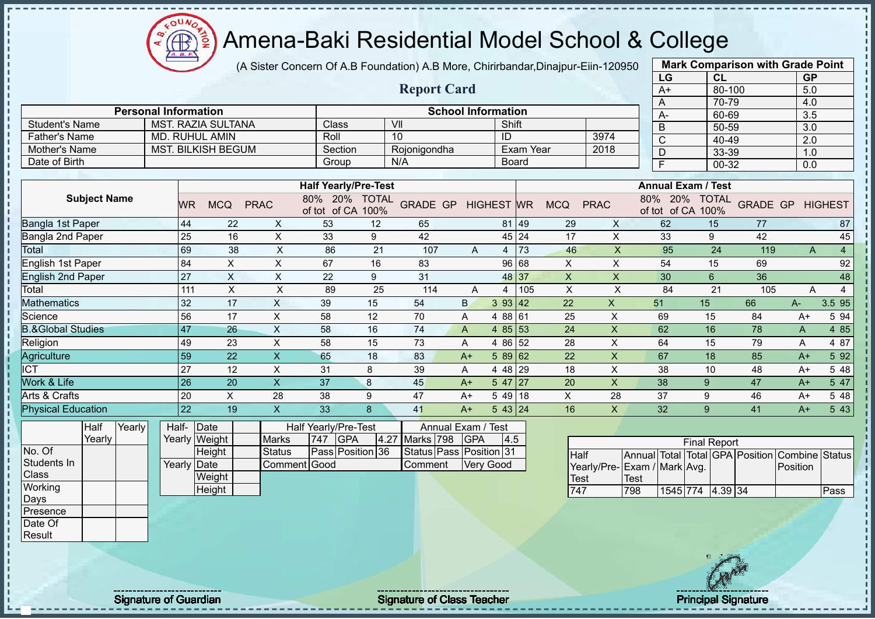$\Omega$ **AB** 

# Amena-Baki Residential Model School & College

(A Sister Concern Of A.B Foundation) A.B More, Chirirbandar,Dinajpur-Eiin-120950

|                              |                             |                           |                           |                                    |      |                           |              |                  |             |             |                           | LG                              | <b>CL</b>                 |                 | <b>GP</b>      |                |
|------------------------------|-----------------------------|---------------------------|---------------------------|------------------------------------|------|---------------------------|--------------|------------------|-------------|-------------|---------------------------|---------------------------------|---------------------------|-----------------|----------------|----------------|
|                              |                             |                           |                           |                                    |      | <b>Report Card</b>        |              |                  |             |             |                           | $A+$                            | $80 - 100$                |                 | 5.0            |                |
|                              |                             |                           |                           |                                    |      |                           |              |                  |             |             |                           | A                               | 70-79                     |                 | 4.0            |                |
|                              | <b>Personal Information</b> |                           |                           |                                    |      | <b>School Information</b> |              |                  |             |             |                           | $A -$                           | 60-69                     |                 | 3.5            |                |
| <b>Student's Name</b>        |                             | <b>MST. RAZIA SULTANA</b> |                           | Class                              |      | VII                       |              | Shift            |             |             |                           | $\overline{B}$                  | 50-59                     |                 | 3.0            |                |
| <b>Father's Name</b>         |                             | MD. RUHUL AMIN            |                           | Roll                               |      | 10                        |              | ID               |             |             | 3974                      | $\overline{C}$                  | 40-49                     |                 | 2.0            |                |
| Mother's Name                |                             | <b>MST. BILKISH BEGUM</b> |                           | Section                            |      | Rojonigondha              |              |                  | Exam Year   |             | 2018                      | $\overline{D}$                  | 33-39                     |                 | 1.0            |                |
| Date of Birth                |                             |                           |                           | Group                              |      | N/A                       |              | <b>Board</b>     |             |             |                           | F                               | 00-32                     |                 | 0.0            |                |
|                              |                             |                           |                           |                                    |      |                           |              |                  |             |             |                           |                                 |                           |                 |                |                |
|                              |                             |                           |                           | <b>Half Yearly/Pre-Test</b>        |      |                           |              |                  |             |             |                           |                                 | <b>Annual Exam / Test</b> |                 |                |                |
| <b>Subject Name</b>          | WR.                         | <b>MCQ</b>                | <b>PRAC</b>               | 80% 20% TOTAL<br>of tot of CA 100% |      | GRADE GP HIGHEST WR       |              |                  |             | <b>MCQ</b>  | <b>PRAC</b>               | 80% 20%<br>of tot of CA 100%    | <b>TOTAL</b>              | <b>GRADE GP</b> |                | <b>HIGHEST</b> |
| Bangla 1st Paper             | 44                          | 22                        | $\boldsymbol{\mathsf{X}}$ | 53                                 | 12   | 65                        |              |                  | 81 49       | 29          | X                         | 62                              | 15                        | 77              |                | 87             |
| Bangla 2nd Paper             | 25                          | 16                        | $\mathsf X$               | 33                                 | 9    | 42                        |              |                  | 45 24       | 17          | $\boldsymbol{\mathsf{X}}$ | 33                              | 9                         | 42              |                | 45             |
| <b>Total</b>                 | 69                          | 38                        | $\mathsf X$               | 86                                 | 21   | 107                       | A            |                  | $4 \mid 73$ | 46          | $\mathsf X$               | 95                              | 24                        | 119             | A              | $\overline{4}$ |
| English 1st Paper            | 84                          | $\times$                  | $\times$                  | 67                                 | 16   | 83                        |              |                  | 96 68       | X           | X                         | 54                              | 15                        | 69              |                | 92             |
| <b>English 2nd Paper</b>     | 27                          | $\boldsymbol{\mathsf{X}}$ | X                         | 22                                 | 9    | 31                        |              | 48 37            |             | $\sf X$     | X                         | 30                              | 6                         | 36              |                | 48             |
| Total                        | 111                         | $\times$                  | X                         | 89                                 | 25   | 114                       | A            | $\overline{4}$   | 105         | $\times$    | $\pmb{\times}$            | 84                              | 21                        | 105             | A              | $\overline{4}$ |
| <b>Mathematics</b>           | 32                          | 17                        | $\pmb{\times}$            | 39                                 | 15   | 54                        | B            | 3 93 42          |             | 22          | X                         | 51                              | 15                        | 66              | $A-$           | 3.5 95         |
| Science                      | 56                          | 17                        | X                         | 58                                 | 12   | 70                        | A            | 4 88 61          |             | 25          | $\boldsymbol{\mathsf{X}}$ | 69                              | 15                        | 84              | $A+$           | 5 94           |
| <b>B.&amp;Global Studies</b> | 47                          | 26                        | $\mathsf X$               | 58                                 | 16   | 74                        | $\mathsf{A}$ | 4 85 53          |             | 24          | $\pmb{\times}$            | 62                              | 16                        | 78              | A              | 4 8 5          |
| Religion                     | 49                          | 23                        | $\sf X$                   | 58                                 | 15   | 73                        | A            | 4 86 52          |             | 28          | X                         | 64                              | 15                        | 79              | A              | 487            |
| Agriculture                  | 59                          | 22                        | $\sf X$                   | 65                                 | 18   | 83                        | $A+$         | $589$ 62         |             | 22          | X                         | 67                              | 18                        | 85              | $A+$           | 5 9 2          |
| $\overline{ICT}$             | 27                          | 12                        | X                         | 31                                 | 8    | 39                        | A            | 4 48 29          |             | 18          | X                         | 38                              | 10                        | 48              | $A+$           | 5 48           |
| Work & Life                  | 26                          | 20                        | $\mathsf X$               | 37                                 | 8    | 45                        | $A+$         | $547$   27       |             | 20          | $\pmb{\times}$            | 38                              | $\overline{9}$            | 47              | $A+$           | 5 47           |
| Arts & Crafts                | 20                          | $\pmb{\times}$            | 28                        | 38                                 | 9    | 47                        | $A+$         | $549$ 18         |             | $\mathsf X$ | 28                        | 37                              | 9                         | 46              | $A+$           | 5 48           |
| <b>Physical Education</b>    | 22                          | 19                        | $\boldsymbol{\mathsf{X}}$ | 33                                 | 8    | 41                        | $A+$         | 543 24           |             | 16          | X                         | 32                              | 9                         | 41              | $A+$           | 5 4 3          |
| Yearly<br>Half               |                             | Half- Date                |                           | Half Yearly/Pre-Test               |      | Annual Exam / Test        |              |                  |             |             |                           |                                 |                           |                 |                |                |
| Yearly                       |                             | Yearly Weight             | <b>Marks</b>              | <b>GPA</b><br>747                  | 4.27 | Marks 798                 | <b>GPA</b>   | 4.5              |             |             |                           |                                 | <b>Final Report</b>       |                 |                |                |
| No. Of                       |                             | Height                    | <b>Status</b>             | Pass Position 36                   |      | Status Pass Position 31   |              |                  |             | Half        |                           | Annual Total Total GPA Position |                           |                 | Combine Status |                |
| Students In                  |                             | Yearly Date               | Comment Good              |                                    |      | Comment                   |              | <b>Very Good</b> |             |             |                           | Yearly/Pre-Exam / Mark Avg.     |                           |                 | Position       |                |
| Class                        |                             | Weight                    |                           |                                    |      |                           |              |                  |             | <b>Test</b> |                           | Test                            |                           |                 |                |                |
| Working                      |                             | Height                    |                           |                                    |      |                           |              |                  |             | 747         |                           | 798<br>1545 774                 | $4.39$ 34                 |                 |                | Pass           |
| Days                         |                             |                           |                           |                                    |      |                           |              |                  |             |             |                           |                                 |                           |                 |                |                |
| Presence                     |                             |                           |                           |                                    |      |                           |              |                  |             |             |                           |                                 |                           |                 |                |                |
| Date Of                      |                             |                           |                           |                                    |      |                           |              |                  |             |             |                           |                                 |                           |                 |                |                |

**Mark Comparison with Grade Point**

Result

Signature of Guardian Signature Signature of Class Teacher New York Network Principal Signature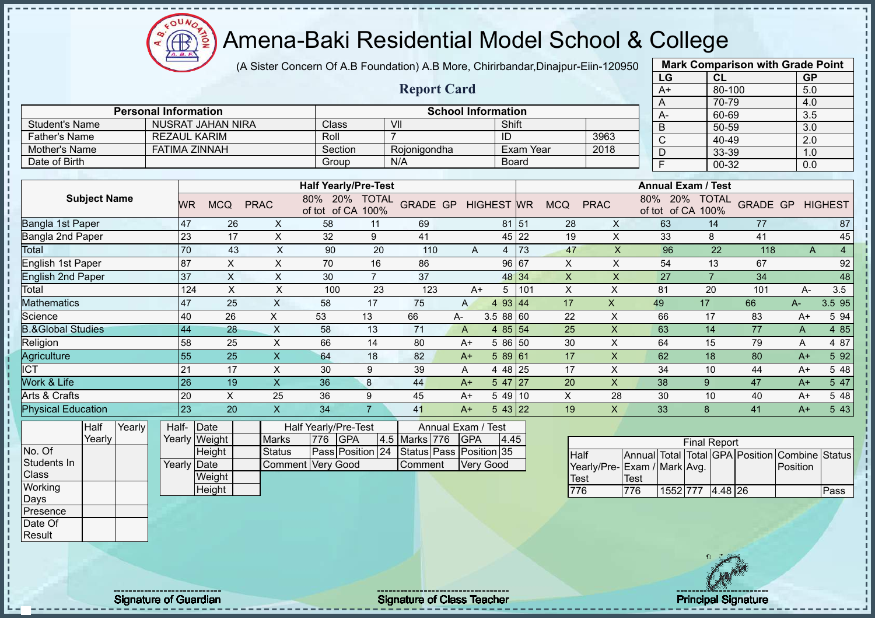$\Omega$ **AB** ğ

# Amena-Baki Residential Model School & College

(A Sister Concern Of A.B Foundation) A.B More, Chirirbandar,Dinajpur-Eiin-120950

|                              |                             |             |                           |                           |                                    |                |                                 |              |                           |                  |                |                           |             | LG                                 | <b>CL</b>           |                 | <b>GP</b>             |                |
|------------------------------|-----------------------------|-------------|---------------------------|---------------------------|------------------------------------|----------------|---------------------------------|--------------|---------------------------|------------------|----------------|---------------------------|-------------|------------------------------------|---------------------|-----------------|-----------------------|----------------|
|                              |                             |             |                           |                           |                                    |                | <b>Report Card</b>              |              |                           |                  |                |                           |             | $A+$                               | $80 - 100$          |                 | 5.0                   |                |
|                              |                             |             |                           |                           |                                    |                |                                 |              |                           |                  |                |                           |             | A                                  | 70-79               |                 | 4.0                   |                |
|                              | <b>Personal Information</b> |             |                           |                           |                                    |                |                                 |              | <b>School Information</b> |                  |                |                           |             | A-                                 | 60-69               |                 | 3.5                   |                |
| <b>Student's Name</b>        |                             |             | <b>NUSRAT JAHAN NIRA</b>  |                           | Class                              |                | $\overline{\mathsf{V}}$ ll<br>7 |              | Shift                     |                  |                |                           |             | B                                  | 50-59               |                 | 3.0                   |                |
| <b>Father's Name</b>         |                             |             | <b>REZAUL KARIM</b>       |                           | Roll                               |                |                                 |              | ID                        |                  |                | 3963                      |             | $\overline{\mathsf{C}}$            | 40-49               |                 | $\overline{2.0}$      |                |
| Mother's Name                |                             |             | <b>FATIMA ZINNAH</b>      |                           | Section                            |                | Rojonigondha                    |              |                           | <b>Exam Year</b> |                | 2018                      |             | D                                  | 33-39               |                 | 1.0                   |                |
| Date of Birth                |                             |             |                           |                           | Group                              |                | N/A                             |              | <b>Board</b>              |                  |                |                           |             | F                                  | 00-32               |                 | 0.0                   |                |
|                              |                             |             |                           |                           |                                    |                |                                 |              |                           |                  |                |                           |             | <b>Annual Exam / Test</b>          |                     |                 |                       |                |
|                              |                             |             |                           |                           | <b>Half Yearly/Pre-Test</b>        |                |                                 |              |                           |                  |                |                           |             |                                    |                     |                 |                       |                |
| <b>Subject Name</b>          |                             | <b>WR</b>   | <b>MCQ</b>                | <b>PRAC</b>               | 80% 20% TOTAL<br>of tot of CA 100% |                | <b>GRADE GP</b>                 |              | <b>HIGHEST WR</b>         |                  | <b>MCQ</b>     | <b>PRAC</b>               |             | 80% 20% TOTAL<br>of tot of CA 100% |                     | <b>GRADE GP</b> |                       | <b>HIGHEST</b> |
| Bangla 1st Paper             |                             | 47          | 26                        | X                         | 58                                 | 11             | 69                              |              | 81                        | 51               | 28             | X                         |             | 63                                 | 14                  | 77              |                       | 87             |
| Bangla 2nd Paper             |                             | 23          | 17                        | X                         | 32                                 | 9              | 41                              |              | 45                        | 22               | 19             | X                         |             | 33                                 | 8                   | 41              |                       | 45             |
| Total                        |                             | 70          | 43                        | $\times$                  | 90                                 | 20             | 110                             | $\mathsf{A}$ | $\overline{4}$            | 73               | 47             | $\overline{\mathsf{X}}$   |             | 96                                 | 22                  | 118             | $\mathsf{A}$          | $\overline{4}$ |
| English 1st Paper            |                             | 87          | $\boldsymbol{\mathsf{X}}$ | X                         | 70                                 | 16             | 86                              |              | 96                        | 67               | $\pmb{\times}$ | Χ                         |             | 54                                 | 13                  | 67              |                       | 92             |
| <b>English 2nd Paper</b>     |                             | 37          | $\pmb{\times}$            | X                         | 30                                 | $\overline{7}$ | 37                              |              | 48                        | 34               | $\pmb{\times}$ | $\mathsf{X}$              |             | 27                                 | $\overline{7}$      | 34              |                       | 48             |
| Total                        |                             | 124         | $\sf X$                   | X                         | 100                                | 23             | 123                             | $A+$         | 5                         | 101              | X              | X                         |             | 81                                 | 20                  | 101             | А-                    | 3.5            |
| Mathematics                  |                             | 47          | 25                        | $\boldsymbol{\mathsf{X}}$ | 58                                 | 17             | 75                              | $\mathsf{A}$ | 4 9 3                     | 44               | 17             | X                         | 49          |                                    | 17                  | 66              | A-                    | 3.5 95         |
| Science                      |                             | 40          | 26                        | X                         | 53                                 | 13             | 66                              | А-           | 3.5 88 60                 |                  | 22             | X                         |             | 66                                 | 17                  | 83              | $A+$                  | 5 94           |
| <b>B.&amp;Global Studies</b> |                             | 44          | 28                        | X                         | 58                                 | 13             | 71                              | $\mathsf{A}$ | 4 8 5                     | 54               | 25             | $\boldsymbol{\mathsf{X}}$ |             | 63                                 | 14                  | 77              | A                     | 4 8 5          |
| Religion                     |                             | 58          | 25                        | $\mathsf{X}$              | 66                                 | 14             | 80                              | $A+$         | 5 86 50                   |                  | 30             | $\mathsf{x}$              |             | 64                                 | 15                  | 79              | Α                     | 4 87           |
| Agriculture                  |                             | 55          | 25                        | $\mathsf{X}$              | 64                                 | 18             | 82                              | $A+$         | 589 61                    |                  | 17             | $\mathsf X$               |             | 62                                 | 18                  | 80              | $A+$                  | 5 92           |
| <b>ICT</b>                   |                             | 21          | 17                        | $\pmb{\times}$            | 30                                 | 9              | 39                              | Α            | 4 4 8                     | 25               | 17             | X                         |             | 34                                 | 10                  | 44              | $A+$                  | 5 48           |
| Work & Life                  |                             | 26          | 19                        | $\mathsf X$               | 36                                 | 8              | 44                              | $A+$         | 5 47                      | 27               | 20             | $\boldsymbol{\mathsf{X}}$ |             | 38                                 | 9                   | 47              | $A+$                  | 5 47           |
| Arts & Crafts                |                             | 20          | $\boldsymbol{\mathsf{X}}$ | 25                        | 36                                 | 9              | 45                              | $A+$         | 5 4 9                     | 10               | X              | 28                        |             | 30                                 | 10                  | 40              | $A+$                  | 5 48           |
| <b>Physical Education</b>    |                             | 23          | 20                        | $\mathsf{x}$              | 34                                 | $\overline{7}$ | 41                              | $A+$         | 543 22                    |                  | 19             | $\mathsf{X}$              |             | 33                                 | 8                   | 41              | $A+$                  | 5 4 3          |
| <b>Half</b><br>Yearly        |                             | Half-       | Date                      |                           | Half Yearly/Pre-Test               |                | Annual                          | Exam         | <b>Test</b>               |                  |                |                           |             |                                    |                     |                 |                       |                |
| Yearly                       |                             | Yearly      | Weight                    | <b>Marks</b>              | 776<br><b>GPA</b>                  |                | 4.5 Marks 776                   | <b>GPA</b>   | 4.45                      |                  |                |                           |             |                                    | <b>Final Report</b> |                 |                       |                |
| No. Of                       |                             |             | Height                    | <b>Status</b>             | Pass Position 24                   |                | Status Pass Position 35         |              |                           |                  | Half           |                           |             | Annual Total Total GPA Position    |                     |                 | <b>Combine Status</b> |                |
| Students In                  |                             | Yearly Date |                           | Comment                   | <b>Very Good</b>                   |                | Comment                         |              | <b>Very Good</b>          |                  |                | Yearly/Pre-               |             | Exam / Mark Avg.                   |                     |                 | Position              |                |
| Class                        |                             |             | Weight                    |                           |                                    |                |                                 |              |                           |                  | Test           |                           | <b>Test</b> |                                    |                     |                 |                       |                |
| Working                      |                             |             | Height                    |                           |                                    |                |                                 |              |                           |                  | 776            |                           | 776         | 1552 777                           | $4.48$ 26           |                 |                       | Pass           |
| Days                         |                             |             |                           |                           |                                    |                |                                 |              |                           |                  |                |                           |             |                                    |                     |                 |                       |                |



**Mark Comparison with Grade Point**

Presence Date Of Result

Signature of Guardian Signature Signature of Class Teacher New York Network Principal Signature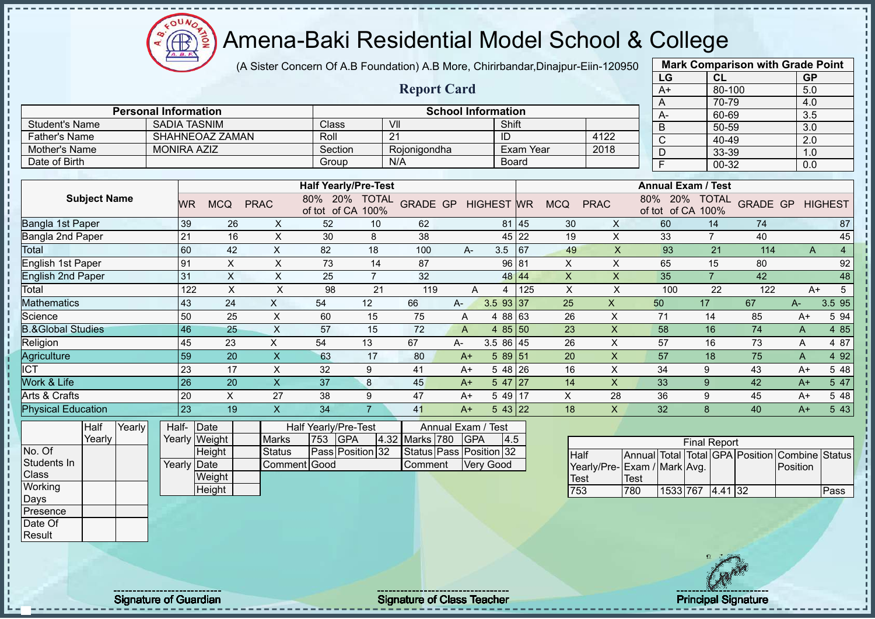$\mathbf{a}$ Æ ğ

# Amena-Baki Residential Model School & College

(A Sister Concern Of A.B Foundation) A.B More, Chirirbandar,Dinajpur-Eiin-120950

|                                |                             |             |                       |                           |                                           |                |                                    |                             |                   |                  |                     |                | LG                                                                             |                     | CL             |                 | <b>GP</b>                  |                |
|--------------------------------|-----------------------------|-------------|-----------------------|---------------------------|-------------------------------------------|----------------|------------------------------------|-----------------------------|-------------------|------------------|---------------------|----------------|--------------------------------------------------------------------------------|---------------------|----------------|-----------------|----------------------------|----------------|
|                                |                             |             |                       |                           |                                           |                | <b>Report Card</b>                 |                             |                   |                  |                     |                | $A+$                                                                           |                     | 80-100         |                 | 5.0                        |                |
|                                |                             |             |                       |                           |                                           |                |                                    |                             |                   |                  |                     |                | A                                                                              |                     | 70-79          |                 | 4.0                        |                |
|                                | <b>Personal Information</b> |             |                       |                           |                                           |                | $\overline{\mathsf{V}}$            | <b>School Information</b>   |                   |                  |                     |                | A-                                                                             |                     | 60-69          |                 | 3.5                        |                |
| <b>Student's Name</b>          | <b>SADIA TASNIM</b>         |             |                       |                           | Class                                     |                |                                    |                             | Shift             |                  |                     |                | $\sf B$                                                                        |                     | 50-59          |                 | 3.0                        |                |
| <b>Father's Name</b>           |                             |             | SHAHNEOAZ ZAMAN       |                           | Roll                                      |                | 21                                 |                             | ID                | <b>Exam Year</b> |                     | 4122<br>2018   | $\mathsf C$                                                                    |                     | 40-49          |                 | 2.0                        |                |
| Mother's Name<br>Date of Birth | <b>MONIRA AZIZ</b>          |             |                       |                           | Section                                   |                | Rojonigondha<br>N/A                |                             |                   |                  |                     |                | D                                                                              |                     | 33-39          |                 | 1.0                        |                |
|                                |                             |             |                       |                           | Group                                     |                |                                    |                             | <b>Board</b>      |                  |                     |                | Ē                                                                              |                     | 00-32          |                 | 0.0                        |                |
|                                |                             |             |                       |                           | <b>Half Yearly/Pre-Test</b>               |                |                                    |                             |                   |                  |                     |                | <b>Annual Exam / Test</b>                                                      |                     |                |                 |                            |                |
| <b>Subject Name</b>            |                             | <b>WR</b>   | <b>MCQ</b>            | <b>PRAC</b>               | 80% 20% TOTAL<br>of tot of CA 100%        |                | <b>GRADE GP</b>                    |                             | <b>HIGHEST</b> WR |                  | <b>MCQ</b>          | <b>PRAC</b>    | 80% 20% TOTAL<br>of tot of CA 100%                                             |                     |                | <b>GRADE GP</b> |                            | <b>HIGHEST</b> |
| Bangla 1st Paper               |                             | 39          | 26                    | X                         | 52                                        | 10             | 62                                 |                             |                   | 81 45            | 30                  | X              | 60                                                                             |                     | 14             | 74              |                            | 87             |
| Bangla 2nd Paper<br>Total      |                             | 21          | 16                    | $\mathsf X$               | 30                                        | 8              | 38                                 |                             |                   | 45 22            | 19                  | $\pmb{\times}$ | 33                                                                             |                     | $\overline{7}$ | 40              |                            | 45             |
|                                |                             | 60          | 42                    | $\boldsymbol{\mathsf{X}}$ | 82                                        | 18             | 100                                | $A -$                       | 3.5               | 167              | 49                  | X              | 93                                                                             |                     | 21             | 114             | A                          | $\overline{4}$ |
| English 1st Paper              |                             | 91          | $\sf X$               | $\pmb{\times}$            | 73                                        | 14             | 87                                 |                             | 96 81             |                  | $\times$            | $\pmb{\times}$ | 65                                                                             |                     | 15             | 80              |                            | 92             |
| <b>English 2nd Paper</b>       |                             | 31          | $\mathsf{X}$          | $\pmb{\times}$            | 25                                        | $\overline{7}$ | 32                                 |                             |                   | 48 44            | $\boldsymbol{X}$    | $\mathsf{x}$   | 35                                                                             |                     | $\overline{7}$ | 42              |                            | 48             |
| Total                          |                             | 122         | X                     | $\pmb{\times}$            | 98                                        | 21             | 119                                | A                           | 4                 | 125              | $\pmb{\times}$      | X              | 100                                                                            |                     | 22             | 122             | $A+$                       | 5              |
| <b>Mathematics</b>             |                             | 43          | 24                    | $\boldsymbol{\mathsf{X}}$ | 54                                        | 12             | 66                                 | А-                          | 3.5 93 37         |                  | 25                  | $\mathsf{X}$   | 50                                                                             | 17                  |                | 67              | A-                         | 3.5 95         |
| Science                        |                             | 50          | 25                    | X                         | 60                                        | 15             | 75                                 | A                           | 4 88 63           |                  | 26                  | X              | 71                                                                             | 14                  |                | 85              | $A+$                       | 5 94           |
| <b>B.&amp;Global Studies</b>   |                             | 46          | 25                    | $\mathsf{X}$              | 57                                        | 15             | 72                                 | A                           | $485$ 50          |                  | 23                  | X              | 58                                                                             | 16                  |                | 74              | A                          | 4 8 5          |
| Religion                       |                             | 45          | 23                    | X                         | 54                                        | 13             | 67                                 | A-                          | 3.5 86 45         |                  | 26                  | X              | 57                                                                             | 16                  |                | 73              | Α                          | 4 87           |
| Agriculture                    |                             | 59          | 20                    | $\mathsf{X}$              | 63                                        | 17             | 80                                 | $A+$                        | $589$ 51          |                  | 20                  | X              | 57                                                                             |                     | 18             | 75              | A                          | 4 9 2          |
| <b>ICT</b>                     |                             | 23          | 17                    | X                         | 32                                        | 9              | 41                                 | $A+$                        | $548$ 26          |                  | 16                  | X              | 34                                                                             | 9                   |                | 43              | $A+$                       | 5 48           |
| Work & Life                    |                             | 26          | 20                    | $\boldsymbol{\mathsf{X}}$ | 37                                        | 8              | 45                                 | $A+$                        | $547$   27        |                  | 14                  | X              | 33                                                                             | 9                   |                | 42              | $A+$                       | 5 47           |
| Arts & Crafts                  |                             | 20          | X                     | 27                        | 38                                        | 9              | 47                                 | $A+$                        | 5 49 17           |                  | X                   | 28             | 36                                                                             | 9                   |                | 45              | $A+$                       | 5 48           |
| <b>Physical Education</b>      |                             | 23          | 19                    | $\mathsf{X}$              | 34                                        | $\overline{7}$ | 41                                 | $A+$                        | 5 43 22           |                  | 18                  | $\times$       | 32                                                                             | $\mathbf{8}$        |                | 40              | $A+$                       | 5 43           |
| Yearly<br>Half<br>Yearly       | Half-                       |             | Date<br>Yearly Weight | <b>Marks</b>              | Half Yearly/Pre-Test<br>753<br><b>GPA</b> |                | 4.32 Marks 780                     | Annual Exam /<br><b>GPA</b> | Test<br>4.5       |                  |                     |                |                                                                                | <b>Final Report</b> |                |                 |                            |                |
| No. Of<br>Students In<br>Class |                             | Yearly Date | Height<br>Weight      | <b>Status</b><br>Comment  | Pass Position 32<br>Good                  |                | Status Pass Position 32<br>Comment |                             | Very Good         |                  | <b>Half</b><br>Test |                | Annual Total Total GPA Position<br>Yearly/Pre- Exam / Mark Avg.<br><b>Test</b> |                     |                |                 | Combine Status<br>Position |                |
| Working                        |                             |             | Height                |                           |                                           |                |                                    |                             |                   |                  | 753                 |                | 780                                                                            | 1533 767            | 4.41 32        |                 |                            | Pass           |
| Days<br>Presence               |                             |             |                       |                           |                                           |                |                                    |                             |                   |                  |                     |                |                                                                                |                     |                |                 |                            |                |
|                                |                             |             |                       |                           |                                           |                |                                    |                             |                   |                  |                     |                |                                                                                |                     |                |                 |                            |                |



**Mark Comparison with Grade Point**

Date Of Result

J.

Signature of Guardian Signature of Class Teacher Principal Signature Principal Signature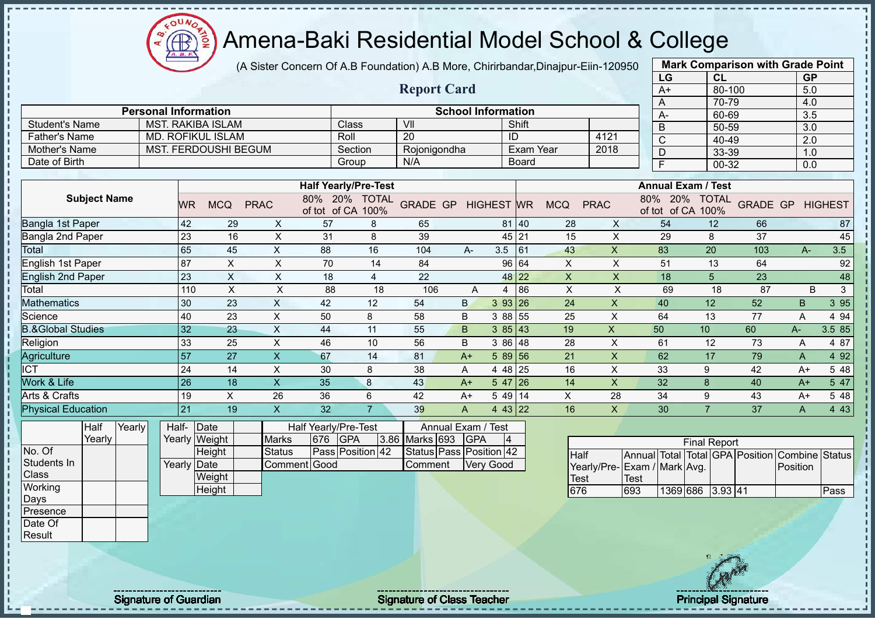(A Sister Concern Of A.B Foundation) A.B More, Chirirbandar,Dinajpur-Eiin-120950

|                              |                             |             |                             |                           |                      |                             |                         |                           |           |                  |                         |                           | LG                                 | CL                  |     | <b>GP</b>               |        |
|------------------------------|-----------------------------|-------------|-----------------------------|---------------------------|----------------------|-----------------------------|-------------------------|---------------------------|-----------|------------------|-------------------------|---------------------------|------------------------------------|---------------------|-----|-------------------------|--------|
|                              |                             |             |                             |                           |                      |                             | <b>Report Card</b>      |                           |           |                  |                         |                           | $A+$                               | 80-100              |     | 5.0                     |        |
|                              |                             |             |                             |                           |                      |                             |                         |                           |           |                  |                         |                           | A                                  | 70-79               |     | 4.0                     |        |
|                              | <b>Personal Information</b> |             |                             |                           |                      |                             |                         | <b>School Information</b> |           |                  |                         |                           | $A -$                              | 60-69               |     | $\overline{3.5}$        |        |
| <b>Student's Name</b>        |                             |             | <b>MST. RAKIBA ISLAM</b>    |                           |                      | Class                       | V <sub>II</sub>         |                           |           | Shift            |                         |                           | $\overline{B}$                     | 50-59               |     | 3.0                     |        |
| <b>Father's Name</b>         |                             |             | <b>MD. ROFIKUL ISLAM</b>    |                           | Roll                 |                             | $\overline{20}$         |                           |           | ID               |                         | 4121                      | $\overline{C}$                     | 40-49               |     | 2.0                     |        |
| <b>Mother's Name</b>         |                             |             | <b>MST. FERDOUSHI BEGUM</b> |                           |                      | Section                     | Rojonigondha            |                           |           | <b>Exam Year</b> |                         | 2018                      | $\overline{D}$                     | 33-39               |     | 1.0                     |        |
| Date of Birth                |                             |             |                             |                           |                      | Group                       | N/A                     |                           |           | <b>Board</b>     |                         |                           | $\overline{F}$                     | $00 - 32$           |     | $\overline{0.0}$        |        |
|                              |                             |             |                             |                           |                      |                             |                         |                           |           |                  |                         |                           |                                    |                     |     |                         |        |
|                              |                             |             |                             |                           |                      | <b>Half Yearly/Pre-Test</b> |                         |                           |           |                  |                         |                           | <b>Annual Exam / Test</b>          |                     |     |                         |        |
| <b>Subject Name</b>          |                             | <b>WR</b>   | <b>MCQ</b>                  | <b>PRAC</b>               | of tot of CA 100%    | 80% 20% TOTAL               | GRADE GP HIGHEST WR     |                           |           |                  | <b>MCQ</b>              | <b>PRAC</b>               | 80% 20% TOTAL<br>of tot of CA 100% |                     |     | <b>GRADE GP HIGHEST</b> |        |
| <b>Bangla 1st Paper</b>      |                             | 42          | 29                          | X                         | 57                   | 8                           | 65                      |                           |           | 81 40            | 28                      | X                         | 54                                 | 12                  | 66  |                         | 87     |
| <b>Bangla 2nd Paper</b>      |                             | 23          | 16                          | $\boldsymbol{\mathsf{X}}$ | 31                   | $\bf 8$                     | 39                      |                           |           | 45 21            | 15                      | $\pmb{\times}$            | 29                                 | $\,8\,$             | 37  |                         | 45     |
| Total                        |                             | 65          | 45                          | $\pmb{\times}$            | 88                   | 16                          | 104                     | A-                        | 3.5       | 61               | 43                      | $\boldsymbol{\mathsf{X}}$ | 83                                 | 20                  | 103 | $A -$                   | 3.5    |
| <b>English 1st Paper</b>     |                             | 87          | $\boldsymbol{\mathsf{X}}$   | $\mathsf X$               | 70                   | 14                          | 84                      |                           |           | 96 64            | $\mathsf X$             | $\boldsymbol{\mathsf{X}}$ | 51                                 | 13                  | 64  |                         | 92     |
| <b>English 2nd Paper</b>     |                             | 23          | $\times$                    | $\times$                  | 18                   | $\overline{4}$              | 22                      |                           |           | 48 22            | $\overline{\mathsf{X}}$ | $\times$                  | 18                                 | 5                   | 23  |                         | 48     |
| Total                        |                             | 110         | $\times$                    | $\boldsymbol{\mathsf{X}}$ | 88                   | 18                          | 106                     | A                         | 4         | 86               | X                       | $\pmb{\times}$            | 69                                 | 18                  | 87  | B                       | 3      |
| <b>Mathematics</b>           |                             | 30          | 23                          | $\boldsymbol{\mathsf{X}}$ | 42                   | 12                          | 54                      | B.                        | 3 93 26   |                  | 24                      | $\boldsymbol{\mathsf{X}}$ | 40                                 | 12                  | 52  | B                       | 3 9 5  |
| Science                      |                             | 40          | 23                          | $\pmb{\times}$            | 50                   | 8                           | 58                      | B                         | 3 88 55   |                  | 25                      | X                         | 64                                 | 13                  | 77  | $\overline{A}$          | 4 9 4  |
| <b>B.&amp;Global Studies</b> |                             | 32          | 23                          | $\mathsf{X}$              | 44                   | 11                          | 55                      | B                         | 385 43    |                  | 19                      | $\mathsf{x}$              | 50                                 | 10                  | 60  | A-                      | 3.5 85 |
| Religion                     |                             | 33          | 25                          | $\times$                  | 46                   | 10                          | 56                      | B                         | 3 86 48   |                  | 28                      | X                         | 61                                 | 12                  | 73  | A                       | 4 87   |
| Agriculture                  |                             | 57          | 27                          | $\overline{\mathsf{X}}$   | 67                   | 14                          | 81                      | $A+$                      | 5 89 56   |                  | 21                      | $\boldsymbol{\mathsf{X}}$ | 62                                 | 17                  | 79  | A                       | 4 9 2  |
| <b>ICT</b>                   |                             | 24          | 14                          | $\times$                  | 30                   | 8                           | 38                      | A                         | 4 48 25   |                  | 16                      | X                         | 33                                 | 9                   | 42  | $A+$                    | 5 48   |
| Work & Life                  |                             | 26          | 18                          | $\overline{\mathsf{x}}$   | 35                   | 8                           | 43                      | $A+$                      | $547$ 26  |                  | 14                      | $\mathsf{X}$              | 32                                 | 8                   | 40  | $A+$                    | 5 47   |
| Arts & Crafts                |                             | 19          | X                           | 26                        | 36                   | 6                           | 42                      | $A+$                      | 5 49 14   |                  | $\pmb{\times}$          | 28                        | 34                                 | 9                   | 43  | $A+$                    | 5 48   |
| <b>Physical Education</b>    |                             | 21          | 19                          | $\boldsymbol{\mathsf{X}}$ | 32                   | $\overline{7}$              | 39                      | $\mathsf{A}$              | 4 43 22   |                  | 16                      | $\mathsf{X}$              | 30                                 | $\overline{7}$      | 37  | Α                       | 4 4 3  |
| Half<br>Yearly               |                             | Half-       | Date                        |                           | Half Yearly/Pre-Test |                             |                         | Annual Exam / Test        |           |                  |                         |                           |                                    |                     |     |                         |        |
| Yearly                       |                             |             | Yearly Weight               | <b>Marks</b>              | 676 GPA              |                             | 3.86 Marks 693          | <b>GPA</b>                | 4         |                  |                         |                           |                                    | <b>Final Report</b> |     |                         |        |
| No. Of                       |                             |             | Height                      | <b>Status</b>             |                      | Pass Position 42            | Status Pass Position 42 |                           |           |                  | <b>Half</b>             |                           | Annual Total Total GPA Position    |                     |     | <b>Combine Status</b>   |        |
| Students In                  |                             | Yearly Date |                             |                           | Comment Good         |                             | Comment                 |                           | Very Good |                  |                         |                           | Yearly/Pre- Exam / Mark Avg.       |                     |     | Position                |        |
| Class                        |                             |             | Weight                      |                           |                      |                             |                         |                           |           |                  | <b>Test</b>             |                           | <b>Test</b>                        |                     |     |                         |        |
| Working                      |                             |             | Height                      |                           |                      |                             |                         |                           |           |                  | 676                     |                           | 693                                | 1369 686 3.93 41    |     |                         | Pass   |
| Days                         |                             |             |                             |                           |                      |                             |                         |                           |           |                  |                         |                           |                                    |                     |     |                         |        |
| Presence                     |                             |             |                             |                           |                      |                             |                         |                           |           |                  |                         |                           |                                    |                     |     |                         |        |
| Date Of                      |                             |             |                             |                           |                      |                             |                         |                           |           |                  |                         |                           |                                    |                     |     |                         |        |
| Result                       |                             |             |                             |                           |                      |                             |                         |                           |           |                  |                         |                           |                                    |                     |     |                         |        |

 $\Omega$ 

Signature of Guardian Signature Signature of Class Teacher New York Network Principal Signature

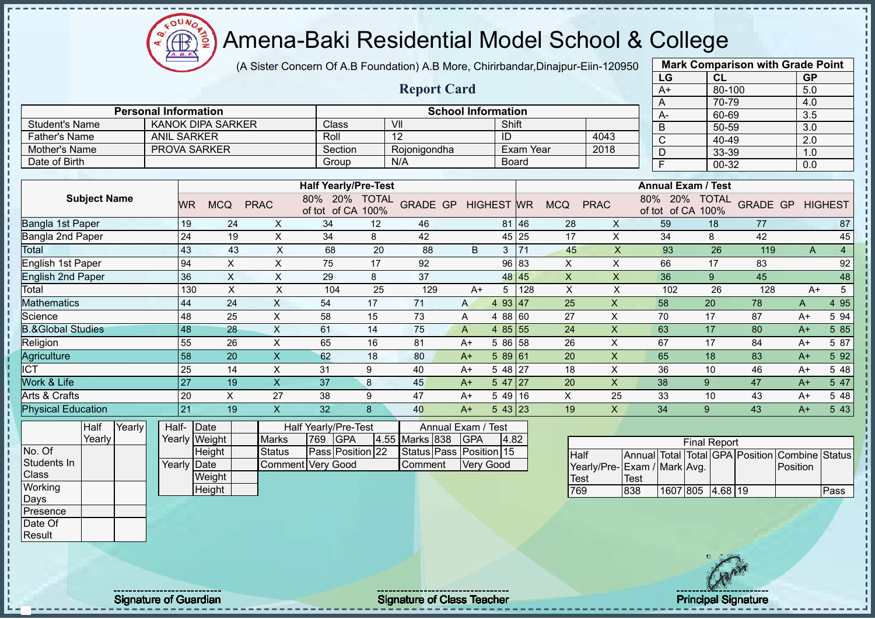$\Omega$ **AB** 

# Amena-Baki Residential Model School & College

(A Sister Concern Of A.B Foundation) A.B More, Chirirbandar,Dinajpur-Eiin-120950

|                              |                             |                                  |                               |                                       |                  |                                    |                           |              |             |                           |                           | LG                           | CL                  |     | <b>GP</b>               |                |
|------------------------------|-----------------------------|----------------------------------|-------------------------------|---------------------------------------|------------------|------------------------------------|---------------------------|--------------|-------------|---------------------------|---------------------------|------------------------------|---------------------|-----|-------------------------|----------------|
|                              |                             |                                  |                               |                                       |                  | <b>Report Card</b>                 |                           |              |             |                           |                           | $A+$                         | $80 - 100$          |     | 5.0                     |                |
|                              |                             |                                  |                               |                                       |                  |                                    |                           |              |             |                           |                           | A                            | 70-79               |     | 4.0                     |                |
|                              | <b>Personal Information</b> |                                  |                               |                                       |                  |                                    | <b>School Information</b> |              |             |                           |                           | $A -$                        | 60-69               |     | 3.5                     |                |
| <b>Student's Name</b>        |                             | <b>KANOK DIPA SARKER</b>         |                               | Class                                 |                  | VII                                |                           | Shift        |             |                           |                           | $\overline{B}$               | 50-59               |     | $\overline{3.0}$        |                |
| <b>Father's Name</b>         | <b>ANIL SARKER</b>          |                                  |                               | Roll                                  |                  | $\overline{12}$                    |                           | ID           |             |                           | 4043                      | $\overline{C}$               | 40-49               |     | 2.0                     |                |
| Mother's Name                |                             | <b>PROVA SARKER</b>              |                               | Section                               |                  | Rojonigondha                       |                           |              | Exam Year   |                           | 2018                      | $\overline{D}$               | $33 - 39$           |     | 1.0                     |                |
| Date of Birth                |                             |                                  |                               | Group                                 |                  | N/A                                |                           | <b>Board</b> |             |                           |                           | $\overline{F}$               | $00 - 32$           |     | 0.0                     |                |
|                              |                             |                                  |                               | <b>Half Yearly/Pre-Test</b>           |                  |                                    |                           |              |             |                           |                           | <b>Annual Exam / Test</b>    |                     |     |                         |                |
| <b>Subject Name</b>          | <b>WR</b>                   | <b>MCQ</b>                       | <b>PRAC</b>                   | 80% 20% TOTAL<br>of tot of CA 100%    |                  | GRADE GP HIGHEST WR                |                           |              |             | <b>MCQ</b>                | <b>PRAC</b>               | 80% 20%<br>of tot of CA 100% | <b>TOTAL</b>        |     | <b>GRADE GP HIGHEST</b> |                |
| Bangla 1st Paper             | 19                          | 24                               | $\mathsf{X}$                  | 34                                    | 12               | 46                                 |                           |              | 81 46       | 28                        | X                         | 59                           | 18                  | 77  |                         | 87             |
| Bangla 2nd Paper             | 24                          | 19                               | $\mathsf X$                   | 34                                    | 8                | 42                                 |                           |              | 45 25       | 17                        | $\pmb{\times}$            | 34                           | 8                   | 42  |                         | 45             |
| <b>Total</b>                 | 43                          | 43                               | $\boldsymbol{\mathsf{X}}$     | 68                                    | 20               | 88                                 | B                         |              | $3 \mid 71$ | 45                        | $\boldsymbol{\mathsf{X}}$ | 93                           | 26                  | 119 | $\overline{A}$          | $\overline{4}$ |
| English 1st Paper            | 94                          | $\pmb{\times}$                   | $\pmb{\times}$                | 75                                    | 17               | 92                                 |                           |              | 96 83       | $\times$                  | X                         | 66                           | 17                  | 83  |                         | 92             |
| <b>English 2nd Paper</b>     | 36                          | $\mathsf X$                      | $\pmb{\times}$                | 29                                    | 8                | 37                                 |                           |              | 48 45       | $\boldsymbol{\mathsf{X}}$ | X                         | 36                           | 9                   | 45  |                         | 48             |
| Total                        |                             | $\boldsymbol{\mathsf{X}}$<br>130 | $\pmb{\times}$                | 104                                   | 25               | 129                                | $A+$                      | 5            | 128         | $\mathsf{X}$              | X                         | 102                          | 26                  | 128 | $A+$                    | 5              |
| <b>Mathematics</b>           | 44                          | 24                               | $\sf X$                       | 54                                    | 17               | 71                                 | A                         | 4 93 47      |             | 25                        | X                         | 58                           | 20                  | 78  | A                       | 4 9 5          |
| Science                      | 48                          | 25                               | $\mathsf X$                   | 58                                    | 15               | 73                                 | Α                         | 4 88 60      |             | 27                        | X                         | 70                           | 17                  | 87  | $A+$                    | 5 94           |
| <b>B.&amp;Global Studies</b> | 48                          | 28                               | $\mathsf{X}$                  | 61                                    | 14               | 75                                 | $\overline{A}$            | 4 85 55      |             | 24                        | $\mathsf X$               | 63                           | 17                  | 80  | $A+$                    | 5 85           |
| Religion                     | 55                          | 26                               | $\sf X$                       | 65                                    | 16               | 81                                 | $A+$                      | 5 86 58      |             | 26                        | X                         | 67                           | 17                  | 84  | $A+$                    | 5 87           |
| Agriculture                  | 58                          | 20                               | $\pmb{\mathsf{X}}$            | 62                                    | 18               | 80                                 | $A+$                      | 589 61       |             | 20                        | X                         | 65                           | 18                  | 83  | $A+$                    | 5 9 2          |
| $\overline{ICT}$             | 25                          | 14                               | $\pmb{\times}$                | 31                                    | 9                | 40                                 | $A+$                      | 5 48 27      |             | 18                        | X                         | 36                           | 10                  | 46  | $A+$                    | 5 48           |
| Work & Life                  | 27                          | 19                               | $\overline{\mathsf{X}}$       | 37                                    | $\boldsymbol{8}$ | 45                                 | $A+$                      | $547$   27   |             | 20                        | $\mathsf X$               | 38                           | $\boldsymbol{9}$    | 47  | $A+$                    | 5 47           |
| Arts & Crafts                | 20                          | $\pmb{\times}$                   | 27                            | 38                                    | 9                | 47                                 | $A+$                      | 54916        |             | $\mathsf X$               | 25                        | 33                           | 10                  | 43  | $A+$                    | 5 48           |
| <b>Physical Education</b>    | 21                          | 19                               | $\mathsf X$                   | 32                                    | 8                | 40                                 | $A+$                      | $543$ 23     |             | 19                        | $\mathsf{X}$              | 34                           | 9                   | 43  | $A+$                    | 5 4 3          |
| Half<br>Yearly<br>Yearly     |                             | Half- Date                       |                               | Half Yearly/Pre-Test                  |                  | Annual Exam / Test                 |                           |              |             |                           |                           |                              |                     |     |                         |                |
| No. Of                       |                             | Yearly Weight                    | <b>Marks</b><br><b>Status</b> | <b>GPA</b><br>769                     | 4.55             | Marks 838                          | GPA                       | 4.82         |             |                           |                           |                              | <b>Final Report</b> |     |                         |                |
| Students In                  |                             | Height<br>Yearly Date            |                               | Pass Position 22<br>Comment Very Good |                  | Status Pass Position 15<br>Comment |                           | Very Good    |             | <b>Half</b>               |                           | Annual Total                 | Total GPA Position  |     | Combine                 | <b>Status</b>  |
| Class                        |                             | Weight                           |                               |                                       |                  |                                    |                           |              |             |                           |                           | Yearly/Pre-Exam / Mark Avg.  |                     |     | Position                |                |
| Working                      |                             | Height                           |                               |                                       |                  |                                    |                           |              |             | <b>Test</b><br>769        |                           | <b>Test</b><br>838           | 1607 805 4.68 19    |     |                         | Pass           |
| Days                         |                             |                                  |                               |                                       |                  |                                    |                           |              |             |                           |                           |                              |                     |     |                         |                |
| Presence                     |                             |                                  |                               |                                       |                  |                                    |                           |              |             |                           |                           |                              |                     |     |                         |                |
| Date Of                      |                             |                                  |                               |                                       |                  |                                    |                           |              |             |                           |                           |                              |                     |     |                         |                |



**Mark Comparison with Grade Point**

Result

Signature of Guardian Signature of Class Teacher Principal Signature of Class Teacher Principal Signature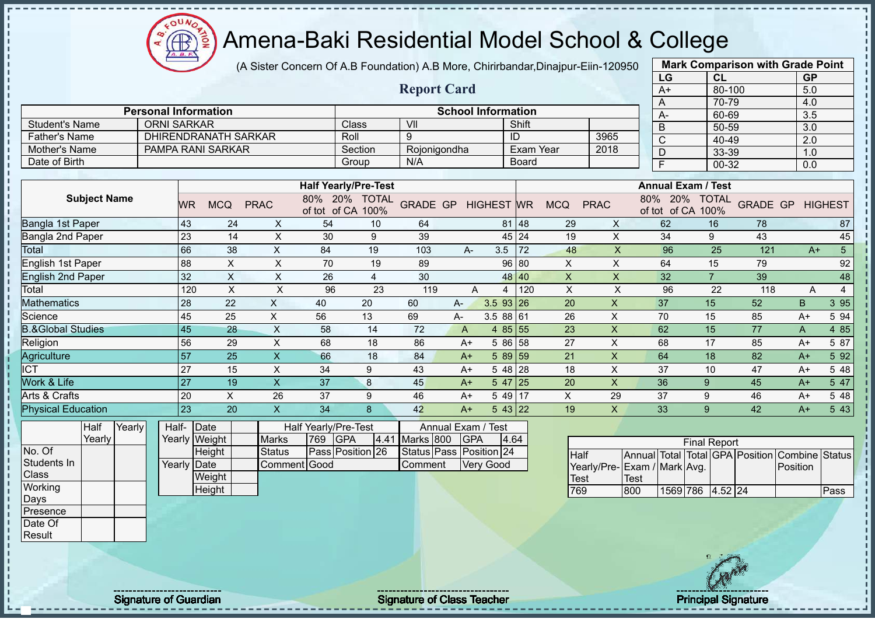(A Sister Concern Of A.B Foundation) A.B More, Chirirbandar,Dinajpur-Eiin-120950

|                              |                             |                 |                             |                           |                                    |                |                    |                           |                   |              |                           |                |      | LG                                 | <b>CL</b>           |                 | <b>GP</b>             |                |
|------------------------------|-----------------------------|-----------------|-----------------------------|---------------------------|------------------------------------|----------------|--------------------|---------------------------|-------------------|--------------|---------------------------|----------------|------|------------------------------------|---------------------|-----------------|-----------------------|----------------|
|                              |                             |                 |                             |                           |                                    |                | <b>Report Card</b> |                           |                   |              |                           |                |      | $A+$                               | 80-100              |                 | 5.0                   |                |
|                              |                             |                 |                             |                           |                                    |                |                    |                           |                   |              |                           |                |      | A                                  | 70-79               |                 | 4.0                   |                |
|                              | <b>Personal Information</b> |                 |                             |                           |                                    |                |                    | <b>School Information</b> |                   |              |                           |                |      | A-                                 | 60-69               |                 | 3.5                   |                |
| <b>Student's Name</b>        | <b>ORNI SARKAR</b>          |                 |                             |                           |                                    | Class          | V <sub>II</sub>    |                           |                   | Shift        |                           |                |      | $\overline{B}$                     | 50-59               |                 | 3.0                   |                |
| <b>Father's Name</b>         |                             |                 | <b>DHIRENDRANATH SARKAR</b> |                           |                                    | Roll           | 9                  |                           |                   | ID           |                           | 3965           |      | $\overline{\mathsf{C}}$            | 40-49               |                 | $\overline{2.0}$      |                |
| Mother's Name                |                             |                 | PAMPA RANI SARKAR           |                           |                                    | Section        | Rojonigondha       |                           |                   | Exam Year    |                           | 2018           |      | $\overline{D}$                     | 33-39               |                 | 1.0                   |                |
| Date of Birth                |                             |                 |                             |                           |                                    | Group          | N/A                |                           |                   | <b>Board</b> |                           |                |      | $\overline{\mathsf{F}}$            | 00-32               |                 | 0.0                   |                |
|                              |                             |                 |                             |                           | <b>Half Yearly/Pre-Test</b>        |                |                    |                           |                   |              |                           |                |      | <b>Annual Exam / Test</b>          |                     |                 |                       |                |
| <b>Subject Name</b>          |                             | <b>WR</b>       | <b>MCQ</b>                  | <b>PRAC</b>               | 80% 20% TOTAL<br>of tot of CA 100% |                | <b>GRADE GP</b>    |                           | <b>HIGHEST WR</b> |              | <b>MCQ</b>                | <b>PRAC</b>    |      | 80% 20% TOTAL<br>of tot of CA 100% |                     | <b>GRADE GP</b> |                       | <b>HIGHEST</b> |
| Bangla 1st Paper             |                             | 43              | 24                          | X                         | 54                                 | 10             | 64                 |                           |                   | 81 48        | 29                        | X              |      | 62                                 | 16                  | 78              |                       | 87             |
| Bangla 2nd Paper             |                             | 23              | 14                          | $\pmb{\times}$            | 30                                 | 9              | 39                 |                           |                   | 45 24        | 19                        | $\pmb{\times}$ |      | 34                                 | 9                   | 43              |                       | 45             |
| <b>Total</b>                 |                             | 66              | 38                          | $\pmb{\times}$            | 84                                 | 19             | 103                | A-                        | 3.5               | 72           | 48                        | $\mathsf{x}$   |      | 96                                 | 25                  | 121             | $A+$                  | $\sqrt{5}$     |
| <b>English 1st Paper</b>     |                             | $\overline{88}$ | $\boldsymbol{\mathsf{X}}$   | $\pmb{\times}$            | 70                                 | 19             | 89                 |                           | 96                | 80           | $\pmb{\times}$            | $\pmb{\times}$ |      | 64                                 | 15                  | 79              |                       | 92             |
| <b>English 2nd Paper</b>     |                             | 32              | $\boldsymbol{\mathsf{X}}$   | $\pmb{\times}$            | 26                                 | $\overline{4}$ | 30                 |                           | 48                | 40           | $\pmb{\times}$            | $\mathsf{X}$   |      | 32                                 | $\overline{7}$      | 39              |                       | 48             |
| Total                        |                             | 120             | $\boldsymbol{\mathsf{X}}$   | $\boldsymbol{\mathsf{X}}$ | 96                                 | 23             | 119                | A                         | 4                 | 120          | X                         | $\pmb{\times}$ |      | 96                                 | 22                  | 118             | A                     | $\overline{4}$ |
| <b>Mathematics</b>           |                             | 28              | 22                          | X                         | 40                                 | 20             | 60                 | A-                        | 3.5 93            | 26           | 20                        | $\pmb{\times}$ |      | 37                                 | 15                  | 52              | B                     | 3 9 5          |
| Science                      |                             | 45              | 25                          | X                         | 56                                 | 13             | 69                 | A-                        | 3.5 88 61         |              | 26                        | X              |      | 70                                 | 15                  | 85              | $A+$                  | 5 94           |
| <b>B.&amp;Global Studies</b> |                             | 45              | 28                          | $\mathsf X$               | 58                                 | 14             | 72                 | $\overline{A}$            | 4 $85 55$         |              | 23                        | $\pmb{\times}$ |      | 62                                 | 15                  | 77              | $\mathsf{A}$          | 4 8 5          |
| Religion                     |                             | 56              | 29                          | $\mathsf X$               | 68                                 | 18             | 86                 | $A+$                      | 5 86 58           |              | 27                        | $\mathsf{X}$   |      | 68                                 | 17                  | 85              | $A+$                  | 5 87           |
| Agriculture                  |                             | 57              | 25                          | $\mathsf X$               | 66                                 | 18             | 84                 | $A+$                      | 5 89 59           |              | 21                        | $\pmb{\times}$ |      | 64                                 | 18                  | 82              | $A+$                  | 5 9 2          |
| $\overline{\text{ICT}}$      |                             | 27              | 15                          | $\mathsf X$               | 34                                 | 9              | 43                 | $A+$                      | 5 48 28           |              | 18                        | X              |      | 37                                 | 10                  | 47              | $A+$                  | 5 48           |
| Work & Life                  |                             | 27              | 19                          | $\overline{\mathsf{X}}$   | 37                                 | 8              | 45                 | $A+$                      | 5 47 25           |              | 20                        | $\mathsf{X}$   |      | 36                                 | 9                   | 45              | $A+$                  | 5 47           |
| Arts & Crafts                |                             | 20              | $\boldsymbol{\mathsf{X}}$   | 26                        | 37                                 | 9              | 46                 | $A+$                      | 5 49 17           |              | $\boldsymbol{\mathsf{X}}$ | 29             |      | 37                                 | 9                   | 46              | $A+$                  | 5 48           |
| <b>Physical Education</b>    |                             | 23              | 20                          | $\mathsf X$               | 34                                 | 8              | 42                 | $A+$                      | $543$ 22          |              | 19                        | $\mathsf{X}$   |      | 33                                 | 9                   | 42              | $A+$                  | 5 4 3          |
| Half<br>Yearly               |                             | Half- Date      |                             |                           | Half Yearly/Pre-Test               |                |                    | Annual Exam / Test        |                   |              |                           |                |      |                                    |                     |                 |                       |                |
| Yearly                       |                             | Yearly Weight   |                             | <b>Marks</b>              | <b>GPA</b><br>769                  | 4.41           | Marks 800          | <b>GPA</b>                |                   | 4.64         |                           |                |      |                                    | <b>Final Report</b> |                 |                       |                |
| No. Of                       |                             |                 | Height                      | <b>Status</b>             | Pass Position 26                   |                | Status Pass        |                           | Position 24       |              | Half                      |                |      | Annual Total Total GPA Position    |                     |                 | <b>Combine Status</b> |                |
| Students In                  |                             | Yearly Date     |                             | Comment Good              |                                    |                | Comment            |                           | Very Good         |              |                           | Yearly/Pre-    |      | Exam / Mark Avg.                   |                     |                 | Position              |                |
| Class                        |                             |                 | Weight                      |                           |                                    |                |                    |                           |                   |              | Test                      |                | Test |                                    |                     |                 |                       |                |
| Working                      |                             |                 | Height                      |                           |                                    |                |                    |                           |                   |              | 769                       |                | 800  | 1569 786 4.52 24                   |                     |                 |                       | Pass           |
| Days                         |                             |                 |                             |                           |                                    |                |                    |                           |                   |              |                           |                |      |                                    |                     |                 |                       |                |
| Presence                     |                             |                 |                             |                           |                                    |                |                    |                           |                   |              |                           |                |      |                                    |                     |                 |                       |                |
| Date Of                      |                             |                 |                             |                           |                                    |                |                    |                           |                   |              |                           |                |      |                                    |                     |                 |                       |                |
| Result                       |                             |                 |                             |                           |                                    |                |                    |                           |                   |              |                           |                |      |                                    |                     |                 |                       |                |
|                              |                             |                 |                             |                           |                                    |                |                    |                           |                   |              |                           |                |      |                                    | 18 元 200            |                 |                       |                |

**CB** 

Signature of Guardian Signature Signature of Class Teacher New York Network Principal Signature

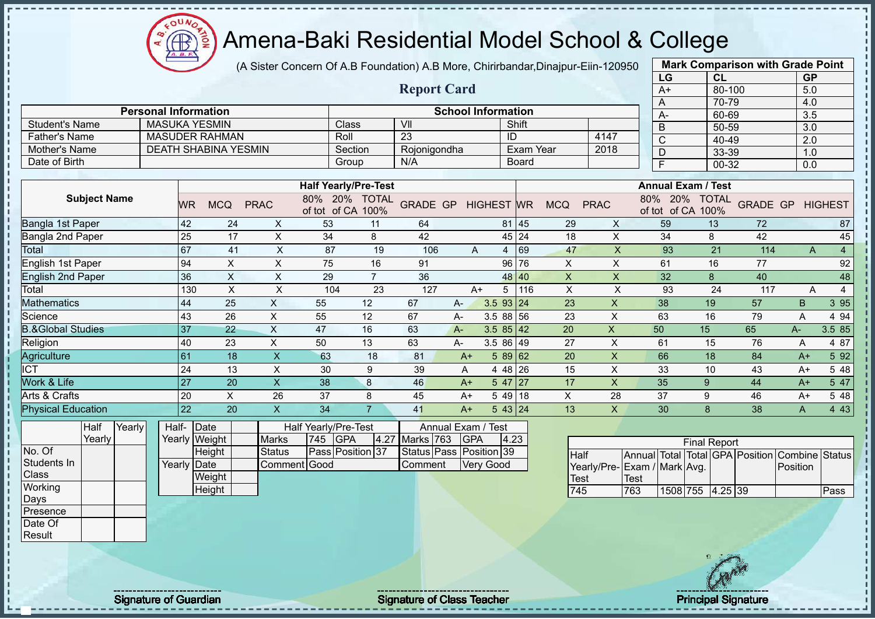$O<sub>O</sub>$ Æ

# Amena-Baki Residential Model School & College

(A Sister Concern Of A.B Foundation) A.B More, Chirirbandar,Dinajpur-Eiin-120950

**Report Card**

|      | <b>Mark Comparison with Grade Point</b> |           |
|------|-----------------------------------------|-----------|
| LG   | <b>CL</b>                               | <b>GP</b> |
| $A+$ | 80-100                                  | 5.0       |
| A    | 70-79                                   | 4.0       |
| А-   | 60-69                                   | 3.5       |
| B    | 50-59                                   | 3.0       |
| C    | 40-49                                   | 2.0       |
| D    | 33-39                                   | 1.0       |
| F    | 00-32                                   | 0.0       |
|      |                                         |           |

|                | <b>Personal Information</b> |         | <b>School Information</b> |              |      |
|----------------|-----------------------------|---------|---------------------------|--------------|------|
| Student's Name | MASUKA YESMIN               | Class   | VII                       | Shift        |      |
| Father's Name  | <b>MASUDER RAHMAN</b>       | Roll    | 23                        | ID           | 4147 |
| Mother's Name  | DEATH SHABINA YESMIN        | Section | Roionigondha              | Exam Year    | 2018 |
| Date of Birth  |                             | Group   | N/A                       | <b>Board</b> |      |

|                              |     |            |             | <b>Half Yearly/Pre-Test</b>   |                      |                 |      |                   |       |            |             | <b>Annual Exam / Test</b>     |                      |                 |      |                |
|------------------------------|-----|------------|-------------|-------------------------------|----------------------|-----------------|------|-------------------|-------|------------|-------------|-------------------------------|----------------------|-----------------|------|----------------|
| <b>Subject Name</b>          | WR  | <b>MCQ</b> | <b>PRAC</b> | 20%<br>80%<br>of CA<br>of tot | <b>TOTAL</b><br>100% | <b>GRADE GP</b> |      | <b>HIGHEST WR</b> |       | <b>MCQ</b> | <b>PRAC</b> | 20%<br>80%<br>of CA<br>of tot | <b>TOTAL</b><br>100% | <b>GRADE GP</b> |      | <b>HIGHEST</b> |
| Bangla 1st Paper             | 42  | 24         | X.          | 53                            | 11                   | 64              |      |                   | 81 45 | 29         | X           | 59                            | 13                   | 72              |      | 87             |
| Bangla 2nd Paper             | 25  | 17         | X.          | 34                            | 8                    | 42              |      |                   | 45 24 | 18         | X           | 34                            | 8                    | 42              |      | 45             |
| Total                        | 67  | 41         | X           | 87                            | 19                   | 106             | A    | 4                 | 69    | 47         | X           | 93                            | 21                   | 114             | A    |                |
| English 1st Paper            | 94  | X          | X           | 75                            | 16                   | 91              |      |                   | 96 76 | X          | X           | 61                            | 16                   | 77              |      | 92             |
| <b>English 2nd Paper</b>     | 36  | X          | X           | 29                            |                      | 36              |      |                   | 48 40 | X          | X           | 32                            | 8                    | 40              |      | 48             |
| Total                        | 130 | X          | X           | 104                           | 23                   | 127             | $A+$ | 5                 | 116   | X          | X           | 93                            | 24                   | 117             | A    |                |
| Mathematics                  | 44  | 25         | X           | 55                            | 12                   | 67              | A-   | 3.5 93 24         |       | 23         | X           | 38                            | 19                   | 57              | B    | 3 9 5          |
| Science                      | 43  | 26         | X           | 55                            | 12                   | 67              | A-   | 3.5 88 56         |       | 23         | X           | 63                            | 16                   | 79              | A    | 4 9 4          |
| <b>3.&amp;Global Studies</b> | 37  | 22         | X           | 47                            | 16                   | 63              | $A-$ | $3.585$ 42        |       | 20         | X.          | 50                            | 15                   | 65              | $A-$ | 3.5 85         |
| Religion                     | 40  | 23         | X           | 50                            | 13                   | 63              | $A-$ | $3.586$ 49        |       | 27         | X           | 61                            | 15                   | 76              | Α    | 4 87           |
| Agriculture                  | 61  | 18         | X           | 63                            | 18                   | 81              | $A+$ | $589$ 62          |       | 20         | X.          | 66                            | 18                   | 84              | $A+$ | 5 9 2          |
| $\overline{\text{C}}$        | 24  | 13         | X           | 30                            | 9                    | 39              | A    | 4 48 26           |       | 15         | X           | 33                            | 10                   | 43              | A+   | 5 48           |
| <b>Nork &amp; Life</b>       | 27  | 20         |             | 38                            | 8                    | 46              | $A+$ | $547$   27        |       | 17         | X.          | 35                            | 9                    | 44              | $A+$ | 5 47           |
| Arts & Crafts                | 20  | X          | 26          | 37                            | 8                    | 45              | $A+$ | 5 49 18           |       | X          | 28          | 37                            | 9                    | 46              | $A+$ | 5 48           |
| <b>Physical Education</b>    | 22  | 20         |             | 34                            |                      | 41              | $A+$ | 543 24            |       | 13         | X           | 30                            | 8                    | 38              | A    | 4 4 3          |

| Half   | Yearly | Half-       | <b>IDate</b>  |               |                | Half Yearly/Pre-Test |                    | Annual Exam / Test      |     |
|--------|--------|-------------|---------------|---------------|----------------|----------------------|--------------------|-------------------------|-----|
| Yearly |        |             | Yearly Weight | <b>Marks</b>  | <b>745 GPA</b> |                      | 4.27 Marks 763 GPA |                         | 4.2 |
|        |        |             | Height        | <b>Status</b> |                | Pass Position 37     |                    | Status Pass Position 39 |     |
|        |        | Yearly Date |               | Comment Good  |                |                      | Comment            | <b>Verv Good</b>        |     |
|        |        |             | Weight        |               |                |                      |                    |                         |     |
|        |        |             | Height        |               |                |                      |                    |                         |     |
|        |        |             |               |               |                |                      |                    |                         |     |

|                             |      |                  | <b>Final Report</b> |  |                                                |      |
|-----------------------------|------|------------------|---------------------|--|------------------------------------------------|------|
| <b>I</b> Half               |      |                  |                     |  | Annual Total Total GPA Position Combine Status |      |
| Yearly/Pre-Exam / Mark Avg. |      |                  |                     |  | <b>IPosition</b>                               |      |
| <b>Test</b>                 | Test |                  |                     |  |                                                |      |
| 745                         | 763  | 1508 755 4.25 39 |                     |  |                                                | Pass |

No. Of Students In **Class Working** Days Presence Date Of Result

J.

 $\blacksquare$ 

Signature of Guardian Signature of Class Teacher Principal Signature of Class Teacher Principal Signature

 $4.23$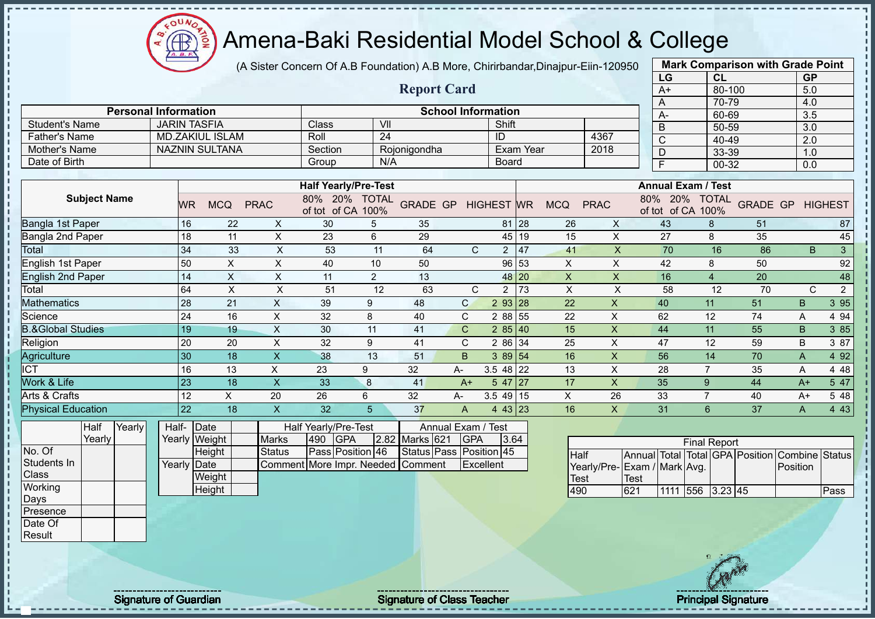oυ Æ

# Amena-Baki Residential Model School & College

(A Sister Concern Of A.B Foundation) A.B More, Chirirbandar,Dinajpur-Eiin-120950

|                                 |                     |                 |                        |                           |                                           |                 |                                 |              |                   |           |             |                             |             | LG                      | <b>CL</b>                          |                                         | <b>GP</b>    |                |
|---------------------------------|---------------------|-----------------|------------------------|---------------------------|-------------------------------------------|-----------------|---------------------------------|--------------|-------------------|-----------|-------------|-----------------------------|-------------|-------------------------|------------------------------------|-----------------------------------------|--------------|----------------|
|                                 |                     |                 |                        |                           |                                           |                 | <b>Report Card</b>              |              |                   |           |             |                             |             | $A+$                    | 80-100                             |                                         | 5.0          |                |
|                                 |                     |                 |                        |                           |                                           |                 |                                 |              |                   |           |             |                             |             | A                       | 70-79                              |                                         | 4.0          |                |
| <b>Personal Information</b>     |                     |                 |                        |                           |                                           |                 | <b>School Information</b>       |              |                   |           |             |                             |             | A-                      | 60-69                              |                                         | 3.5          |                |
| <b>Student's Name</b>           | <b>JARIN TASFIA</b> |                 |                        |                           | Class                                     | VII             |                                 |              | Shift             |           |             |                             |             | B                       | 50-59                              |                                         | 3.0          |                |
| <b>Father's Name</b>            |                     |                 | <b>MD.ZAKIUL ISLAM</b> |                           | Roll                                      | $\overline{24}$ |                                 |              | ID                |           |             | 4367                        |             | $\mathsf{C}$            | 40-49                              |                                         | 2.0          |                |
| Mother's Name                   |                     |                 | <b>NAZNIN SULTANA</b>  |                           | Section                                   |                 | Rojonigondha                    |              |                   | Exam Year |             | 2018                        |             | D                       | 33-39                              |                                         | 1.0          |                |
| Date of Birth                   |                     |                 |                        |                           | Group                                     | N/A             |                                 |              | <b>Board</b>      |           |             |                             |             | $\overline{\mathsf{F}}$ | $00 - 32$                          |                                         | 0.0          |                |
|                                 |                     |                 |                        |                           |                                           |                 |                                 |              |                   |           |             |                             |             |                         |                                    |                                         |              |                |
|                                 |                     |                 |                        |                           | <b>Half Yearly/Pre-Test</b>               |                 |                                 |              |                   |           |             |                             |             |                         | <b>Annual Exam / Test</b>          |                                         |              |                |
| <b>Subject Name</b>             |                     | <b>WR</b>       | <b>MCQ</b>             | <b>PRAC</b>               | 80% 20% TOTAL<br>of tot of CA 100%        |                 | <b>GRADE GP</b>                 |              | <b>HIGHEST WR</b> |           | <b>MCQ</b>  | <b>PRAC</b>                 |             |                         | 80% 20% TOTAL<br>of tot of CA 100% | <b>GRADE GP</b>                         |              | <b>HIGHEST</b> |
| Bangla 1st Paper                |                     | 16              | 22                     | X                         | 30                                        | 5               | 35                              |              | 81                | 28        | 26          | X                           |             | 43                      | 8                                  | 51                                      |              | 87             |
| Bangla 2nd Paper                |                     | 18              | 11                     | X                         | 23                                        | 6               | 29                              |              |                   | 45 19     | 15          | X                           |             | 27                      | 8                                  | 35                                      |              | 45             |
| Total                           |                     | 34              | 33                     | $\boldsymbol{\mathsf{X}}$ | 53                                        | 11              | 64                              | $\mathsf{C}$ | $\overline{2}$    | 47        | 41          | $\boldsymbol{\mathsf{X}}$   |             | 70                      | 16                                 | 86                                      | B.           | $\mathbf{3}$   |
| English 1st Paper               |                     | 50              | $\times$               | X                         | 40                                        | 10              | 50                              |              | 96                | 53        | X           | X                           |             | 42                      | 8                                  | 50                                      |              | 92             |
| <b>English 2nd Paper</b>        |                     | 14              | X                      | X                         | 11                                        | 2               | 13                              |              | 48                | 20        | X           | X                           |             | 16                      | $\overline{4}$                     | 20                                      |              | 48             |
| Total                           |                     | 64              | $\sf X$                | $\boldsymbol{\mathsf{X}}$ | 51                                        | 12              | 63                              | $\mathsf{C}$ | $\overline{2}$    | 73        | X           | $\pmb{\times}$              |             | 58                      | 12                                 | 70                                      | $\mathsf{C}$ | $\sqrt{2}$     |
| <b>Mathematics</b>              |                     | 28              | 21                     | $\pmb{\times}$            | 39                                        | 9               | 48                              | $\mathsf{C}$ | 2 93 28           |           | 22          | $\mathsf{x}$                |             | 40                      | 11                                 | 51                                      | B            | 3 9 5          |
| Science                         |                     | 24              | 16                     | $\pmb{\times}$            | 32                                        | 8               | 40                              | $\mathsf C$  | 2 8 8             | 55        | 22          | X                           |             | 62                      | 12                                 | 74                                      | A            | 4 9 4          |
| <b>B.&amp;Global Studies</b>    |                     | 19              | 19                     | $\pmb{\times}$            | 30                                        | 11              | 41                              | $\mathsf{C}$ | 285 40            |           | 15          | $\pmb{\times}$              |             | 44                      | 11                                 | 55                                      | B            | 3 85           |
| Religion                        |                     | 20              | 20                     | $\pmb{\times}$            | 32                                        | 9               | 41                              | C            | 2 86              | 34        | 25          | X                           |             | 47                      | 12                                 | 59                                      | B            | 3 87           |
| Agriculture                     |                     | 30              | 18                     | $\pmb{\mathsf{X}}$        | 38                                        | 13              | 51                              | B            | 3 89 54           |           | 16          | $\mathsf{x}$                |             | 56                      | 14                                 | 70                                      | A            | 4 9 2          |
| $\overline{ICT}$                |                     | 16              | 13                     | $\mathsf X$               | 23                                        | 9               | 32                              | A-           | $3.548$ 22        |           | 13          | X                           |             | 28                      |                                    | 35                                      | A            | 4 4 8          |
| Work & Life                     |                     | $\overline{23}$ | 18                     | $\mathsf X$               | 33                                        | 8               | 41                              | $A+$         | 5 47              | 27        | 17          | $\mathsf{X}$                |             | 35                      | 9                                  | 44                                      | $A+$         | 5 47           |
| Arts & Crafts                   |                     | 12              | $\times$               | 20                        | 26                                        | 6               | 32                              | А-           | $3.549$ 15        |           | $\times$    | 26                          |             | 33                      | $\overline{7}$                     | 40                                      | $A+$         | 5 48           |
| <b>Physical Education</b>       |                     | $\overline{22}$ | 18                     | $\boldsymbol{\mathsf{X}}$ | 32                                        | 5               | 37                              | A            | 4 43 23           |           | 16          | $\mathsf{X}$                |             | 31                      | 6                                  | 37                                      | A            | 4 4 3          |
| <b>Half</b><br>Yearly<br>Yearly | Half-               |                 | Date<br>Yearly Weight  | <b>Marks</b>              | Half Yearly/Pre-Test<br><b>GPA</b><br>490 | 2.82            | Annual Exam / Test<br>Marks 621 | <b>GPA</b>   | 3.64              |           |             |                             |             |                         |                                    |                                         |              |                |
| No. Of                          |                     |                 | Height                 | <b>Status</b>             | Pass Position 46                          |                 | Status Pass Position 45         |              |                   |           |             |                             |             |                         | <b>Final Report</b>                |                                         |              |                |
| Students In                     |                     | Yearly Date     |                        |                           | Comment More Impr. Needed Comment         |                 |                                 | Excellent    |                   |           | <b>Half</b> |                             |             |                         |                                    | Annual Total Total GPA Position Combine |              | <b>Status</b>  |
| Class                           |                     |                 | Weight                 |                           |                                           |                 |                                 |              |                   |           | <b>Test</b> | Yearly/Pre-Exam / Mark Avg. | <b>Test</b> |                         |                                    |                                         | Position     |                |
| Working                         |                     |                 | Height                 |                           |                                           |                 |                                 |              |                   |           | 490         |                             | 621         | 1111                    | 556 3.23 45                        |                                         |              | Pass           |
| Days                            |                     |                 |                        |                           |                                           |                 |                                 |              |                   |           |             |                             |             |                         |                                    |                                         |              |                |
| Presence                        |                     |                 |                        |                           |                                           |                 |                                 |              |                   |           |             |                             |             |                         |                                    |                                         |              |                |



**Mark Comparison with Grade Point**

Date Of Result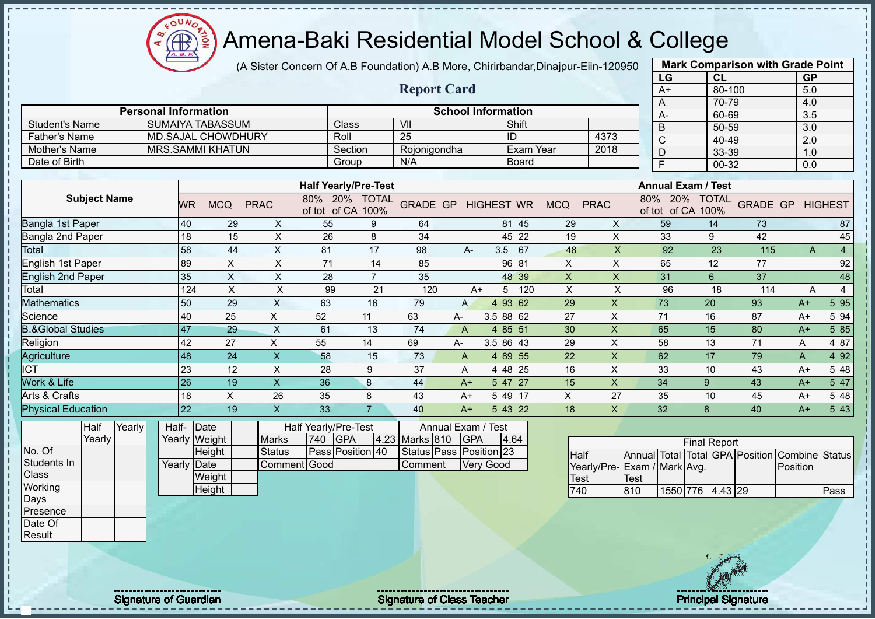(A Sister Concern Of A.B Foundation) A.B More, Chirirbandar,Dinajpur-Eiin-120950

|                              |        |                             |                 |                           |                           |                                    |                |                    |                           |                   |                  |                |                           |             | LG                                 | <b>CL</b>           |                                 | <b>GP</b>             |                |
|------------------------------|--------|-----------------------------|-----------------|---------------------------|---------------------------|------------------------------------|----------------|--------------------|---------------------------|-------------------|------------------|----------------|---------------------------|-------------|------------------------------------|---------------------|---------------------------------|-----------------------|----------------|
|                              |        |                             |                 |                           |                           |                                    |                | <b>Report Card</b> |                           |                   |                  |                |                           |             | $A+$                               | 80-100              |                                 | 5.0                   |                |
|                              |        |                             |                 |                           |                           |                                    |                |                    |                           |                   |                  |                |                           |             | A                                  | 70-79               |                                 | 4.0                   |                |
|                              |        | <b>Personal Information</b> |                 |                           |                           |                                    |                |                    | <b>School Information</b> |                   |                  |                |                           |             | A-                                 | 60-69               |                                 | $\overline{3.5}$      |                |
| <b>Student's Name</b>        |        |                             |                 | <b>SUMAIYA TABASSUM</b>   |                           | Class                              |                | VII                |                           |                   | Shift            |                |                           |             | B                                  | 50-59               |                                 | 3.0                   |                |
| <b>Father's Name</b>         |        |                             |                 | <b>MD.SAJAL CHOWDHURY</b> |                           | Roll                               |                | $\overline{25}$    |                           | ID                |                  |                | 4373                      |             | $\mathsf{C}$                       | 40-49               |                                 | 2.0                   |                |
| Mother's Name                |        |                             |                 | <b>MRS.SAMMI KHATUN</b>   |                           | Section                            |                | Rojonigondha       |                           |                   | <b>Exam Year</b> |                | 2018                      |             | $\overline{D}$                     | 33-39               |                                 | 1.0                   |                |
| Date of Birth                |        |                             |                 |                           |                           | Group                              |                | N/A                |                           |                   | Board            |                |                           |             | $\overline{F}$                     | 00-32               |                                 | 0.0                   |                |
|                              |        |                             |                 |                           |                           |                                    |                |                    |                           |                   |                  |                |                           |             |                                    |                     |                                 |                       |                |
|                              |        |                             |                 |                           |                           | <b>Half Yearly/Pre-Test</b>        |                |                    |                           |                   |                  |                |                           |             | <b>Annual Exam / Test</b>          |                     |                                 |                       |                |
| <b>Subject Name</b>          |        |                             | WR              | <b>MCQ</b>                | <b>PRAC</b>               | 80% 20% TOTAL<br>of tot of CA 100% |                | <b>GRADE GP</b>    |                           | <b>HIGHEST WR</b> |                  | <b>MCQ</b>     | <b>PRAC</b>               |             | 80% 20% TOTAL<br>of tot of CA 100% |                     | <b>GRADE GP</b>                 |                       | <b>HIGHEST</b> |
| Bangla 1st Paper             |        |                             | 40              | 29                        | X                         | 55                                 | 9              | 64                 |                           | 81                | 45               | 29             | X                         |             | 59                                 | 14                  | 73                              |                       | 87             |
| Bangla 2nd Paper             |        |                             | 18              | 15                        | X                         | 26                                 | 8              | 34                 |                           | 45                | 22               | 19             | X                         |             | 33                                 | 9                   | 42                              |                       | 45             |
| Total                        |        |                             | 58              | 44                        | $\boldsymbol{\mathsf{X}}$ | 81                                 | 17             | 98                 | A-                        | 3.5               | 67               | 48             | $\boldsymbol{\mathsf{X}}$ |             | 92                                 | 23                  | 115                             | $\mathsf{A}$          | $\overline{4}$ |
| English 1st Paper            |        |                             | 89              | $\sf X$                   | $\pmb{\times}$            | 71                                 | 14             | 85                 |                           | 96                | 81               | $\pmb{\times}$ | X                         |             | 65                                 | 12                  | 77                              |                       | 92             |
| <b>English 2nd Paper</b>     |        |                             | 35              | $\mathsf{X}$              | $\pmb{\times}$            | 28                                 | $\overline{7}$ | 35                 |                           | 48                | 39               | $\pmb{\times}$ | $\mathsf{X}$              |             | 31                                 | $6\phantom{1}6$     | 37                              |                       | 48             |
| Total                        |        |                             | 124             | $\sf X$                   | $\mathsf{X}$              | 99                                 | 21             | 120                | $A+$                      | 5                 | 120              | X              | $\times$                  |             | 96                                 | 18                  | 114                             | A                     | $\overline{4}$ |
| <b>Mathematics</b>           |        |                             | 50              | 29                        | $\mathsf{X}$              | 63                                 | 16             | 79                 | $\mathsf{A}$              | $\overline{4}$    | 93 62            | 29             | $\mathsf{x}$              |             | 73                                 | 20                  | 93                              | $A+$                  | 5 9 5          |
| Science                      |        |                             | 40              | 25                        | X                         | 52                                 | 11             | 63                 | A-                        | 3.58862           |                  | 27             | X                         |             | 71                                 | 16                  | 87                              | $A+$                  | 5 94           |
| <b>B.&amp;Global Studies</b> |        |                             | 47              | 29                        | $\mathsf{X}$              | 61                                 | 13             | 74                 | $\overline{A}$            | 485 51            |                  | 30             | $\pmb{\times}$            |             | 65                                 | 15                  | 80                              | $A+$                  | 5 8 5          |
| Religion                     |        |                             | 42              | 27                        | X                         | 55                                 | 14             | 69                 | А-                        | 3.5 86 43         |                  | 29             | X                         |             | 58                                 | 13                  | 71                              | Α                     | 4 87           |
| Agriculture                  |        |                             | 48              | 24                        | $\overline{\mathsf{X}}$   | 58                                 | 15             | 73                 | A                         | 4 89 55           |                  | 22             | $\mathsf{x}$              |             | 62                                 | 17                  | 79                              | A                     | 4 9 2          |
| $\overline{\text{ICT}}$      |        |                             | 23              | 12                        | $\pmb{\times}$            | 28                                 | 9              | 37                 | A                         | 4 4 8             | 25               | 16             | X                         |             | 33                                 | 10                  | 43                              | $A+$                  | 5 48           |
| Work & Life                  |        |                             | 26              | 19                        | $\mathsf{x}$              | 36                                 | 8              | 44                 | $A+$                      | 5 47              | 27               | 15             | $\pmb{\times}$            |             | 34                                 | 9                   | 43                              | $A+$                  | 5 47           |
| Arts & Crafts                |        |                             | 18              | $\boldsymbol{\mathsf{X}}$ | 26                        | 35                                 | 8              | 43                 | $A+$                      | 5 4 9             | 17               | X              | 27                        |             | 35                                 | 10                  | 45                              | $A+$                  | 5 48           |
| <b>Physical Education</b>    |        |                             | $\overline{22}$ | 19                        | $\overline{\mathsf{X}}$   | 33                                 | $\overline{7}$ | 40                 | $A+$                      | 543 22            |                  | 18             | X                         |             | 32                                 | 8                   | 40                              | $A+$                  | 5 4 3          |
| Half                         | Yearly | Half-                       |                 | Date                      |                           | Half Yearly/Pre-Test               |                |                    | Annual Exam /             | Test              |                  |                |                           |             |                                    |                     |                                 |                       |                |
| Yearly                       |        |                             |                 | Yearly Weight             | <b>Marks</b>              | <b>GPA</b><br>740                  | 4.23           | Marks 810          | <b>GPA</b>                | 4.64              |                  |                |                           |             |                                    | <b>Final Report</b> |                                 |                       |                |
| No. Of                       |        |                             |                 | Height                    | <b>Status</b>             | Pass Position 40                   |                | Status Pass        |                           | Position 23       |                  | <b>Half</b>    |                           |             |                                    |                     | Annual Total Total GPA Position | <b>Combine Status</b> |                |
| Students In                  |        |                             | Yearly Date     |                           | Comment Good              |                                    |                | Comment            |                           | Very Good         |                  |                | Yearly/Pre-               |             | Exam / Mark Avg.                   |                     |                                 | Position              |                |
| Class                        |        |                             |                 | Weight                    |                           |                                    |                |                    |                           |                   |                  | <b>Test</b>    |                           | <b>Test</b> |                                    |                     |                                 |                       |                |
| Working                      |        |                             |                 | Height                    |                           |                                    |                |                    |                           |                   |                  | 740            |                           | 810         | 1550 776                           | 4.43 29             |                                 |                       | Pass           |
| Days                         |        |                             |                 |                           |                           |                                    |                |                    |                           |                   |                  |                |                           |             |                                    |                     |                                 |                       |                |
| Presence                     |        |                             |                 |                           |                           |                                    |                |                    |                           |                   |                  |                |                           |             |                                    |                     |                                 |                       |                |

**Mark Comparison with Grade Point**

Date Of Result

- II ш

л

Signature of Guardian Signature Signature of Class Teacher New York Network Principal Signature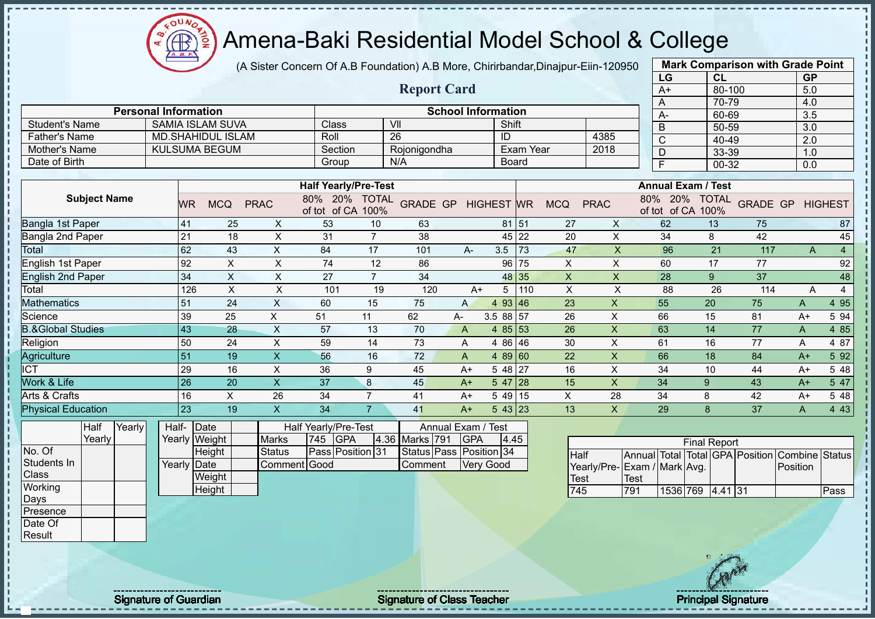$O<sub>U</sub>$ Æ

# Amena-Baki Residential Model School & College

(A Sister Concern Of A.B Foundation) A.B More, Chirirbandar,Dinajpur-Eiin-120950

|                                |                     |                             |       |                 |                          |                           |                      |                                   |                         |                    |                           |                  |              |                         |              | LG                        | CL                  |                    | <b>GP</b> |                |
|--------------------------------|---------------------|-----------------------------|-------|-----------------|--------------------------|---------------------------|----------------------|-----------------------------------|-------------------------|--------------------|---------------------------|------------------|--------------|-------------------------|--------------|---------------------------|---------------------|--------------------|-----------|----------------|
|                                |                     |                             |       |                 |                          |                           |                      |                                   | <b>Report Card</b>      |                    |                           |                  |              |                         |              | $A+$                      | 80-100              |                    | 5.0       |                |
|                                |                     |                             |       |                 |                          |                           |                      |                                   |                         |                    |                           |                  |              |                         |              | A                         | 70-79               |                    | 4.0       |                |
|                                |                     | <b>Personal Information</b> |       |                 |                          |                           |                      |                                   |                         |                    | <b>School Information</b> |                  |              |                         |              | А-                        | 60-69               |                    | 3.5       |                |
| <b>Student's Name</b>          |                     |                             |       |                 | <b>SAMIA ISLAM SUVA</b>  |                           | Class                |                                   | VII<br>26               |                    | Shift<br>ID               |                  |              |                         |              | B                         | 50-59               |                    | 3.0       |                |
| <b>Father's Name</b>           |                     |                             |       |                 | <b>MD.SHAHIDUL ISLAM</b> |                           | Roll                 |                                   |                         |                    |                           | <b>Exam Year</b> |              | 4385                    |              | Ċ                         | 40-49               |                    | 2.0       |                |
| Mother's Name<br>Date of Birth |                     |                             |       |                 | <b>KULSUMA BEGUM</b>     |                           | Section              |                                   | Rojonigondha<br>N/A     |                    |                           |                  |              | 2018                    |              | D                         | 33-39               |                    | 1.0       |                |
|                                |                     |                             |       |                 |                          |                           | Group                |                                   |                         |                    |                           | <b>Board</b>     |              |                         |              | F                         | $00 - 32$           |                    | 0.0       |                |
|                                |                     |                             |       |                 |                          |                           |                      | <b>Half Yearly/Pre-Test</b>       |                         |                    |                           |                  |              |                         |              | <b>Annual Exam / Test</b> |                     |                    |           |                |
|                                | <b>Subject Name</b> |                             |       | <b>WR</b>       | <b>MCQ</b>               | <b>PRAC</b>               | 20%<br>80%           | <b>TOTAL</b><br>of tot of CA 100% | <b>GRADE GP</b>         |                    | <b>HIGHEST WR</b>         |                  | <b>MCQ</b>   | <b>PRAC</b>             | 80%          | 20%<br>of tot of CA 100%  | <b>TOTAL</b>        | <b>GRADE GP</b>    |           | <b>HIGHEST</b> |
| Bangla 1st Paper               |                     |                             |       | 41              | 25                       | X                         | 53                   | 10                                | 63                      |                    |                           | 81 51            | 27           | X                       |              | 62                        | 13                  | 75                 |           | 87             |
| Bangla 2nd Paper               |                     |                             |       | 21              | 18                       | $\pmb{\times}$            | 31                   | $\overline{7}$                    | 38                      |                    | 45                        | 22               | 20           | $\pmb{\times}$          |              | 34                        | 8                   | 42                 |           | 45             |
| Total                          |                     |                             |       | 62              | 43                       | $\pmb{\times}$            | 84                   | 17                                | 101                     | $A -$              | 3.5                       | 73               | 47           | $\mathsf{X}$            |              | 96                        | 21                  | 117                | A         | $\overline{4}$ |
| English 1st Paper              |                     |                             |       | 92              | X                        | $\pmb{\times}$            | 74                   | 12                                | 86                      |                    | 96                        | 75               | $\mathsf{X}$ | $\pmb{\times}$          |              | 60                        | 17                  | 77                 |           | 92             |
| <b>English 2nd Paper</b>       |                     |                             |       | 34              | X                        | X                         | 27                   | $\overline{7}$                    | 34                      |                    | 48                        | 35               | X            | X                       |              | 28                        | 9                   | 37                 |           | 48             |
| Total                          |                     |                             |       | 126             | $\sf X$                  | $\boldsymbol{\mathsf{X}}$ | 101                  | 19                                | 120                     |                    | $A+$<br>5                 | 110              | $\times$     | $\mathsf{X}$            |              | 88                        | 26                  | 114                | A         | 4              |
| <b>Mathematics</b>             |                     |                             |       | 51              | 24                       | $\times$                  | 60                   | 15                                | 75                      | $\overline{A}$     | 93<br>$\overline{4}$      | 46               | 23           | X                       |              | 55                        | 20                  | 75                 | A         | 4 9 5          |
| Science                        |                     |                             |       | 39              | 25                       | $\boldsymbol{\mathsf{X}}$ | 51                   | 11                                | 62                      | A-                 | 3.5 88 57                 |                  | 26           | $\mathsf X$             |              | 66                        | 15                  | 81                 | $A+$      | 5 94           |
| <b>B.&amp;Global Studies</b>   |                     |                             |       | 43              | 28                       | X                         | 57                   | 13                                | 70                      | A                  | 4 8 5                     | 53               | 26           | $\mathsf{X}$            |              | 63                        | 14                  | 77                 | A         | 4 8 5          |
| Religion                       |                     |                             |       | 50              | 24                       | $\pmb{\times}$            | 59                   | 14                                | 73                      | Α                  | 4 8 6                     | 46               | 30           | X                       |              | 61                        | 16                  | 77                 | Α         | 4 87           |
| Agriculture                    |                     |                             |       | 51              | 19                       | $\mathsf{X}$              | 56                   | 16                                | 72                      | A                  | 4 8 9                     | 60               | 22           | $\mathsf{x}$            |              | 66                        | 18                  | 84                 | $A+$      | 5 9 2          |
| <b>ICT</b>                     |                     |                             |       | 29              | 16                       | X                         | 36                   | 9                                 | 45                      | $A+$               | 5 48                      | 27               | 16           | X                       |              | 34                        | 10                  | 44                 | $A+$      | 5 48           |
| Work & Life                    |                     |                             |       | $\overline{26}$ | 20                       | $\overline{\mathsf{X}}$   | 37                   | 8                                 | 45                      | $A+$               | 5 47                      | 28               | 15           | $\overline{\mathsf{X}}$ |              | 34                        | 9                   | 43                 | $A+$      | 5 47           |
| Arts & Crafts                  |                     |                             |       | 16              | $\times$                 | 26                        | 34                   | $\overline{7}$                    | 41                      | $A+$               | 5 49                      | 15               | X            | 28                      |              | 34                        | 8                   | 42                 | $A+$      | 5 48           |
| <b>Physical Education</b>      |                     |                             |       | $\overline{23}$ | 19                       | $\mathsf{X}$              | 34                   | $\overline{7}$                    | 41                      | $A+$               | $543$ 23                  |                  | 13           | $\mathsf{X}$            |              | 29                        | 8                   | 37                 | A         | 4 4 3          |
|                                | Half                | Yearly                      | Half- | Date            |                          |                           | Half Yearly/Pre-Test |                                   |                         | Annual Exam / Test |                           |                  |              |                         |              |                           |                     |                    |           |                |
|                                | Yearly              |                             |       | Yearly Weight   |                          | <b>Marks</b>              | <b>GPA</b><br>745    |                                   | 4.36 Marks 791          | <b>GPA</b>         |                           | 4.45             |              |                         |              |                           | <b>Final Report</b> |                    |           |                |
| No. Of                         |                     |                             |       |                 | Height                   | <b>Status</b>             |                      | Pass Position 31                  | Status Pass Position 34 |                    |                           |                  | <b>Half</b>  |                         | Annual Total |                           |                     | Total GPA Position | Combine   | Status         |
| Students In                    |                     |                             |       | Yearly Date     |                          | Comment Good              |                      |                                   | Comment                 |                    | <b>Very Good</b>          |                  |              | Yearly/Pre-             |              | Exam / Mark Avg.          |                     |                    | Position  |                |
| <b>Class</b>                   |                     |                             |       |                 | Weight                   |                           |                      |                                   |                         |                    |                           |                  | <b>Test</b>  |                         | <b>Test</b>  |                           |                     |                    |           |                |
| Working                        |                     |                             |       |                 | Height                   |                           |                      |                                   |                         |                    |                           |                  | 745          |                         | 791          |                           | 1536 769 4.41 31    |                    |           | Pass           |



**Mark Comparison with Grade Point**

Days Presence Date Of Result

Signature of Guardian Signature of Class Teacher Principal Signature Principal Signature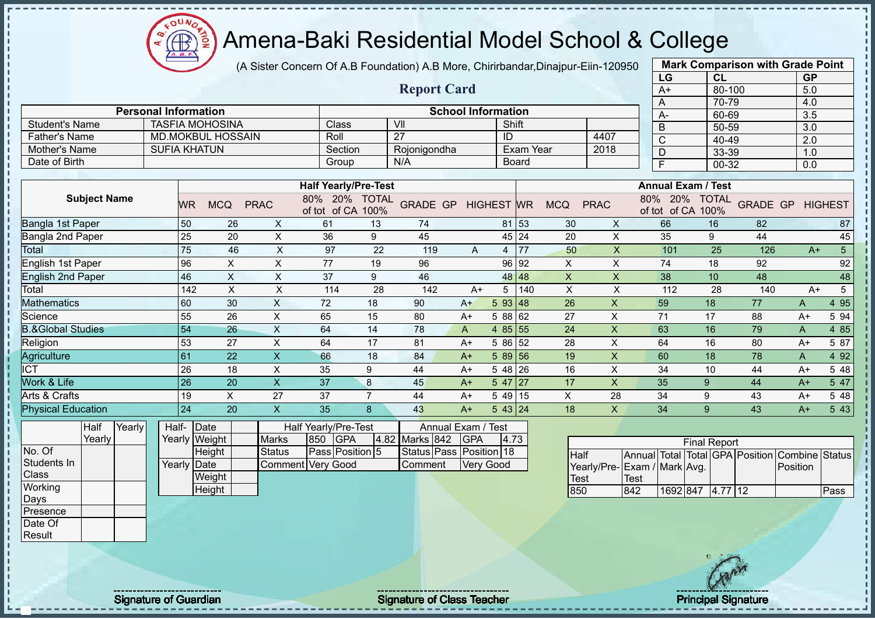**CB** 

# Amena-Baki Residential Model School & College

(A Sister Concern Of A.B Foundation) A.B More, Chirirbandar,Dinajpur-Eiin-120950

|                              |        |                             |               |                           |                           |                                    |                  |                         |                           |                   |                  |                           |                           |                                 | LG       |                                    | CL         |                 | <b>GP</b>      |                       |
|------------------------------|--------|-----------------------------|---------------|---------------------------|---------------------------|------------------------------------|------------------|-------------------------|---------------------------|-------------------|------------------|---------------------------|---------------------------|---------------------------------|----------|------------------------------------|------------|-----------------|----------------|-----------------------|
|                              |        |                             |               |                           |                           |                                    |                  | <b>Report Card</b>      |                           |                   |                  |                           |                           |                                 | $A+$     |                                    | $80 - 100$ |                 | 5.0            |                       |
|                              |        |                             |               |                           |                           |                                    |                  |                         |                           |                   |                  |                           |                           | A                               |          |                                    | 70-79      |                 | 4.0            |                       |
|                              |        | <b>Personal Information</b> |               |                           |                           |                                    |                  |                         | <b>School Information</b> |                   |                  |                           |                           |                                 | А-       |                                    | 60-69      |                 | 3.5            |                       |
| <b>Student's Name</b>        |        | <b>TASFIA MOHOSINA</b>      |               |                           |                           | Class                              |                  | VII                     |                           |                   | Shift            |                           |                           | B                               |          |                                    | 50-59      |                 | 3.0            |                       |
| <b>Father's Name</b>         |        |                             |               | <b>MD.MOKBUL HOSSAIN</b>  |                           | Roll                               |                  | $\overline{27}$         |                           | ID                |                  |                           | 4407                      | $\mathsf{C}$                    |          |                                    | 40-49      |                 | 2.0            |                       |
| Mother's Name                |        | <b>SUFIA KHATUN</b>         |               |                           |                           | Section                            |                  | Rojonigondha            |                           |                   | <b>Exam Year</b> |                           | 2018                      | D                               |          |                                    | 33-39      |                 | 1.0            |                       |
| Date of Birth                |        |                             |               |                           |                           | Group                              |                  | N/A                     |                           |                   | Board            |                           |                           | F                               |          |                                    | 00-32      |                 | 0.0            |                       |
|                              |        |                             |               |                           |                           |                                    |                  |                         |                           |                   |                  |                           |                           |                                 |          |                                    |            |                 |                |                       |
|                              |        |                             |               |                           |                           | <b>Half Yearly/Pre-Test</b>        |                  |                         |                           |                   |                  |                           |                           |                                 |          | <b>Annual Exam / Test</b>          |            |                 |                |                       |
| <b>Subject Name</b>          |        |                             | WR            | <b>MCQ</b>                | <b>PRAC</b>               | 80% 20% TOTAL<br>of tot of CA 100% |                  | <b>GRADE GP</b>         |                           | <b>HIGHEST</b> WR |                  | <b>MCQ</b>                | <b>PRAC</b>               |                                 |          | 80% 20% TOTAL<br>of tot of CA 100% |            | <b>GRADE GP</b> |                | <b>HIGHEST</b>        |
| <b>Bangla 1st Paper</b>      |        |                             | 50            | 26                        | X                         | 61                                 | 13               | 74                      |                           |                   | 81 53            | 30                        | X                         |                                 | 66       | 16                                 |            | 82              |                | 87                    |
| Bangla 2nd Paper             |        |                             | 25            | 20                        | $\boldsymbol{\mathsf{X}}$ | 36                                 | $\boldsymbol{9}$ | 45                      |                           |                   | 45 24            | 20                        | $\pmb{\times}$            |                                 | 35       | $\boldsymbol{9}$                   |            | 44              |                | 45                    |
| Total                        |        |                             | 75            | 46                        | $\boldsymbol{\mathsf{X}}$ | 97                                 | 22               | 119                     | A                         | 4                 | 77               | 50                        | $\pmb{\times}$            |                                 | 101      | 25                                 |            | 126             | $A+$           | $\overline{5}$        |
| <b>English 1st Paper</b>     |        | 96                          |               | $\boldsymbol{\mathsf{X}}$ | X                         | 77                                 | 19               | 96                      |                           |                   | 96 92            | X                         | X                         |                                 | 74       | 18                                 |            | 92              |                | 92                    |
| <b>English 2nd Paper</b>     |        |                             | 46            | $\boldsymbol{\mathsf{X}}$ | $\boldsymbol{\mathsf{X}}$ | 37                                 | 9                | 46                      |                           |                   | 48 48            | $\mathsf X$               | $\pmb{\times}$            |                                 | 38       | 10                                 |            | 48              |                | 48                    |
| Total                        |        |                             | 142           | $\times$                  | $\times$                  | 114                                | 28               | 142                     | $A+$                      | 5                 | 140              | $\boldsymbol{\mathsf{X}}$ | $\mathsf X$               |                                 | 112      | 28                                 |            | 140             | $A+$           | $5\phantom{.0}$       |
| <b>Mathematics</b>           |        |                             | 60            | 30                        | $\mathsf X$               | 72                                 | 18               | 90                      | $A+$                      | 593   48          |                  | 26                        | $\mathsf{X}$              |                                 | 59       | 18                                 |            | 77              | A              | 4 9 5                 |
| Science                      |        | 55                          |               | 26                        | X                         | 65                                 | 15               | 80                      | $A+$                      | 5 88 62           |                  | 27                        | $\pmb{\times}$            | 71                              |          | 17                                 |            | 88              | $A+$           | 5 94                  |
| <b>B.&amp;Global Studies</b> |        | 54                          |               | 26                        | $\boldsymbol{\mathsf{X}}$ | 64                                 | 14               | 78                      | $\overline{A}$            | 4 85 55           |                  | 24                        | $\mathsf{X}$              |                                 | 63       | 16                                 |            | 79              | $\overline{A}$ | 4 8 5                 |
| Religion                     |        |                             | 53            | 27                        | $\times$                  | 64                                 | 17               | 81                      | $A+$                      | 5 86 52           |                  | 28                        | X                         |                                 | 64       | 16                                 |            | 80              | $A+$           | 5 87                  |
| Agriculture                  |        | 61                          |               | 22                        | $\mathsf X$               | 66                                 | 18               | 84                      | $A+$                      | $589$ 56          |                  | 19                        | $\boldsymbol{\mathsf{X}}$ |                                 | 60       | 18                                 |            | 78              | Α              | 4 9 2                 |
| <b>ICT</b>                   |        |                             | 26            | 18                        | $\pmb{\times}$            | 35                                 | 9                | 44                      | $A+$                      | 5 48 26           |                  | 16                        | X                         |                                 | 34       | 10                                 |            | 44              | $A+$           | 5 48                  |
| Work & Life                  |        |                             | 26            | 20                        | $\overline{\mathsf{X}}$   | 37                                 | 8                | 45                      | $A+$                      | $547$   27        |                  | 17                        | $\mathsf{X}$              | 35                              |          | 9                                  |            | 44              | $A+$           | 5 47                  |
| Arts & Crafts                |        |                             | 19            | X                         | 27                        | 37                                 | $\overline{7}$   | 44                      | $A+$                      | $549$ 15          |                  | $\mathsf X$               | 28                        | 34                              |          | 9                                  |            | 43              | $A+$           | 5 48                  |
| <b>Physical Education</b>    |        | 24                          |               | 20                        | $\mathsf X$               | 35                                 | 8                | 43                      | $A+$                      | 543 24            |                  | 18                        | $\mathsf{X}$              | 34                              |          | 9                                  |            | 43              | $A+$           | 5 4 3                 |
| <b>Half</b>                  | Yearly | Half-                       | Date          |                           |                           | Half Yearly/Pre-Test               |                  | Annual Exam / Test      |                           |                   |                  |                           |                           |                                 |          |                                    |            |                 |                |                       |
| Yearly                       |        |                             | Yearly Weight |                           | <b>Marks</b>              | 850<br><b>GPA</b>                  | 4.82             | Marks 842               | <b>GPA</b>                |                   | 4.73             |                           |                           |                                 |          |                                    |            |                 |                |                       |
| No. Of                       |        |                             | Height        |                           | <b>Status</b>             | Pass Position 5                    |                  | Status Pass Position 18 |                           |                   |                  | <b>Half</b>               |                           | Annual Total Total GPA Position |          | <b>Final Report</b>                |            |                 |                | <b>Combine Status</b> |
| Students In                  |        | Yearly                      | Date          |                           |                           | <b>Comment Very Good</b>           |                  | Comment                 | <b>Very Good</b>          |                   |                  |                           | Yearly/Pre-               | Exam / Mark Avg.                |          |                                    |            |                 | Position       |                       |
| Class                        |        |                             | Weight        |                           |                           |                                    |                  |                         |                           |                   |                  | <b>Test</b>               |                           | <b>Test</b>                     |          |                                    |            |                 |                |                       |
| Working                      |        |                             | Height        |                           |                           |                                    |                  |                         |                           |                   |                  | 850                       |                           | 842                             | 1692 847 |                                    | 4.77 12    |                 |                | Pass                  |
| Days                         |        |                             |               |                           |                           |                                    |                  |                         |                           |                   |                  |                           |                           |                                 |          |                                    |            |                 |                |                       |
| Presence                     |        |                             |               |                           |                           |                                    |                  |                         |                           |                   |                  |                           |                           |                                 |          |                                    |            |                 |                |                       |
| Date Of                      |        |                             |               |                           |                           |                                    |                  |                         |                           |                   |                  |                           |                           |                                 |          |                                    |            |                 |                |                       |
| Result                       |        |                             |               |                           |                           |                                    |                  |                         |                           |                   |                  |                           |                           |                                 |          |                                    |            |                 |                |                       |

**Mark Comparison with Grade Point**

л

Signature of Guardian Signature of Class Teacher Principal Signature Principal Signature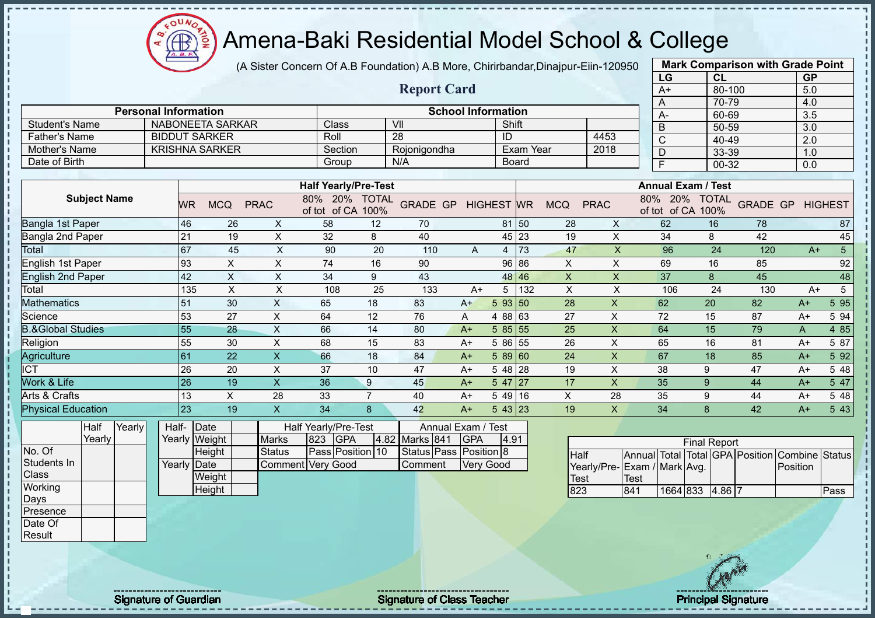COUND  $\bigoplus_{\Delta,\Delta,\sigma}$ ğ

# Amena-Baki Residential Model School & College

(A Sister Concern Of A.B Foundation) A.B More, Chirirbandar,Dinajpur-Eiin-120950

|                              |                             |                         |             |                               |                      |                    |                           |                   |                  |                |             | LG                         | CL                   |                 | <b>GP</b> |                |
|------------------------------|-----------------------------|-------------------------|-------------|-------------------------------|----------------------|--------------------|---------------------------|-------------------|------------------|----------------|-------------|----------------------------|----------------------|-----------------|-----------|----------------|
|                              |                             |                         |             |                               |                      | <b>Report Card</b> |                           |                   |                  |                |             | $A+$                       | 80-100               |                 | 5.0       |                |
|                              |                             |                         |             |                               |                      |                    |                           |                   |                  |                |             | A                          | 70-79                |                 | 4.0       |                |
|                              | <b>Personal Information</b> |                         |             |                               |                      |                    | <b>School Information</b> |                   |                  |                |             | A-                         | 60-69                |                 | 3.5       |                |
| <b>Student's Name</b>        |                             | <b>NABONEETA SARKAR</b> |             | Class                         |                      | VII                |                           | Shift             |                  |                |             | B                          | 50-59                |                 | 3.0       |                |
| <b>Father's Name</b>         |                             | <b>BIDDUT SARKER</b>    |             | Roll                          |                      | 28                 |                           | ID                |                  |                | 4453        | C                          | 40-49                |                 | 2.0       |                |
| Mother's Name                |                             | <b>KRISHNA SARKER</b>   |             | Section                       |                      | Rojonigondha       |                           |                   | <b>Exam Year</b> |                | 2018        | D                          | 33-39                |                 | 1.0       |                |
| Date of Birth                |                             |                         |             | Group                         |                      | N/A                |                           |                   | <b>Board</b>     |                |             | E                          | 00-32                |                 | 0.0       |                |
|                              |                             |                         |             |                               |                      |                    |                           |                   |                  |                |             |                            |                      |                 |           |                |
|                              |                             |                         |             | <b>Half Yearly/Pre-Test</b>   |                      |                    |                           |                   |                  |                |             | <b>Annual Exam / Test</b>  |                      |                 |           |                |
| <b>Subject Name</b>          | <b>WR</b>                   | <b>MCQ</b>              | <b>PRAC</b> | 20%<br>80%<br>of CA<br>of tot | <b>TOTAL</b><br>100% | <b>GRADE GP</b>    |                           | <b>HIGHEST WR</b> |                  | <b>MCQ</b>     | <b>PRAC</b> | 80%<br>20%<br>of tot of CA | <b>TOTAL</b><br>100% | <b>GRADE GP</b> |           | <b>HIGHEST</b> |
| Bangla 1st Paper             | 46                          | 26                      | X           | 58                            | 12                   | 70                 |                           |                   | 81 50            | 28             | X           | 62                         | 16                   | 78              |           | 87             |
| Bangla 2nd Paper             | 21                          | 19                      | X           | 32                            | 8                    | 40                 |                           |                   | 45 23            | 19             | X           | 34                         | 8                    | 42              |           | 45             |
| Total                        | 67                          |                         | X<br>45     | 90                            | 20                   | 110                | A                         | 4                 | 73               | 47             | X           | 96                         | 24                   | 120             | $A+$      | 5              |
| English 1st Paper            | 93                          | X                       | X           | 74                            | 16                   | 90                 |                           | 96                | 86               | X              | $\sf X$     | 69                         | 16                   | 85              |           | 92             |
| <b>English 2nd Paper</b>     | 42                          | X                       | X           | 34                            | 9                    | 43                 |                           |                   | 48 46            | X              | $\times$    | 37                         | 8                    | 45              |           | 48             |
| Total                        |                             | 135<br>X                | X           | 108                           | 25                   | 133                | $A+$                      | 5                 | 132              | $\pmb{\times}$ | X           | 106                        | 24                   | 130             | $A+$      | 5              |
| <b>Mathematics</b>           | 51                          | 30                      | X           | 65                            | 18                   | 83                 | $A+$                      | 5 93 50           |                  | 28             | X           | 62                         | 20                   | 82              | $A+$      | 5 9 5          |
| Science                      | 53                          | 27                      | Χ           | 64                            | 12                   | 76                 | A                         | 4 88 63           |                  | 27             | X           | 72                         | 15                   | 87              | $A+$      | 5 94           |
| <b>B.&amp;Global Studies</b> | 55                          | 28                      | X           | 66                            | 14                   | 80                 | $A+$                      | 5 8 5             | 55               | 25             | X           | 64                         | 15                   | 79              | A         | 4 85           |
| Religion                     | 55                          | 30                      | X           | 68                            | 15                   | 83                 | A+                        | 5 86 55           |                  | 26             | X           | 65                         | 16                   | 81              | $A+$      | 5 87           |
| Agriculture                  | 61                          | 22                      | X           | 66                            | 18                   | 84                 | A+                        | 589 60            |                  | 24             | X           | 67                         | 18                   | 85              | $A+$      | 5 9 2          |
| <b>ICT</b>                   | 26                          | 20                      | Χ           | 37                            | 10                   | 47                 | A+                        | 5 48 28           |                  | 19             | X           | 38                         | 9                    | 47              | A+        | 5 48           |
| Work & Life                  | 26                          | 19                      | X           | 36                            | 9                    | 45                 | $A+$                      | 5 47              | 27               | 17             | X           | 35                         | 9                    | 44              | $A+$      | 5 47           |
| Arts & Crafts                | 13                          | X                       | 28          | 33                            | 7                    | 40                 | A+                        | 5 49 16           |                  | X              | 28          | 35                         | 9                    | 44              | $A+$      | 5 48           |
| <b>Physical Education</b>    | 23                          | 19                      | X.          | 34                            | 8                    | 42                 | $A+$                      | $543$ 23          |                  | 19             | X           | 34                         | 8                    | 42              | $A+$      | 5 4 3          |
| Yearly<br><b>Half</b>        |                             | Half- Date              |             | Half Yearly/Pre-Test          |                      | Annual Exam / Test |                           |                   |                  |                |             |                            |                      |                 |           |                |

|              | Half   | Yearly | Half-       | <b>IDate</b>  |                   |     | Half Yearly/Pre-Test |      |
|--------------|--------|--------|-------------|---------------|-------------------|-----|----------------------|------|
|              | Yearly |        |             | Yearly Weight | <b>Marks</b>      | 823 | <b>IGPA</b>          | 4.82 |
| No. Of       |        |        |             | Height        | Status            |     | Pass Position 10     |      |
| Students In  |        |        | Yearly Date |               | Comment Very Good |     |                      |      |
| <b>Class</b> |        |        |             | Weight        |                   |     |                      |      |
| Working      |        |        |             | Height        |                   |     |                      |      |
| Days         |        |        |             |               |                   |     |                      |      |
| Presence     |        |        |             |               |                   |     |                      |      |

|                             |              |                 | <b>Final Report</b> |  |                                                |      |
|-----------------------------|--------------|-----------------|---------------------|--|------------------------------------------------|------|
| <b>I</b> Half               |              |                 |                     |  | Annual Total Total GPA Position Combine Status |      |
| Yearly/Pre-Exam / Mark Avg. |              |                 |                     |  | Position                                       |      |
| <b>Test</b>                 | <b>'Test</b> |                 |                     |  |                                                |      |
| 823                         | 841          | 1664 833 4.86 7 |                     |  |                                                | Pass |

**Mark Comparison with Grade Point**

Date Of **Result** 

Signature of Guardian Signature Signature of Class Teacher New York Construction of Class Teacher Principal Signature

Marks 841 GPA 4.91 Status Pass Position 8 Comment Very Good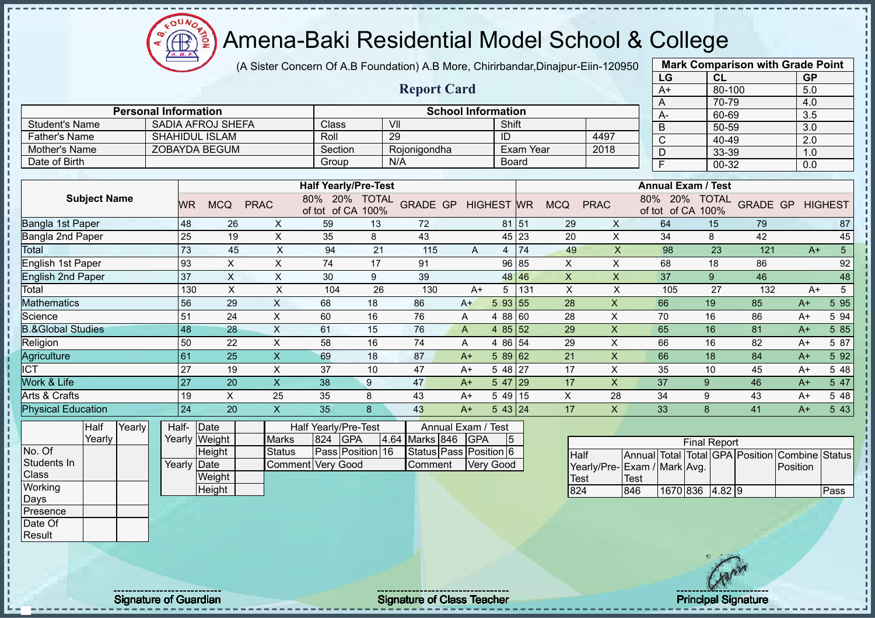$\Omega$ **CB** 

# Amena-Baki Residential Model School & College

(A Sister Concern Of A.B Foundation) A.B More, Chirirbandar,Dinajpur-Eiin-120950

|                              |                             |                                  |                           |                                    |    |                           |              |                  |           |              |                           | LG                              | CL                  |     | <b>GP</b>               |                |
|------------------------------|-----------------------------|----------------------------------|---------------------------|------------------------------------|----|---------------------------|--------------|------------------|-----------|--------------|---------------------------|---------------------------------|---------------------|-----|-------------------------|----------------|
|                              |                             |                                  |                           |                                    |    | <b>Report Card</b>        |              |                  |           |              |                           | $A+$                            | 80-100              |     | 5.0                     |                |
|                              |                             |                                  |                           |                                    |    |                           |              |                  |           |              |                           | Α                               | 70-79               |     | 4.0                     |                |
|                              | <b>Personal Information</b> |                                  |                           |                                    |    | <b>School Information</b> |              |                  |           |              |                           | A-                              | 60-69               |     | 3.5                     |                |
| <b>Student's Name</b>        |                             | <b>SADIA AFROJ SHEFA</b>         |                           | Class                              |    | VII                       |              | Shift            |           |              |                           | $\overline{B}$                  | 50-59               |     | 3.0                     |                |
| <b>Father's Name</b>         |                             | <b>SHAHIDUL ISLAM</b>            |                           | Roll                               |    | 29                        |              | ID               |           |              | 4497                      | $\overline{\text{c}}$           | 40-49               |     | 2.0                     |                |
| Mother's Name                |                             | <b>ZOBAYDA BEGUM</b>             |                           | Section                            |    | Rojonigondha              |              |                  | Exam Year |              | 2018                      | D                               | 33-39               |     | 1.0                     |                |
| Date of Birth                |                             |                                  |                           | Group                              |    | N/A                       |              | <b>Board</b>     |           |              |                           | $\overline{\mathsf{F}}$         | 00-32               |     | 0.0                     |                |
|                              |                             |                                  |                           |                                    |    |                           |              |                  |           |              |                           |                                 |                     |     |                         |                |
|                              |                             |                                  |                           | <b>Half Yearly/Pre-Test</b>        |    |                           |              |                  |           |              |                           | <b>Annual Exam / Test</b>       |                     |     |                         |                |
| <b>Subject Name</b>          |                             | <b>MCQ</b><br><b>WR</b>          | <b>PRAC</b>               | 80% 20% TOTAL<br>of tot of CA 100% |    | GRADE GP HIGHEST WR       |              |                  |           | <b>MCQ</b>   | <b>PRAC</b>               | 80% 20%<br>of tot of CA 100%    | <b>TOTAL</b>        |     | <b>GRADE GP HIGHEST</b> |                |
| Bangla 1st Paper             | 48                          | 26                               | $\boldsymbol{\mathsf{X}}$ | 59                                 | 13 | 72                        |              | 81 51            |           | 29           | X                         | 64                              | 15                  | 79  |                         | 87             |
| Bangla 2nd Paper             | 25                          | 19                               | $\mathsf X$               | 35                                 | 8  | 43                        |              | 45 23            |           | 20           | $\pmb{\times}$            | 34                              | 8                   | 42  |                         | 45             |
| <b>Total</b>                 | 73                          | 45                               | $\boldsymbol{\mathsf{X}}$ | 94                                 | 21 | 115                       | A            | 4                | 74        | 49           | $\boldsymbol{\mathsf{X}}$ | 98                              | 23                  | 121 | $A+$                    | 5 <sup>5</sup> |
| English 1st Paper            | 93                          | $\boldsymbol{\mathsf{X}}$        | X                         | 74                                 | 17 | 91                        |              | 96 85            |           | X            | X                         | 68                              | 18                  | 86  |                         | 92             |
| <b>English 2nd Paper</b>     | 37                          | $\boldsymbol{\mathsf{X}}$        | $\boldsymbol{\mathsf{X}}$ | 30                                 | 9  | 39                        |              | 48 46            |           | X            | X                         | 37                              | 9                   | 46  |                         | 48             |
| Total                        |                             | $\boldsymbol{\mathsf{X}}$<br>130 | $\times$                  | 104                                | 26 | 130                       | $A+$         | 5                | 131       | $\times$     | $\times$                  | 105                             | 27                  | 132 | $A+$                    | 5              |
| <b>Mathematics</b>           | 56                          | 29                               | $\mathsf{X}$              | 68                                 | 18 | 86                        | $A+$         | 5 93 55          |           | 28           | $\mathsf X$               | 66                              | 19                  | 85  | $A+$                    | 5 9 5          |
| Science                      | 51                          | 24                               | X                         | 60                                 | 16 | 76                        | A            | 4 88 60          |           | 28           | $\boldsymbol{\mathsf{X}}$ | 70                              | 16                  | 86  | $A+$                    | 5 94           |
| <b>B.&amp;Global Studies</b> | 48                          | 28                               | $\mathsf X$               | 61                                 | 15 | 76                        | $\mathsf{A}$ | 4 85 52          |           | 29           | $\boldsymbol{\mathsf{X}}$ | 65                              | 16                  | 81  | $A+$                    | 5 8 5          |
| Religion                     | 50                          | 22                               | $\sf X$                   | 58                                 | 16 | 74                        | A            | 4 86 54          |           | 29           | $\boldsymbol{\mathsf{X}}$ | 66                              | 16                  | 82  | $A+$                    | 5 87           |
| Agriculture                  | 61                          | 25                               | $\pmb{\times}$            | 69                                 | 18 | 87                        | $A+$         | 5 89 62          |           | 21           | $\mathsf{X}$              | 66                              | 18                  | 84  | $A+$                    | 5 9 2          |
| <b>ICT</b>                   | 27                          | 19                               | X                         | 37                                 | 10 | 47                        | $A+$         | $548$ 27         |           | 17           | X                         | 35                              | 10                  | 45  | $A+$                    | 5 48           |
| Work & Life                  | 27                          | 20                               | $\mathsf X$               | 38                                 | 9  | 47                        | $A+$         | $547$ 29         |           | 17           | $\boldsymbol{\mathsf{X}}$ | 37                              | 9                   | 46  | $A+$                    | 5 47           |
| Arts & Crafts                |                             | $\times$<br>19                   | 25                        | 35                                 | 8  | 43                        | $A+$         | $549$ 15         |           | $\mathsf{X}$ | 28                        | 34                              | 9                   | 43  | $A+$                    | 5 48           |
| <b>Physical Education</b>    | 24                          | 20                               | $\boldsymbol{\mathsf{X}}$ | 35                                 | 8  | 43                        | $A+$         | 543 24           |           | 17           | $\mathsf{X}$              | 33                              | 8                   | 41  | $A+$                    | 5 43           |
| Half<br>Yearly               | Half-                       | $\vert$ Date                     |                           | Half Yearly/Pre-Test               |    | Annual Exam / Test        |              |                  |           |              |                           |                                 |                     |     |                         |                |
| Yearly                       |                             | Yearly Weight                    | <b>Marks</b>              | <b>GPA</b><br>824                  |    | 4.64 Marks 846            | <b>GPA</b>   | 5                |           |              |                           |                                 | <b>Final Report</b> |     |                         |                |
| No. Of                       |                             | Height                           | <b>Status</b>             | Pass Position 16                   |    | Status Pass Position 6    |              |                  |           | Half         |                           | Annual Total Total GPA Position |                     |     | Combine                 | Status         |
| Students In                  |                             | Yearly Date                      |                           | Comment Very Good                  |    | Comment                   |              | <b>Very Good</b> |           |              |                           | Yearly/Pre-Exam / Mark Avg.     |                     |     | Position                |                |
| Class                        |                             | Weight                           |                           |                                    |    |                           |              |                  |           | <b>Test</b>  |                           | <b>Test</b>                     |                     |     |                         |                |
| Working                      |                             | Height                           |                           |                                    |    |                           |              |                  |           | 824          |                           | 846                             | 1670 836 4.82 9     |     |                         | Pass           |
| Days                         |                             |                                  |                           |                                    |    |                           |              |                  |           |              |                           |                                 |                     |     |                         |                |
| Presence                     |                             |                                  |                           |                                    |    |                           |              |                  |           |              |                           |                                 |                     |     |                         |                |
| Date Of                      |                             |                                  |                           |                                    |    |                           |              |                  |           |              |                           |                                 |                     |     |                         |                |

**Mark Comparison with Grade Point**

Result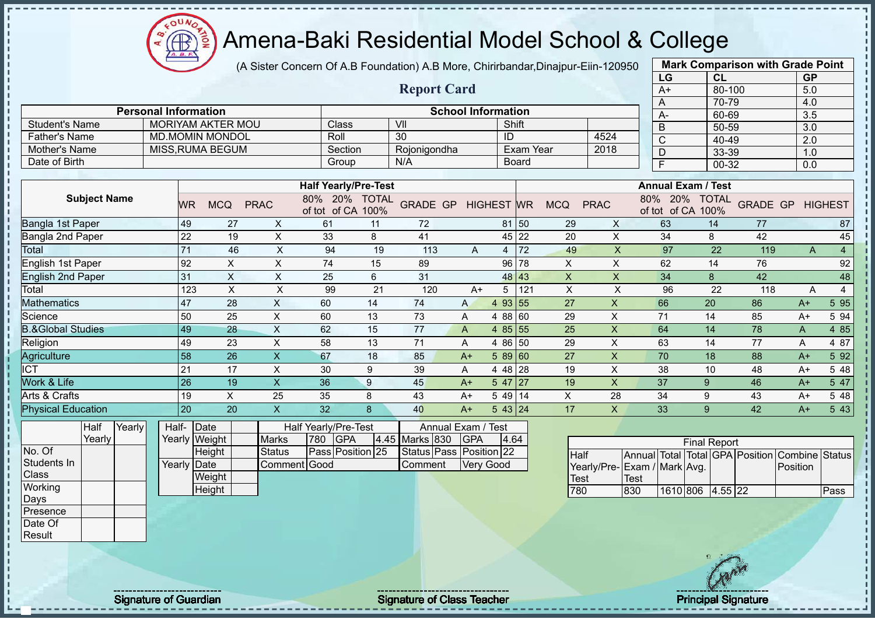$QUV$ Æ

# Amena-Baki Residential Model School & College

(A Sister Concern Of A.B Foundation) A.B More, Chirirbandar,Dinajpur-Eiin-120950

|                              |                             |                 |                          |                           |                      |                                    |                    |                           |                   |                  |                   |                             |              | LG        | CL                                |                 | <b>GP</b>      |                |
|------------------------------|-----------------------------|-----------------|--------------------------|---------------------------|----------------------|------------------------------------|--------------------|---------------------------|-------------------|------------------|-------------------|-----------------------------|--------------|-----------|-----------------------------------|-----------------|----------------|----------------|
|                              |                             |                 |                          |                           |                      |                                    | <b>Report Card</b> |                           |                   |                  |                   |                             |              | $A+$      | 80-100                            |                 | 5.0            |                |
|                              |                             |                 |                          |                           |                      |                                    |                    |                           |                   |                  |                   |                             |              | A         | 70-79                             |                 | 4.0            |                |
|                              | <b>Personal Information</b> |                 |                          |                           |                      |                                    |                    | <b>School Information</b> |                   |                  |                   |                             |              | А-        | 60-69                             |                 | 3.5            |                |
| <b>Student's Name</b>        |                             |                 | <b>MORIYAM AKTER MOU</b> |                           | Class                |                                    | VII                |                           | Shift             |                  |                   |                             |              | $\bar{B}$ | $50 - 59$                         |                 | 3.0            |                |
| <b>Father's Name</b>         |                             |                 | <b>MD.MOMIN MONDOL</b>   |                           | Roll                 |                                    | 30                 |                           | ID                |                  |                   | 4524                        |              | C         | 40-49                             |                 | 2.0            |                |
| Mother's Name                |                             |                 | <b>MISS, RUMA BEGUM</b>  |                           |                      | Section                            | Rojonigondha       |                           |                   | <b>Exam Year</b> |                   | 2018                        |              | D         | 33-39                             |                 | 1.0            |                |
| Date of Birth                |                             |                 |                          |                           |                      | Group                              | N/A                |                           |                   | Board            |                   |                             |              | E         | 00-32                             |                 | 0.0            |                |
|                              |                             |                 |                          |                           |                      |                                    |                    |                           |                   |                  |                   |                             |              |           |                                   |                 |                |                |
|                              |                             |                 |                          |                           |                      | <b>Half Yearly/Pre-Test</b>        |                    |                           |                   |                  |                   |                             |              |           | <b>Annual Exam / Test</b>         |                 |                |                |
| <b>Subject Name</b>          |                             | <b>WR</b>       | <b>MCQ</b>               | <b>PRAC</b>               |                      | 80% 20% TOTAL<br>of tot of CA 100% | <b>GRADE GP</b>    |                           | <b>HIGHEST WR</b> |                  | <b>MCQ</b>        | <b>PRAC</b>                 | 80%          | 20%       | <b>TOTAL</b><br>of tot of CA 100% | <b>GRADE GP</b> |                | <b>HIGHEST</b> |
| <b>Bangla 1st Paper</b>      |                             | 49              | 27                       | X                         | 61                   | 11                                 | 72                 |                           |                   | 81 50            | 29                | X                           |              | 63        | 14                                | 77              |                | 87             |
| Bangla 2nd Paper             |                             | 22              | 19                       | X                         | 33                   | 8                                  | 41                 |                           |                   | 45 22            | 20                | $\times$                    |              | 34        | 8                                 | 42              |                | 45             |
| Total                        |                             | $\overline{71}$ | 46                       | $\times$                  | 94                   | 19                                 | 113                | A                         | $\overline{4}$    | 72               | 49                | $\overline{\mathsf{X}}$     |              | 97        | 22                                | 119             | $\overline{A}$ | $\overline{4}$ |
| English 1st Paper            |                             | 92              | $\pmb{\times}$           | X                         | 74                   | 15                                 | 89                 |                           | 96                | 78               | X                 | $\times$                    |              | 62        | 14                                | 76              |                | 92             |
| <b>English 2nd Paper</b>     |                             | 31              | $\pmb{\times}$           | X                         | 25                   | 6                                  | 31                 |                           | 48                | 43               | X                 | X                           |              | 34        | 8                                 | 42              |                | 48             |
| Total                        |                             | 123             | X                        | $\pmb{\times}$            | 99                   | 21                                 | 120                | $A+$                      | 5                 | 121              | X                 | X                           |              | 96        | 22                                | 118             | A              | $\overline{4}$ |
| Mathematics                  |                             | 47              | 28                       | X                         | 60                   | 14                                 | 74                 | A                         | 4 9 3             | 55               | 27                | X                           |              | 66        | 20                                | 86              | $A+$           | 5 9 5          |
| Science                      |                             | 50              | 25                       | $\times$                  | 60                   | 13                                 | 73                 | A                         | 4 88 60           |                  | 29                | X                           |              | 71        | 14                                | 85              | $A+$           | 5 94           |
| <b>B.&amp;Global Studies</b> |                             | 49              | 28                       | $\sf X$                   | 62                   | 15                                 | 77                 | A                         | 4 $85 55$         |                  | 25                | $\overline{\mathsf{X}}$     |              | 64        | 14                                | 78              | A              | 4 8 5          |
| Religion                     |                             | 49              | 23                       | X                         | 58                   | 13                                 | 71                 | A                         | 4 8 6             | 50               | 29                | X                           |              | 63        | 14                                | 77              | Α              | 4 87           |
| Agriculture                  |                             | 58              | 26                       | $\boldsymbol{\mathsf{X}}$ | 67                   | 18                                 | 85                 | $A+$                      | 58960             |                  | 27                | X                           |              | 70        | 18                                | 88              | $A+$           | 5 9 2          |
| $\overline{\text{ICT}}$      |                             | 21              | 17                       | $\mathsf{X}$              | 30                   | 9                                  | 39                 | A                         | 4 48 28           |                  | 19                | X                           |              | 38        | 10                                | 48              | $A+$           | 5 48           |
| Work & Life                  |                             | 26              | 19                       | $\boldsymbol{\mathsf{X}}$ | 36                   | 9                                  | 45                 | $A+$                      | $547$   27        |                  | 19                | X                           |              | 37        | 9                                 | 46              | $A+$           | 5 47           |
| Arts & Crafts                |                             | 19              | X                        | 25                        | 35                   | 8                                  | 43                 | $A+$                      | 5 49 14           |                  | X                 | 28                          |              | 34        | 9                                 | 43              | $A+$           | 5 48           |
| <b>Physical Education</b>    |                             | 20              | 20                       | $\mathsf X$               | 32                   | 8                                  | 40                 | $A+$                      | 543 24            |                  | 17                | X                           |              | 33        | 9                                 | 42              | $A+$           | 5 4 3          |
| Yearly<br>Half               | Half-                       |                 | Date                     |                           | Half Yearly/Pre-Test |                                    | Annual Exam / Test |                           |                   |                  |                   |                             |              |           |                                   |                 |                |                |
| Yearly                       |                             |                 | Yearly Weight            | <b>Marks</b>              | 780                  | <b>IGPA</b>                        | 4.45 Marks 830     | <b>GPA</b>                | 4.64              |                  |                   |                             |              |           | <b>Final Report</b>               |                 |                |                |
| No. Of                       |                             |                 | Height                   | <b>Status</b>             |                      | Pass Position 25                   | Status Pass        |                           | Position 22       |                  | <b>Half</b>       |                             | Annual Total |           | Total GPA Position                |                 | Combine Status |                |
| Students In                  | Yearly                      |                 | Date                     |                           | Comment Good         |                                    | Comment            |                           | Very Good         |                  |                   | Yearly/Pre-Exam / Mark Avg. |              |           |                                   |                 | Position       |                |
| Class                        |                             |                 | <b>Weight</b>            |                           |                      |                                    |                    |                           |                   |                  | $T_{\text{O}}$ of |                             | $T_{\rm{O}}$ |           |                                   |                 |                |                |

1610 806 4.55 22 Pass

**Mark Comparison with Grade Point**

**Weight Height** 

**Working** Days Presence Date Of **Result** 

- II  $\mathbf{I}$  $\mathbf{I}$  $\blacksquare$  $\mathbf{I}$  $\blacksquare$  $\mathbf{I}$  $\mathbf{I}$  $\mathbf{I}$  $\mathbf{I}$  $\mathbf{I}$ Π. - II

л

 $\blacksquare$ 

Signature of Guardian Signature of Class Teacher Number of Class Teacher Principal Signature

Test<br>780

Test<br>830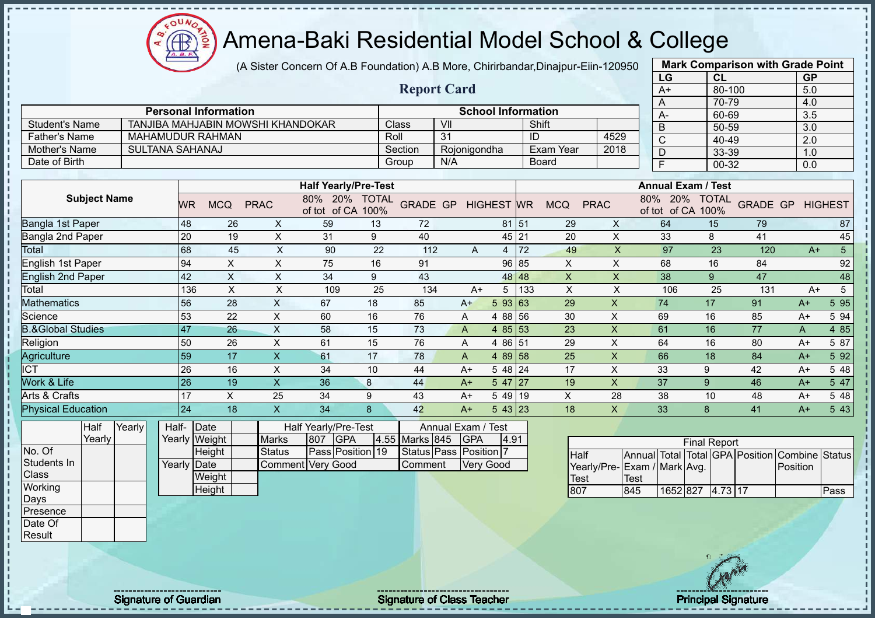(A Sister Concern Of A.B Foundation) A.B More, Chirirbandar,Dinajpur-Eiin-120950 **Report Card** 

|                              |        |                        |                             |                                   |                             |                      | <b>Report Card</b>   |                    |                                              |       |            |                         | $A+$                                 | 80-100               |                 | 5.0              |                |
|------------------------------|--------|------------------------|-----------------------------|-----------------------------------|-----------------------------|----------------------|----------------------|--------------------|----------------------------------------------|-------|------------|-------------------------|--------------------------------------|----------------------|-----------------|------------------|----------------|
|                              |        |                        | <b>Personal Information</b> |                                   |                             |                      |                      |                    | <b>School Information</b>                    |       |            |                         | A                                    | 70-79<br>60-69       |                 | 4.0<br>3.5       |                |
| <b>Student's Name</b>        |        |                        |                             | TANJIBA MAHJABIN MOWSHI KHANDOKAR |                             |                      | Class                | VII                |                                              |       | Shift      |                         | A-<br>$\overline{B}$                 | 50-59                |                 | $\overline{3.0}$ |                |
| <b>Father's Name</b>         |        |                        | MAHAMUDUR RAHMAN            |                                   |                             | Roll                 |                      | 31                 |                                              | ID    |            | 4529                    | $\mathsf{C}$                         | 40-49                |                 | 2.0              |                |
| <b>Mother's Name</b>         |        | <b>SULTANA SAHANAJ</b> |                             |                                   |                             |                      | Section              | Rojonigondha       |                                              |       | Exam Year  | 2018                    | D                                    | 33-39                |                 | 1.0              |                |
| Date of Birth                |        |                        |                             |                                   |                             |                      | Group                | N/A                |                                              |       | Board      |                         | F                                    | 00-32                |                 | 0.0              |                |
|                              |        |                        |                             |                                   |                             |                      |                      |                    |                                              |       |            |                         |                                      |                      |                 |                  |                |
|                              |        |                        |                             |                                   | <b>Half Yearly/Pre-Test</b> |                      |                      |                    |                                              |       |            |                         | <b>Annual Exam / Test</b>            |                      |                 |                  |                |
| <b>Subject Name</b>          |        | <b>WR</b>              | <b>MCQ</b>                  | <b>PRAC</b>                       | 80%<br>20%<br>of tot of CA  | <b>TOTAL</b><br>100% | <b>GRADE GP</b>      |                    | <b>HIGHEST WR</b>                            |       | <b>MCQ</b> | <b>PRAC</b>             | 80%<br><b>20%</b><br>of CA<br>of tot | <b>TOTAL</b><br>100% | <b>GRADE GP</b> |                  | <b>HIGHEST</b> |
| Bangla 1st Paper             |        | 48                     | 26                          | X                                 | 59                          | 13                   | 72                   |                    |                                              | 81 51 | 29         | X                       | 64                                   | 15                   | 79              |                  | 87             |
| Bangla 2nd Paper             |        | 20                     | 19                          | X                                 | 31                          | 9                    | 40                   |                    |                                              | 45 21 | 20         | X                       | 33                                   | 8                    | 41              |                  | 45             |
| Total                        |        | 68                     | 45                          | X                                 | 90                          | 22                   | 112                  | A                  | 4                                            | 72    | 49         | $\overline{\mathsf{X}}$ | 97                                   | 23                   | 120             | $A+$             | $5\phantom{.}$ |
| English 1st Paper            |        | 94                     | X                           | X                                 | 75                          | 16                   | 91                   |                    | 96                                           | 85    | X          | X                       | 68                                   | 16                   | 84              |                  | 92             |
| <b>English 2nd Paper</b>     |        | 42                     | X                           | X                                 | 34                          | 9                    | 43                   |                    | 48                                           | 48    | X          | X                       | 38                                   | 9                    | 47              |                  | 48             |
| Total                        |        | 136                    | X                           | X                                 | 109                         | 25                   | 134                  | $A+$               | 5                                            | 133   | X          | X                       | 106                                  | 25                   | 131             | $A+$             | 5              |
| <b>Mathematics</b>           |        | 56                     | 28                          | X                                 | 67                          | 18                   | 85                   | $A+$               | 5 93 63                                      |       | 29         | $\mathsf{X}$            | 74                                   | 17                   | 91              | $A+$             | 5 9 5          |
| Science                      |        | 53                     | 22                          | X                                 | 60                          | 16                   | 76                   | A                  | 4 88                                         | 56    | 30         | $\sf X$                 | 69                                   | 16                   | 85              | $A+$             | 5 94           |
| <b>B.&amp;Global Studies</b> |        | 47                     | 26                          | X                                 | 58                          | 15                   | 73                   | A                  | 4 8 5                                        | 53    | 23         | $\times$                | 61                                   | 16                   | 77              | A                | 4 8 5          |
| Religion                     |        | 50                     | 26                          | X                                 | 61                          | 15                   | 76                   | A                  | 4 86 51                                      |       | 29         | Χ                       | 64                                   | 16                   | 80              | $A+$             | 5 87           |
| Agriculture                  |        | 59                     | 17                          | X                                 | 61                          | 17                   | 78                   | A                  | 4 89 58                                      |       | 25         | $\times$                | 66                                   | 18                   | 84              | $A+$             | 5 92           |
| <b>ICT</b>                   |        | 26                     | 16                          | X                                 | 34                          | 10                   | 44                   | $A+$               | 5 48 24                                      |       | 17         | X                       | 33                                   | 9                    | 42              | $A+$             | 5 48           |
| Work & Life                  |        | 26                     | 19                          | $\mathsf{X}$                      | 36                          | $\bf 8$              | 44                   | $A+$               | 5 47                                         | 27    | 19         | X                       | 37                                   | 9                    | 46              | $A+$             | 5 47           |
| Arts & Crafts                |        | 17                     | X                           | 25                                | 34                          | 9                    | 43                   | $A+$               | 5 4 9                                        | 19    | X          | 28                      | 38                                   | 10                   | 48              | $A+$             | 5 48           |
| <b>Physical Education</b>    |        | 24                     | 18                          | $\mathsf{X}$                      | 34                          | 8                    | 42                   | $A+$               | 543 23                                       |       | 18         | X                       | 33                                   | 8                    | 41              | $A+$             | 5 4 3          |
| Half<br>Voorly               | Yearly | Half-<br>$V_{\Omega}$  | Date                        | $M$ orko                          | Half Yearly/Pre-Test        |                      | $AE$ Marke $0AE$ CDA | Annual Exam / Test | $\overline{A}$ $\overline{O}$ $\overline{A}$ |       |            |                         |                                      |                      |                 |                  |                |

Yearly No. Of Students In **Class Working** Days Presence

Date Of Result

л

| Half-Date   |               |                   |          | Half Yearly/Pre-Test |                    | Annual Exam / Test     |       |
|-------------|---------------|-------------------|----------|----------------------|--------------------|------------------------|-------|
|             | Yearly Weight | <b>Marks</b>      | 807 IGPA |                      | 4.55 Marks 845 GPA |                        | 14.91 |
|             | Height        | Status            |          | Pass Position 19     |                    | Status Pass Position 7 |       |
| Yearly Date |               | Comment Very Good |          |                      | <b>Comment</b>     | <b>Very Good</b>       |       |
|             | Weight        |                   |          |                      |                    |                        |       |
|             | Height        |                   |          |                      |                    |                        |       |

|                             | <b>Final Report</b> |                  |  |  |  |                                                |      |  |  |  |  |  |
|-----------------------------|---------------------|------------------|--|--|--|------------------------------------------------|------|--|--|--|--|--|
|                             |                     |                  |  |  |  |                                                |      |  |  |  |  |  |
| <b>Half</b>                 |                     |                  |  |  |  | Annual Total Total GPA Position Combine Status |      |  |  |  |  |  |
| Yearly/Pre-Exam / Mark Avg. |                     |                  |  |  |  | Position                                       |      |  |  |  |  |  |
| <b>Test</b>                 | Test                |                  |  |  |  |                                                |      |  |  |  |  |  |
| 807                         | 845                 | 1652 827 4.73 17 |  |  |  |                                                | Pass |  |  |  |  |  |

**Mark Comparison with Grade Point**

**LG CL GP**

 $\mathbf{a}$ Æ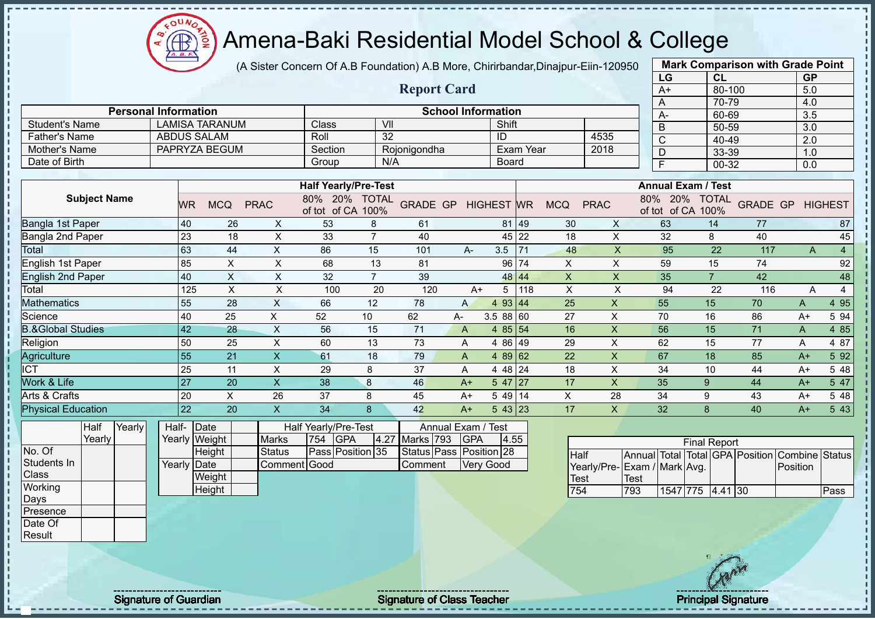

(A Sister Concern Of A.B Foundation) A.B More, Chirirbandar,Dinajpur-Eiin-120950

|                              |                             |             |                       |                           |                      |                                    |                   |                           |                      |           |             |             | LG                          | <b>CL</b>                                      |                 |          | <b>GP</b> |                |
|------------------------------|-----------------------------|-------------|-----------------------|---------------------------|----------------------|------------------------------------|-------------------|---------------------------|----------------------|-----------|-------------|-------------|-----------------------------|------------------------------------------------|-----------------|----------|-----------|----------------|
|                              |                             |             |                       |                           |                      |                                    |                   | <b>Report Card</b>        |                      |           |             |             | $A+$                        | 80-100                                         |                 |          | 5.0       |                |
|                              |                             |             |                       |                           |                      |                                    |                   |                           |                      |           |             |             | A                           | 70-79                                          |                 |          | 4.0       |                |
|                              | <b>Personal Information</b> |             |                       |                           |                      |                                    |                   | <b>School Information</b> |                      |           |             |             | А-                          | 60-69                                          |                 |          | 3.5       |                |
| <b>Student's Name</b>        |                             |             | <b>LAMISA TARANUM</b> |                           | Class                |                                    | VII               |                           | Shift                |           |             |             | B                           | 50-59                                          |                 |          | 3.0       |                |
| <b>Father's Name</b>         |                             |             | <b>ABDUS SALAM</b>    |                           | Roll                 |                                    | $\overline{32}$   |                           | ID                   |           |             | 4535        | $\overline{C}$              | 40-49                                          |                 |          | 2.0       |                |
| Mother's Name                |                             |             | PAPRYZA BEGUM         |                           | Section              |                                    | Rojonigondha      |                           |                      | Exam Year |             | 2018        | D                           | 33-39                                          |                 |          | 1.0       |                |
| Date of Birth                |                             |             |                       |                           | Group                |                                    | N/A               |                           | <b>Board</b>         |           |             |             | F                           | 00-32                                          |                 |          | 0.0       |                |
|                              |                             |             |                       |                           |                      |                                    |                   |                           |                      |           |             |             |                             |                                                |                 |          |           |                |
|                              |                             |             |                       |                           |                      | <b>Half Yearly/Pre-Test</b>        |                   |                           |                      |           |             |             |                             | <b>Annual Exam / Test</b>                      |                 |          |           |                |
| <b>Subject Name</b>          |                             | <b>WR</b>   | <b>MCQ</b>            | <b>PRAC</b>               |                      | 80% 20% TOTAL<br>of tot of CA 100% | <b>GRADE GP</b>   |                           | <b>HIGHEST</b>       | <b>WR</b> | <b>MCQ</b>  | <b>PRAC</b> | 80%                         | 20%<br><b>TOTAL</b><br>of tot of CA 100%       | <b>GRADE GP</b> |          |           | <b>HIGHEST</b> |
| Bangla 1st Paper             |                             | 40          | 26                    | X                         | 53                   | 8                                  | 61                |                           | 81                   | 49        | 30          | X           | 63                          | 14                                             | 77              |          |           | 87             |
| Bangla 2nd Paper             |                             | 23          | 18                    | X                         | 33                   | $\overline{7}$                     | 40                |                           |                      | 45 22     | 18          | $\sf X$     | 32                          | 8                                              | 40              |          |           | 45             |
| Total                        |                             | 63          | 44                    | X.                        | 86                   | 15                                 | 101               | $A -$                     | 3.5                  | 71        | 48          | X           | 95                          | 22                                             | 117             |          | A         | $\overline{4}$ |
| English 1st Paper            |                             | 85          | X                     | X                         | 68                   | 13                                 | 81                |                           | 96                   | 74        | X           | $\mathsf X$ | 59                          | 15                                             | 74              |          |           | 92             |
| <b>English 2nd Paper</b>     |                             | 40          | X                     | X                         | 32                   | $\overline{7}$                     | 39                |                           | 48                   | 44        | X           | X           | 35                          | $\overline{7}$                                 | 42              |          |           | 48             |
| Total                        |                             | 125         | $\pmb{\times}$        | X                         | 100                  | 20                                 | 120               |                           | 5<br>$A+$            | 118       | $\mathsf X$ | X           | 94                          | 22                                             | 116             |          | A         | 4              |
| <b>Mathematics</b>           |                             | 55          | 28                    | $\boldsymbol{\mathsf{X}}$ | 66                   | 12                                 | 78                | $\mathsf{A}$              | $\overline{4}$       | 93 44     | 25          | X           | 55                          | 15                                             | 70              |          | Α         | 4 9 5          |
| Science                      |                             | 40          | 25                    | X                         | 52                   | 10                                 | 62                | A-                        | 3.588 60             |           | 27          | X           | 70                          | 16                                             | 86              |          | $A+$      | 5 94           |
| <b>B.&amp;Global Studies</b> |                             | 42          | 28                    | X                         | 56                   | 15                                 | 71                | $\mathsf{A}$              | 4 8 5                | 54        | 16          | X           | 56                          | 15                                             | 71              | A        |           | 4 8 5          |
| Religion                     |                             | 50          | 25                    | X                         | 60                   | 13                                 | 73                | A                         | 4 8 6                | 49        | 29          | X           | 62                          | 15                                             | 77              | A        |           | 4 87           |
| Agriculture                  |                             | 55          | 21                    | X                         | 61                   | 18                                 | 79                | A                         | 89<br>$\overline{4}$ | 62        | 22          | X           | 67                          | 18                                             | 85              |          | $A+$      | 5 92           |
| <b>ICT</b>                   |                             | 25          | 11                    | X                         | 29                   | 8                                  | 37                | A                         | 4 4 8                | 24        | 18          | X           | 34                          | 10                                             | 44              |          | $A+$      | 5 48           |
| Work & Life                  |                             | 27          | 20                    | X                         | 38                   | 8                                  | 46                | $A+$                      | 5 47                 | 27        | 17          | X           | 35                          | 9                                              | 44              |          | $A+$      | 5 47           |
| Arts & Crafts                |                             | 20          | $\mathsf X$           | 26                        | 37                   | 8                                  | 45                | A+                        | 5 4 9                | 14        | X           | 28          | 34                          | 9                                              | 43              |          | $A+$      | 5 48           |
| <b>Physical Education</b>    |                             | 22          | 20                    | X.                        | 34                   | 8                                  | 42                | $A+$                      | 543 23               |           | 17          | X           | 32                          | 8                                              | 40              |          | $A+$      | 5 4 3          |
| Yearly<br>Half               | Half-                       |             | Date                  |                           | Half Yearly/Pre-Test |                                    |                   | Annual Exam / Test        |                      |           |             |             |                             |                                                |                 |          |           |                |
| Yearly                       |                             |             | Yearly Weight         | <b>Marks</b>              | 754                  | <b>GPA</b>                         | Marks 793<br>4.27 | <b>GPA</b>                |                      | 4.55      |             |             |                             |                                                |                 |          |           |                |
| No. Of                       |                             |             | Height                | <b>Status</b>             |                      | Pass Position 35                   |                   | Status Pass Position 28   |                      |           |             |             |                             | <b>Final Report</b>                            |                 |          |           |                |
| Students In                  |                             | Yearly Date |                       |                           | Comment Good         |                                    | Comment           |                           | <b>Very Good</b>     |           | Half        |             | Yearly/Pre-IFyam / Mark Avg | Annual Total Total GPA Position Combine Status |                 | Position |           |                |
|                              |                             |             |                       |                           |                      |                                    |                   |                           |                      |           |             |             |                             |                                                |                 |          |           |                |

| No. Of      |  |
|-------------|--|
| Students In |  |
| Class       |  |
| Working     |  |
| Days        |  |
| Presence    |  |

Date Of Result

| If- Date   |              |          | Half Yearly/Pre-Test |                    | Annual Exam / Test      |      |
|------------|--------------|----------|----------------------|--------------------|-------------------------|------|
| rly Weight | <b>Marks</b> | 754 IGPA |                      | 4.27 Marks 793 GPA |                         | 4.55 |
| Height     | Status       |          | Pass Position 35     |                    | Status Pass Position 28 |      |
| rly Date   | Comment Good |          |                      | Comment            | <b>Verv Good</b>        |      |
| Weight     |              |          |                      |                    |                         |      |
| Height     |              |          |                      |                    |                         |      |

|                             | <b>Final Report</b> |                  |  |  |  |                                                |      |  |  |  |  |  |  |
|-----------------------------|---------------------|------------------|--|--|--|------------------------------------------------|------|--|--|--|--|--|--|
| <b>I</b> Half               |                     |                  |  |  |  | Annual Total Total GPA Position Combine Status |      |  |  |  |  |  |  |
| Yearly/Pre-Exam / Mark Avg. |                     |                  |  |  |  | <b>Position</b>                                |      |  |  |  |  |  |  |
| Test                        | Test                |                  |  |  |  |                                                |      |  |  |  |  |  |  |
| 754                         | 793                 | 1547 775 4.41 30 |  |  |  |                                                | Pass |  |  |  |  |  |  |

**Mark Comparison with Grade Point**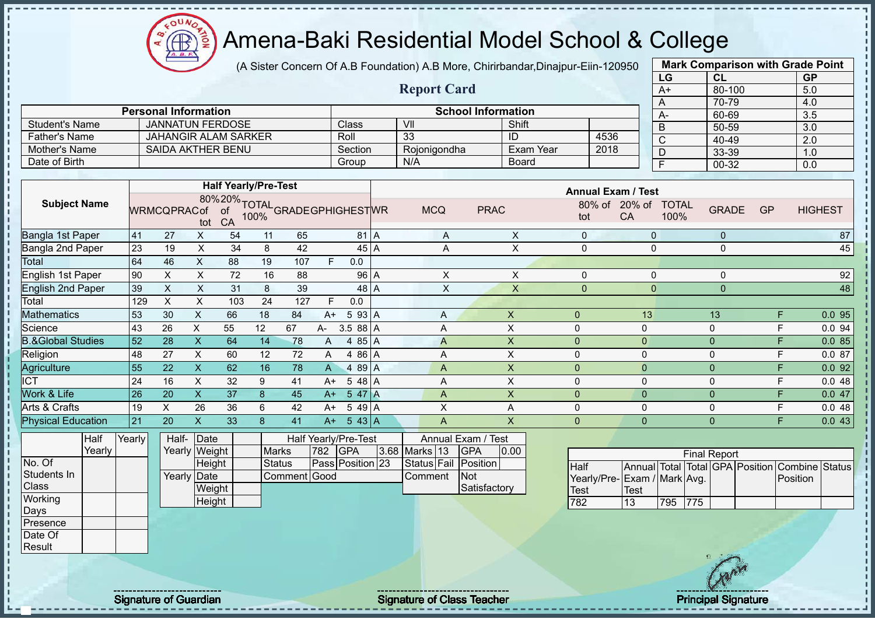$\Omega$ Æ

# Amena-Baki Residential Model School & College

(A Sister Concern Of A.B Foundation) A.B More, Chirirbandar,Dinajpur-Eiin-120950

**Report Card**

|      | <b>Mark Comparison with Grade Point</b> |           |
|------|-----------------------------------------|-----------|
| LG   | CL                                      | <b>GP</b> |
| $A+$ | 80-100                                  | 5.0       |
| A    | 70-79                                   | 4.0       |
| A-   | 60-69                                   | 3.5       |
| B    | 50-59                                   | 3.0       |
| C    | 40-49                                   | 2.0       |
| D    | 33-39                                   | 1.0       |
| F    | 00-32                                   | 0.0       |
|      |                                         |           |

|                | <b>Personal Information</b> |         | <b>School Information</b> |              |      |
|----------------|-----------------------------|---------|---------------------------|--------------|------|
| Student's Name | <b>JANNATUN FERDOSE</b>     | Class   | VII                       | Shift        |      |
| Father's Name  | JAHANGIR ALAM SARKER        | Roll    | 33                        | ID           | 4536 |
| Mother's Name  | SAIDA AKTHER BENU           | Section | Roionigondha              | Exam Year    | 2018 |
| Date of Birth  |                             | Group   | N/A                       | <b>Board</b> |      |

|                           |        |                    |      | <b>Half Yearly/Pre-Test</b>                      |    |     |      |                      |            |                    |                | <b>Annual Exam / Test</b> |                      |              |    |                |
|---------------------------|--------|--------------------|------|--------------------------------------------------|----|-----|------|----------------------|------------|--------------------|----------------|---------------------------|----------------------|--------------|----|----------------|
| <b>Subject Name</b>       |        | <b>WRMCQPRACof</b> | tot  | 80%20%TOTAL<br>Cof of 100%GRADEGPHIGHESTWR<br>CA |    |     |      |                      | <b>MCQ</b> | <b>PRAC</b>        | 80% of<br>tot  | $20\%$ of<br>CA           | <b>TOTAL</b><br>100% | <b>GRADE</b> | GP | <b>HIGHEST</b> |
| Bangla 1st Paper          | 41     | 27                 | X.   | 54                                               | 11 | 65  |      | 81 A                 | A          | X                  | $\Omega$       |                           | $\mathbf{0}$         | $\mathbf{0}$ |    | 87             |
| Bangla 2nd Paper          | 23     | 19                 | X    | 34                                               | 8  | 42  |      | 45 A                 | Α          | X                  | $\Omega$       |                           | $\mathbf 0$          | $\mathbf{0}$ |    | 45             |
| Total                     | 64     | 46                 | X.   | 88                                               | 19 | 107 | F.   | 0.0                  |            |                    |                |                           |                      |              |    |                |
| English 1st Paper         | 90     | X.                 | X.   | 72                                               | 16 | 88  |      | 96 A                 | X          | X                  | $\Omega$       |                           |                      | 0            |    | 92             |
| <b>English 2nd Paper</b>  | 39     | X                  | X.   | 31                                               | 8  | 39  |      | 48 A                 | X          | X                  | $\mathbf 0$    |                           | $\mathbf{0}$         | $\mathbf{0}$ |    | 48             |
| Total                     | 129    | X                  | X    | 103                                              | 24 | 127 | F    | 0.0                  |            |                    |                |                           |                      |              |    |                |
| Mathematics               | 53     | 30                 | X    | 66                                               | 18 | 84  | $A+$ | 5 93 A               | Α          | X                  | $\mathbf{0}$   |                           | 13                   | 13           | F  | 0.0 95         |
| Science                   | 43     | 26                 | X    | 55                                               | 12 | 67  | A-   | $3.588$ A            | A          | X                  | 0              | 0                         |                      | $\mathbf 0$  | F  | 0.094          |
| &Global Studies           | 52     | 28                 | X.   | 64                                               | 14 | 78  | A    | 4 85 A               | A          | X                  | $\overline{0}$ | $\overline{0}$            |                      | $\mathbf{0}$ | F  | 0.085          |
| Religion                  | 48     | 27                 | X    | 60                                               | 12 | 72  | A    | 4 86 A               | A          | X.                 | 0              | $\mathbf{0}$              |                      | $\mathbf 0$  | F  | 0.087          |
| Agriculture               | 55     | 22                 | X.   | 62                                               | 16 | 78  | A    | 4 89 A               | A          | X                  | $\overline{0}$ | $\mathbf{0}$              |                      | $\mathbf{0}$ | F  | 0.092          |
| $\overline{ICT}$          | 24     | 16                 | X    | 32                                               | 9  | 41  | A+   | $548$ A              | A          | X                  | 0              | 0                         |                      | 0            | F  | 0.048          |
| Work & Life               | 26     | 20                 | X.   | 37                                               | 8  | 45  | $A+$ | 5 47 A               | A          | X                  | $\overline{0}$ | $\mathbf{0}$              |                      | $\mathbf{0}$ | F  | 0.047          |
| Arts & Crafts             | 19     | X                  | 26   | 36                                               | 6  | 42  | $A+$ | $549$ A              | X          | A                  | 0              | 0                         |                      | 0            | F  | 0.048          |
| <b>Physical Education</b> | 21     | 20                 | X    | 33                                               | 8  | 41  | $A+$ | $5 \t43$ A           | A          | X                  | $\overline{0}$ | 0                         |                      | $\mathbf 0$  | F. | 0.043          |
| Half                      | Yearly | Half-              | Date |                                                  |    |     |      | Half Yearly/Pre-Test |            | Annual Exam / Test |                |                           |                      |              |    |                |

|             | Yearly |  |
|-------------|--------|--|
| No. Of      |        |  |
| Students In |        |  |
| Class       |        |  |
| Working     |        |  |
| Days        |        |  |
| Presence    |        |  |
| Date Of     |        |  |
| Result      |        |  |

|             |        |                                            |               |              |                         |                                          |         | 0.00                                                                                           |
|-------------|--------|--------------------------------------------|---------------|--------------|-------------------------|------------------------------------------|---------|------------------------------------------------------------------------------------------------|
|             | Height |                                            | <b>Status</b> |              |                         |                                          |         |                                                                                                |
|             |        |                                            |               |              |                         |                                          |         |                                                                                                |
|             | Weight |                                            |               |              |                         |                                          |         |                                                                                                |
|             | Height |                                            |               |              |                         |                                          |         |                                                                                                |
| <b>irly</b> |        | Half- Date<br>Yearly Weight<br>Yearly Date |               | <b>Marks</b> | 782 GPA<br>Comment Good | Half Yearly/Pre-Test<br>Pass Position 23 | Comment | Annual Exam / Test<br>3.68 Marks 13 GPA<br>Status Fail Position<br><b>INot</b><br>Satisfactory |

| <b>Final Report</b>         |      |     |      |  |  |                                                |  |  |  |  |  |  |
|-----------------------------|------|-----|------|--|--|------------------------------------------------|--|--|--|--|--|--|
| <b>I</b> Half               |      |     |      |  |  | Annual Total Total GPA Position Combine Status |  |  |  |  |  |  |
| Yearly/Pre-Exam / Mark Avg. |      |     |      |  |  | Position                                       |  |  |  |  |  |  |
| <b>Test</b>                 | Test |     |      |  |  |                                                |  |  |  |  |  |  |
| 782                         | 13   | 795 | 1775 |  |  |                                                |  |  |  |  |  |  |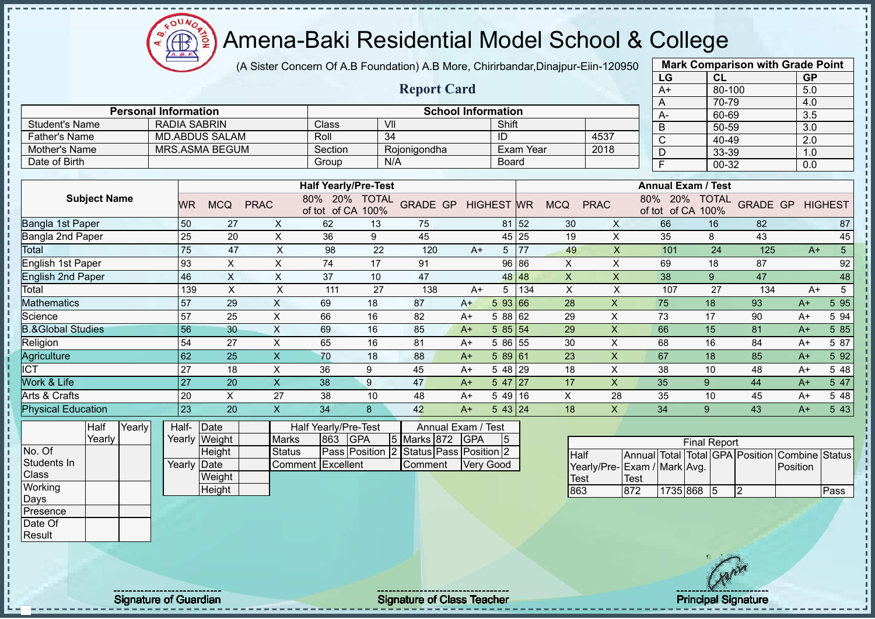oυ Æ

## Amena-Baki Residential Model School & College

(A Sister Concern Of A.B Foundation) A.B More, Chirirbandar,Dinajpur-Eiin-120950

|                              |                     |        |                             |                       |                           |                               |               |                    |                           |                   |                  |             |                         | LG                         | CL                                |                 |             | <b>GP</b> |                 |
|------------------------------|---------------------|--------|-----------------------------|-----------------------|---------------------------|-------------------------------|---------------|--------------------|---------------------------|-------------------|------------------|-------------|-------------------------|----------------------------|-----------------------------------|-----------------|-------------|-----------|-----------------|
|                              |                     |        |                             |                       |                           |                               |               | <b>Report Card</b> |                           |                   |                  |             |                         | $A+$                       | 80-100                            |                 |             | 5.0       |                 |
|                              |                     |        |                             |                       |                           |                               |               |                    |                           |                   |                  |             |                         | Α                          | 70-79                             |                 |             | 4.0       |                 |
|                              |                     |        | <b>Personal Information</b> |                       |                           |                               |               |                    | <b>School Information</b> |                   |                  |             |                         | A-                         | 60-69                             |                 |             | 3.5       |                 |
| <b>Student's Name</b>        |                     |        | <b>RADIA SABRIN</b>         |                       |                           | Class                         |               | VII                |                           | Shift             |                  |             |                         | B                          | 50-59                             |                 |             | 3.0       |                 |
| <b>Father's Name</b>         |                     |        |                             | <b>MD.ABDUS SALAM</b> |                           | Roll                          |               | $\overline{34}$    |                           | ID                |                  |             | 4537                    | $\mathsf C$                | 40-49                             |                 |             | 2.0       |                 |
| Mother's Name                |                     |        |                             | <b>MRS.ASMA BEGUM</b> |                           | Section                       |               | Rojonigondha       |                           |                   | <b>Exam Year</b> |             | 2018                    | D                          | 33-39                             |                 |             | 1.0       |                 |
| Date of Birth                |                     |        |                             |                       |                           | Group                         |               | N/A                |                           | <b>Board</b>      |                  |             |                         | $\overline{F}$             | 00-32                             |                 |             | 0.0       |                 |
|                              |                     |        |                             |                       |                           |                               |               |                    |                           |                   |                  |             |                         |                            |                                   |                 |             |           |                 |
|                              |                     |        |                             |                       |                           | <b>Half Yearly/Pre-Test</b>   |               |                    |                           |                   |                  |             |                         |                            | <b>Annual Exam / Test</b>         |                 |             |           |                 |
|                              | <b>Subject Name</b> |        | <b>WR</b>                   | <b>MCQ</b>            | <b>PRAC</b>               | 80% 20% TOTAL<br>of tot of CA | 100%          | <b>GRADE GP</b>    |                           | <b>HIGHEST WR</b> |                  | <b>MCQ</b>  | <b>PRAC</b>             | 80%<br>of tot              | 20%<br><b>TOTAL</b><br>of CA 100% | <b>GRADE GP</b> |             |           | <b>HIGHEST</b>  |
| Bangla 1st Paper             |                     |        | 50                          | 27                    | X                         | 62                            | 13            | 75                 |                           | 81                | 52               | 30          | X                       | 66                         | 16                                | 82              |             |           | 87              |
| Bangla 2nd Paper             |                     |        | 25                          | 20                    | X                         | 36                            | 9             | 45                 |                           |                   | 45 25            | 19          | X                       | 35                         | 8                                 | 43              |             |           | 45              |
| Total                        |                     |        | 75                          | 47                    | X                         | 98                            | 22            | 120                | $A+$                      | 5                 | 77               | 49          | $\times$                | 101                        | 24                                | 125             |             | $A+$      | $5\phantom{.0}$ |
| English 1st Paper            |                     |        | 93                          | Χ                     | X                         | 74                            | 17            | 91                 |                           | 96                | 86               | X           | X                       | 69                         | 18                                | 87              |             |           | 92              |
| <b>English 2nd Paper</b>     |                     |        | 46                          | $\sf X$               | $\times$                  | 37                            | 10            | 47                 |                           | 48                | 48               | X           | $\overline{\mathsf{X}}$ | 38                         | 9                                 | 47              |             |           | 48              |
| Total                        |                     |        | 139                         | $\times$              | Χ                         | 111                           | 27            | 138                | $A+$                      | 5                 | 134              | X           | X                       | 107                        | 27                                | 134             |             | $A+$      | 5               |
| Mathematics                  |                     |        | 57                          | 29                    | X                         | 69                            | 18            | 87                 | $A+$                      | 5 93              | 66               | 28          | $\mathsf{x}$            | 75                         | 18                                | 93              |             | $A+$      | 5 9 5           |
| Science                      |                     |        | 57                          | 25                    | $\pmb{\times}$            | 66                            | 16            | 82                 | $A+$                      | 5 88              | 62               | 29          | $\pmb{\times}$          | 73                         | 17                                | 90              |             | $A+$      | 5 94            |
| <b>B.&amp;Global Studies</b> |                     |        | 56                          | 30                    | $\times$                  | 69                            | 16            | 85                 | $A+$                      | 585 54            |                  | 29          | $\mathsf{X}$            | 66                         | 15                                | 81              |             | $A+$      | 5 85            |
| Religion                     |                     |        | 54                          | 27                    | X                         | 65                            | 16            | 81                 | $A+$                      | 5 86 55           |                  | 30          | X                       | 68                         | 16                                | 84              |             | $A+$      | 5 87            |
| Agriculture                  |                     |        | 62                          | 25                    | X                         | 70                            | 18            | 88                 | $A+$                      | 589 61            |                  | 23          | $\mathsf{x}$            | 67                         | 18                                | 85              |             | $A+$      | 5 92            |
| <b>ICT</b>                   |                     |        | 27                          | 18                    | X                         | 36                            | 9             | 45                 | $A+$                      | 5 48 29           |                  | 18          | X                       | 38                         | 10                                | 48              |             | $A+$      | 5 48            |
| Work & Life                  |                     |        | 27                          | 20                    | X                         | 38                            | 9             | 47                 | $A+$                      | 5 47              | 127              | 17          | $\mathsf{X}$            | 35                         | 9                                 | 44              |             | $A+$      | 5 47            |
| Arts & Crafts                |                     |        | 20                          | X                     | 27                        | 38                            | 10            | 48                 | $A+$                      | $549$ 16          |                  | X           | 28                      | 35                         | 10                                | 45              |             | $A+$      | 5 48            |
| <b>Physical Education</b>    |                     |        | 23                          | 20                    | $\boldsymbol{\mathsf{X}}$ | 34                            | 8             | 42                 | $A+$                      | 543 24            |                  | 18          | X                       | 34                         | 9                                 | 43              |             | $A+$      | 5 43            |
|                              | Half                | Yearly | Half-                       | Date                  |                           | Half Yearly/Pre-Test          |               |                    | Annual Exam / Test        |                   |                  |             |                         |                            |                                   |                 |             |           |                 |
|                              | Yearly              |        |                             | Yearly Weight         | <b>Marks</b>              | 863                           | <b>GPA</b>    | 5 Marks 872        | <b>GPA</b>                | 5                 |                  |             |                         |                            | <b>Final Report</b>               |                 |             |           |                 |
| No. Of                       |                     |        |                             | Height                | <b>Status</b>             |                               | Pass Position |                    | Status Pass Position 2    |                   |                  | <b>Half</b> |                         | <b>Annual Total</b>        | Total GPA Position Combine Status |                 |             |           |                 |
| Students In                  |                     |        | Yearlv IDate                |                       |                           | Comment Excellent             |               | Comment            |                           | Very Good         |                  |             |                         | Voorly/Dro Evam / Mark Ava |                                   |                 | $D$ ocition |           |                 |

Yearly

Class **Working** Days Presence Date Of Result

| Date     |                   |     | Half Yearly/Pre-Test                   | Annual Exam / Test |  |           |    |  |  |  |  |
|----------|-------------------|-----|----------------------------------------|--------------------|--|-----------|----|--|--|--|--|
| y Weight | <b>Marks</b>      | 863 | <b>IGPA</b>                            | 5 Marks 872 GPA    |  |           | 15 |  |  |  |  |
| Height   | Status            |     | Pass Position 2 Status Pass Position 2 |                    |  |           |    |  |  |  |  |
| √ IDate∶ | Comment Excellent |     |                                        | Comment            |  | Very Good |    |  |  |  |  |
| Weight   |                   |     |                                        |                    |  |           |    |  |  |  |  |
| Height   |                   |     |                                        |                    |  |           |    |  |  |  |  |

| <b>Final Report</b> |                                                |          |  |    |  |  |      |  |  |  |  |  |  |  |
|---------------------|------------------------------------------------|----------|--|----|--|--|------|--|--|--|--|--|--|--|
| <b>I</b> Half       | Annual Total Total GPA Position Combine Status |          |  |    |  |  |      |  |  |  |  |  |  |  |
|                     | Yearly/Pre-Exam / Mark Avg.<br>Position        |          |  |    |  |  |      |  |  |  |  |  |  |  |
| Test                | Test                                           |          |  |    |  |  |      |  |  |  |  |  |  |  |
| 863                 | 872                                            | 1735 868 |  | 15 |  |  | Pass |  |  |  |  |  |  |  |

**Mark Comparison with Grade Point**

Signature of Guardian Signature of Class Teacher Principal Signature Principal Signature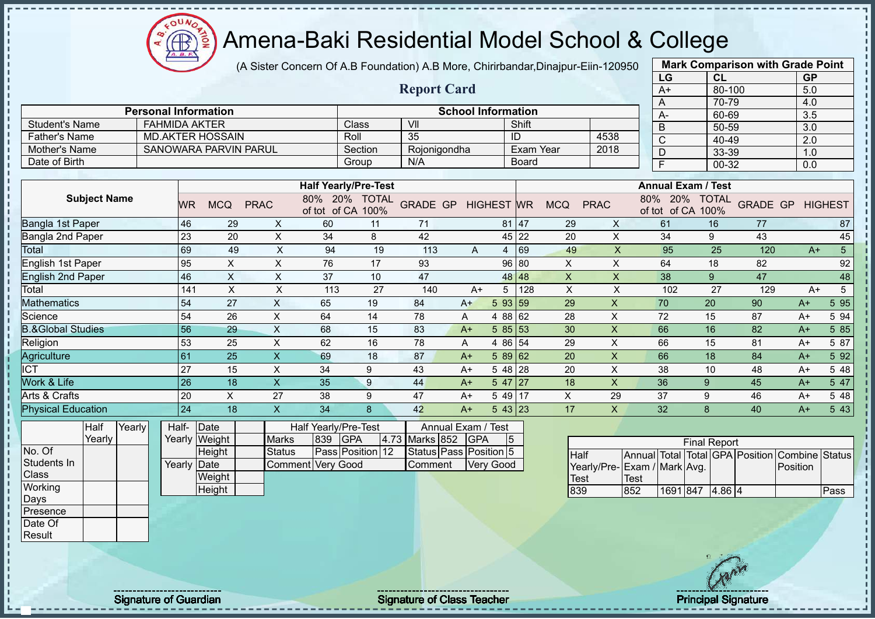(A Sister Concern Of A.B Foundation) A.B More, Chirirbandar,Dinajpur-Eiin-120950

|                              |                             |                 |                              |                           |                      |                             |                    |                           |                  |                  |                           |                         |                             | LG             | <b>CL</b>                          |                                 | <b>GP</b>      |                  |
|------------------------------|-----------------------------|-----------------|------------------------------|---------------------------|----------------------|-----------------------------|--------------------|---------------------------|------------------|------------------|---------------------------|-------------------------|-----------------------------|----------------|------------------------------------|---------------------------------|----------------|------------------|
|                              |                             |                 |                              |                           |                      |                             | <b>Report Card</b> |                           |                  |                  |                           |                         |                             | $A+$           | 80-100                             |                                 | 5.0            |                  |
|                              |                             |                 |                              |                           |                      |                             |                    |                           |                  |                  |                           |                         |                             | Α              | 70-79                              |                                 | 4.0            |                  |
|                              | <b>Personal Information</b> |                 |                              |                           |                      |                             |                    | <b>School Information</b> |                  |                  |                           |                         |                             | A-             | 60-69                              |                                 | 3.5            |                  |
| <b>Student's Name</b>        | <b>FAHMIDA AKTER</b>        |                 |                              |                           |                      | Class                       | VII                |                           |                  | Shift            |                           |                         |                             | $\sf B$        | 50-59                              |                                 | 3.0            |                  |
| <b>Father's Name</b>         |                             |                 | <b>MD.AKTER HOSSAIN</b>      |                           |                      | Roll                        | 35                 |                           |                  | ID               |                           | 4538                    |                             | $\mathsf{C}$   | 40-49                              |                                 | 2.0            |                  |
| <b>Mother's Name</b>         |                             |                 | <b>SANOWARA PARVIN PARUL</b> |                           |                      | Section                     | Rojonigondha       |                           |                  | <b>Exam Year</b> |                           | 2018                    |                             | D              | 33-39                              |                                 | 1.0            |                  |
| Date of Birth                |                             |                 |                              |                           |                      | Group                       | N/A                |                           |                  | <b>Board</b>     |                           |                         |                             | $\overline{F}$ | $00 - 32$                          |                                 | 0.0            |                  |
|                              |                             |                 |                              |                           |                      |                             |                    |                           |                  |                  |                           |                         |                             |                |                                    |                                 |                |                  |
|                              |                             |                 |                              |                           |                      | <b>Half Yearly/Pre-Test</b> |                    |                           |                  |                  |                           |                         |                             |                | <b>Annual Exam / Test</b>          |                                 |                |                  |
| <b>Subject Name</b>          |                             | WR              | <b>MCQ</b>                   | <b>PRAC</b>               | of tot of CA 100%    | 80% 20% TOTAL               | <b>GRADE GP</b>    | <b>HIGHEST WR</b>         |                  |                  | <b>MCQ</b>                | <b>PRAC</b>             |                             |                | 80% 20% TOTAL<br>of tot of CA 100% | <b>GRADE GP</b>                 |                | <b>HIGHEST</b>   |
| Bangla 1st Paper             |                             | 46              | 29                           | X                         | 60                   | 11                          | 71                 |                           |                  | 81 47            | 29                        | X                       |                             | 61             | 16                                 | 77                              |                | 87               |
| <b>Bangla 2nd Paper</b>      |                             | 23              | 20                           | $\pmb{\times}$            | 34                   | $\,8\,$                     | 42                 |                           |                  | 45 22            | 20                        | $\mathsf{X}$            |                             | 34             | 9                                  | 43                              |                | 45               |
| <b>Total</b>                 |                             | 69              | 49                           | $\pmb{\times}$            | 94                   | 19                          | 113                | A                         |                  | 4 69             | 49                        | $\overline{\mathsf{X}}$ |                             | 95             | 25                                 | 120                             | $A+$           | $\overline{5}$   |
| <b>English 1st Paper</b>     |                             | 95              | $\boldsymbol{\mathsf{X}}$    | $\pmb{\times}$            | 76                   | 17                          | 93                 |                           |                  | 96 80            | X                         | $\mathsf X$             |                             | 64             | 18                                 | 82                              |                | 92               |
| <b>English 2nd Paper</b>     |                             | 46              | $\mathsf{X}$                 | $\times$                  | 37                   | 10                          | 47                 |                           |                  | 48 48            | $\boldsymbol{\mathsf{X}}$ | $\pmb{\mathsf{X}}$      |                             | 38             | $\overline{9}$                     | 47                              |                | 48               |
| Total                        |                             | 141             | $\times$                     | $\mathsf X$               | 113                  | 27                          | 140                | $A+$                      | $5\overline{)}$  | 128              | $\boldsymbol{\mathsf{X}}$ | $\sf X$                 |                             | 102            | 27                                 | 129                             | $A+$           | $5\phantom{.0}$  |
| <b>Mathematics</b>           |                             | 54              | 27                           | $\boldsymbol{\mathsf{X}}$ | 65                   | 19                          | 84                 | $A+$                      | 5 93 59          |                  | 29                        | $\mathsf X$             |                             | 70             | 20                                 | 90                              | $A+$           | 5 9 5            |
| Science                      |                             | 54              | 26                           | X                         | 64                   | 14                          | 78                 | A                         | 4 88 62          |                  | 28                        | X                       |                             | 72             | 15                                 | 87                              | $A+$           | 5 94             |
| <b>B.&amp;Global Studies</b> |                             | 56              | 29                           | $\overline{X}$            | 68                   | 15                          | 83                 | $A+$                      | 585 53           |                  | 30                        | $\overline{\mathsf{x}}$ |                             | 66             | 16                                 | 82                              | $A+$           | 5 8 5            |
| Religion                     |                             | 53              | 25                           | $\boldsymbol{\mathsf{X}}$ | 62                   | 16                          | 78                 | A                         | 4 86 54          |                  | 29                        | $\pmb{\times}$          |                             | 66             | 15                                 | 81                              | $A+$           | 5 87             |
| Agriculture                  |                             | 61              | 25                           | $\mathsf X$               | 69                   | 18                          | 87                 | $A+$                      | 5 89 62          |                  | 20                        | $\mathsf{x}$            |                             | 66             | 18                                 | 84                              | $A+$           | 5 9 2            |
| <b>ICT</b>                   |                             | 27              | 15                           | $\pmb{\times}$            | 34                   | 9                           | 43                 | $A+$                      | 5 48 28          |                  | 20                        | X                       |                             | 38             | 10                                 | 48                              | $A+$           | 5 48             |
| Work & Life                  |                             | $\overline{26}$ | 18                           | $\mathsf X$               | 35                   | $\overline{9}$              | 44                 | $A+$                      | $547$ 27         |                  | 18                        | $\mathsf{x}$            |                             | 36             | 9                                  | 45                              | $A+$           | $5\overline{47}$ |
| Arts & Crafts                |                             | 20              | $\boldsymbol{\mathsf{X}}$    | 27                        | 38                   | 9                           | 47                 | $A+$                      | 5 49 17          |                  | $\pmb{\times}$            | 29                      |                             | 37             | $\boldsymbol{9}$                   | 46                              | $A+$           | 5 48             |
| <b>Physical Education</b>    |                             | 24              | 18                           | $\mathsf X$               | 34                   | 8                           | 42                 | $A+$                      | $543$ 23         |                  | 17                        | X                       |                             | 32             | 8                                  | 40                              | $A+$           | 5 4 3            |
| Yearly<br><b>Half</b>        |                             | Half-           | Date                         |                           | Half Yearly/Pre-Test |                             |                    | Annual Exam / Test        |                  |                  |                           |                         |                             |                |                                    |                                 |                |                  |
| Yearly                       |                             |                 | Yearly Weight                | Marks                     | 839                  | <b>GPA</b>                  | 4.73 Marks 852     | <b>GPA</b>                | 5                |                  |                           |                         |                             |                | <b>Final Report</b>                |                                 |                |                  |
| No. Of                       |                             |                 | Height                       | <b>Status</b>             |                      | Pass Position 12            |                    | Status Pass Position 5    |                  |                  | Half                      |                         |                             |                |                                    | Annual Total Total GPA Position | Combine Status |                  |
| Students In                  |                             | Yearly Date     |                              |                           | Comment Very Good    |                             | Comment            |                           | <b>Very Good</b> |                  |                           |                         | Yearly/Pre-Exam / Mark Avg. |                |                                    |                                 | Position       |                  |
| Class                        |                             |                 | Weight                       |                           |                      |                             |                    |                           |                  |                  | Test                      |                         | <b>Test</b>                 |                |                                    |                                 |                |                  |
| Working                      |                             |                 | Height                       |                           |                      |                             |                    |                           |                  |                  | 839                       |                         | 852                         |                | 1691 847 4.86 4                    |                                 |                | Pass             |
| Days                         |                             |                 |                              |                           |                      |                             |                    |                           |                  |                  |                           |                         |                             |                |                                    |                                 |                |                  |
| Presence                     |                             |                 |                              |                           |                      |                             |                    |                           |                  |                  |                           |                         |                             |                |                                    |                                 |                |                  |
| Date Of                      |                             |                 |                              |                           |                      |                             |                    |                           |                  |                  |                           |                         |                             |                |                                    |                                 |                |                  |
| Result                       |                             |                 |                              |                           |                      |                             |                    |                           |                  |                  |                           |                         |                             |                |                                    |                                 |                |                  |
|                              |                             |                 |                              |                           |                      |                             |                    |                           |                  |                  |                           |                         |                             |                |                                    |                                 |                |                  |

Signature of Guardian Signature of Class Teacher Principal Signature Principal Signature

Æ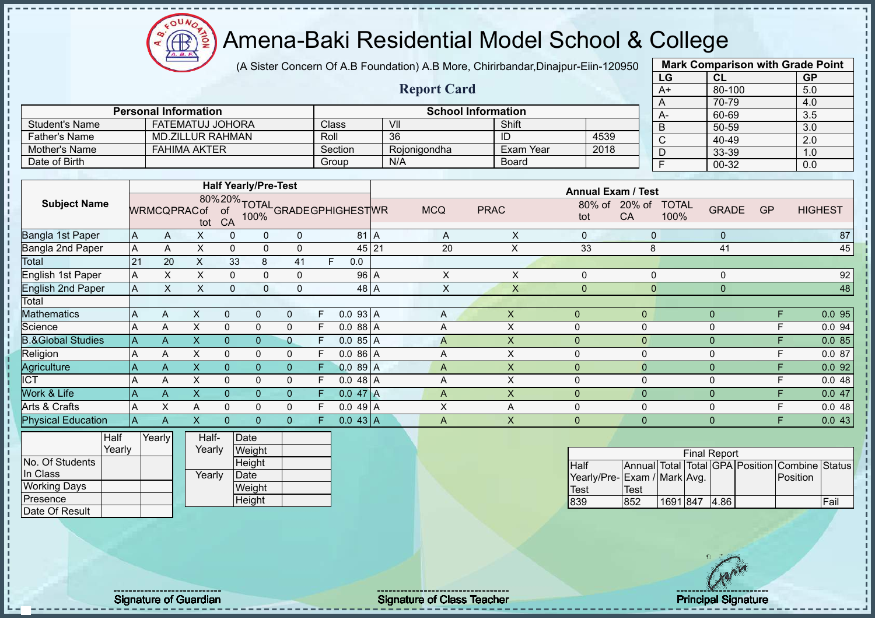

(A Sister Concern Of A.B Foundation) A.B More, Chirirbandar,Dinajpur-Eiin-120950

**Report Card**

| <b>Mark Comparison with Grade Point</b> |        |           |  |  |  |  |  |  |  |  |  |  |
|-----------------------------------------|--------|-----------|--|--|--|--|--|--|--|--|--|--|
| LG                                      | CL     | <b>GP</b> |  |  |  |  |  |  |  |  |  |  |
| $A+$                                    | 80-100 | 5.0       |  |  |  |  |  |  |  |  |  |  |
| A                                       | 70-79  | 4.0       |  |  |  |  |  |  |  |  |  |  |
| A-                                      | 60-69  | 3.5       |  |  |  |  |  |  |  |  |  |  |
| B                                       | 50-59  | 3.0       |  |  |  |  |  |  |  |  |  |  |
| C                                       | 40-49  | 2.0       |  |  |  |  |  |  |  |  |  |  |
| D                                       | 33-39  | 1.0       |  |  |  |  |  |  |  |  |  |  |
| F                                       | 00-32  | 0.0       |  |  |  |  |  |  |  |  |  |  |

|                       | <b>Personal Information</b> |         | <b>School Information</b> |              |      |
|-----------------------|-----------------------------|---------|---------------------------|--------------|------|
| <b>Student's Name</b> | FATEMATUJ JOHORA            | Class   | VII                       | Shift        |      |
| <b>Father's Name</b>  | MD.ZILLUR RAHMAN            | Roll    | 36                        | ID           | 4539 |
| Mother's Name         | <b>FAHIMA AKTER</b>         | Section | Roionigondha              | Exam Year    | 2018 |
| Date of Birth         |                             | Group   | N/A                       | <b>Board</b> |      |

|                              |                |                    |     |              | <b>Half Yearly/Pre-Test</b> |              |    |                                               |            |             | <b>Annual Exam / Test</b> |                |                                      |           |                |
|------------------------------|----------------|--------------------|-----|--------------|-----------------------------|--------------|----|-----------------------------------------------|------------|-------------|---------------------------|----------------|--------------------------------------|-----------|----------------|
| <b>Subject Name</b>          |                | <b>WRMCQPRACof</b> | tot | CA           |                             |              |    | 80%20% TOTAL<br>ACof of 100% GRADEGPHIGHESTWR | <b>MCQ</b> | <b>PRAC</b> | 80% of<br>tot             | $20%$ of<br>CA | <b>TOTAL</b><br><b>GRADE</b><br>100% | <b>GP</b> | <b>HIGHEST</b> |
| Bangla 1st Paper             | ΙA             | A                  | X   |              | 0                           | 0            |    | 81 A                                          | A          | X           | $\Omega$                  | $\Omega$       | $\mathbf{0}$                         |           | 87             |
| Bangla 2nd Paper             | ΙA             | A                  | X.  | $\Omega$     | $\mathbf{0}$                | 0            |    | $45$   21                                     | 20         | X           | 33                        | 8              | 41                                   |           | 45             |
| Total                        | 21             | 20                 | X.  | 33           | 8                           | 41           | F. | 0.0                                           |            |             |                           |                |                                      |           |                |
| <b>English 1st Paper</b>     | A              | X.                 | X.  | $\Omega$     | 0                           | 0            |    | 96 A                                          | X          | X           | $\Omega$                  | 0              | 0                                    |           | 92             |
| <b>English 2nd Paper</b>     | $\overline{A}$ | X                  | X   | $\mathbf{0}$ | $\mathbf{0}$                | $\mathbf 0$  |    | 48 A                                          | X          | X           | $\Omega$                  | 0              | $\mathbf{0}$                         |           | 48             |
| Total                        |                |                    |     |              |                             |              |    |                                               |            |             |                           |                |                                      |           |                |
| <b>Mathematics</b>           | A              | A                  | X   | $\Omega$     | $\mathbf{0}$                | 0            | F. | 0.093 A                                       | A          | X           | 0                         | $\mathbf{0}$   | $\Omega$                             | F         | 0.0 95         |
| Science                      | A              | A                  | X   |              | $\mathbf 0$                 | 0            | F. | $0.088$ A                                     | A          | X           | 0                         | 0              | 0                                    | F         | 0.0 94         |
| <b>B.&amp;Global Studies</b> | ΙA             | $\mathsf{A}$       |     | $\mathbf{0}$ | $\Omega$                    | 0.           | F. | 0.085A                                        | A          | X           | 0                         | $\mathbf{0}$   | $\Omega$                             | F         | 0.085          |
| Religion                     | A              | A                  | X   |              | 0                           | 0            | F. | $0.086$ A                                     | A          | X           | 0                         | 0              | 0                                    |           | 0.087          |
| Agriculture                  | A              | $\mathsf{A}$       | X   | $\mathbf{0}$ | $\Omega$                    | $\mathbf{0}$ | F. | 0.089A                                        | A          | X           | $\overline{0}$            | $\mathbf{0}$   | $\Omega$                             | F         | 0.092          |
| <b>ICT</b>                   |                | A                  | X   | $\Omega$     | $\mathbf 0$                 | 0            | F. | $0.048$ A                                     | A          | Χ           | 0                         | 0              | $\mathbf 0$                          |           | 0.048          |
| Work & Life                  | A              | A                  | X   | $\mathbf{0}$ | $\mathbf 0$                 | 0            | F. | $0.047$ A                                     | A          | Χ           | 0                         | $\overline{0}$ | $\mathbf 0$                          | F         | 0.047          |
| Arts & Crafts                | A              | X.                 | A   | $\Omega$     | 0                           | 0            | F. | $0.049$ A                                     | X          | A           | 0                         | 0              | $\Omega$                             | F         | 0.048          |
| <b>Physical Education</b>    | ΙA             | A                  |     | $\Omega$     | $\Omega$                    | 0            | F. | $0.043$ A                                     | A          | X           | $\overline{0}$            | $\mathbf{0}$   | $\Omega$                             | F         | 0.043          |
|                              |                |                    |     |              |                             |              |    |                                               |            |             |                           |                |                                      |           |                |

|                     | <b>Half</b><br>Yearly | Yearly | Ha<br>Үеа |
|---------------------|-----------------------|--------|-----------|
| No. Of Students     |                       |        |           |
| In Class            |                       |        | Үеа       |
| <b>Working Days</b> |                       |        |           |
| Presence            |                       |        |           |
| Date Of Result      |                       |        |           |
|                     |                       |        |           |

| Half-  | Date   |  |
|--------|--------|--|
| Yearly | Weight |  |
|        | Height |  |
| Yearly | Date   |  |
|        | Weight |  |
|        | Height |  |
|        |        |  |

| <b>Final Report</b>                                           |      |               |  |  |  |          |       |  |  |  |  |  |  |  |
|---------------------------------------------------------------|------|---------------|--|--|--|----------|-------|--|--|--|--|--|--|--|
| Annual Total Total GPA Position Combine Status<br><b>Half</b> |      |               |  |  |  |          |       |  |  |  |  |  |  |  |
| Yearly/Pre- Exam / Mark Avg.                                  |      |               |  |  |  | Position |       |  |  |  |  |  |  |  |
| Test                                                          | Test |               |  |  |  |          |       |  |  |  |  |  |  |  |
| 839                                                           | 852  | 1691 847 4.86 |  |  |  |          | lFail |  |  |  |  |  |  |  |

Signature of Guardian Contract Contract Contract Contract Contract Contract Contract Contract Contract Contract Contract Contract Contract Contract Contract Contract Contract Contract Contract Contract Contract Contract Co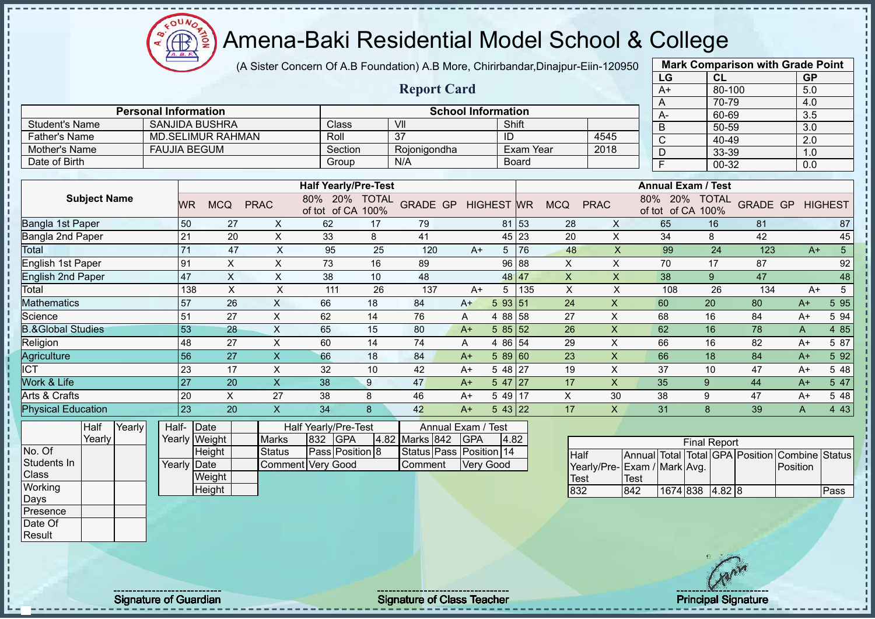Æ ğ

# Amena-Baki Residential Model School & College

(A Sister Concern Of A.B Foundation) A.B More, Chirirbandar,Dinajpur-Eiin-120950

|                              |                             |               |                           |                           |                                    |      |                            |                           |            |              |              |                           | LG                                      |                     | CL     |     | <b>GP</b>               |                 |
|------------------------------|-----------------------------|---------------|---------------------------|---------------------------|------------------------------------|------|----------------------------|---------------------------|------------|--------------|--------------|---------------------------|-----------------------------------------|---------------------|--------|-----|-------------------------|-----------------|
|                              |                             |               |                           |                           |                                    |      | <b>Report Card</b>         |                           |            |              |              |                           | $A+$                                    |                     | 80-100 |     | 5.0                     |                 |
|                              |                             |               |                           |                           |                                    |      |                            |                           |            |              |              |                           | Α                                       |                     | 70-79  |     | 4.0                     |                 |
|                              | <b>Personal Information</b> |               |                           |                           |                                    |      |                            | <b>School Information</b> |            |              |              |                           | А-                                      |                     | 60-69  |     | 3.5                     |                 |
| <b>Student's Name</b>        |                             |               | <b>SANJIDA BUSHRA</b>     |                           | Class                              |      | VII                        |                           | Shift      |              |              |                           | B                                       |                     | 50-59  |     | $\overline{3.0}$        |                 |
| <b>Father's Name</b>         |                             |               | <b>MD.SELIMUR RAHMAN</b>  |                           | Roll                               |      | $\overline{37}$            |                           | ID         |              |              | 4545                      | $\mathsf C$                             |                     | 40-49  |     | 2.0                     |                 |
| Mother's Name                | <b>FAUJIA BEGUM</b>         |               |                           |                           | Section                            |      | Rojonigondha               |                           |            | Exam Year    |              | 2018                      | $\overline{D}$                          |                     | 33-39  |     | 1.0                     |                 |
| Date of Birth                |                             |               |                           |                           | Group                              |      | N/A                        |                           |            | <b>Board</b> |              |                           | $\overline{\mathsf{F}}$                 |                     | 00-32  |     | 0.0                     |                 |
|                              |                             |               |                           |                           |                                    |      |                            |                           |            |              |              |                           | <b>Annual Exam / Test</b>               |                     |        |     |                         |                 |
|                              |                             |               |                           |                           | <b>Half Yearly/Pre-Test</b>        |      |                            |                           |            |              |              |                           |                                         |                     |        |     |                         |                 |
| <b>Subject Name</b>          |                             | WR.           | <b>MCQ</b>                | <b>PRAC</b>               | 80% 20% TOTAL<br>of tot of CA 100% |      | <b>GRADE GP HIGHEST WR</b> |                           |            |              | <b>MCQ</b>   | <b>PRAC</b>               | 80% 20% TOTAL<br>of tot of CA 100%      |                     |        |     | <b>GRADE GP HIGHEST</b> |                 |
| Bangla 1st Paper             |                             | 50            | 27                        | $\boldsymbol{\mathsf{X}}$ | 62                                 | 17   | 79                         |                           |            | 81 53        | 28           | X                         | 65                                      | 16                  |        | 81  |                         | 87              |
| <b>Bangla 2nd Paper</b>      |                             | 21            | 20                        | $\mathsf{X}$              | 33                                 | 8    | 41                         |                           |            | $45 \,   23$ | 20           | $\times$                  | 34                                      | 8                   |        | 42  |                         | 45              |
| Total                        |                             | 71            | 47                        | $\boldsymbol{\mathsf{X}}$ | 95                                 | 25   | 120                        | $A+$                      | 5          | 76           | 48           | $\mathsf X$               | 99                                      |                     | 24     | 123 | $A+$                    | $\overline{5}$  |
| <b>English 1st Paper</b>     |                             | 91            | $\pmb{\times}$            | $\pmb{\times}$            | 73                                 | 16   | 89                         |                           |            | 96 88        | $\mathsf X$  | X                         | 70                                      | 17                  |        | 87  |                         | 92              |
| <b>English 2nd Paper</b>     |                             | 47            | $\boldsymbol{\mathsf{X}}$ | $\boldsymbol{\mathsf{X}}$ | 38                                 | 10   | 48                         |                           |            | 48 47        | $\mathsf{X}$ | $\mathsf{X}$              | 38                                      | 9                   |        | 47  |                         | 48              |
| Total                        |                             | 138           | $\boldsymbol{\mathsf{X}}$ | $\pmb{\times}$            | 111                                | 26   | 137                        | $A+$                      | 5          | 135          | X            | X                         | 108                                     |                     | 26     | 134 | $A+$                    | $5\overline{)}$ |
| <b>Mathematics</b>           |                             | 57            | 26                        | $\boldsymbol{\mathsf{X}}$ | 66                                 | 18   | 84                         | $A+$                      | 5 93 51    |              | 24           | X                         | 60                                      | 20                  |        | 80  | $A+$                    | 5 9 5           |
| Science                      |                             | 51            | 27                        | $\times$                  | 62                                 | 14   | 76                         | A                         | 4 88 58    |              | 27           | $\pmb{\times}$            | 68                                      | 16                  |        | 84  | $A+$                    | 5 94            |
| <b>B.&amp;Global Studies</b> |                             | 53            | 28                        | $\times$                  | 65                                 | 15   | 80                         | $A+$                      | 585 52     |              | 26           | $\boldsymbol{\mathsf{X}}$ | 62                                      | 16                  |        | 78  | A                       | 4 8 5           |
| Religion                     |                             | 48            | 27                        | X                         | 60                                 | 14   | 74                         | A                         | 4 86 54    |              | 29           | X                         | 66                                      | 16                  |        | 82  | $A+$                    | 5 87            |
| Agriculture                  |                             | 56            | 27                        | $\boldsymbol{\mathsf{X}}$ | 66                                 | 18   | 84                         | $A+$                      | $589$ 60   |              | 23           | $\mathsf X$               | 66                                      | 18                  |        | 84  | $A+$                    | 5 9 2           |
| $\overline{\text{ICT}}$      |                             | 23            | 17                        | $\times$                  | 32                                 | 10   | 42                         | $A+$                      | 5 48 27    |              | 19           | $\times$                  | 37                                      | 10                  |        | 47  | $A+$                    | 5 48            |
| Work & Life                  |                             | 27            | 20                        | $\boldsymbol{\mathsf{X}}$ | 38                                 | 9    | 47                         | $A+$                      | $547$   27 |              | 17           | $\mathsf{X}$              | 35                                      | 9                   |        | 44  | $A+$                    | 5 47            |
| Arts & Crafts                |                             | 20            | X                         | 27                        | 38                                 | 8    | 46                         | $A+$                      | 5 49 17    |              | X            | 30                        | 38                                      | 9                   |        | 47  | $A+$                    | 5 48            |
| <b>Physical Education</b>    |                             | 23            | 20                        | $\boldsymbol{\mathsf{X}}$ | 34                                 | 8    | 42                         | $A+$                      | 543 22     |              | 17           | $\mathsf{X}$              | 31                                      | 8                   |        | 39  | $\mathsf{A}$            | 443             |
| Yearly<br>Half               |                             | Half-Date     |                           |                           | Half Yearly/Pre-Test               |      |                            | Annual Exam / Test        |            |              |              |                           |                                         |                     |        |     |                         |                 |
| Yearly                       |                             | Yearly Weight |                           | <b>Marks</b>              | GPA<br>832                         | 4.82 | Marks 842                  | <b>IGPA</b>               | 4.82       |              |              |                           |                                         | <b>Final Report</b> |        |     |                         |                 |
| No. Of                       |                             |               | Height                    | <b>Status</b>             | Pass Position 8                    |      | Status Pass Position 14    |                           |            |              | <b>Half</b>  |                           | Annual Total Total GPA Position Combine |                     |        |     |                         | <b>Status</b>   |
| Students In                  |                             | Yearly Date   |                           | Comment                   | <b>Very Good</b>                   |      | Comment                    |                           | Very Good  |              |              |                           | Yearly/Pre-Exam / Mark Avg.             |                     |        |     | Position                |                 |
| Class                        |                             |               | Weight                    |                           |                                    |      |                            |                           |            |              | <b>Test</b>  |                           | <b>Test</b>                             |                     |        |     |                         |                 |
| Working                      |                             |               | Height                    |                           |                                    |      |                            |                           |            |              | 832          |                           | 842<br>1674 838                         |                     | 4.82 8 |     |                         | Pass            |
| Days                         |                             |               |                           |                           |                                    |      |                            |                           |            |              |              |                           |                                         |                     |        |     |                         |                 |
| Presence                     |                             |               |                           |                           |                                    |      |                            |                           |            |              |              |                           |                                         |                     |        |     |                         |                 |
| Date Of                      |                             |               |                           |                           |                                    |      |                            |                           |            |              |              |                           |                                         |                     |        |     |                         |                 |

**Mark Comparison with Grade Point**

Result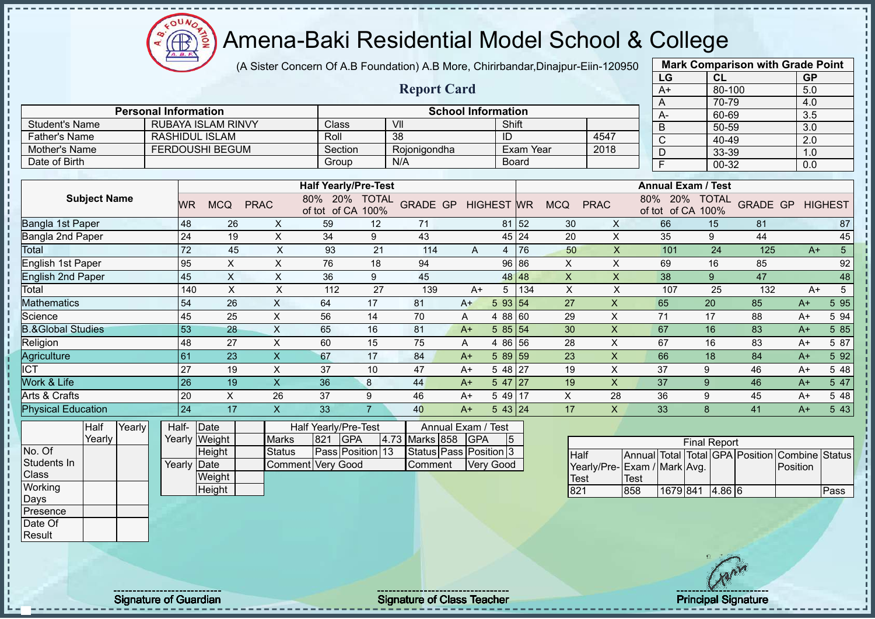ΩU Æ

# Amena-Baki Residential Model School & College

(A Sister Concern Of A.B Foundation) A.B More, Chirirbandar,Dinajpur-Eiin-120950

|                              |                                                                                                                                    |                 |                           |                           |                             |                |                           |                  |                          |                              |              |                           |              | LG                      | <b>CL</b>                 |                    | <b>GP</b>        |                 |
|------------------------------|------------------------------------------------------------------------------------------------------------------------------------|-----------------|---------------------------|---------------------------|-----------------------------|----------------|---------------------------|------------------|--------------------------|------------------------------|--------------|---------------------------|--------------|-------------------------|---------------------------|--------------------|------------------|-----------------|
|                              |                                                                                                                                    |                 |                           |                           |                             |                | <b>Report Card</b>        |                  |                          |                              |              |                           |              | $A+$                    | 80-100                    |                    | 5.0              |                 |
|                              |                                                                                                                                    |                 |                           |                           |                             |                |                           |                  |                          |                              |              |                           |              | A                       | 70-79                     |                    | 4.0              |                 |
|                              | <b>Personal Information</b>                                                                                                        |                 |                           |                           |                             |                | <b>School Information</b> |                  |                          |                              |              |                           |              | $A -$                   | 60-69                     |                    | 3.5              |                 |
| <b>Student's Name</b>        |                                                                                                                                    |                 | <b>RUBAYA ISLAM RINVY</b> |                           | Class                       |                | VII                       |                  | Shift                    |                              |              |                           |              | B                       | 50-59                     |                    | $\overline{3.0}$ |                 |
| <b>Father's Name</b>         |                                                                                                                                    |                 | <b>RASHIDUL ISLAM</b>     |                           | Roll                        |                | 38                        |                  | ID                       |                              |              | 4547                      |              | $\mathsf{C}$            | 40-49                     |                    | 2.0              |                 |
| Mother's Name                |                                                                                                                                    |                 | <b>FERDOUSHI BEGUM</b>    |                           | Section                     |                | Rojonigondha              |                  |                          | Exam Year                    |              | 2018                      |              | D                       | 33-39                     |                    | 1.0              |                 |
| Date of Birth                |                                                                                                                                    |                 |                           |                           | Group                       |                | N/A                       |                  | <b>Board</b>             |                              |              |                           |              | $\overline{\mathsf{F}}$ | 00-32                     |                    | 0.0              |                 |
|                              |                                                                                                                                    |                 |                           |                           |                             |                |                           |                  |                          |                              |              |                           |              |                         | <b>Annual Exam / Test</b> |                    |                  |                 |
|                              |                                                                                                                                    |                 |                           |                           | <b>Half Yearly/Pre-Test</b> |                |                           |                  |                          |                              |              |                           |              |                         |                           |                    |                  |                 |
| <b>Subject Name</b>          | 80% 20% TOTAL<br><b>GRADE GP</b><br><b>PRAC</b><br><b>WR</b><br><b>MCQ</b><br><b>HIGHEST WR</b><br><b>MCQ</b><br>of tot of CA 100% |                 |                           |                           |                             |                |                           | <b>PRAC</b>      |                          | 80% 20%<br>of tot of CA 100% | <b>TOTAL</b> | <b>GRADE GP</b>           |              | <b>HIGHEST</b>          |                           |                    |                  |                 |
| Bangla 1st Paper             |                                                                                                                                    | 48              | 26                        | X                         | 59                          | 12             | 71                        |                  | 81                       | 52                           | 30           | X                         |              | 66                      | 15                        | 81                 |                  | 87              |
| Bangla 2nd Paper             |                                                                                                                                    | 24              | 19                        | $\boldsymbol{\mathsf{X}}$ | 34                          | 9              | 43                        |                  | 45                       | 24                           | 20           | X                         |              | 35                      | 9                         | 44                 |                  | 45              |
| Total                        |                                                                                                                                    | 72              | 45                        | X                         | 93                          | 21             | 114                       | $\mathsf{A}$     | $\overline{4}$           | 76                           | 50           | X                         |              | 101                     | 24                        | 125                | $A+$             | $5\phantom{.0}$ |
| English 1st Paper            |                                                                                                                                    | 95              | X                         | X                         | 76                          | 18             | 94                        |                  | 96                       | 86                           | X            | X                         |              | 69                      | 16                        | 85                 |                  | 92              |
| <b>English 2nd Paper</b>     |                                                                                                                                    | 45              | $\times$                  | X                         | 36                          | 9              | 45                        |                  | 48                       | 48                           | X            | X                         |              | 38                      | 9                         | 47                 |                  | 48              |
| Total                        |                                                                                                                                    | 140             | $\sf X$                   | X                         | 112                         | 27             | 139                       | $A+$             | 5                        | 134                          | X            | X                         |              | 107                     | 25                        | 132                | $A+$             | $\sqrt{5}$      |
| <b>Mathematics</b>           |                                                                                                                                    | 54              | 26                        | $\times$                  | 64                          | 17             | 81                        | $A+$             | $5\phantom{.0}$<br>93 54 |                              | 27           | $\mathsf{X}$              |              | 65                      | 20                        | 85                 | $A+$             | 5 9 5           |
| Science                      |                                                                                                                                    | 45              | 25                        | $\pmb{\times}$            | 56                          | 14             | 70                        | A                | 4 88                     | 60                           | 29           | X                         |              | 71                      | 17                        | 88                 | $A+$             | 5 94            |
| <b>B.&amp;Global Studies</b> |                                                                                                                                    | 53              | 28                        | $\sf X$                   | 65                          | 16             | 81                        | $A+$             | 5 85                     | 54                           | 30           | X                         |              | 67                      | 16                        | 83                 | $A+$             | 5 85            |
| Religion                     |                                                                                                                                    | 48              | 27                        | $\mathsf X$               | 60                          | 15             | 75                        | Α                | 4 8 6                    | 56                           | 28           | $\pmb{\times}$            |              | 67                      | 16                        | 83                 | $A+$             | 5 87            |
| Agriculture                  |                                                                                                                                    | 61              | 23                        | $\mathsf{X}$              | 67                          | 17             | 84                        | $A+$             | 5 89                     | 59                           | 23           | $\boldsymbol{\mathsf{X}}$ |              | 66                      | 18                        | 84                 | $A+$             | 5 92            |
| <b>ICT</b>                   |                                                                                                                                    | 27              | 19                        | $\mathsf X$               | 37                          | 10             | 47                        | $A+$             | 5 48                     | 27                           | 19           | X                         |              | 37                      | 9                         | 46                 | $A+$             | 5 48            |
| Work & Life                  |                                                                                                                                    | $\overline{26}$ | 19                        | $\mathsf X$               | 36                          | 8              | 44                        | $A+$             | 5 47                     | 27                           | 19           | $\pmb{\times}$            |              | 37                      | 9                         | 46                 | $A+$             | 5 47            |
| Arts & Crafts                |                                                                                                                                    | 20              | $\boldsymbol{\mathsf{X}}$ | 26                        | 37                          | 9              | 46                        | $A+$             | 5 49 17                  |                              | $\times$     | 28                        |              | 36                      | 9                         | 45                 | $A+$             | 5 48            |
| <b>Physical Education</b>    |                                                                                                                                    | 24              | 17                        | $\boldsymbol{\mathsf{X}}$ | 33                          | $\overline{7}$ | 40                        | $A+$             | 543 24                   |                              | 17           | $\mathsf{X}$              |              | 33                      | $\mathbf{8}$              | 41                 | $A+$             | 5 4 3           |
| Half<br>Yearly               | Half-                                                                                                                              |                 | Date                      |                           | Half Yearly/Pre-Test        |                | Annual Exam / Test        |                  |                          |                              |              |                           |              |                         |                           |                    |                  |                 |
| Yearly                       |                                                                                                                                    |                 | Yearly Weight             | <b>Marks</b>              | <b>GPA</b><br>821           |                | 4.73 Marks 858            | <b>GPA</b>       | 5                        |                              |              |                           |              |                         | <b>Final Report</b>       |                    |                  |                 |
| No. Of                       |                                                                                                                                    |                 | Height                    | <b>Status</b>             | Pass Position 13            |                | Status Pass Position 3    |                  |                          |                              | <b>Half</b>  |                           | Annual Total |                         |                           | Total GPA Position | Combine          | <b>Status</b>   |
| Students In                  |                                                                                                                                    | Yearly Date     |                           | Comment Very Good         |                             |                | Comment                   | <b>Very Good</b> |                          |                              |              | Yearly/Pre-               |              | Exam / Mark Avg.        |                           |                    | Position         |                 |
| Class                        |                                                                                                                                    |                 | Weight                    |                           |                             |                |                           |                  |                          |                              | <b>Test</b>  |                           | <b>Test</b>  |                         |                           |                    |                  |                 |
| Working                      |                                                                                                                                    |                 | Height                    |                           |                             |                |                           |                  |                          |                              | 821          |                           | 858          | 1679 841                | 4.86 6                    |                    |                  | Pass            |
| Days                         |                                                                                                                                    |                 |                           |                           |                             |                |                           |                  |                          |                              |              |                           |              |                         |                           |                    |                  |                 |
| Presence                     |                                                                                                                                    |                 |                           |                           |                             |                |                           |                  |                          |                              |              |                           |              |                         |                           |                    |                  |                 |

**Mark Comparison with Grade Point**

Date Of Result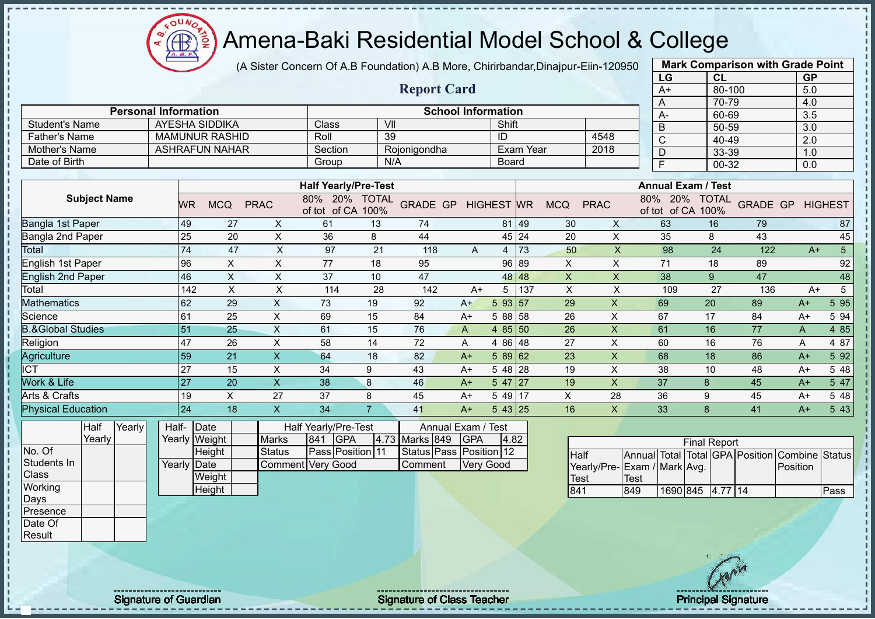(A Sister Concern Of A.B Foundation) A.B More, Chirirbandar,Dinajpur-Eiin-120950

|                                    |                             |                                 |                               |                                                        |                |                                                       |                           |                |                  |                           |                | LG                                          | CL                  |                 | <b>GP</b>        |                 |
|------------------------------------|-----------------------------|---------------------------------|-------------------------------|--------------------------------------------------------|----------------|-------------------------------------------------------|---------------------------|----------------|------------------|---------------------------|----------------|---------------------------------------------|---------------------|-----------------|------------------|-----------------|
|                                    |                             |                                 |                               |                                                        |                | <b>Report Card</b>                                    |                           |                |                  |                           |                | $A+$                                        | 80-100              |                 | 5.0              |                 |
|                                    |                             |                                 |                               |                                                        |                |                                                       |                           |                |                  |                           |                | A                                           | 70-79               |                 | 4.0              |                 |
|                                    | <b>Personal Information</b> |                                 |                               |                                                        |                | <b>School Information</b>                             |                           |                |                  |                           |                | A-                                          | 60-69               |                 | 3.5              |                 |
| <b>Student's Name</b>              |                             | AYESHA SIDDIKA                  |                               | Class                                                  |                | VII                                                   |                           | Shift          |                  |                           |                | $\overline{B}$                              | 50-59               |                 | $\overline{3.0}$ |                 |
| <b>Father's Name</b>               |                             | <b>MAMUNUR RASHID</b>           |                               | Roll                                                   |                | 39                                                    |                           | ID             |                  |                           | 4548           | $\overline{\text{C}}$                       | $40 - 49$           |                 | $\overline{2.0}$ |                 |
| Mother's Name                      |                             | <b>ASHRAFUN NAHAR</b>           |                               | Section                                                |                | Rojonigondha                                          |                           |                | <b>Exam Year</b> |                           | 2018           | $\overline{D}$                              | 33-39               |                 | 1.0              |                 |
| Date of Birth                      |                             |                                 |                               | Group                                                  |                | N/A                                                   |                           | <b>Board</b>   |                  |                           |                | F                                           | 00-32               |                 | 0.0              |                 |
|                                    |                             |                                 |                               | <b>Half Yearly/Pre-Test</b>                            |                |                                                       |                           |                |                  |                           |                | <b>Annual Exam / Test</b>                   |                     |                 |                  |                 |
| <b>Subject Name</b>                | <b>WR</b>                   | <b>MCQ</b>                      | <b>PRAC</b>                   | 80% 20% TOTAL<br>of tot of CA 100%                     |                | <b>GRADE GP HIGHEST WR</b>                            |                           |                |                  | <b>MCQ</b>                | <b>PRAC</b>    | 80% 20%<br>of tot of CA 100%                | <b>TOTAL</b>        | <b>GRADE GP</b> |                  | <b>HIGHEST</b>  |
| Bangla 1st Paper                   | 49                          | 27                              | $\mathsf{X}$                  | 61                                                     | 13             | 74                                                    |                           |                | 81 49            | 30                        | $\mathsf{X}$   | 63                                          | 16                  | 79              |                  | 87              |
| <b>Bangla 2nd Paper</b>            | 25                          | 20                              | $\mathsf{X}$                  | 36                                                     | 8              | 44                                                    |                           | 45 24          |                  | 20                        | $\pmb{\times}$ | 35                                          | 8                   | 43              |                  | 45              |
| Total                              | $\overline{74}$             | 47                              | $\mathsf X$                   | 97                                                     | 21             | 118                                                   | A                         |                | $4 \mid 73$      | 50                        | $\mathsf{X}$   | 98                                          | 24                  | 122             | $A+$             | $5\phantom{.0}$ |
| <b>English 1st Paper</b>           | 96                          | $\sf X$                         | $\mathsf X$                   | 77                                                     | 18             | 95                                                    |                           |                | 96 89            | $\mathsf{X}$              | $\pmb{\times}$ | 71                                          | 18                  | 89              |                  | 92              |
| <b>English 2nd Paper</b>           | 46                          | $\mathsf X$                     | $\times$                      | 37                                                     | 10             | 47                                                    |                           |                | 48 48            | $\boldsymbol{\mathsf{X}}$ | $\mathsf X$    | 38                                          | 9                   | 47              |                  | 48              |
| Total                              | 142                         | $\times$                        | $\pmb{\times}$                | 114                                                    | 28             | 142                                                   | $A+$                      | 5 <sup>5</sup> | 137              | $\times$                  | Χ              | 109                                         | 27                  | 136             | $A+$             | 5               |
| Mathematics                        | 62                          | 29                              | X                             | 73                                                     | 19             | 92                                                    | $A+$                      | 5 93 57        |                  | 29                        | X              | 69                                          | 20                  | 89              | $A+$             | 5 9 5           |
| Science                            | 61                          | 25                              | $\mathsf X$                   | 69                                                     | 15             | 84                                                    | $A+$                      | 5 88 58        |                  | 26                        | $\pmb{\times}$ | 67                                          | 17                  | 84              | $A+$             | 5 94            |
| <b>B.&amp;Global Studies</b>       | 51                          | 25                              | $\boldsymbol{\mathsf{X}}$     | 61                                                     | 15             | 76                                                    | A                         | 4 85 50        |                  | 26                        | $\pmb{\times}$ | 61                                          | 16                  | 77              | A                | 4 8 5           |
| Religion                           | 47                          | 26                              | $\pmb{\times}$                | 58                                                     | 14             | 72                                                    | A                         | 4 86 48        |                  | 27                        | X              | 60                                          | 16                  | 76              | A                | 4 87            |
| Agriculture                        | 59                          | 21                              | $\mathsf{X}$                  | 64                                                     | 18             | 82                                                    | $A+$                      | $589$ 62       |                  | 23                        | $\mathsf{x}$   | 68                                          | 18                  | 86              | $A+$             | 5 9 2           |
| $\overline{\text{ICT}}$            | 27                          | 15                              | $\mathsf{X}$                  | 34                                                     | 9              | 43                                                    | $A+$                      | $548$ 28       |                  | 19                        | $\pmb{\times}$ | 38                                          | 10                  | 48              | $A+$             | 5 48            |
| Work & Life                        | 27                          | 20                              | $\boldsymbol{\mathsf{X}}$     | 38                                                     | 8              | 46                                                    | $A+$                      | $547$   27     |                  | 19                        | X              | 37                                          | 8                   | 45              | $A+$             | 5 47            |
| Arts & Crafts                      | 19                          | $\pmb{\times}$                  | 27                            | 37                                                     | 8              | 45                                                    | $A+$                      | 5 49 17        |                  | X                         | 28             | 36                                          | $\boldsymbol{9}$    | 45              | $A+$             | 5 48            |
| <b>Physical Education</b>          | 24                          | 18                              | $\overline{\mathsf{X}}$       | 34                                                     | $\overline{7}$ | 41                                                    | $A+$                      | 543 25         |                  | 16                        | X.             | 33                                          | 8                   | 41              | $A+$             | 5 4 3           |
| Yearly<br>Half<br>Yearly<br>No. Of | Half-                       | Date<br>Yearly Weight<br>Height | <b>Marks</b><br><b>Status</b> | Half Yearly/Pre-Test<br>GPA<br>841<br>Pass Position 11 |                | Annual Exam /<br>4.73 Marks 849<br><b>Status Pass</b> | <b>GPA</b><br>Position 12 | Test<br>4.82   |                  | <b>Half</b>               |                | Annual Total Total GPA Position             | <b>Final Report</b> |                 | Combine          | <b>Status</b>   |
| Students In<br>Class               | Yearly Date                 | Weight                          |                               | Comment Very Good                                      |                | Comment                                               | Very Good                 |                |                  | <b>Test</b>               |                | Yearly/Pre- Exam / Mark Avg.<br><b>Test</b> |                     |                 | Position         |                 |
| Working                            |                             | Height                          |                               |                                                        |                |                                                       |                           |                |                  | 841                       |                | 849                                         | 1690 845 4.77 14    |                 |                  | Pass            |
| Days<br>Presence                   |                             |                                 |                               |                                                        |                |                                                       |                           |                |                  |                           |                |                                             |                     |                 |                  |                 |
| Date Of                            |                             |                                 |                               |                                                        |                |                                                       |                           |                |                  |                           |                |                                             |                     |                 |                  |                 |
|                                    |                             |                                 |                               |                                                        |                |                                                       |                           |                |                  |                           |                |                                             |                     |                 |                  |                 |

**Mark Comparison with Grade Point**

Signature of Guardian Signature of Class Teacher Principal Signature of Class Teacher Principal Signature of Class Teacher Principal Signature of Class Teacher Principal Signature of Class Teacher Principal Signature of Cl

Æ

Result

ш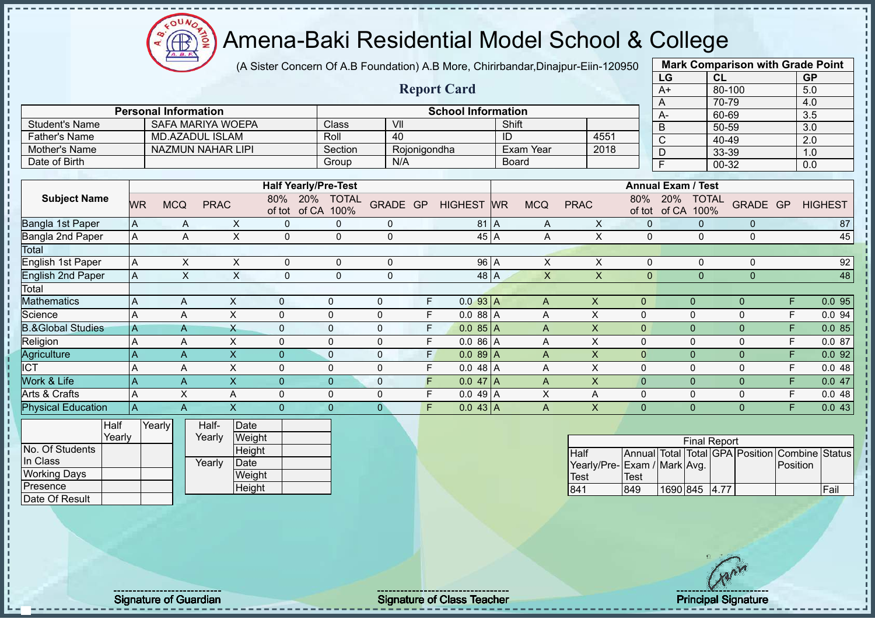ΩU **CB** 

# Amena-Baki Residential Model School & College

(A Sister Concern Of A.B Foundation) A.B More, Chirirbandar,Dinajpur-Eiin-120950

|                              |                           |                             |                          |                |                |                                |                |              |    |                           |           |                           |                             |                | LG                    | <b>CL</b>                 |                                                |          | <b>GP</b>        |       |
|------------------------------|---------------------------|-----------------------------|--------------------------|----------------|----------------|--------------------------------|----------------|--------------|----|---------------------------|-----------|---------------------------|-----------------------------|----------------|-----------------------|---------------------------|------------------------------------------------|----------|------------------|-------|
|                              |                           |                             |                          |                |                |                                |                |              |    | <b>Report Card</b>        |           |                           |                             |                | $A+$                  |                           | 80-100                                         |          | 5.0              |       |
|                              |                           |                             |                          |                |                |                                |                |              |    |                           |           |                           |                             |                | A                     |                           | 70-79                                          |          | 4.0              |       |
|                              |                           | <b>Personal Information</b> |                          |                |                |                                |                |              |    | <b>School Information</b> |           |                           |                             |                | $A -$                 |                           | 60-69                                          |          | 3.5              |       |
| <b>Student's Name</b>        |                           |                             | <b>SAFA MARIYA WOEPA</b> |                |                | Class                          | VII            |              |    |                           |           | Shift                     |                             |                | B                     |                           | 50-59                                          |          | $\overline{3.0}$ |       |
| <b>Father's Name</b>         |                           |                             | <b>MD.AZADUL ISLAM</b>   |                |                | Roll                           | 40             |              |    |                           | ID        |                           | 4551                        |                | $\overline{\text{C}}$ |                           | $40 - 49$                                      |          | $\overline{2.0}$ |       |
| <b>Mother's Name</b>         |                           |                             | <b>NAZMUN NAHAR LIPI</b> |                |                | Section                        |                | Rojonigondha |    |                           |           | Exam Year                 | 2018                        |                | D                     |                           | 33-39                                          |          | 1.0              |       |
| Date of Birth                |                           |                             |                          |                |                | Group                          |                | N/A          |    |                           |           | <b>Board</b>              |                             |                | $\overline{F}$        |                           | 00-32                                          |          | 0.0              |       |
|                              |                           |                             |                          |                |                |                                |                |              |    |                           |           |                           |                             |                |                       |                           |                                                |          |                  |       |
|                              |                           |                             |                          |                |                | <b>Half Yearly/Pre-Test</b>    |                |              |    |                           |           |                           |                             |                |                       | <b>Annual Exam / Test</b> |                                                |          |                  |       |
| <b>Subject Name</b>          | <b>WR</b>                 | <b>MCQ</b>                  | <b>PRAC</b>              |                | 80%            | 20% TOTAL<br>of tot of CA 100% | GRADE GP       |              |    | <b>HIGHEST</b>            | <b>WR</b> | <b>MCQ</b>                | <b>PRAC</b>                 | 80%            | 20%<br>of tot of CA   | <b>TOTAL</b><br>100%      | GRADE GP                                       |          | <b>HIGHEST</b>   |       |
| Bangla 1st Paper             | $\boldsymbol{\mathsf{A}}$ |                             | A                        | X              | 0              | $\pmb{0}$                      | $\mathbf 0$    |              |    | 81 A                      |           | Α                         | X                           | $\pmb{0}$      |                       | $\mathbf{0}$              | $\mathbf{0}$                                   |          |                  | 87    |
| Bangla 2nd Paper             | $\mathsf A$               |                             | Α                        | X              | $\Omega$       | $\mathbf 0$                    | $\mathbf 0$    |              |    | $45$ A                    |           | A                         | $\mathsf{X}$                | $\mathbf 0$    |                       | $\mathbf{0}$              | $\Omega$                                       |          |                  | 45    |
| Total                        |                           |                             |                          |                |                |                                |                |              |    |                           |           |                           |                             |                |                       |                           |                                                |          |                  |       |
| English 1st Paper            | $\boldsymbol{\mathsf{A}}$ |                             | $\pmb{\times}$           | X              | $\Omega$       | $\mathbf 0$                    | $\mathbf 0$    |              |    | 96 A                      |           | $\boldsymbol{\mathsf{X}}$ | $\pmb{\times}$              | 0              |                       | $\mathbf 0$               | $\Omega$                                       |          |                  | 92    |
| <b>English 2nd Paper</b>     | $\overline{A}$            |                             | $\mathsf{X}$             | $\overline{X}$ | $\Omega$       | $\mathbf 0$                    | $\Omega$       |              |    | $48$ A                    |           | $\overline{X}$            | $\mathsf{X}$                | $\Omega$       |                       | $\mathbf{0}$              | $\Omega$                                       |          |                  | 48    |
| Total                        |                           |                             |                          |                |                |                                |                |              |    |                           |           |                           |                             |                |                       |                           |                                                |          |                  |       |
| <b>Mathematics</b>           | A                         | A                           |                          | X              | $\mathbf{0}$   | $\Omega$                       | $\mathbf 0$    |              | F  | 0.093 A                   |           | $\mathsf{A}$              | $\mathsf{X}$                | $\overline{0}$ |                       | $\overline{0}$            | $\Omega$                                       | F.       |                  | 0.095 |
| Science                      | A                         | Α                           |                          | X              | $\mathbf 0$    | $\Omega$                       | 0              |              | E  | $0.088$ A                 |           | A                         | $\boldsymbol{\mathsf{X}}$   | 0              |                       | $\mathbf 0$               | $\Omega$                                       | F        |                  | 0.094 |
| <b>B.&amp;Global Studies</b> | A                         | A                           |                          | X              | $\mathbf 0$    | $\Omega$                       | $\mathbf 0$    |              | E  | $0.085$ A                 |           | $\mathsf{A}$              | $\mathsf{X}$                | $\overline{0}$ |                       | $\mathbf{0}$              | $\Omega$                                       | F        |                  | 0.085 |
| Religion                     | A                         | A                           |                          | X              | $\Omega$       | $\Omega$                       | 0              |              | F. | $0.086$ A                 |           | A                         | X                           | $\mathbf{0}$   |                       | $\mathbf 0$               | $\Omega$                                       | F        |                  | 0.087 |
| Agriculture                  | A                         | A                           |                          | $\overline{X}$ | $\Omega$       | $\Omega$                       | $\mathbf 0$    |              | F. | $0.089$ A                 |           | $\overline{A}$            | $\overline{\mathsf{X}}$     | $\overline{0}$ |                       | $\mathbf{0}$              | $\Omega$                                       | F        |                  | 0.092 |
| ICT                          | A                         | A                           |                          | X              | $\Omega$       | $\Omega$                       | 0              |              | F  | $0.048$ A                 |           | A                         | X                           | 0              |                       | $\mathbf 0$               | $\Omega$                                       | F        |                  | 0.048 |
| <b>Work &amp; Life</b>       | A                         | A                           |                          | $\mathsf{x}$   | $\overline{0}$ | $\overline{0}$                 | $\mathbf 0$    |              | F  | $0.047$ A                 |           | $\overline{A}$            | $\times$                    | $\mathbf 0$    |                       | $\mathbf{0}$              | $\Omega$                                       | F        |                  | 0.047 |
| Arts & Crafts                | $\overline{A}$            | $\sf X$                     |                          | Α              | 0              | $\mathbf 0$                    | $\pmb{0}$      |              | F  | $0.049$ A                 |           | $\pmb{\times}$            | A                           | 0              |                       | $\pmb{0}$                 | $\Omega$                                       | E        |                  | 0.048 |
| <b>Physical Education</b>    | $\overline{A}$            | $\mathsf A$                 |                          | $\overline{X}$ | $\Omega$       | $\overline{0}$                 | $\overline{0}$ |              | F  | $0.043$ A                 |           | $\overline{A}$            | $\mathsf{X}$                | $\overline{0}$ |                       | $\mathbf{0}$              | $\mathbf{0}$                                   | F        |                  | 0.043 |
| Half                         |                           | Yearly                      | Half-                    | Date           |                |                                |                |              |    |                           |           |                           |                             |                |                       |                           |                                                |          |                  |       |
| Yearly                       |                           |                             | Yearly                   | Weight         |                |                                |                |              |    |                           |           |                           |                             |                |                       | <b>Final Report</b>       |                                                |          |                  |       |
| No. Of Students              |                           |                             |                          | Height         |                |                                |                |              |    |                           |           |                           | Half                        |                |                       |                           | Annual Total Total GPA Position Combine Status |          |                  |       |
| In Class                     |                           |                             | Yearly                   | Date           |                |                                |                |              |    |                           |           |                           | Yearly/Pre-Exam / Mark Avg. |                |                       |                           |                                                | Position |                  |       |
| <b>Working Days</b>          |                           |                             |                          | Weight         |                |                                |                |              |    |                           |           |                           | Test                        | <b>Test</b>    |                       |                           |                                                |          |                  |       |
| Presence                     |                           |                             |                          | Height         |                |                                |                |              |    |                           |           |                           | 841                         | 849            | 1690 845              | 4.77                      |                                                |          |                  | Fail  |
| Date Of Result               |                           |                             |                          |                |                |                                |                |              |    |                           |           |                           |                             |                |                       |                           |                                                |          |                  |       |

**Mark Comparison with Grade Point**

j. J.

Signature of Guardian Signature of Class Teacher Principal Signature of Class Teacher Principal Signature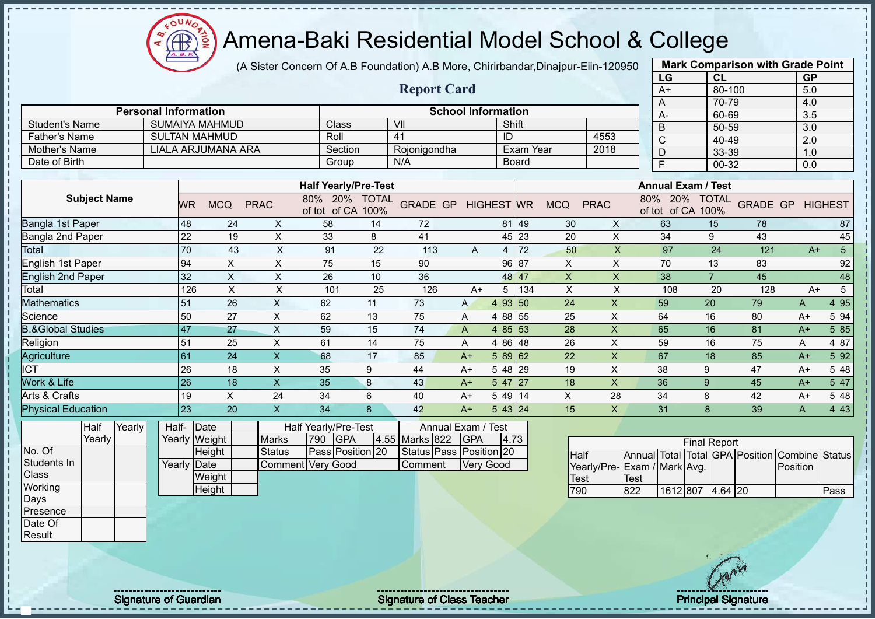$\Omega$ **CB** 

# Amena-Baki Residential Model School & College

(A Sister Concern Of A.B Foundation) A.B More, Chirirbandar,Dinajpur-Eiin-120950

|                              |                             |                           |              |                             |                      |                    |                           |                   |                  |            |             | LG                         | <b>CL</b>            |                 | <b>GP</b>        |                |
|------------------------------|-----------------------------|---------------------------|--------------|-----------------------------|----------------------|--------------------|---------------------------|-------------------|------------------|------------|-------------|----------------------------|----------------------|-----------------|------------------|----------------|
|                              |                             |                           |              |                             |                      | <b>Report Card</b> |                           |                   |                  |            |             | $A+$                       | 80-100               |                 | 5.0              |                |
|                              |                             |                           |              |                             |                      |                    |                           |                   |                  |            |             | A                          | 70-79                |                 | 4.0              |                |
|                              | <b>Personal Information</b> |                           |              |                             |                      |                    | <b>School Information</b> |                   |                  |            |             | A-                         | 60-69                |                 | 3.5              |                |
| <b>Student's Name</b>        |                             | <b>SUMAIYA MAHMUD</b>     |              | Class                       |                      | VII                |                           | Shift             |                  |            |             | B                          | 50-59                |                 | 3.0              |                |
| <b>Father's Name</b>         |                             | <b>SULTAN MAHMUD</b>      |              | Roll                        |                      | 41                 |                           | ID                |                  |            | 4553        | $\overline{\text{C}}$      | 40-49                |                 | $\overline{2.0}$ |                |
| Mother's Name                |                             | <b>LIALA ARJUMANA ARA</b> |              | Section                     |                      | Rojonigondha       |                           |                   | <b>Exam Year</b> |            | 2018        | D                          | 33-39                |                 | 1.0              |                |
| Date of Birth                |                             |                           |              | Group                       |                      | N/A                |                           |                   | <b>Board</b>     |            |             | E                          | 00-32                |                 | 0.0              |                |
|                              |                             |                           |              |                             |                      |                    |                           |                   |                  |            |             |                            |                      |                 |                  |                |
|                              |                             |                           |              | <b>Half Yearly/Pre-Test</b> |                      |                    |                           |                   |                  |            |             | <b>Annual Exam / Test</b>  |                      |                 |                  |                |
| <b>Subject Name</b>          | <b>WR</b>                   | <b>MCQ</b>                | <b>PRAC</b>  | 80%<br>20%<br>of tot of CA  | <b>TOTAL</b><br>100% | <b>GRADE GP</b>    |                           | <b>HIGHEST WR</b> |                  | <b>MCQ</b> | <b>PRAC</b> | 80%<br>20%<br>of tot of CA | <b>TOTAL</b><br>100% | <b>GRADE GP</b> |                  | <b>HIGHEST</b> |
| Bangla 1st Paper             | 48                          | 24                        | X            | 58                          | 14                   | 72                 |                           |                   | 81 49            | 30         | X           | 63                         | 15                   | 78              |                  | 87             |
| Bangla 2nd Paper             | 22                          | 19                        | X            | 33                          | 8                    | 41                 |                           |                   | 45 23            | 20         | X           | 34                         | 9                    | 43              |                  | 45             |
| Total                        | 70                          | 43                        | X            | 91                          | 22                   | 113                | $\mathsf{A}$              | 4                 | 72               | 50         | X           | 97                         | 24                   | 121             | $A+$             | 5              |
| English 1st Paper            | 94                          | X                         | X            | 75                          | 15                   | 90                 |                           | 96                | 87               | X          | X           | 70                         | 13                   | 83              |                  | 92             |
| <b>English 2nd Paper</b>     | 32                          | X                         | X            | 26                          | 10                   | 36                 |                           |                   | 48 47            | X          | X           | 38                         | $\overline{7}$       | 45              |                  | 48             |
| Total                        |                             | 126<br>X                  | X            | 101                         | 25                   | 126                | $A+$                      | 5                 | 134              | X          | X           | 108                        | 20                   | 128             | $A+$             | 5              |
| <b>Mathematics</b>           | 51                          | 26                        | X            | 62                          | 11                   | 73                 | A                         | 93 50<br>4        |                  | 24         | X           | 59                         | 20                   | 79              | Α                | 4 9 5          |
| Science                      | 50                          | 27                        | X            | 62                          | 13                   | 75                 | Α                         | 4 88              | 55               | 25         | X           | 64                         | 16                   | 80              | $A+$             | 5 94           |
| <b>B.&amp;Global Studies</b> | 47                          | 27                        | X            | 59                          | 15                   | 74                 | A                         | 4 8 5             | 53               | 28         | X           | 65                         | 16                   | 81              | $A+$             | 5 8 5          |
| Religion                     | 51                          | 25                        | X            | 61                          | 14                   | 75                 | A                         | 4 86 48           |                  | 26         | Χ           | 59                         | 16                   | 75              | Α                | 4 87           |
| Agriculture                  | 61                          | 24                        | X            | 68                          | 17                   | 85                 | $A+$                      | $589$ 62          |                  | 22         | X           | 67                         | 18                   | 85              | $A+$             | 5 9 2          |
| <b>ICT</b>                   | 26                          | 18                        | X            | 35                          | 9                    | 44                 | $A+$                      | 5 48              | 29               | 19         | X           | 38                         | 9                    | 47              | $A+$             | 5 48           |
| Work & Life                  | 26                          | 18                        | $\mathsf{X}$ | 35                          | 8                    | 43                 | $A+$                      | $547$   27        |                  | 18         | X           | 36                         | 9                    | 45              | $A+$             | 5 47           |
| Arts & Crafts                | 19                          | $\times$                  | 24           | 34                          | 6                    | 40                 | $A+$                      | 5 49 14           |                  | X          | 28          | 34                         | 8                    | 42              | $A+$             | 5 48           |
| <b>Physical Education</b>    | 23                          | 20                        | X            | 34                          | 8                    | 42                 | $A+$                      | 543 24            |                  | 15         | X           | 31                         | 8                    | 39              | A                | 4 4 3          |
| Yearly<br>Half               | Half-                       | Date                      |              | Half Yearly/Pre-Test        |                      | Annual Exam / Test |                           |                   |                  |            |             |                            |                      |                 |                  |                |

Yearly No. Of Students In **Class Working** Days Presence Date Of Result

| Half- Date  |               |                   |          | Half Yearly/Pre-Test |                    | Annual Exam / Test      |       |
|-------------|---------------|-------------------|----------|----------------------|--------------------|-------------------------|-------|
|             | Yearly Weight | <b>Marks</b>      | 790 IGPA |                      | 4.55 Marks 822 GPA |                         | 14.73 |
|             | Height        | Status            |          | Pass Position 20     |                    | Status Pass Position 20 |       |
| Yearly Date |               | Comment Very Good |          |                      | <b>Comment</b>     | <b>Very Good</b>        |       |
|             | Weight        |                   |          |                      |                    |                         |       |

|                             |      |                  | <b>Final Report</b> |  |                                                          |      |
|-----------------------------|------|------------------|---------------------|--|----------------------------------------------------------|------|
| <b>I</b> Half               |      |                  |                     |  | Annual Total   Total   GPA   Position   Combine   Status |      |
| Yearly/Pre-Exam / Mark Avg. |      |                  |                     |  | <b>Position</b>                                          |      |
| Test                        | Test |                  |                     |  |                                                          |      |
| פ?                          | 822  | 1612 807 4.64 20 |                     |  |                                                          | Pass |

**Mark Comparison with Grade Point**

Height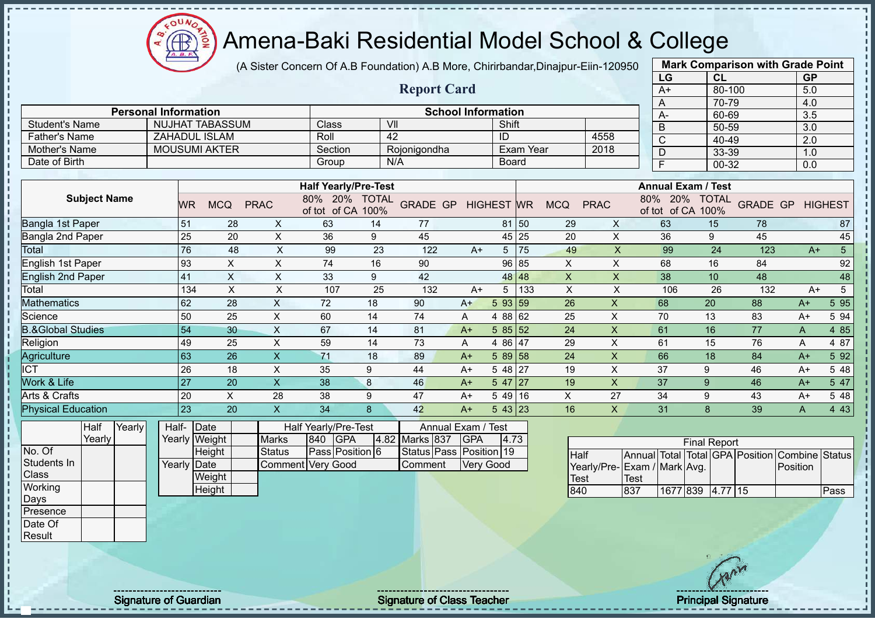

(A Sister Concern Of A.B Foundation) A.B More, Chirirbandar,Dinajpur-Eiin-120950

|                              |                             |           |                      |              |                                   |                      | <b>Report Card</b> |                           |                |             |                |                           | A+                            | 80-100               |                 | 5.0  |                |
|------------------------------|-----------------------------|-----------|----------------------|--------------|-----------------------------------|----------------------|--------------------|---------------------------|----------------|-------------|----------------|---------------------------|-------------------------------|----------------------|-----------------|------|----------------|
|                              |                             |           |                      |              |                                   |                      |                    |                           |                |             |                |                           | Α                             | 70-79                |                 | 4.0  |                |
|                              | <b>Personal Information</b> |           |                      |              |                                   |                      |                    | <b>School Information</b> |                |             |                |                           | A-                            | 60-69                |                 | 3.5  |                |
| <b>Student's Name</b>        |                             |           | NUJHAT TABASSUM      |              | Class                             | VII                  |                    |                           | Shift          |             |                |                           | B                             | 50-59                |                 | 3.0  |                |
| <b>Father's Name</b>         |                             |           | <b>ZAHADUL ISLAM</b> |              | Roll                              | 42                   |                    |                           | ID             |             |                | 4558                      | C                             | 40-49                |                 | 2.0  |                |
| <b>Mother's Name</b>         |                             |           | <b>MOUSUMI AKTER</b> |              | Section                           |                      | Rojonigondha       |                           |                | Exam Year   |                | 2018                      | D                             | 33-39                |                 | 1.0  |                |
| Date of Birth                |                             |           |                      |              | Group                             | N/A                  |                    |                           | <b>Board</b>   |             |                |                           | E                             | 00-32                |                 | 0.0  |                |
|                              |                             |           |                      |              |                                   |                      |                    |                           |                |             |                |                           |                               |                      |                 |      |                |
|                              |                             |           |                      |              | <b>Half Yearly/Pre-Test</b>       |                      |                    |                           |                |             |                |                           | <b>Annual Exam / Test</b>     |                      |                 |      |                |
| <b>Subject Name</b>          |                             | <b>WR</b> | <b>MCQ</b>           | <b>PRAC</b>  | 80%<br><b>20%</b><br>of tot of CA | <b>TOTAL</b><br>100% | <b>GRADE GP</b>    |                           | <b>HIGHEST</b> | <b>WR</b>   | <b>MCQ</b>     | <b>PRAC</b>               | 80%<br>20%<br>of CA<br>of tot | <b>TOTAL</b><br>100% | <b>GRADE GP</b> |      | <b>HIGHEST</b> |
| Bangla 1st Paper             |                             | 51        | 28                   | X            | 63                                | 14                   | 77                 |                           | 81             | $\sqrt{50}$ | 29             | X                         | 63                            | 15                   | 78              |      | 87             |
| Bangla 2nd Paper             |                             | 25        | 20                   | X            | 36                                | 9                    | 45                 |                           | 45             | 25          | 20             | X                         | 36                            | 9                    | 45              |      | 45             |
| Total                        |                             | 76        | 48                   | X            | 99                                | 23                   | 122                | $A+$                      | 5              | 75          | 49             | X                         | 99                            | 24                   | 123             | $A+$ | 5              |
| English 1st Paper            |                             | 93        | X                    | X            | 74                                | 16                   | 90                 |                           | 96             | 85          | $\pmb{\times}$ | $\boldsymbol{\mathsf{X}}$ | 68                            | 16                   | 84              |      | 92             |
| <b>English 2nd Paper</b>     |                             | 41        | X                    | X            | 33                                | 9                    | 42                 |                           | 48             | 48          | X              | $\times$                  | 38                            | 10                   | 48              |      | 48             |
| Total                        |                             | 134       | X                    | X            | 107                               | 25                   | 132                | $A+$                      | 5              | 133         | X              | X                         | 106                           | 26                   | 132             | $A+$ | 5              |
| <b>Mathematics</b>           |                             | 62        | 28                   | X            | 72                                | 18                   | 90                 | $A+$                      | 5 93           | 59          | 26             | $\mathsf{x}$              | 68                            | 20                   | 88              | $A+$ | 5 9 5          |
| Science                      |                             | 50        | 25                   | X            | 60                                | 14                   | 74                 | A                         | 4 88 62        |             | 25             | X                         | 70                            | 13                   | 83              | $A+$ | 5 94           |
| <b>B.&amp;Global Studies</b> |                             | 54        | 30                   | X            | 67                                | 14                   | 81                 | $A+$                      | 5 8 5          | 52          | 24             | X                         | 61                            | 16                   | 77              | A    | 4 8 5          |
| Religion                     |                             | 49        | 25                   | X            | 59                                | 14                   | 73                 | A                         | 4 8 6          | 47          | 29             | X                         | 61                            | 15                   | 76              | A    | 4 87           |
| Agriculture                  |                             | 63        | 26                   | X            | 71                                | 18                   | 89                 | $A+$                      | 5 89           | 58          | 24             | X                         | 66                            | 18                   | 84              | $A+$ | 5 9 2          |
| <b>CT</b>                    |                             | 26        | 18                   | X            | 35                                | 9                    | 44                 | $A+$                      | 5 48 27        |             | 19             | X                         | 37                            | 9                    | 46              | $A+$ | 5 48           |
| <b>Work &amp; Life</b>       |                             | 27        | 20                   | X            | 38                                | 8                    | 46                 | $A+$                      | 5 47           | 127         | 19             | X                         | 37                            | 9                    | 46              | $A+$ | 5 47           |
| Arts & Crafts                |                             | 20        | X                    | 28           | 38                                | 9                    | 47                 | $A+$                      | 5 4 9          | 16          | X              | 27                        | 34                            | 9                    | 43              | $A+$ | 5 48           |
| <b>Physical Education</b>    |                             | 23        | 20                   | $\mathsf{X}$ | 34                                | 8                    | 42                 | $A+$                      | $543$ 23       |             | 16             | X                         | 31                            | 8                    | 39              | A    | 4 4 3          |
| Yearly<br>Half               | Half-                       |           | Date                 |              | Half Yearly/Pre-Test              |                      |                    | Annual Exam / Test        |                |             |                |                           |                               |                      |                 |      |                |

**Yearly** No. Of Students In **Class Working** Days **Presence** Date Of

Result

 $\mathbf{I}$  $\mathbf I$  $\mathbf{I}$ 

| Half- Date  |               |                   |     | Half Yearly/Pre-Test |                | Annual Exam / Test      |      |
|-------------|---------------|-------------------|-----|----------------------|----------------|-------------------------|------|
|             | Yearly Weight | <b>Marks</b>      | 840 | <b>IGPA</b>          | 4.82 Marks 837 | <b>IGPA</b>             | 14.7 |
|             | Height        | Status            |     | Pass Position 6      |                | Status Pass Position 19 |      |
| Yearly Date |               | Comment Very Good |     |                      | Comment        | <b>Very Good</b>        |      |
|             | Weight        |                   |     |                      |                |                         |      |
|             | Height        |                   |     |                      |                |                         |      |

|                             |      |                  | <b>Final Report</b> |  |                                                |      |
|-----------------------------|------|------------------|---------------------|--|------------------------------------------------|------|
| <b>Half</b>                 |      |                  |                     |  | Annual Total Total GPA Position Combine Status |      |
| Yearly/Pre-Exam / Mark Avg. |      |                  |                     |  | Position                                       |      |
| <b>Test</b>                 | Test |                  |                     |  |                                                |      |
| 840                         | 837  | 1677 839 4.77 15 |                     |  |                                                | Pass |

**Mark Comparison with Grade Point LG CL GP**

Signature of Guardian Signature of Class Teacher Principal Signature of Class Teacher Principal Signature of Class Teacher Principal Signature of Class Teacher Principal Signature of Class Teacher Principal Signature of Cl

**4.73**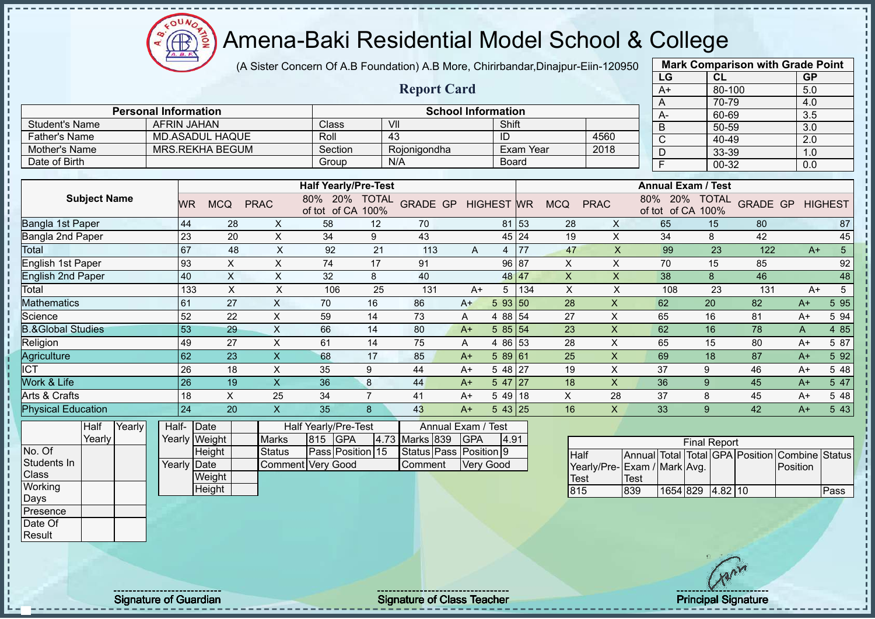OUN  $\bigoplus$ 

# Amena-Baki Residential Model School & College

(A Sister Concern Of A.B Foundation) A.B More, Chirirbandar,Dinajpur-Eiin-120950

|                              |                             |                 |                        |               |                                    |                |                           |                        |                   |                  |                   |                             |              | LG         | CL                                |                 | <b>GP</b> |                         |
|------------------------------|-----------------------------|-----------------|------------------------|---------------|------------------------------------|----------------|---------------------------|------------------------|-------------------|------------------|-------------------|-----------------------------|--------------|------------|-----------------------------------|-----------------|-----------|-------------------------|
|                              |                             |                 |                        |               |                                    |                | <b>Report Card</b>        |                        |                   |                  |                   |                             |              | $A+$       | 80-100                            |                 | 5.0       |                         |
|                              |                             |                 |                        |               |                                    |                |                           |                        |                   |                  |                   |                             |              | A          | 70-79                             |                 | 4.0       |                         |
|                              | <b>Personal Information</b> |                 |                        |               |                                    |                | <b>School Information</b> |                        |                   |                  |                   |                             |              | A-         | 60-69                             |                 | 3.5       |                         |
| <b>Student's Name</b>        | <b>AFRIN JAHAN</b>          |                 |                        |               | Class                              |                | VII                       |                        | Shift             |                  |                   |                             |              | B          | $50 - 59$                         |                 | 3.0       |                         |
| <b>Father's Name</b>         |                             |                 | <b>MD.ASADUL HAQUE</b> |               | Roll                               |                | 43                        |                        | ID                |                  |                   | 4560                        |              | C          | 40-49                             |                 | 2.0       |                         |
| Mother's Name                |                             |                 | <b>MRS.REKHA BEGUM</b> |               | Section                            |                | Rojonigondha              |                        |                   | <b>Exam Year</b> |                   | 2018                        |              | D          | 33-39                             |                 | 1.0       |                         |
| Date of Birth                |                             |                 |                        |               | Group                              |                | N/A                       |                        | Board             |                  |                   |                             |              | E          | 00-32                             |                 | 0.0       |                         |
|                              |                             |                 |                        |               |                                    |                |                           |                        |                   |                  |                   |                             |              |            |                                   |                 |           |                         |
|                              |                             |                 |                        |               | <b>Half Yearly/Pre-Test</b>        |                |                           |                        |                   |                  |                   |                             |              |            | <b>Annual Exam / Test</b>         |                 |           |                         |
| <b>Subject Name</b>          |                             | <b>WR</b>       | <b>MCQ</b>             | <b>PRAC</b>   | 80% 20% TOTAL<br>of tot of CA 100% |                | <b>GRADE GP</b>           |                        | <b>HIGHEST WR</b> |                  | <b>MCQ</b>        | <b>PRAC</b>                 | $80\%$       | <b>20%</b> | <b>TOTAL</b><br>of tot of CA 100% | <b>GRADE GP</b> |           | <b>HIGHEST</b>          |
| Bangla 1st Paper             |                             | 44              | 28                     | X             | 58                                 | 12             | 70                        |                        |                   | 81 53            | 28                | X                           |              | 65         | 15                                | 80              |           | 87                      |
| Bangla 2nd Paper             |                             | $\overline{23}$ | 20                     | X             | 34                                 | 9              | 43                        |                        |                   | 45 24            | 19                | $\times$                    |              | 34         | 8                                 | 42              |           | 45                      |
| Total                        |                             | 67              | 48                     | X             | 92                                 | 21             | 113                       | A                      | $\overline{4}$    | 77               | 47                | $\times$                    |              | 99         | 23                                | 122             |           | $5\phantom{.0}$<br>$A+$ |
| English 1st Paper            |                             | 93              | X                      | X             | 74                                 | 17             | 91                        |                        | 96                | 87               | X                 | X                           |              | 70         | 15                                | 85              |           | 92                      |
| <b>English 2nd Paper</b>     |                             | 40              | $\pmb{\times}$         | X             | 32                                 | 8              | 40                        |                        | 48                | <b>47</b>        | X                 | X                           |              | 38         | 8                                 | 46              |           | 48                      |
| Total                        |                             | 133             | X                      | X             | 106                                | 25             | 131                       | $A+$                   | 5                 | 134              | X                 | $\mathsf X$                 |              | 108        | 23                                | 131             |           | 5<br>$A+$               |
| Mathematics                  |                             | 61              | 27                     | X             | 70                                 | 16             | 86                        | $A+$                   | 5 93 50           |                  | 28                | X                           |              | 62         | 20                                | 82              | $A+$      | 5 9 5                   |
| Science                      |                             | 52              | 22                     | $\times$      | 59                                 | 14             | 73                        | A                      | 4 88 54           |                  | 27                | X                           |              | 65         | 16                                | 81              | $A+$      | 5 94                    |
| <b>B.&amp;Global Studies</b> |                             | 53              | 29                     | $\mathsf X$   | 66                                 | 14             | 80                        | $A+$                   | 58554             |                  | 23                | X                           |              | 62         | 16                                | 78              | A         | 4 8 5                   |
| Religion                     |                             | 49              | 27                     | $\mathsf{X}$  | 61                                 | 14             | 75                        | A                      | 4 8 6             | 53               | 28                | X                           |              | 65         | 15                                | 80              | $A+$      | 5 87                    |
| Agriculture                  |                             | 62              | 23                     | $\mathsf{X}$  | 68                                 | 17             | 85                        | $A+$                   | 589 61            |                  | 25                | X                           |              | 69         | 18                                | 87              | $A+$      | 5 92                    |
| <b>ICT</b>                   |                             | 26              | 18                     | X             | 35                                 | 9              | 44                        | $A+$                   | 5 48 27           |                  | 19                | X                           |              | 37         | 9                                 | 46              | $A+$      | 5 48                    |
| Work & Life                  |                             | $\overline{26}$ | 19                     | $\times$      | 36                                 | 8              | 44                        | $A+$                   | $5 \, 47 \, 27$   |                  | 18                | X                           |              | 36         | 9                                 | 45              | $A+$      | 5 47                    |
| Arts & Crafts                |                             | 18              | X                      | 25            | 34                                 | $\overline{7}$ | 41                        | $A+$                   | $549$ 18          |                  | X                 | 28                          |              | 37         | 8                                 | 45              | $A+$      | 5 48                    |
| <b>Physical Education</b>    |                             | 24              | 20                     | $\mathsf X$   | 35                                 | 8              | 43                        | $A+$                   | 543 25            |                  | 16                | X                           |              | 33         | 9                                 | 42              | $A+$      | 5 4 3                   |
| Yearly<br>Half               | Half-                       | Date            |                        |               | Half Yearly/Pre-Test               |                | Annual Exam / Test        |                        |                   |                  |                   |                             |              |            |                                   |                 |           |                         |
| Yearly                       |                             | Yearly Weight   |                        | <b>Marks</b>  | 815<br><b>IGPA</b>                 |                | 4.73 Marks 839            | <b>GPA</b>             | 4.91              |                  |                   |                             |              |            | <b>Final Report</b>               |                 |           |                         |
| No. Of                       |                             |                 | Height                 | <b>Status</b> | Pass Position 15                   |                | Status Pass               | Position <sup>19</sup> |                   |                  | <b>Half</b>       |                             | Annual Total |            | Total GPA Position                |                 | Combine   | Status                  |
| Students In                  | Yearly                      | Date            |                        |               | Comment Very Good                  |                | Comment                   | <b>Very Good</b>       |                   |                  |                   | Yearly/Pre-Exam / Mark Avg. |              |            |                                   |                 | Position  |                         |
| Class                        |                             |                 | <b>Weight</b>          |               |                                    |                |                           |                        |                   |                  | $T_{\text{O}}$ of |                             | $T_{\rm{O}}$ |            |                                   |                 |           |                         |

1654 829 4.82 10 Pass

**Mark Comparison with Grade Point**

Signature of Guardian Signature of Class Teacher Principal Signature of Guardian Signature of Class Teacher Principal Signature

**Weight Height** 

**Working** Days **Presence** Date Of Result

Test<br>815

Test<br>839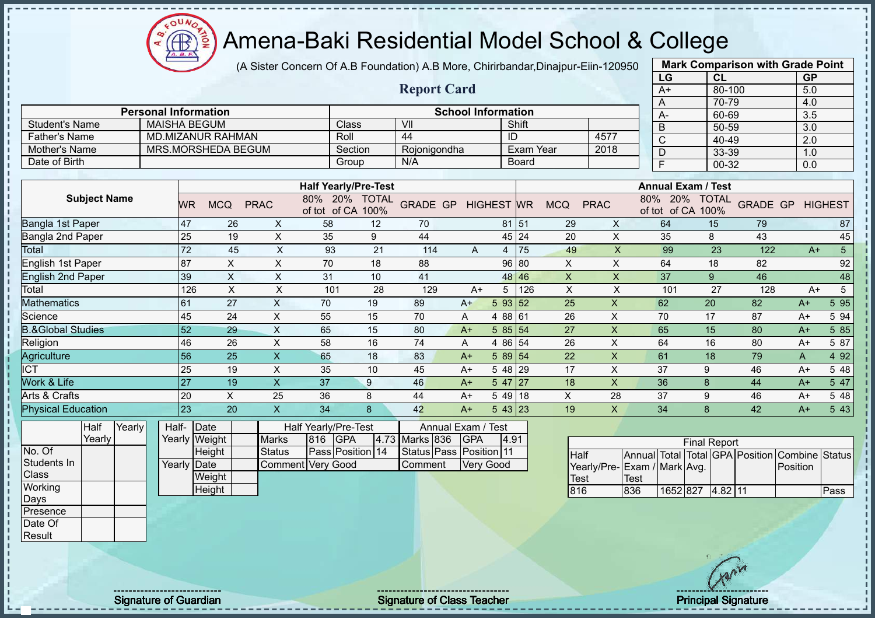Æ

# Amena-Baki Residential Model School & College

(A Sister Concern Of A.B Foundation) A.B More, Chirirbandar,Dinajpur-Eiin-120950

|                                |                     |        |                             |                 |                           |                           |                                                  |         |                            |                           |                                 |              |                     |                         |      | LG                                                                 | <b>CL</b>           |                 | <b>GP</b> |                |
|--------------------------------|---------------------|--------|-----------------------------|-----------------|---------------------------|---------------------------|--------------------------------------------------|---------|----------------------------|---------------------------|---------------------------------|--------------|---------------------|-------------------------|------|--------------------------------------------------------------------|---------------------|-----------------|-----------|----------------|
|                                |                     |        |                             |                 |                           |                           |                                                  |         | <b>Report Card</b>         |                           |                                 |              |                     |                         |      | $A+$                                                               | 80-100              |                 | 5.0       |                |
|                                |                     |        |                             |                 |                           |                           |                                                  |         |                            |                           |                                 |              |                     |                         |      | A                                                                  | 70-79               |                 | 4.0       |                |
|                                |                     |        | <b>Personal Information</b> |                 |                           |                           |                                                  |         |                            | <b>School Information</b> |                                 |              |                     |                         |      | А-                                                                 | 60-69               |                 | 3.5       |                |
| <b>Student's Name</b>          |                     |        | <b>MAISHA BEGUM</b>         |                 |                           |                           | Class                                            |         | VII<br>44                  |                           |                                 | Shift        |                     |                         |      | B                                                                  | 50-59               |                 | 3.0       |                |
| <b>Father's Name</b>           |                     |        |                             |                 | <b>MD.MIZANUR RAHMAN</b>  |                           | Roll                                             |         |                            |                           | ID                              |              |                     | 4577                    |      | $\overline{C}$                                                     | 40-49               |                 | 2.0       |                |
| Mother's Name                  |                     |        |                             |                 | MRS.MORSHEDA BEGUM        |                           |                                                  | Section | Rojonigondha               |                           |                                 | Exam Year    |                     | 2018                    |      | D                                                                  | 33-39               |                 | 1.0       |                |
| Date of Birth                  |                     |        |                             |                 |                           |                           | Group                                            |         | N/A                        |                           |                                 | <b>Board</b> |                     |                         |      | $\overline{F}$                                                     | 00-32               |                 | 0.0       |                |
|                                |                     |        |                             |                 |                           |                           | <b>Half Yearly/Pre-Test</b>                      |         |                            |                           |                                 |              |                     |                         |      | <b>Annual Exam / Test</b>                                          |                     |                 |           |                |
|                                | <b>Subject Name</b> |        |                             | <b>WR</b>       | <b>MCQ</b>                | <b>PRAC</b>               | 80% 20% TOTAL<br>of tot of CA                    | 100%    | <b>GRADE GP</b>            |                           | <b>HIGHEST WR</b>               |              | <b>MCQ</b>          | <b>PRAC</b>             | 80%  | 20% TOTAL<br>of tot of CA 100%                                     |                     | <b>GRADE GP</b> |           | <b>HIGHEST</b> |
| Bangla 1st Paper               |                     |        |                             | 47              | 26                        | X                         | 58                                               | 12      | 70                         |                           |                                 | 81 51        | 29                  | X                       |      | 64                                                                 | 15                  | 79              |           | 87             |
| Bangla 2nd Paper               |                     |        |                             | 25              | 19                        | X                         | 35                                               | 9       | 44                         |                           | 45                              | 24           | 20                  | X                       |      | 35                                                                 | 8                   | 43              |           | 45             |
| Total                          |                     |        |                             | $\overline{72}$ | 45                        | $\boldsymbol{\mathsf{X}}$ | 93                                               | 21      | 114                        | A                         | $\overline{4}$                  | 75           | 49                  | $\overline{\mathsf{X}}$ |      | 99                                                                 | 23                  | 122             | $A+$      | 5              |
| English 1st Paper              |                     |        |                             | 87              | $\boldsymbol{\mathsf{X}}$ | $\mathsf{X}$              | 70                                               | 18      | 88                         |                           | 96                              | 80           | X                   | X                       |      | 64                                                                 | 18                  | 82              |           | 92             |
| <b>English 2nd Paper</b>       |                     |        |                             | 39              | $\pmb{\times}$            | X                         | 31                                               | 10      | 41                         |                           | 48                              | 46           | $\pmb{\times}$      | X                       |      | 37                                                                 | 9                   | 46              |           | 48             |
| Total                          |                     |        |                             | 126             | $\sf X$                   | X                         | 101                                              | 28      | 129                        | $A+$                      | 5                               | 126          | $\pmb{\times}$      | $\times$                |      | 101                                                                | 27                  | 128             | $A+$      | $\mathbf 5$    |
| Mathematics                    |                     |        |                             | 61              | 27                        | X                         | 70                                               | 19      | 89                         | $A+$                      | 5 93 52                         |              | 25                  | $\mathsf{x}$            |      | 62                                                                 | 20                  | 82              | $A+$      | 5 9 5          |
| Science                        |                     |        |                             | 45              | 24                        | $\pmb{\times}$            | 55                                               | 15      | 70                         | Α                         | 4 8 8                           | 61           | 26                  | X                       |      | 70                                                                 | 17                  | 87              | $A+$      | 5 94           |
| <b>B.&amp;Global Studies</b>   |                     |        |                             | 52              | 29                        | $\pmb{\times}$            | 65                                               | 15      | 80                         | $A+$                      | 5 85                            | 54           | 27                  | $\pmb{\times}$          |      | 65                                                                 | 15                  | 80              | $A+$      | 5 85           |
| Religion                       |                     |        |                             | 46              | 26                        | $\pmb{\times}$            | 58                                               | 16      | 74                         | Α                         | 4 8 6                           | 54           | 26                  | X                       |      | 64                                                                 | 16                  | 80              | $A+$      | 5 87           |
| Agriculture                    |                     |        |                             | $\overline{56}$ | $\overline{25}$           | $\overline{\mathsf{X}}$   | 65                                               | 18      | 83                         | $A+$                      | 5 89 54                         |              | 22                  | $\mathsf{x}$            |      | 61                                                                 | 18                  | 79              | A         | 4 9 2          |
| <b>ICT</b>                     |                     |        |                             | 25              | 19                        | $\pmb{\times}$            | 35                                               | 10      | 45                         | $A+$                      | 5 48                            | 29           | 17                  | X                       |      | 37                                                                 | 9                   | 46              | $A+$      | 5 48           |
| Work & Life                    |                     |        |                             | $\overline{27}$ | 19                        | $\overline{X}$            | 37                                               | 9       | 46                         | $A+$                      | 5 47                            | 27           | 18                  | $\mathsf{x}$            |      | 36                                                                 | 8                   | 44              | $A+$      | 547            |
| Arts & Crafts                  |                     |        |                             | 20              | $\boldsymbol{\mathsf{X}}$ | 25                        | 36                                               | 8       | 44                         | $A+$                      | 5 4 9                           | 18           | X                   | 28                      |      | 37                                                                 | 9                   | 46              | $A+$      | 5 48           |
| <b>Physical Education</b>      |                     |        |                             | 23              | 20                        | $\boldsymbol{\mathsf{X}}$ | 34                                               | 8       | 42                         | $A+$                      | 543 23                          |              | 19                  | X                       |      | 34                                                                 | 8                   | 42              | $A+$      | 5 4 3          |
|                                | Half<br>Yearly      | Yearly | Half-                       |                 | Date<br>Yearly Weight     | <b>Marks</b>              | <b>Half Yearly/Pre-Test</b><br><b>GPA</b><br>816 | 4.73    | Annual Exam /<br>Marks 836 | GPA                       | <sup>/</sup> Test<br>4.91       |              |                     |                         |      |                                                                    | <b>Final Report</b> |                 |           |                |
| No. Of<br>Students In<br>Class |                     |        |                             | Yearly Date     | Height<br>Weight          | <b>Status</b>             | Pass Position 14<br>Comment Very Good            |         | Status Pass<br>Comment     |                           | Position 11<br><b>Very Good</b> |              | Half<br><b>Test</b> | Yearly/Pre-             | Test | Annual Total Total GPA Position Combine Status<br>Exam / Mark Avg. |                     |                 | Position  |                |
| Working<br>Days                |                     |        |                             |                 | Height                    |                           |                                                  |         |                            |                           |                                 |              | 816                 |                         | 836  | 1652 827 4.82 11                                                   |                     |                 |           | Pass           |

**Mark Comparison with Grade Point**

Presence Date Of Result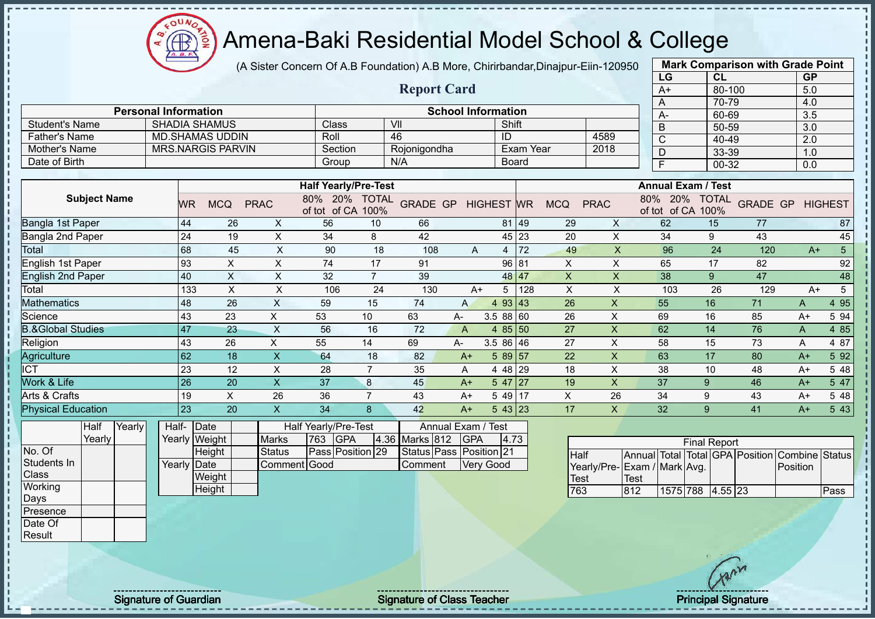

(A Sister Concern Of A.B Foundation) A.B More, Chirirbandar,Dinajpur-Eiin-120950

**Report Card**

|                       | <b>Mark Comparison with Grade Point</b> |           |
|-----------------------|-----------------------------------------|-----------|
| LG                    | CL                                      | <b>GP</b> |
| $A+$                  | 80-100                                  | 5.0       |
| A                     | 70-79                                   | 4.0       |
| A-                    | 60-69                                   | 3.5       |
| B                     | 50-59                                   | 3.0       |
|                       | 40-49                                   | 2.0       |
| D                     | 33-39                                   | 1.0       |
| F                     | 00-32                                   | 0.0       |
| $\overline{\text{c}}$ |                                         |           |

| <b>Student's Name</b>    |           | <b>SHADIA SHAMUS</b>     |             | Class                                |                      | VII             |              |                   | Shift    |            |             | B                                    | 50-59                |                 | 3.0  |                |
|--------------------------|-----------|--------------------------|-------------|--------------------------------------|----------------------|-----------------|--------------|-------------------|----------|------------|-------------|--------------------------------------|----------------------|-----------------|------|----------------|
| <b>Father's Name</b>     |           | <b>MD.SHAMAS UDDIN</b>   |             | Roll                                 |                      | 46              |              | ID                |          |            | 4589        | C                                    | 40-49                |                 | 2.0  |                |
| Mother's Name            |           | <b>MRS.NARGIS PARVIN</b> |             | Section                              |                      | Rojonigondha    |              |                   |          | Exam Year  | 2018        | D                                    | 33-39                |                 | 1.0  |                |
| Date of Birth            |           |                          |             | Group                                |                      | N/A             |              |                   | Board    |            |             |                                      | 00-32                |                 | 0.0  |                |
|                          |           |                          |             |                                      |                      |                 |              |                   |          |            |             |                                      |                      |                 |      |                |
|                          |           |                          |             | <b>Half Yearly/Pre-Test</b>          |                      |                 |              |                   |          |            |             | <b>Annual Exam / Test</b>            |                      |                 |      |                |
| <b>Subject Name</b>      | <b>WR</b> | <b>MCQ</b>               | <b>PRAC</b> | 80%<br><b>20%</b><br>of CA<br>of tot | <b>TOTAL</b><br>100% | <b>GRADE GP</b> |              | <b>HIGHEST WR</b> |          | <b>MCQ</b> | <b>PRAC</b> | 80%<br><b>20%</b><br>of CA<br>of tot | <b>TOTAL</b><br>100% | <b>GRADE GP</b> |      | <b>HIGHEST</b> |
| Bangla 1st Paper         | 44        | 26                       | X.          | 56                                   | 10                   | 66              |              |                   | 81 49    | 29         | X           | 62                                   | 15                   | 77              |      | 87             |
| Bangla 2nd Paper         | 24        | 19                       | X           | 34                                   | 8                    | 42              |              |                   | 45 23    | 20         | X           | 34                                   | 9                    | 43              |      | 45             |
| Total                    | 68        | 45                       | X           | 90                                   | 18                   | 108             | A            | 4                 | 72       | 49         | X           | 96                                   | 24                   | 120             | $A+$ | 5              |
| English 1st Paper        | 93        | X                        | X.          | 74                                   | 17                   | 91              |              |                   | 96 81    | X.         | X           | 65                                   | 17                   | 82              |      | 92             |
| <b>English 2nd Paper</b> | 40        | X                        | X.          | 32                                   |                      | 39              |              |                   | 48 47    | X          | X           | 38                                   | $9^{\circ}$          | 47              |      | 48             |
| Total                    | 133       | X.                       | X           | 106                                  | 24                   | 130             | $A+$         | 5                 | 128      | X          | X           | 103                                  | 26                   | 129             | $A+$ |                |
| <b>Aathematics</b>       | 48        | 26                       | X.          | 59                                   | 15                   | 74              | $\mathsf{A}$ |                   | 4 93 43  | 26         | X           | 55                                   | 16                   | 71              | A    | 4 9 5          |
| Science                  | 43        | 23                       | X           | 53                                   | 10                   | 63              | A-           | 3.58860           |          | 26         | X           | 69                                   | 16                   | 85              | $A+$ | 5 94           |
| &Global Studies          | 47        | 23                       | X           | 56                                   | 16                   | 72              | A            |                   | $485$ 50 | 27         | X           | 62                                   | 14                   | 76              | A    | 4 8 5          |
| Religion                 | 43        | 26                       | X           | 55                                   | 14                   | 69              | $A-$         | $3.586$ 46        |          | 27         | X           | 58                                   | 15                   | 73              | A    | 4 87           |
| Agriculture              | 62        | 18                       | X           | 64                                   | 18                   | 82              | A+           |                   | 589 57   | 22         | X           | 63                                   | 17                   | 80              | $A+$ | 5 92           |

| Work & Life               |                 | 126   | 20            |              |                      | c | 45             | A+            | 47   27                        |         | 19 |    | 31            |              | 46 | $A+$ | 547  |
|---------------------------|-----------------|-------|---------------|--------------|----------------------|---|----------------|---------------|--------------------------------|---------|----|----|---------------|--------------|----|------|------|
| Arts & Crafts             |                 | 19    |               | 20           | 36                   |   | 43             | A+            | $1.4911$ <sup>-1</sup><br>. נד |         |    | ∠o | 34            |              | 43 | A+   | 5 48 |
| <b>Physical Education</b> |                 | 123   | 20            |              |                      |   | 42             | A+            |                                | 43   23 |    |    | $\sim$<br>ے ت |              | 41 | A+   | 5 43 |
| Half                      | <b>P</b> Yearly | Half- | <b>IDate</b>  |              | Half Yearly/Pre-Test |   |                | Annual Exam / | / Test                         |         |    |    |               |              |    |      |      |
| Yearly                    |                 |       | Yearly Weight | <b>Marks</b> | 763<br><b>IGPA</b>   |   | 4.36 Marks 812 | <b>IGPA</b>   | 4.73                           |         |    |    |               | Einal Donort |    |      |      |

No. Of Students In Class **Working** Days Presence Date Of Result

л

- II

| Half- Date  |               |              |     | Half Yearly/Pre-Test |                    | Annual Exam / Test      |      |
|-------------|---------------|--------------|-----|----------------------|--------------------|-------------------------|------|
|             | Yearly Weight | <b>Marks</b> | 763 | <b>IGPA</b>          | 4.36 Marks 812 GPA |                         | 4.73 |
|             | Height        | Status       |     | Pass Position 29     |                    | Status Pass Position 21 |      |
| Yearly Date |               | Comment Good |     |                      | <b>Comment</b>     | <b>Very Good</b>        |      |
|             | Weight        |              |     |                      |                    |                         |      |
|             | Height        |              |     |                      |                    |                         |      |

**Personal Information School Information** 

|                             |      |                     | <b>Final Report</b> |  |                                                |      |
|-----------------------------|------|---------------------|---------------------|--|------------------------------------------------|------|
| Half                        |      |                     |                     |  | Annual Total Total GPA Position Combine Status |      |
| Yearly/Pre-Exam / Mark Avg. |      |                     |                     |  | Position                                       |      |
| <b>Test</b>                 | Test |                     |                     |  |                                                |      |
| 763                         | 812  | 1575 788  4.55   23 |                     |  |                                                | Pass |

Signature of Guardian Signature of Class Teacher Principal Signature of Class Teacher Principal Signature

ICT 23 12 X 28 7 35 A 4 48 29 18 X 38 10 48 A+ 5 48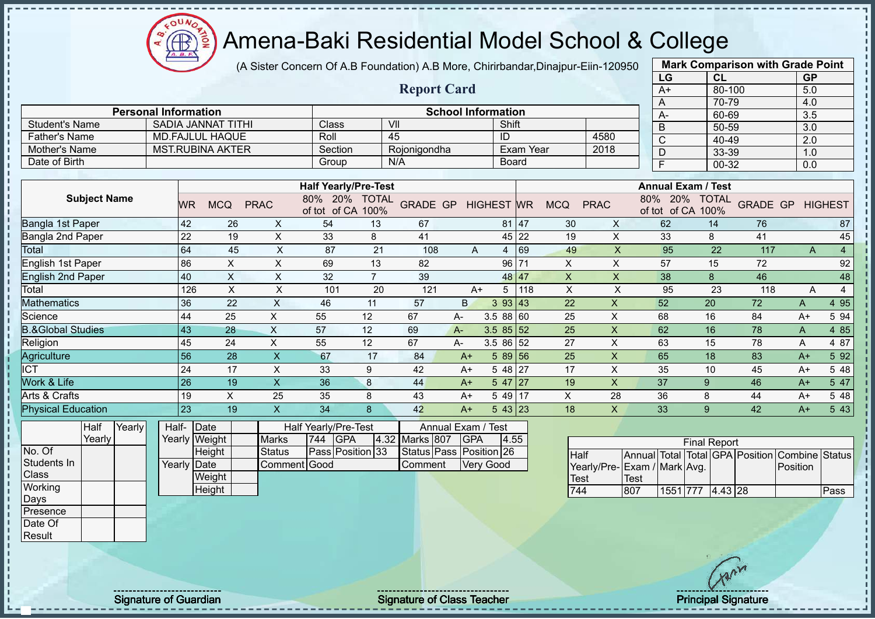

(A Sister Concern Of A.B Foundation) A.B More, Chirirbandar, Dinajpur-Fiin-120950

|                              |           |                           |                |                             |                      |                     |              |                           |           |            |             | LG                         | CL                   |                 | <b>GP</b> |                |
|------------------------------|-----------|---------------------------|----------------|-----------------------------|----------------------|---------------------|--------------|---------------------------|-----------|------------|-------------|----------------------------|----------------------|-----------------|-----------|----------------|
|                              |           |                           |                |                             |                      | <b>Report Card</b>  |              |                           |           |            |             | $A+$                       | 80-100               |                 | 5.0       |                |
| <b>Personal Information</b>  |           |                           |                |                             |                      |                     |              | <b>School Information</b> |           |            |             | A                          | 70-79                |                 | 4.0       |                |
|                              |           |                           |                |                             |                      |                     |              |                           |           |            |             | A-                         | 60-69                |                 | 3.5       |                |
| <b>Student's Name</b>        |           | <b>SADIA JANNAT TITHI</b> |                | Class                       |                      | VII                 |              | Shift                     |           |            |             | B                          | 50-59                |                 | 3.0       |                |
| <b>Father's Name</b>         |           | <b>MD.FAJLUL HAQUE</b>    |                | Roll                        |                      | 45                  |              | ID                        |           |            | 4580        | C                          | 40-49                |                 | 2.0       |                |
| Mother's Name                |           | <b>MST.RUBINA AKTER</b>   |                | Section                     |                      | Rojonigondha        |              |                           | Exam Year |            | 2018        | D                          | 33-39                |                 | 1.0       |                |
| Date of Birth                |           |                           |                | Group                       |                      | N/A                 |              |                           | Board     |            |             | F                          | 00-32                |                 | 0.0       |                |
|                              |           |                           |                |                             |                      |                     |              |                           |           |            |             |                            |                      |                 |           |                |
|                              |           |                           |                | <b>Half Yearly/Pre-Test</b> |                      |                     |              |                           |           |            |             | <b>Annual Exam / Test</b>  |                      |                 |           |                |
| <b>Subject Name</b>          | <b>WR</b> | <b>MCQ</b>                | <b>PRAC</b>    | 20%<br>80%<br>of tot of CA  | <b>TOTAL</b><br>100% | GRADE GP HIGHEST WR |              |                           |           | <b>MCQ</b> | <b>PRAC</b> | 20%<br>80%<br>of tot of CA | <b>TOTAL</b><br>100% | <b>GRADE GP</b> |           | <b>HIGHEST</b> |
| Bangla 1st Paper             | 42        | 26                        | X              | 54                          | 13                   | 67                  |              |                           | 81 47     | 30         | X           | 62                         | 14                   | 76              |           | 87             |
| Bangla 2nd Paper             | 22        | 19                        | X              | 33                          | 8                    | 41                  |              |                           | 45 22     | 19         | X           | 33                         | 8                    | 41              |           | 45             |
| Total                        | 64        | 45                        | X              | 87                          | 21                   | 108                 | A            | $\overline{4}$            | 69        | 49         | X           | 95                         | 22                   | 117             | A         | $\overline{4}$ |
| English 1st Paper            | 86        | X                         | X              | 69                          | 13                   | 82                  |              | 96                        | 171       | X          | X           | 57                         | 15                   | 72              |           | 92             |
| <b>English 2nd Paper</b>     | 40        | X                         | X              | 32                          | $\overline{7}$       | 39                  |              |                           | 48 47     | X          | X           | 38                         | 8                    | 46              |           | 48             |
| Total                        | 126       | X                         | X              | 101                         | 20                   | 121                 |              | 5<br>$A+$                 | 118       | X          | X           | 95                         | 23                   | 118             | A         | $\overline{4}$ |
| <b>Aathematics</b>           | 36        | 22                        | X              | 46                          | 11                   | 57                  | $\mathsf{B}$ | 393   43                  |           | 22         | X           | 52                         | 20                   | 72              | A         | 4 9 5          |
| Science                      | 44        | 25                        | X.             | 55                          | 12                   | 67                  | A-           | 3.58860                   |           | 25         | X           | 68                         | 16                   | 84              | $A+$      | 5 94           |
| <b>B.&amp;Global Studies</b> | 43        | 28                        | X              | 57                          | 12                   | 69                  | $A -$        | $3.585$ 5 5 5 $2$         |           | 25         | X           | 62                         | 16                   | 78              | A         | 4 8 5          |
| Religion                     | 45        | 24                        | X              | 55                          | 12                   | 67                  | A-           | 3.5 86 52                 |           | 27         | X           | 63                         | 15                   | 78              | A         | 4 87           |
| Agriculture                  | 56        | 28                        | $\pmb{\times}$ | 67                          | 17                   | 84                  | $A+$         | 5 89                      | 56        | 25         | X           | 65                         | 18                   | 83              | $A+$      | 5 9 2          |
| <b>ICT</b>                   | 24        | 17                        | X              | 33                          | 9                    | 42                  | $A+$         | 5 48 27                   |           | 17         | X           | 35                         | 10                   | 45              | A+        | 5 48           |

| Work & Life               | 26    |               |              | 36       |                      | 44             | A+            | 47 27         |       | 19 |    | 31           |                     | 46 | A+    | 5 47 |
|---------------------------|-------|---------------|--------------|----------|----------------------|----------------|---------------|---------------|-------|----|----|--------------|---------------------|----|-------|------|
| Arts & Crafts             | 19    |               | ںے           | つに<br>ບບ |                      | 43             | A+            | 14011<br>7J L |       |    | zŏ | 36           |                     | 44 | A+    | 5 48 |
| <b>Physical Education</b> | 23    |               |              |          |                      | 42             | A+            |               | 43 23 | 18 |    | $\sim$<br>◡◡ |                     | 42 | $A^+$ | 5 43 |
| Half<br><b>Yearly</b>     | Half- | Date          |              |          | Half Yearly/Pre-Test |                | Annual Exam / | / Test        |       |    |    |              |                     |    |       |      |
| Yearly                    |       | Yearly Weight | <b>Marks</b> | 744      | <b>GPA</b>           | 4.32 Marks 807 | <b>GPA</b>    | 4.55          |       |    |    |              | <b>Final Report</b> |    |       |      |

No. Of Students In Class **Working** Days Presence Date Of **Result** 

- II  $\mathbf{I}$ Ť  $\mathbf{I}$  $\mathbf{I}$  $\mathbf{I}$  $\mathbf{I}$ 

| Half- Date  |               |              |     | Half Yearly/Pre-Test |                | Annual Exam / Test      |      |
|-------------|---------------|--------------|-----|----------------------|----------------|-------------------------|------|
|             | Yearly Weight | <b>Marks</b> | 744 | <b>IGPA</b>          | 4.32 Marks 807 | <b>IGPA</b>             | 4.55 |
|             | Height        | Status       |     | Pass Position 33     |                | Status Pass Position 26 |      |
| Yearly Date |               | Comment Good |     |                      | <b>Comment</b> | <b>Very Good</b>        |      |
|             | Weight        |              |     |                      |                |                         |      |

|                             |      | <b>Final Report</b> |  |                                                |      |
|-----------------------------|------|---------------------|--|------------------------------------------------|------|
| <b>Half</b>                 |      |                     |  | Annual Total Total GPA Position Combine Status |      |
| Yearly/Pre-Exam / Mark Avg. |      |                     |  | Position                                       |      |
| <b>Test</b>                 | Test |                     |  |                                                |      |
| 744                         | 807  | 1551 777 4.43 28    |  |                                                | Pass |

**Mark Comparison with Grade Point**

**Height** 

Signature of Guardian Signature Signature of Class Teacher Principal Signature Principal Signature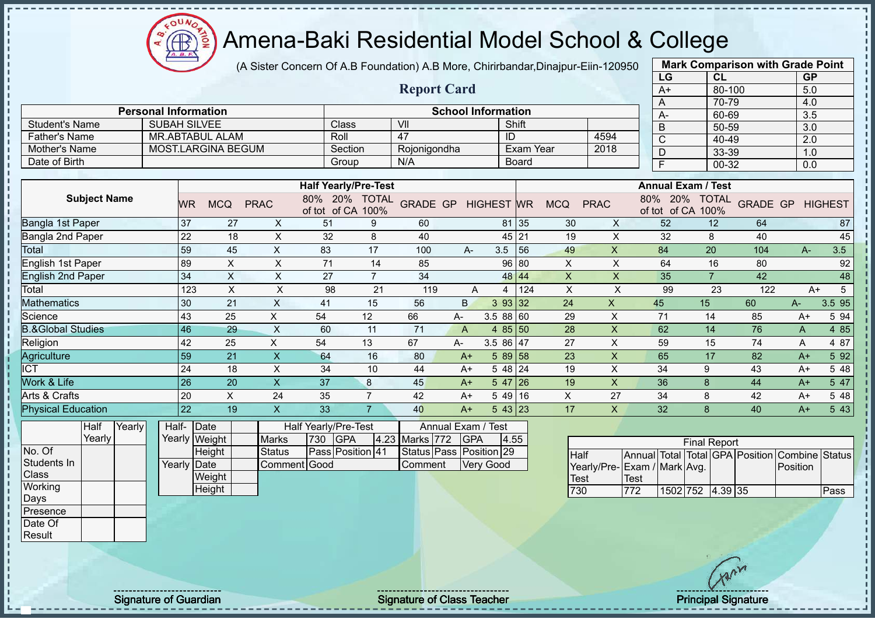$\Omega$  $\bigoplus$ 

# Amena-Baki Residential Model School & College

(A Sister Concern Of A.B Foundation) A.B More, Chirirbandar,Dinajpur-Eiin-120950

|                              |                             |           |                        |                |                                 |                |                    |                           |                   |           |                           |             | LG                         | CL                   |                 | <b>GP</b> |                |
|------------------------------|-----------------------------|-----------|------------------------|----------------|---------------------------------|----------------|--------------------|---------------------------|-------------------|-----------|---------------------------|-------------|----------------------------|----------------------|-----------------|-----------|----------------|
|                              |                             |           |                        |                |                                 |                | <b>Report Card</b> |                           |                   |           |                           |             | $A+$                       | $80 - 100$           |                 | 5.0       |                |
|                              |                             |           |                        |                |                                 |                |                    |                           |                   |           |                           |             | A                          | 70-79                |                 | 4.0       |                |
|                              | <b>Personal Information</b> |           |                        |                |                                 |                |                    | <b>School Information</b> |                   |           |                           |             | A-                         | 60-69                |                 | 3.5       |                |
| <b>Student's Name</b>        | <b>SUBAH SILVEE</b>         |           |                        |                | Class                           |                | VII                |                           |                   | Shift     |                           |             | B                          | 50-59                |                 | 3.0       |                |
| <b>Father's Name</b>         |                             |           | <b>MR.ABTABUL ALAM</b> |                | Roll                            |                | 47                 |                           | ID                |           |                           | 4594        | $\mathsf{C}$               | 40-49                |                 | 2.0       |                |
| Mother's Name                |                             |           | MOST.LARGINA BEGUM     |                | Section                         |                | Rojonigondha       |                           |                   | Exam Year |                           | 2018        | D                          | 33-39                |                 | 1.0       |                |
| Date of Birth                |                             |           |                        |                | Group                           |                | N/A                |                           |                   | Board     |                           |             | F                          | 00-32                |                 | 0.0       |                |
|                              |                             |           |                        |                |                                 |                |                    |                           |                   |           |                           |             |                            |                      |                 |           |                |
|                              |                             |           |                        |                | <b>Half Yearly/Pre-Test</b>     |                |                    |                           |                   |           |                           |             | <b>Annual Exam / Test</b>  |                      |                 |           |                |
| <b>Subject Name</b>          |                             | <b>WR</b> | <b>MCQ</b>             | <b>PRAC</b>    | 80%<br>20%<br>of tot of CA 100% | <b>TOTAL</b>   | <b>GRADE GP</b>    |                           | <b>HIGHEST WR</b> |           | <b>MCQ</b>                | <b>PRAC</b> | 80%<br>20%<br>of tot of CA | <b>TOTAL</b><br>100% | <b>GRADE GP</b> |           | <b>HIGHEST</b> |
| Bangla 1st Paper             |                             | 37        | 27                     | X              | 51                              | 9              | 60                 |                           |                   | 81 35     | 30                        | X           | 52                         | 12                   | 64              |           | 87             |
| Bangla 2nd Paper             |                             | 22        | 18                     | X              | 32                              | 8              | 40                 |                           |                   | 45 21     | 19                        | X           | 32                         | 8                    | 40              |           | 45             |
| Total                        |                             | 59        | 45                     | X              | 83                              | 17             | 100                | A-                        | 3.5               | 56        | 49                        | X           | 84                         | 20                   | 104             | $A -$     | 3.5            |
| English 1st Paper            |                             | 89        | X                      | X              | 71                              | 14             | 85                 |                           | 96                | 80        | $\times$                  | X           | 64                         | 16                   | 80              |           | 92             |
| <b>English 2nd Paper</b>     |                             | 34        | X                      | X              | 27                              | $\overline{7}$ | 34                 |                           |                   | 48 44     | X                         | X           | 35                         | $\overline{7}$       | 42              |           | 48             |
| Total                        |                             | 123       | X                      | X              | 98                              | 21             | 119                | A                         | 4                 | 124       | $\boldsymbol{\mathsf{X}}$ | X           | 99                         | 23                   | 122             | $A+$      | $\sqrt{5}$     |
| <b>Mathematics</b>           |                             | 30        | 21                     | X              | 41                              | 15             | 56                 | B.                        | 3 93 32           |           | 24                        | X           | 45                         | 15                   | 60              | $A-$      | 3.5 95         |
| Science                      |                             | 43        | 25                     | X              | 54                              | 12             | 66                 | A-                        | 3.58860           |           | 29                        | X           | 71                         | 14                   | 85              | $A+$      | 5 94           |
| <b>B.&amp;Global Studies</b> |                             | 46        | 29                     | $\pmb{\times}$ | 60                              | 11             | 71                 | A                         | 4                 | 85 50     | 28                        | X           | 62                         | 14                   | 76              | A         | 4 8 5          |
| Religion                     |                             | 42        | 25                     | X              | 54                              | 13             | 67                 | A-                        | 3.5 86 47         |           | 27                        | X           | 59                         | 15                   | 74              | A         | 4 87           |
| Agriculture                  |                             | 59        | 21                     | X              | 64                              | 16             | 80                 | $A+$                      | $589$ 58          |           | 23                        | X           | 65                         | 17                   | 82              | $A+$      | 5 9 2          |
| <b>ICT</b>                   |                             | 24        | 18                     | X              | 34                              | 10             | 44                 | A+                        | 5 48 24           |           | 19                        | X           | 34                         | 9                    | 43              | $A+$      | 5 48           |
| Work & Life                  |                             | 26        | 20                     | X              | 37                              | 8              | 45                 | $A+$                      | 5 47 26           |           | 19                        | X           | 36                         | 8                    | 44              | $A+$      | 5 47           |
| Arts & Crafts                |                             | 20        | X                      | 24             | 35                              | $\overline{7}$ | 42                 | A+                        | 5 49              | 16        | X                         | 27          | 34                         | 8                    | 42              | $A+$      | 5 48           |
| <b>Physical Education</b>    |                             | 22        | 19                     | X              | 33                              | $\overline{7}$ | 40                 | $A+$                      | $543$ 23          |           | 17                        | X           | 32                         | 8                    | 40              | $A+$      | 5 4 3          |
|                              |                             |           |                        |                |                                 |                |                    |                           |                   |           |                           |             |                            |                      |                 |           |                |

**Half** Yearly Yearly No. Of Students In **Class Working** Days Presence Date Of

Result

| Half-       | <b>IDate</b>  |               |     | Half Yearly/Pre-Test |                    | Annual Exam / Test      |      |
|-------------|---------------|---------------|-----|----------------------|--------------------|-------------------------|------|
|             | Yearly Weight | <b>Marks</b>  | 730 | <b>GPA</b>           | 4.23 Marks 772 GPA |                         | 4.55 |
|             | Height        | <b>Status</b> |     | Pass Position 41     |                    | Status Pass Position 29 |      |
| Yearly Date |               | Comment Good  |     |                      | <b>Comment</b>     | <b>Verv Good</b>        |      |
|             | Weight        |               |     |                      |                    |                         |      |
|             | Height        |               |     |                      |                    |                         |      |

|                             |      |                  | <b>Final Report</b> |  |                                                |      |
|-----------------------------|------|------------------|---------------------|--|------------------------------------------------|------|
| <b>Half</b>                 |      |                  |                     |  | Annual Total Total GPA Position Combine Status |      |
| Yearly/Pre-Exam / Mark Avg. |      |                  |                     |  | Position                                       |      |
| Test                        | Test |                  |                     |  |                                                |      |
| 730                         | 772  | 1502 752 4.39 35 |                     |  |                                                | Pass |

**Mark Comparison with Grade Point**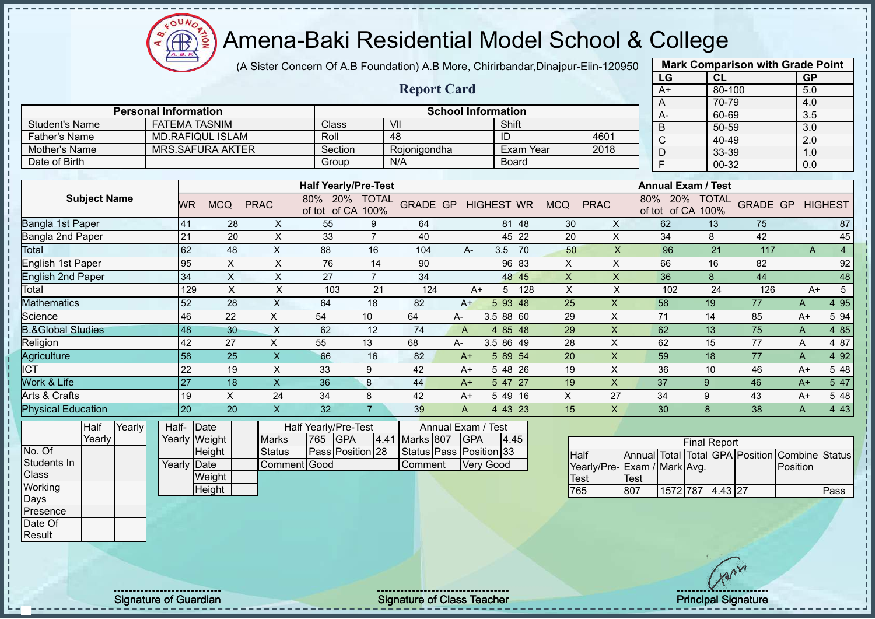

(A Sister Concern Of A.B Foundation) A.B More, Chirirbandar,Dinajpur-Eiin-120950

|                              |                             |           |                           |                |                                           |                      |                    |                                  |                      |                  |                         |                         | LG                            | CL                   |                 | <b>GP</b> |                |
|------------------------------|-----------------------------|-----------|---------------------------|----------------|-------------------------------------------|----------------------|--------------------|----------------------------------|----------------------|------------------|-------------------------|-------------------------|-------------------------------|----------------------|-----------------|-----------|----------------|
|                              |                             |           |                           |                |                                           |                      | <b>Report Card</b> |                                  |                      |                  |                         |                         | A+                            | 80-100               |                 | 5.0       |                |
|                              |                             |           |                           |                |                                           |                      |                    |                                  |                      |                  |                         |                         | A                             | 70-79                |                 | 4.0       |                |
|                              | <b>Personal Information</b> |           |                           |                |                                           |                      |                    | <b>School Information</b>        |                      |                  |                         |                         | A-                            | 60-69                |                 | 3.5       |                |
| <b>Student's Name</b>        | <b>FATEMA TASNIM</b>        |           |                           |                | Class                                     | VII                  |                    |                                  | Shift                |                  |                         |                         | B                             | 50-59                |                 | 3.0       |                |
| <b>Father's Name</b>         |                             |           | <b>MD.RAFIQUL ISLAM</b>   |                | Roll                                      | 48                   |                    |                                  | ID                   |                  |                         | 4601                    | C                             | 40-49                |                 | 2.0       |                |
| <b>Mother's Name</b>         |                             |           | <b>MRS.SAFURA AKTER</b>   |                | Section                                   |                      | Rojonigondha       |                                  |                      | <b>Exam Year</b> |                         | 2018                    | D                             | 33-39                |                 | 1.0       |                |
| Date of Birth                |                             |           |                           |                | Group                                     |                      | N/A                |                                  | Board                |                  |                         |                         | F                             | 00-32                |                 | 0.0       |                |
|                              |                             |           |                           |                |                                           |                      |                    |                                  |                      |                  |                         |                         |                               |                      |                 |           |                |
|                              |                             |           |                           |                | <b>Half Yearly/Pre-Test</b>               |                      |                    |                                  |                      |                  |                         |                         | <b>Annual Exam / Test</b>     |                      |                 |           |                |
| <b>Subject Name</b>          |                             | <b>WR</b> | <b>MCQ</b>                | <b>PRAC</b>    | 80% 20%<br>of tot of CA                   | <b>TOTAL</b><br>100% | <b>GRADE GP</b>    |                                  | <b>HIGHEST WR</b>    |                  | <b>MCQ</b>              | <b>PRAC</b>             | 80%<br>20%<br>of CA<br>of tot | <b>TOTAL</b><br>100% | <b>GRADE GP</b> |           | <b>HIGHEST</b> |
| Bangla 1st Paper             |                             | 41        | 28                        | X              | 55                                        | 9                    | 64                 |                                  |                      | 81 48            | 30                      | X                       | 62                            | 13                   | 75              |           | 87             |
| Bangla 2nd Paper             |                             | 21        | 20                        | $\pmb{\times}$ | 33                                        | $\overline{7}$       | 40                 |                                  |                      | 45 22            | 20                      | $\pmb{\mathsf{X}}$      | 34                            | 8                    | 42              |           | 45             |
| Total                        |                             | 62        | 48                        | X.             | 88                                        | 16                   | 104                | A-                               | 3.5                  | 70               | 50                      | $\times$                | 96                            | 21                   | 117             | A         | 4              |
| English 1st Paper            |                             | 95        | X                         | X              | 76                                        | 14                   | 90                 |                                  | 96                   | 83               | X                       | X                       | 66                            | 16                   | 82              |           | 92             |
| <b>English 2nd Paper</b>     |                             | 34        | $\boldsymbol{\mathsf{X}}$ | $\mathsf X$    | 27                                        | $\overline{7}$       | 34                 |                                  |                      | 48 45            | $\overline{\mathsf{X}}$ | $\overline{\mathsf{x}}$ | 36                            | $\boldsymbol{8}$     | 44              |           | 48             |
| Total                        |                             | 129       | X                         | X              | 103                                       | 21                   | 124                | $A+$                             | 5                    | 128              | X                       | X                       | 102                           | 24                   | 126             | $A+$      | 5              |
| <b>Mathematics</b>           |                             | 52        | 28                        | X              | 64                                        | 18                   | 82                 | $A+$                             | 593   48             |                  | 25                      | X                       | 58                            | 19                   | 77              | A         | 4 9 5          |
| Science                      |                             | 46        | 22                        | X              | 54                                        | 10                   | 64                 | A-                               | 3.588 60             |                  | 29                      | $\mathsf X$             | 71                            | 14                   | 85              | $A+$      | 5 94           |
| <b>B.&amp;Global Studies</b> |                             | 48        | 30                        | X              | 62                                        | 12                   | 74                 | A                                | 85<br>$\overline{4}$ | 48               | 29                      | X                       | 62                            | 13                   | 75              | A         | 4 85           |
| Religion                     |                             | 42        | 27                        | X              | 55                                        | 13                   | 68                 | A-                               | 3.5 86 49            |                  | 28                      | Χ                       | 62                            | 15                   | 77              | A         | 4 87           |
| Agriculture                  |                             | 58        | 25                        | X              | 66                                        | 16                   | 82                 | $A+$                             | 5 89 54              |                  | 20                      | X                       | 59                            | 18                   | 77              | Α         | 4 9 2          |
| <b>ICT</b>                   |                             | 22        | 19                        | X              | 33                                        | 9                    | 42                 | A+                               | 5 48                 | 26               | 19                      | X                       | 36                            | 10                   | 46              | $A+$      | 5 48           |
| Work & Life                  |                             | 27        | 18                        | X              | 36                                        | 8                    | 44                 | $A+$                             | $547$ 27             |                  | 19                      | $\times$                | 37                            | 9                    | 46              | $A+$      | 5 47           |
| Arts & Crafts                |                             | 19        | X                         | 24             | 34                                        | 8                    | 42                 | A+                               | 5 4 9                | 16               | X                       | 27                      | 34                            | 9                    | 43              | $A+$      | 5 48           |
| <b>Physical Education</b>    |                             | 20        | 20                        | X              | 32                                        | $\overline{7}$       | 39                 | A                                | 4 43 23              |                  | 15                      | X                       | 30                            | 8                    | 38              | A         | 4 4 3          |
| Yearly<br>Half<br>Yearly     | Half-                       |           | Date<br>Yearly Weight     | <b>Marks</b>   | Half Yearly/Pre-Test<br>765<br><b>GPA</b> |                      | 4.41 Marks 807     | Annual Exam / Test<br><b>GPA</b> | 4.45                 |                  |                         |                         |                               | <b>Final Report</b>  |                 |           |                |
|                              |                             |           |                           |                |                                           |                      |                    |                                  |                      |                  |                         |                         |                               |                      |                 |           |                |

No. Of Students In **Class Working** Days Presence Date Of

Result

| Half-       | <b>IDate</b>  |               |         | Half Yearly/Pre-Test |                | Annual Exam / Test      |     |
|-------------|---------------|---------------|---------|----------------------|----------------|-------------------------|-----|
|             | Yearly Weight | <b>Marks</b>  | 765 GPA |                      | 4.41 Marks 807 | <b>IGPA</b>             | 4.4 |
|             | Height        | <b>Status</b> |         | Pass Position 28     |                | Status Pass Position 33 |     |
| Yearly Date |               | Comment Good  |         |                      | <b>Comment</b> | <b>Very Good</b>        |     |
|             | Weight        |               |         |                      |                |                         |     |
|             | Height        |               |         |                      |                |                         |     |

| <b>Final Report</b>          |      |  |                  |  |  |                                                |      |  |  |  |  |
|------------------------------|------|--|------------------|--|--|------------------------------------------------|------|--|--|--|--|
| Half                         |      |  |                  |  |  | Annual Total Total GPA Position Combine Status |      |  |  |  |  |
| Yearly/Pre- Exam / Mark Avg. |      |  |                  |  |  | <b>Position</b>                                |      |  |  |  |  |
| <b>Test</b>                  | Test |  |                  |  |  |                                                |      |  |  |  |  |
| 765                          | 807  |  | 1572 787 4.43 27 |  |  |                                                | Pass |  |  |  |  |

**Mark Comparison with Grade Point**

Signature of Guardian Signature of Class Teacher Principal Signature of Class Teacher Principal Signature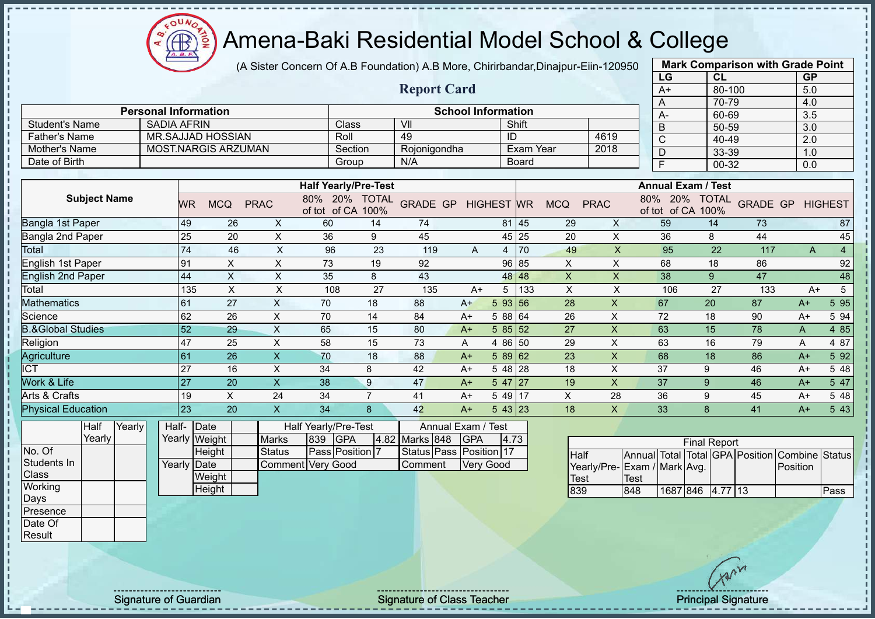(A Sister Concern Of A.B Foundation) A.B More, Chirirbandar,Dinajpur-Eiin-120950

|                                                                         |                     |        |                             |                 |                       |                           |                             |                  |                         |            |                           |                |                           |                         |                  | LG   | CL                                |                                 | <b>GP</b>      |                |
|-------------------------------------------------------------------------|---------------------|--------|-----------------------------|-----------------|-----------------------|---------------------------|-----------------------------|------------------|-------------------------|------------|---------------------------|----------------|---------------------------|-------------------------|------------------|------|-----------------------------------|---------------------------------|----------------|----------------|
|                                                                         |                     |        |                             |                 |                       |                           |                             |                  | <b>Report Card</b>      |            |                           |                |                           |                         |                  | $A+$ |                                   | 80-100                          | 5.0            |                |
|                                                                         |                     |        |                             |                 |                       |                           |                             |                  |                         |            |                           |                |                           |                         |                  | A    |                                   | 70-79                           | 4.0            |                |
|                                                                         |                     |        | <b>Personal Information</b> |                 |                       |                           |                             |                  |                         |            | <b>School Information</b> |                |                           |                         |                  | А-   |                                   | 60-69                           | 3.5            |                |
| <b>Student's Name</b><br><b>SADIA AFRIN</b><br><b>MR.SAJJAD HOSSIAN</b> |                     |        |                             |                 | Shift<br>VII<br>Class |                           |                             |                  |                         |            |                           | B              |                           | 50-59                   | 3.0              |      |                                   |                                 |                |                |
| <b>Father's Name</b>                                                    |                     |        |                             |                 |                       |                           | Roll                        |                  | 49                      |            | ID                        |                |                           | 4619                    |                  | Ċ    |                                   | 40-49                           | 2.0            |                |
| <b>MOST.NARGIS ARZUMAN</b><br>Mother's Name                             |                     |        |                             | Section         | Rojonigondha          |                           |                             | <b>Exam Year</b> |                         | 2018       |                           | $\overline{D}$ |                           | 33-39                   | 1.0              |      |                                   |                                 |                |                |
| Date of Birth                                                           |                     |        |                             |                 |                       |                           |                             | Group            | N/A                     |            |                           | <b>Board</b>   |                           |                         |                  | F    |                                   | 00-32                           | 0.0            |                |
|                                                                         |                     |        |                             |                 |                       |                           | <b>Half Yearly/Pre-Test</b> |                  |                         |            |                           |                |                           |                         |                  |      | <b>Annual Exam / Test</b>         |                                 |                |                |
|                                                                         | <b>Subject Name</b> |        |                             | <b>WR</b>       | <b>MCQ</b>            | <b>PRAC</b>               | $80\%$<br>of tot of CA 100% | 20% TOTAL        | <b>GRADE GP</b>         |            | <b>HIGHEST</b> WR         |                | <b>MCQ</b>                | <b>PRAC</b>             | 80%              | 20%  | <b>TOTAL</b><br>of tot of CA 100% | <b>GRADE GP</b>                 |                | <b>HIGHEST</b> |
| Bangla 1st Paper                                                        |                     |        |                             | 49              | 26                    | X                         | 60                          | 14               | 74                      |            | 81                        | 45             | 29                        | X                       |                  | 59   | 14                                | 73                              |                | 87             |
| Bangla 2nd Paper                                                        |                     |        |                             | 25              | 20                    | X                         | 36                          | 9                | 45                      |            | 45                        | 25             | 20                        | $\mathsf{X}$            |                  | 36   | 8                                 | 44                              |                | 45             |
| Total                                                                   |                     |        |                             | 74              | 46                    | $\pmb{\times}$            | 96                          | 23               | 119                     | A          | 4                         | 70             | 49                        | $\pmb{\times}$          |                  | 95   | 22                                | 117                             | A              | $\overline{4}$ |
| English 1st Paper                                                       |                     |        |                             | 91              | X                     | X                         | 73                          | 19               | 92                      |            | 96                        | 85             | $\pmb{\times}$            | $\pmb{\times}$          |                  | 68   | 18                                | 86                              |                | 92             |
| <b>English 2nd Paper</b>                                                |                     |        |                             | 44              | $\mathsf X$           | $\pmb{\times}$            | 35                          | 8                | 43                      |            | 48                        | 48             | $\mathsf{x}$              | $\mathsf{x}$            |                  | 38   | 9                                 | 47                              |                | 48             |
| Total                                                                   |                     |        |                             | 135             | $\sf X$               | $\pmb{\times}$            | 108                         | 27               | 135                     | $A+$       | 5                         | 133            | $\boldsymbol{\mathsf{X}}$ | X                       |                  | 106  | 27                                | 133                             | $A+$           | 5              |
| <b>Mathematics</b>                                                      |                     |        |                             | 61              | 27                    | $\boldsymbol{\mathsf{X}}$ | 70                          | 18               | 88                      | $A+$       | 5 93                      | 56             | $\overline{28}$           | $\mathsf X$             |                  | 67   | 20                                | 87                              | $A+$           | 5 9 5          |
| Science                                                                 |                     |        |                             | 62              | 26                    | X                         | 70                          | 14               | 84                      | $A+$       | 5 88 64                   |                | 26                        | $\mathsf X$             |                  | 72   | 18                                | 90                              | $A+$           | 5 94           |
| <b>B.&amp;Global Studies</b>                                            |                     |        |                             | 52              | 29                    | $\times$                  | 65                          | 15               | 80                      | $A+$       | 5 85                      | 52             | 27                        | $\mathsf{x}$            |                  | 63   | 15                                | 78                              | A              | 4 8 5          |
| Religion                                                                |                     |        |                             | 47              | 25                    | $\pmb{\times}$            | 58                          | 15               | 73                      | Α          | 4 86                      | 50             | 29                        | X                       |                  | 63   | 16                                | 79                              | A              | 4 87           |
| Agriculture                                                             |                     |        |                             | 61              | 26                    | $\mathsf{X}$              | 70                          | 18               | 88                      | $A+$       | 5 89                      | 62             | 23                        | $\mathsf{x}$            |                  | 68   | 18                                | 86                              | $A+$           | 5 9 2          |
| <b>ICT</b>                                                              |                     |        |                             | 27              | 16                    | X                         | 34                          | 8                | 42                      | $A+$       | 5 48                      | 28             | 18                        | X                       |                  | 37   | 9                                 | 46                              | $A+$           | 5 48           |
| Work & Life                                                             |                     |        |                             | 27              | 20                    | $\overline{\mathsf{X}}$   | 38                          | 9                | 47                      | $A+$       | $547$   27                |                | 19                        | $\overline{\mathsf{X}}$ |                  | 37   | 9                                 | 46                              | $A+$           | 5 47           |
| Arts & Crafts                                                           |                     |        |                             | 19              | $\times$              | 24                        | 34                          | $\overline{7}$   | 41                      | $A+$       | 5 49 17                   |                | X.                        | 28                      |                  | 36   | 9                                 | 45                              | $A+$           | 5 48           |
| <b>Physical Education</b>                                               |                     |        |                             | $\overline{23}$ | 20                    | $\mathsf{X}$              | 34                          | 8                | 42                      | $A+$       | $543$ 23                  |                | 18                        | $\mathsf{X}$            |                  | 33   | 8                                 | 41                              | $A+$           | 5 4 3          |
|                                                                         | Half                | Yearly | Half-                       |                 | Date                  |                           | Half Yearly/Pre-Test        |                  | Annual Exam / Test      |            |                           |                |                           |                         |                  |      |                                   |                                 |                |                |
|                                                                         | Yearly              |        |                             |                 | Yearly Weight         | <b>Marks</b>              | <b>GPA</b><br>839           |                  | 4.82 Marks 848          | <b>GPA</b> | 4.73                      |                |                           |                         |                  |      | <b>Final Report</b>               |                                 |                |                |
| No. Of                                                                  |                     |        |                             |                 | Height                | <b>Status</b>             | Pass Position 7             |                  | Status Pass Position 17 |            |                           |                | Half                      |                         |                  |      |                                   | Annual Total Total GPA Position | Combine Status |                |
| Students In                                                             |                     |        |                             | Yearly Date     |                       |                           | <b>Comment Very Good</b>    |                  | Comment                 |            | <b>Very Good</b>          |                |                           | Yearly/Pre-             | Exam / Mark Avg. |      |                                   |                                 | Position       |                |
| <b>Class</b>                                                            |                     |        |                             |                 | Weight                |                           |                             |                  |                         |            |                           |                | <b>Test</b>               |                         | <b>Test</b>      |      |                                   |                                 |                |                |
| Working                                                                 |                     |        |                             |                 | Height                |                           |                             |                  |                         |            |                           |                | 839                       |                         | 848              |      | 1687 846 4.77 13                  |                                 |                | Pass           |

**Mark Comparison with Grade Point**

Signature of Guardian Signature Signature of Class Teacher Number of Class Teacher Principal Signature

 $\Omega$ 

Days Presence Date Of Result